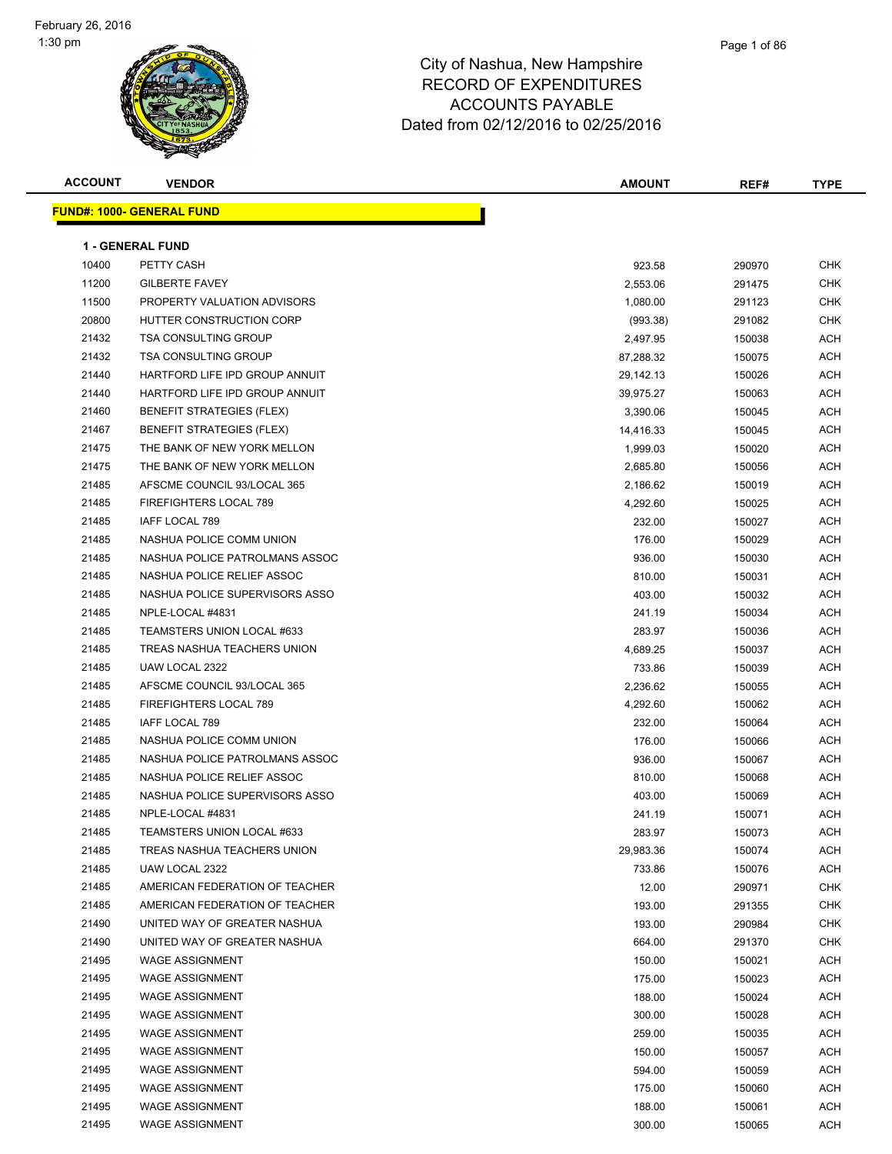| <b>ACCOUNT</b> | <b>VENDOR</b>                    | <b>AMOUNT</b> | REF#   | <b>TYPE</b> |
|----------------|----------------------------------|---------------|--------|-------------|
|                | <b>FUND#: 1000- GENERAL FUND</b> |               |        |             |
|                |                                  |               |        |             |
|                | <b>1 - GENERAL FUND</b>          |               |        |             |
| 10400          | PETTY CASH                       | 923.58        | 290970 | <b>CHK</b>  |
| 11200          | <b>GILBERTE FAVEY</b>            | 2,553.06      | 291475 | <b>CHK</b>  |
| 11500          | PROPERTY VALUATION ADVISORS      | 1,080.00      | 291123 | <b>CHK</b>  |
| 20800          | HUTTER CONSTRUCTION CORP         | (993.38)      | 291082 | CHK         |
| 21432          | <b>TSA CONSULTING GROUP</b>      | 2,497.95      | 150038 | ACH         |
| 21432          | <b>TSA CONSULTING GROUP</b>      | 87,288.32     | 150075 | <b>ACH</b>  |
| 21440          | HARTFORD LIFE IPD GROUP ANNUIT   | 29,142.13     | 150026 | ACH         |
| 21440          | HARTFORD LIFE IPD GROUP ANNUIT   | 39,975.27     | 150063 | ACH         |
| 21460          | <b>BENEFIT STRATEGIES (FLEX)</b> | 3,390.06      | 150045 | <b>ACH</b>  |
| 21467          | <b>BENEFIT STRATEGIES (FLEX)</b> | 14,416.33     | 150045 | <b>ACH</b>  |
| 21475          | THE BANK OF NEW YORK MELLON      | 1,999.03      | 150020 | ACH         |
| 21475          | THE BANK OF NEW YORK MELLON      | 2,685.80      | 150056 | ACH         |
| 21485          | AFSCME COUNCIL 93/LOCAL 365      | 2,186.62      | 150019 | ACH         |
| 21485          | <b>FIREFIGHTERS LOCAL 789</b>    | 4,292.60      | 150025 | <b>ACH</b>  |
| 21485          | <b>IAFF LOCAL 789</b>            | 232.00        | 150027 | <b>ACH</b>  |
| 21485          | NASHUA POLICE COMM UNION         | 176.00        | 150029 | ACH         |
| 21485          | NASHUA POLICE PATROLMANS ASSOC   | 936.00        | 150030 | <b>ACH</b>  |
| 21485          | NASHUA POLICE RELIEF ASSOC       | 810.00        | 150031 | ACH         |
| 21485          | NASHUA POLICE SUPERVISORS ASSO   | 403.00        | 150032 | ACH         |
| 21485          | NPLE-LOCAL #4831                 | 241.19        | 150034 | <b>ACH</b>  |
| 21485          | TEAMSTERS UNION LOCAL #633       | 283.97        | 150036 | <b>ACH</b>  |
| 21485          | TREAS NASHUA TEACHERS UNION      | 4,689.25      | 150037 | <b>ACH</b>  |
| 21485          | UAW LOCAL 2322                   | 733.86        | 150039 | <b>ACH</b>  |
| 21485          | AFSCME COUNCIL 93/LOCAL 365      | 2,236.62      | 150055 | <b>ACH</b>  |
| 21485          | FIREFIGHTERS LOCAL 789           | 4,292.60      | 150062 | <b>ACH</b>  |
| 21485          | IAFF LOCAL 789                   | 232.00        | 150064 | <b>ACH</b>  |
| 21485          | NASHUA POLICE COMM UNION         | 176.00        | 150066 | ACH         |
| 21485          | NASHUA POLICE PATROLMANS ASSOC   | 936.00        | 150067 | <b>ACH</b>  |
| 21485          | NASHUA POLICE RELIEF ASSOC       | 810.00        | 150068 | ACH         |
| 21485          | NASHUA POLICE SUPERVISORS ASSO   | 403.00        | 150069 | ACH         |
| 21485          | NPLE-LOCAL #4831                 | 241.19        | 150071 | <b>ACH</b>  |
| 21485          | TEAMSTERS UNION LOCAL #633       | 283.97        | 150073 | <b>ACH</b>  |
| 21485          | TREAS NASHUA TEACHERS UNION      | 29,983.36     | 150074 | <b>ACH</b>  |
| 21485          | UAW LOCAL 2322                   | 733.86        | 150076 | <b>ACH</b>  |
| 21485          | AMERICAN FEDERATION OF TEACHER   | 12.00         | 290971 | <b>CHK</b>  |
| 21485          | AMERICAN FEDERATION OF TEACHER   | 193.00        | 291355 | <b>CHK</b>  |
| 21490          | UNITED WAY OF GREATER NASHUA     | 193.00        | 290984 | CHK         |
| 21490          | UNITED WAY OF GREATER NASHUA     | 664.00        | 291370 | CHK         |
| 21495          | <b>WAGE ASSIGNMENT</b>           | 150.00        | 150021 | ACH         |
| 21495          | <b>WAGE ASSIGNMENT</b>           | 175.00        | 150023 | ACH         |
| 21495          | <b>WAGE ASSIGNMENT</b>           | 188.00        | 150024 | ACH         |
| 21495          | <b>WAGE ASSIGNMENT</b>           | 300.00        | 150028 | <b>ACH</b>  |
| 21495          | <b>WAGE ASSIGNMENT</b>           | 259.00        | 150035 | <b>ACH</b>  |
| 21495          | <b>WAGE ASSIGNMENT</b>           | 150.00        | 150057 | <b>ACH</b>  |
| 21495          | <b>WAGE ASSIGNMENT</b>           | 594.00        | 150059 | ACH         |
| 21495          | <b>WAGE ASSIGNMENT</b>           | 175.00        | 150060 | ACH         |
| 21495          | <b>WAGE ASSIGNMENT</b>           | 188.00        | 150061 | ACH         |
| 21495          | WAGE ASSIGNMENT                  | 300.00        | 150065 | ACH         |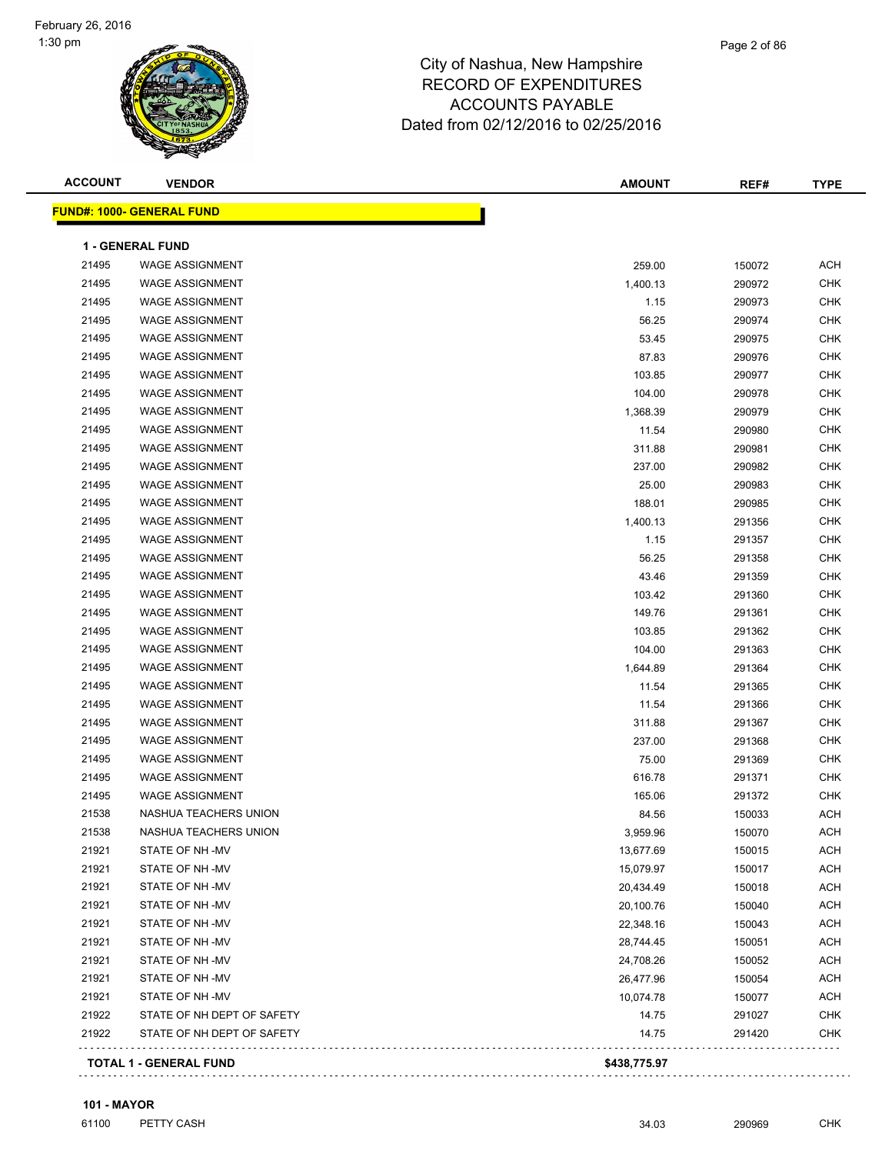| <b>ACCOUNT</b> | <b>VENDOR</b>                    | <b>AMOUNT</b> | REF#   | <b>TYPE</b> |
|----------------|----------------------------------|---------------|--------|-------------|
|                | <b>FUND#: 1000- GENERAL FUND</b> |               |        |             |
|                |                                  |               |        |             |
|                | 1 - GENERAL FUND                 |               |        |             |
| 21495          | <b>WAGE ASSIGNMENT</b>           | 259.00        | 150072 | <b>ACH</b>  |
| 21495          | <b>WAGE ASSIGNMENT</b>           | 1,400.13      | 290972 | <b>CHK</b>  |
| 21495          | <b>WAGE ASSIGNMENT</b>           | 1.15          | 290973 | <b>CHK</b>  |
| 21495          | <b>WAGE ASSIGNMENT</b>           | 56.25         | 290974 | <b>CHK</b>  |
| 21495          | <b>WAGE ASSIGNMENT</b>           | 53.45         | 290975 | <b>CHK</b>  |
| 21495          | <b>WAGE ASSIGNMENT</b>           | 87.83         | 290976 | <b>CHK</b>  |
| 21495          | <b>WAGE ASSIGNMENT</b>           | 103.85        | 290977 | <b>CHK</b>  |
| 21495          | <b>WAGE ASSIGNMENT</b>           | 104.00        | 290978 | <b>CHK</b>  |
| 21495          | <b>WAGE ASSIGNMENT</b>           | 1,368.39      | 290979 | <b>CHK</b>  |
| 21495          | <b>WAGE ASSIGNMENT</b>           | 11.54         | 290980 | <b>CHK</b>  |
| 21495          | <b>WAGE ASSIGNMENT</b>           | 311.88        | 290981 | <b>CHK</b>  |
| 21495          | <b>WAGE ASSIGNMENT</b>           | 237.00        | 290982 | <b>CHK</b>  |
| 21495          | <b>WAGE ASSIGNMENT</b>           | 25.00         | 290983 | <b>CHK</b>  |
| 21495          | <b>WAGE ASSIGNMENT</b>           | 188.01        | 290985 | <b>CHK</b>  |
| 21495          | <b>WAGE ASSIGNMENT</b>           | 1,400.13      | 291356 | <b>CHK</b>  |
| 21495          | <b>WAGE ASSIGNMENT</b>           | 1.15          | 291357 | <b>CHK</b>  |
| 21495          | <b>WAGE ASSIGNMENT</b>           | 56.25         | 291358 | <b>CHK</b>  |
| 21495          | <b>WAGE ASSIGNMENT</b>           | 43.46         | 291359 | <b>CHK</b>  |
| 21495          | <b>WAGE ASSIGNMENT</b>           | 103.42        | 291360 | <b>CHK</b>  |
| 21495          | <b>WAGE ASSIGNMENT</b>           | 149.76        | 291361 | <b>CHK</b>  |
| 21495          | <b>WAGE ASSIGNMENT</b>           | 103.85        | 291362 | <b>CHK</b>  |
| 21495          | <b>WAGE ASSIGNMENT</b>           | 104.00        | 291363 | <b>CHK</b>  |
| 21495          | <b>WAGE ASSIGNMENT</b>           | 1,644.89      | 291364 | <b>CHK</b>  |
| 21495          | <b>WAGE ASSIGNMENT</b>           | 11.54         | 291365 | <b>CHK</b>  |
| 21495          | <b>WAGE ASSIGNMENT</b>           | 11.54         | 291366 | <b>CHK</b>  |
| 21495          | <b>WAGE ASSIGNMENT</b>           | 311.88        | 291367 | <b>CHK</b>  |
| 21495          | <b>WAGE ASSIGNMENT</b>           | 237.00        | 291368 | <b>CHK</b>  |
| 21495          | <b>WAGE ASSIGNMENT</b>           | 75.00         | 291369 | <b>CHK</b>  |
| 21495          | <b>WAGE ASSIGNMENT</b>           | 616.78        | 291371 | <b>CHK</b>  |
| 21495          | <b>WAGE ASSIGNMENT</b>           | 165.06        | 291372 | <b>CHK</b>  |
| 21538          | NASHUA TEACHERS UNION            | 84.56         | 150033 | <b>ACH</b>  |
| 21538          | NASHUA TEACHERS UNION            | 3,959.96      | 150070 | ACH         |
| 21921          | STATE OF NH-MV                   | 13,677.69     | 150015 | ACH         |
| 21921          | STATE OF NH-MV                   | 15,079.97     | 150017 | <b>ACH</b>  |
| 21921          | STATE OF NH-MV                   | 20,434.49     | 150018 | ACH         |
| 21921          | STATE OF NH-MV                   | 20,100.76     | 150040 | ACH         |
| 21921          | STATE OF NH-MV                   | 22,348.16     | 150043 | <b>ACH</b>  |
| 21921          | STATE OF NH-MV                   | 28,744.45     | 150051 | <b>ACH</b>  |
| 21921          | STATE OF NH-MV                   | 24,708.26     | 150052 | <b>ACH</b>  |
| 21921          | STATE OF NH-MV                   | 26,477.96     | 150054 | <b>ACH</b>  |
| 21921          | STATE OF NH-MV                   | 10,074.78     | 150077 | ACH         |
| 21922          | STATE OF NH DEPT OF SAFETY       | 14.75         | 291027 | <b>CHK</b>  |
| 21922          | STATE OF NH DEPT OF SAFETY       | 14.75         | 291420 | <b>CHK</b>  |
|                | <b>TOTAL 1 - GENERAL FUND</b>    | \$438,775.97  |        |             |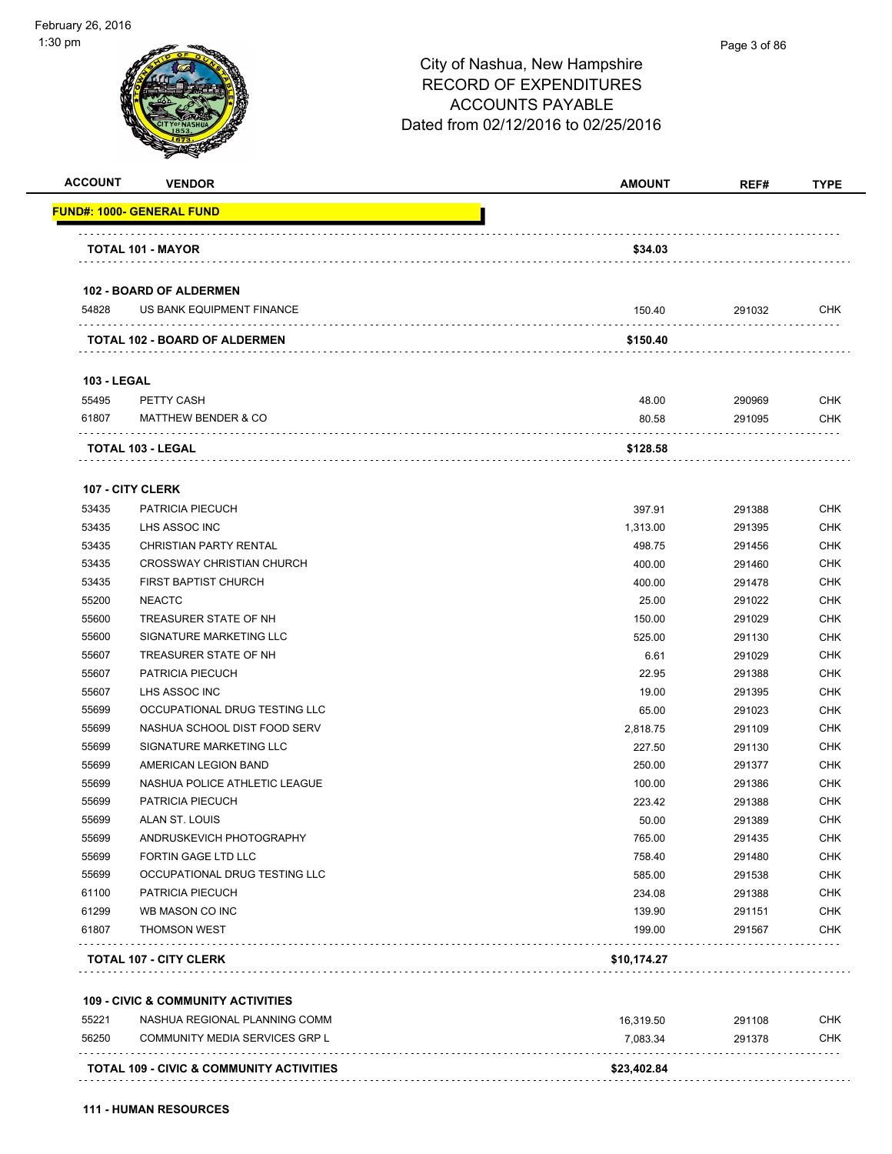| <b>ACCOUNT</b>     | <b>VENDOR</b>                                       | <b>AMOUNT</b> | REF#   | <b>TYPE</b> |
|--------------------|-----------------------------------------------------|---------------|--------|-------------|
|                    | <b>FUND#: 1000- GENERAL FUND</b>                    |               |        |             |
|                    | <b>TOTAL 101 - MAYOR</b>                            | \$34.03       |        |             |
|                    |                                                     |               |        |             |
|                    | <b>102 - BOARD OF ALDERMEN</b>                      |               |        |             |
| 54828              | US BANK EQUIPMENT FINANCE                           | 150.40        | 291032 | <b>CHK</b>  |
|                    | TOTAL 102 - BOARD OF ALDERMEN                       | \$150.40      |        |             |
| <b>103 - LEGAL</b> |                                                     |               |        |             |
| 55495              | PETTY CASH                                          | 48.00         | 290969 | <b>CHK</b>  |
| 61807              | <b>MATTHEW BENDER &amp; CO</b>                      | 80.58         | 291095 | <b>CHK</b>  |
|                    | TOTAL 103 - LEGAL                                   | \$128.58      |        |             |
|                    | 107 - CITY CLERK                                    |               |        |             |
| 53435              | PATRICIA PIECUCH                                    | 397.91        | 291388 | <b>CHK</b>  |
| 53435              | LHS ASSOC INC                                       | 1,313.00      | 291395 | <b>CHK</b>  |
| 53435              | CHRISTIAN PARTY RENTAL                              | 498.75        | 291456 | <b>CHK</b>  |
| 53435              | <b>CROSSWAY CHRISTIAN CHURCH</b>                    | 400.00        | 291460 | <b>CHK</b>  |
| 53435              | FIRST BAPTIST CHURCH                                | 400.00        | 291478 | <b>CHK</b>  |
| 55200              | <b>NEACTC</b>                                       | 25.00         | 291022 | <b>CHK</b>  |
| 55600              | TREASURER STATE OF NH                               | 150.00        | 291029 | CHK         |
| 55600              | SIGNATURE MARKETING LLC                             | 525.00        | 291130 | <b>CHK</b>  |
| 55607              | TREASURER STATE OF NH                               | 6.61          | 291029 | <b>CHK</b>  |
| 55607              | PATRICIA PIECUCH                                    | 22.95         | 291388 | <b>CHK</b>  |
| 55607              | LHS ASSOC INC                                       | 19.00         | 291395 | <b>CHK</b>  |
| 55699              | OCCUPATIONAL DRUG TESTING LLC                       | 65.00         | 291023 | CHK         |
| 55699              | NASHUA SCHOOL DIST FOOD SERV                        | 2,818.75      | 291109 | <b>CHK</b>  |
| 55699              | SIGNATURE MARKETING LLC                             | 227.50        | 291130 | <b>CHK</b>  |
| 55699              | AMERICAN LEGION BAND                                | 250.00        | 291377 | CHK         |
| 55699              | NASHUA POLICE ATHLETIC LEAGUE                       | 100.00        | 291386 | <b>CHK</b>  |
| 55699              | PATRICIA PIECUCH                                    | 223.42        | 291388 | <b>CHK</b>  |
| 55699              | ALAN ST. LOUIS                                      | 50.00         | 291389 | <b>CHK</b>  |
| 55699              | ANDRUSKEVICH PHOTOGRAPHY                            | 765.00        | 291435 | <b>CHK</b>  |
| 55699              | <b>FORTIN GAGE LTD LLC</b>                          | 758.40        | 291480 | <b>CHK</b>  |
| 55699              | OCCUPATIONAL DRUG TESTING LLC                       | 585.00        | 291538 | <b>CHK</b>  |
| 61100              | PATRICIA PIECUCH                                    | 234.08        | 291388 | <b>CHK</b>  |
| 61299              | WB MASON CO INC                                     | 139.90        | 291151 | <b>CHK</b>  |
| 61807              | <b>THOMSON WEST</b>                                 | 199.00        | 291567 | <b>CHK</b>  |
|                    | <b>TOTAL 107 - CITY CLERK</b>                       | \$10,174.27   |        |             |
|                    | <b>109 - CIVIC &amp; COMMUNITY ACTIVITIES</b>       |               |        |             |
| 55221              | NASHUA REGIONAL PLANNING COMM                       | 16,319.50     | 291108 | CHK         |
| 56250              | COMMUNITY MEDIA SERVICES GRP L                      | 7,083.34      | 291378 | <b>CHK</b>  |
|                    |                                                     |               |        |             |
|                    | <b>TOTAL 109 - CIVIC &amp; COMMUNITY ACTIVITIES</b> | \$23,402.84   |        |             |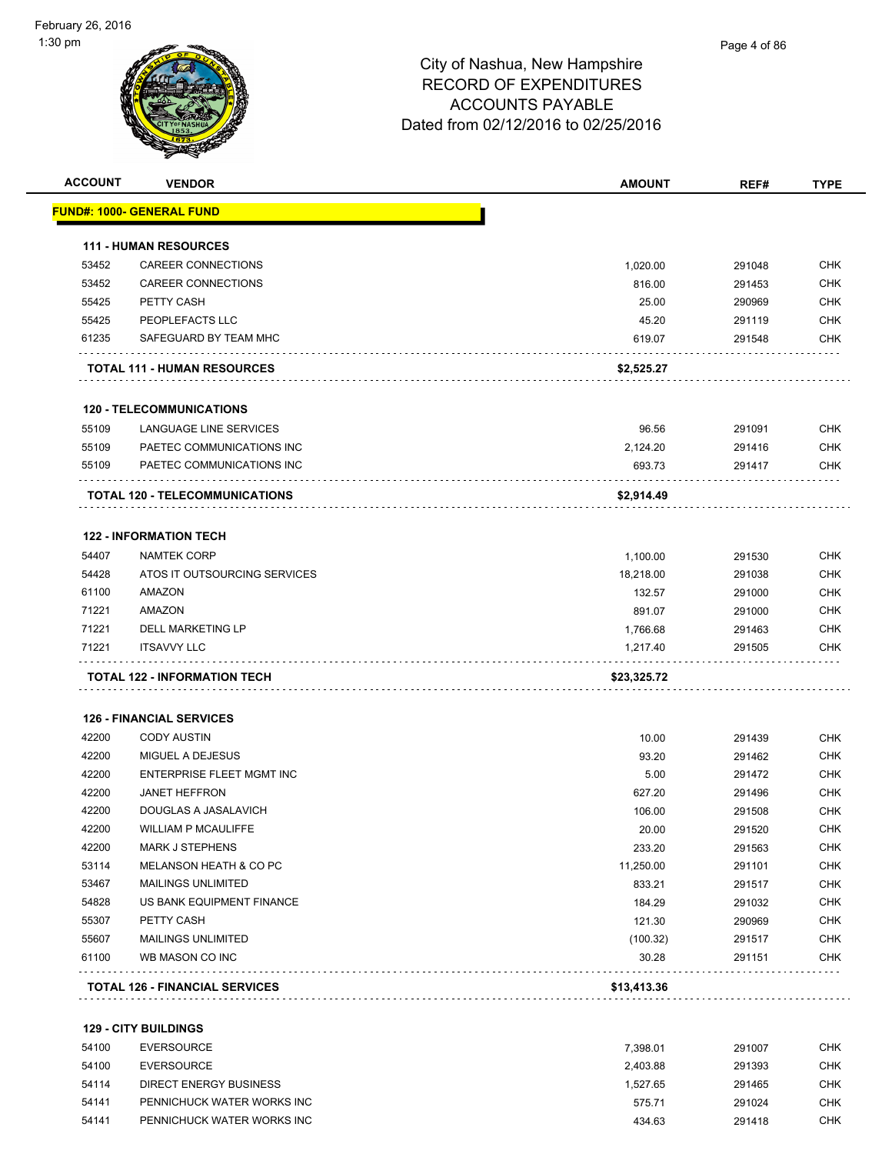| <b>ACCOUNT</b> | <b>VENDOR</b>                                      | <b>AMOUNT</b>        | REF#             | <b>TYPE</b>              |
|----------------|----------------------------------------------------|----------------------|------------------|--------------------------|
|                | <u> FUND#: 1000- GENERAL FUND</u>                  |                      |                  |                          |
|                | <b>111 - HUMAN RESOURCES</b>                       |                      |                  |                          |
| 53452          | <b>CAREER CONNECTIONS</b>                          | 1,020.00             | 291048           | <b>CHK</b>               |
| 53452          | <b>CAREER CONNECTIONS</b>                          | 816.00               | 291453           | <b>CHK</b>               |
| 55425          | PETTY CASH                                         | 25.00                | 290969           | <b>CHK</b>               |
| 55425          | PEOPLEFACTS LLC                                    | 45.20                | 291119           | <b>CHK</b>               |
| 61235          | SAFEGUARD BY TEAM MHC                              | 619.07               | 291548           | <b>CHK</b>               |
|                | <b>TOTAL 111 - HUMAN RESOURCES</b>                 | \$2,525.27           |                  |                          |
|                | <b>120 - TELECOMMUNICATIONS</b>                    |                      |                  |                          |
| 55109          | LANGUAGE LINE SERVICES                             | 96.56                | 291091           | <b>CHK</b>               |
| 55109          | PAETEC COMMUNICATIONS INC                          | 2,124.20             | 291416           | <b>CHK</b>               |
| 55109          | PAETEC COMMUNICATIONS INC                          | 693.73               | 291417           | <b>CHK</b>               |
|                | <b>TOTAL 120 - TELECOMMUNICATIONS</b>              | \$2,914.49           |                  |                          |
|                |                                                    |                      |                  |                          |
| 54407          | <b>122 - INFORMATION TECH</b>                      |                      |                  |                          |
|                | <b>NAMTEK CORP</b><br>ATOS IT OUTSOURCING SERVICES | 1,100.00             | 291530           | <b>CHK</b>               |
| 54428<br>61100 | AMAZON                                             | 18,218.00            | 291038<br>291000 | <b>CHK</b><br><b>CHK</b> |
| 71221          | AMAZON                                             | 132.57<br>891.07     | 291000           | <b>CHK</b>               |
| 71221          | <b>DELL MARKETING LP</b>                           |                      |                  | <b>CHK</b>               |
| 71221          | <b>ITSAVVY LLC</b>                                 | 1,766.68<br>1,217.40 | 291463<br>291505 | <b>CHK</b>               |
|                |                                                    |                      |                  |                          |
|                | <b>TOTAL 122 - INFORMATION TECH</b>                | \$23,325.72          |                  |                          |
|                | <b>126 - FINANCIAL SERVICES</b>                    |                      |                  |                          |
| 42200          | <b>CODY AUSTIN</b>                                 | 10.00                | 291439           | <b>CHK</b>               |
| 42200          | MIGUEL A DEJESUS                                   | 93.20                | 291462           | <b>CHK</b>               |
| 42200          | ENTERPRISE FLEET MGMT INC                          | 5.00                 | 291472           | <b>CHK</b>               |
| 42200          | <b>JANET HEFFRON</b>                               | 627.20               | 291496           | <b>CHK</b>               |
| 42200          | DOUGLAS A JASALAVICH                               | 106.00               | 291508           | <b>CHK</b>               |
| 42200          | WILLIAM P MCAULIFFE                                | 20.00                | 291520           | CHK                      |
| 42200          | <b>MARK J STEPHENS</b>                             | 233.20               | 291563           | <b>CHK</b>               |
| 53114          | MELANSON HEATH & CO PC                             | 11,250.00            | 291101           | <b>CHK</b>               |
| 53467          | <b>MAILINGS UNLIMITED</b>                          | 833.21               | 291517           | <b>CHK</b>               |
| 54828          | US BANK EQUIPMENT FINANCE                          | 184.29               | 291032           | <b>CHK</b>               |
| 55307          | PETTY CASH                                         | 121.30               | 290969           | <b>CHK</b>               |
| 55607          | <b>MAILINGS UNLIMITED</b>                          | (100.32)             | 291517           | <b>CHK</b>               |
| 61100          | WB MASON CO INC                                    | 30.28                | 291151           | <b>CHK</b>               |
|                | <b>TOTAL 126 - FINANCIAL SERVICES</b>              | \$13,413.36          |                  |                          |
|                | <b>129 - CITY BUILDINGS</b>                        |                      |                  |                          |
| 54100          | <b>EVERSOURCE</b>                                  | 7,398.01             | 291007           | <b>CHK</b>               |
| 54100          | <b>EVERSOURCE</b>                                  | 2,403.88             | 291393           | <b>CHK</b>               |
| 54114          | <b>DIRECT ENERGY BUSINESS</b>                      | 1,527.65             | 291465           | <b>CHK</b>               |
| 54141          | PENNICHUCK WATER WORKS INC                         | 575.71               | 291024           | <b>CHK</b>               |
|                |                                                    |                      |                  |                          |

PENNICHUCK WATER WORKS INC 434.63 291418 CHK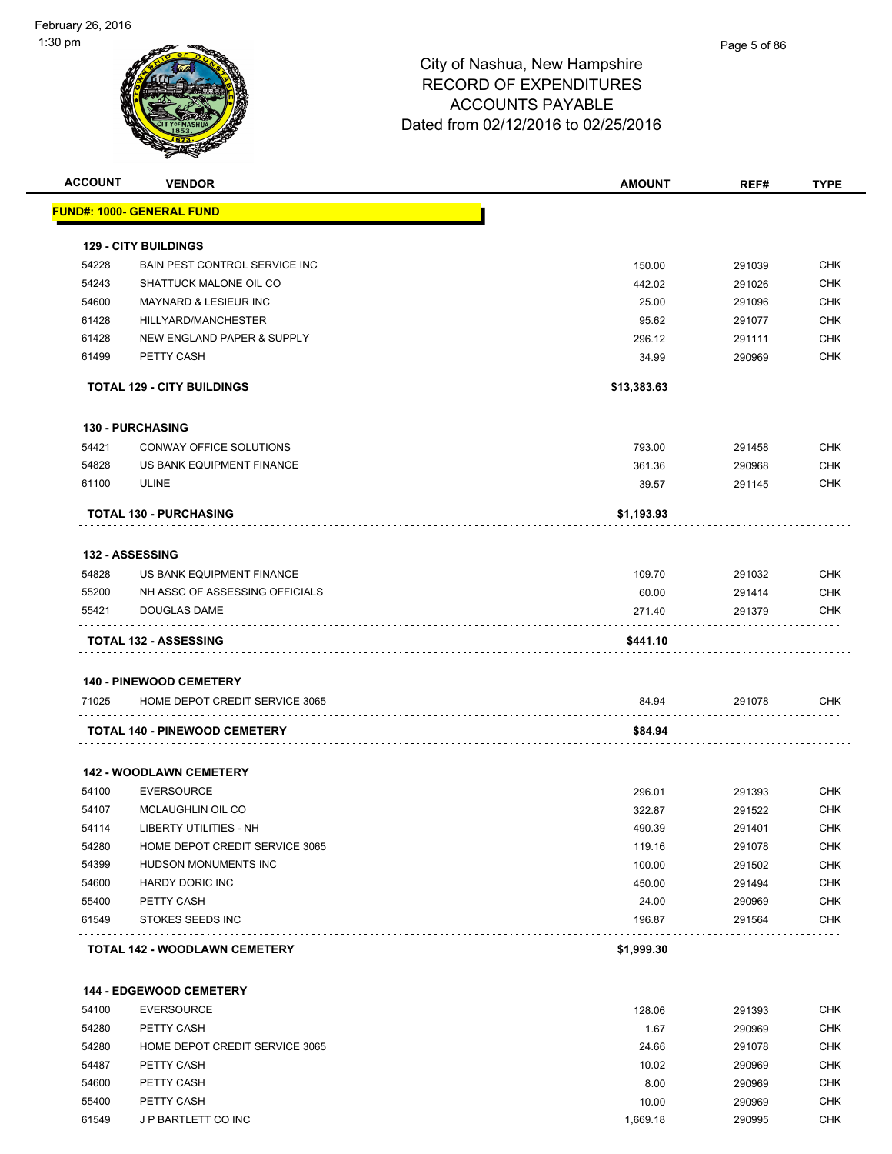

| <b>ACCOUNT</b> | <b>VENDOR</b>                                                    | <b>AMOUNT</b> | REF#   | <b>TYPE</b>              |
|----------------|------------------------------------------------------------------|---------------|--------|--------------------------|
|                | <u> FUND#: 1000- GENERAL FUND</u>                                |               |        |                          |
|                | <b>129 - CITY BUILDINGS</b>                                      |               |        |                          |
| 54228          | <b>BAIN PEST CONTROL SERVICE INC.</b>                            | 150.00        | 291039 | <b>CHK</b>               |
| 54243          | SHATTUCK MALONE OIL CO                                           | 442.02        | 291026 | <b>CHK</b>               |
| 54600          | <b>MAYNARD &amp; LESIEUR INC</b>                                 | 25.00         | 291096 | <b>CHK</b>               |
| 61428          | HILLYARD/MANCHESTER                                              | 95.62         | 291077 | <b>CHK</b>               |
| 61428          | NEW ENGLAND PAPER & SUPPLY                                       | 296.12        | 291111 | <b>CHK</b>               |
| 61499          | PETTY CASH                                                       | 34.99         | 290969 | <b>CHK</b>               |
|                | <b>TOTAL 129 - CITY BUILDINGS</b>                                | \$13,383.63   |        |                          |
|                | <b>130 - PURCHASING</b>                                          |               |        |                          |
| 54421          | CONWAY OFFICE SOLUTIONS                                          | 793.00        | 291458 | <b>CHK</b>               |
| 54828          | US BANK EQUIPMENT FINANCE                                        | 361.36        | 290968 | <b>CHK</b>               |
| 61100          | <b>ULINE</b>                                                     | 39.57         | 291145 | <b>CHK</b>               |
|                | <b>TOTAL 130 - PURCHASING</b>                                    | \$1,193.93    |        |                          |
|                |                                                                  |               |        |                          |
|                | <b>132 - ASSESSING</b>                                           |               |        |                          |
| 54828          | US BANK EQUIPMENT FINANCE                                        | 109.70        | 291032 | <b>CHK</b>               |
| 55200          | NH ASSC OF ASSESSING OFFICIALS                                   | 60.00         | 291414 | <b>CHK</b>               |
| 55421          | DOUGLAS DAME                                                     | 271.40        | 291379 | <b>CHK</b>               |
|                | <b>TOTAL 132 - ASSESSING</b>                                     | \$441.10      |        |                          |
|                |                                                                  |               |        |                          |
| 71025          | <b>140 - PINEWOOD CEMETERY</b><br>HOME DEPOT CREDIT SERVICE 3065 | 84.94         | 291078 | <b>CHK</b>               |
|                |                                                                  |               |        |                          |
|                | <b>TOTAL 140 - PINEWOOD CEMETERY</b>                             | \$84.94       |        |                          |
|                | <b>142 - WOODLAWN CEMETERY</b>                                   |               |        |                          |
| 54100          | <b>EVERSOURCE</b>                                                | 296.01        | 291393 | <b>CHK</b>               |
| 54107          | MCLAUGHLIN OIL CO                                                | 322.87        | 291522 | <b>CHK</b>               |
| 54114          | LIBERTY UTILITIES - NH                                           | 490.39        | 291401 | CHK                      |
| 54280          | HOME DEPOT CREDIT SERVICE 3065                                   | 119.16        | 291078 | <b>CHK</b>               |
| 54399          | HUDSON MONUMENTS INC                                             | 100.00        | 291502 | <b>CHK</b>               |
| 54600          | <b>HARDY DORIC INC</b>                                           | 450.00        | 291494 | <b>CHK</b>               |
| 55400          | PETTY CASH                                                       | 24.00         | 290969 | <b>CHK</b>               |
| 61549          | STOKES SEEDS INC                                                 | 196.87        | 291564 | <b>CHK</b>               |
|                | <b>TOTAL 142 - WOODLAWN CEMETERY</b>                             | \$1,999.30    |        |                          |
|                |                                                                  |               |        |                          |
| 54100          | <b>144 - EDGEWOOD CEMETERY</b>                                   |               |        |                          |
|                | <b>EVERSOURCE</b>                                                | 128.06        | 291393 | <b>CHK</b>               |
| 54280          | PETTY CASH                                                       | 1.67          | 290969 | <b>CHK</b>               |
| 54280          | HOME DEPOT CREDIT SERVICE 3065                                   | 24.66         | 291078 | <b>CHK</b>               |
| 54487<br>54600 | PETTY CASH                                                       | 10.02         | 290969 | <b>CHK</b><br><b>CHK</b> |
|                | PETTY CASH                                                       | 8.00          | 290969 |                          |

 55400 PETTY CASH 10.00 290969 CHK 61549 J P BARTLETT CO INC 1,669.18 290995 CHK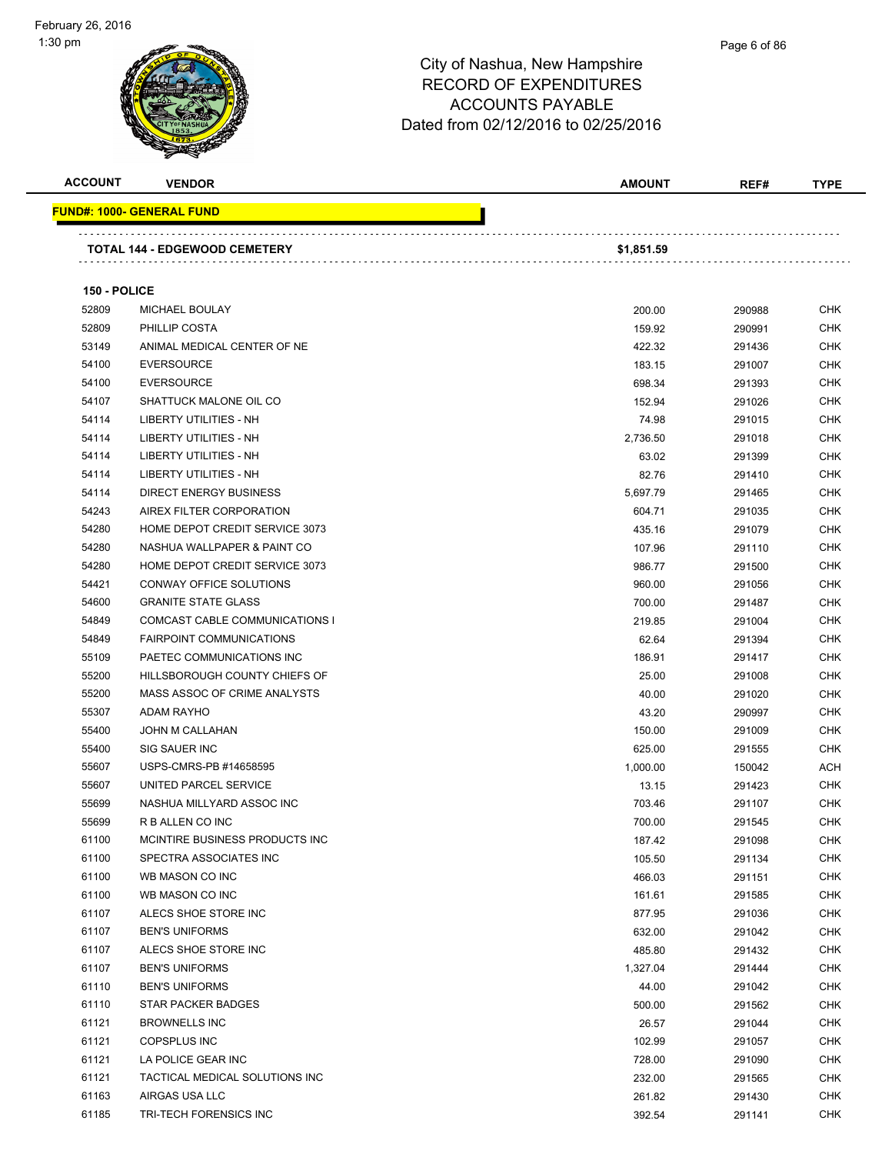

|      | Page 6 of 86 |
|------|--------------|
| iire |              |
| FS   |              |

| <b>ACCOUNT</b> | <b>VENDOR</b>                     | <b>AMOUNT</b> | REF#   | <b>TYPE</b> |
|----------------|-----------------------------------|---------------|--------|-------------|
|                | <u> FUND#: 1000- GENERAL FUND</u> |               |        |             |
|                | TOTAL 144 - EDGEWOOD CEMETERY     | \$1,851.59    |        |             |
| 150 - POLICE   |                                   |               |        |             |
| 52809          | MICHAEL BOULAY                    | 200.00        | 290988 | <b>CHK</b>  |
| 52809          | PHILLIP COSTA                     | 159.92        | 290991 | <b>CHK</b>  |
| 53149          | ANIMAL MEDICAL CENTER OF NE       | 422.32        | 291436 | <b>CHK</b>  |
| 54100          | <b>EVERSOURCE</b>                 | 183.15        | 291007 | <b>CHK</b>  |
| 54100          | <b>EVERSOURCE</b>                 | 698.34        | 291393 | CHK         |
| 54107          | SHATTUCK MALONE OIL CO            | 152.94        | 291026 | <b>CHK</b>  |
| 54114          | LIBERTY UTILITIES - NH            | 74.98         | 291015 | CHK         |
| 54114          | LIBERTY UTILITIES - NH            | 2,736.50      | 291018 | CHK         |
| 54114          | LIBERTY UTILITIES - NH            | 63.02         | 291399 | <b>CHK</b>  |
| 54114          | LIBERTY UTILITIES - NH            | 82.76         | 291410 | CHK         |
| 54114          | <b>DIRECT ENERGY BUSINESS</b>     | 5,697.79      | 291465 | CHK         |
| 54243          | AIREX FILTER CORPORATION          | 604.71        | 291035 | <b>CHK</b>  |
| 54280          | HOME DEPOT CREDIT SERVICE 3073    | 435.16        | 291079 | CHK         |
| 54280          | NASHUA WALLPAPER & PAINT CO       | 107.96        | 291110 | <b>CHK</b>  |
| 54280          | HOME DEPOT CREDIT SERVICE 3073    | 986.77        | 291500 | <b>CHK</b>  |
| 54421          | CONWAY OFFICE SOLUTIONS           | 960.00        | 291056 | CHK         |
| 54600          | <b>GRANITE STATE GLASS</b>        | 700.00        | 291487 | <b>CHK</b>  |
| 54849          | COMCAST CABLE COMMUNICATIONS I    | 219.85        | 291004 | CHK         |
| 54849          | <b>FAIRPOINT COMMUNICATIONS</b>   | 62.64         | 291394 | <b>CHK</b>  |
| 55109          | PAETEC COMMUNICATIONS INC         | 186.91        | 291417 | <b>CHK</b>  |
| 55200          | HILLSBOROUGH COUNTY CHIEFS OF     | 25.00         | 291008 | CHK         |
| 55200          | MASS ASSOC OF CRIME ANALYSTS      | 40.00         | 291020 | CHK         |
| 55307          | <b>ADAM RAYHO</b>                 | 43.20         | 290997 | CHK         |
| 55400          | JOHN M CALLAHAN                   | 150.00        | 291009 | CHK         |
| 55400          | SIG SAUER INC                     | 625.00        | 291555 | CHK         |
| 55607          | USPS-CMRS-PB #14658595            | 1,000.00      | 150042 | ACH         |
| 55607          | UNITED PARCEL SERVICE             | 13.15         | 291423 | CHK         |
| 55699          | NASHUA MILLYARD ASSOC INC         | 703.46        | 291107 | <b>CHK</b>  |
| 55699          | R B ALLEN CO INC                  | 700.00        | 291545 | CHK         |
| 61100          | MCINTIRE BUSINESS PRODUCTS INC    | 187.42        | 291098 | <b>CHK</b>  |
| 61100          | SPECTRA ASSOCIATES INC            | 105.50        | 291134 | <b>CHK</b>  |
| 61100          | WB MASON CO INC                   | 466.03        | 291151 | <b>CHK</b>  |
| 61100          | WB MASON CO INC                   | 161.61        | 291585 | <b>CHK</b>  |
| 61107          | ALECS SHOE STORE INC              | 877.95        | 291036 | <b>CHK</b>  |
| 61107          | <b>BEN'S UNIFORMS</b>             | 632.00        | 291042 | <b>CHK</b>  |
| 61107          | ALECS SHOE STORE INC              | 485.80        | 291432 | <b>CHK</b>  |
| 61107          | <b>BEN'S UNIFORMS</b>             | 1,327.04      | 291444 | <b>CHK</b>  |
| 61110          | <b>BEN'S UNIFORMS</b>             | 44.00         | 291042 | <b>CHK</b>  |
| 61110          | <b>STAR PACKER BADGES</b>         | 500.00        | 291562 | <b>CHK</b>  |
| 61121          | <b>BROWNELLS INC</b>              | 26.57         | 291044 | <b>CHK</b>  |
| 61121          | <b>COPSPLUS INC</b>               | 102.99        | 291057 | <b>CHK</b>  |
| 61121          | LA POLICE GEAR INC                | 728.00        | 291090 | <b>CHK</b>  |
| 61121          | TACTICAL MEDICAL SOLUTIONS INC    | 232.00        | 291565 | CHK         |
| 61163          | AIRGAS USA LLC                    | 261.82        | 291430 | <b>CHK</b>  |
| 61185          | TRI-TECH FORENSICS INC            | 392.54        | 291141 | <b>CHK</b>  |
|                |                                   |               |        |             |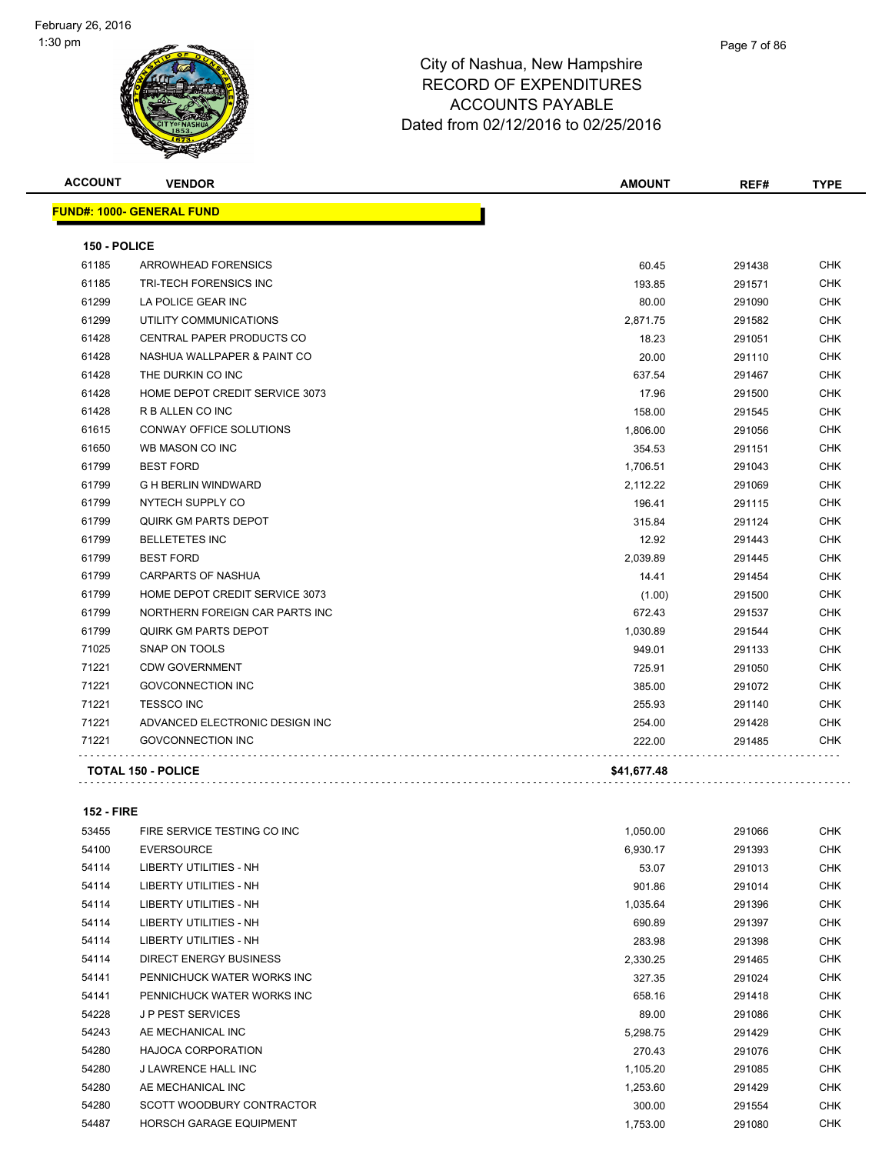| <b>ACCOUNT</b> | <b>VENDOR</b>                    | <b>AMOUNT</b> | REF#   | <b>TYPE</b> |
|----------------|----------------------------------|---------------|--------|-------------|
|                | <b>FUND#: 1000- GENERAL FUND</b> |               |        |             |
| 150 - POLICE   |                                  |               |        |             |
| 61185          | ARROWHEAD FORENSICS              | 60.45         | 291438 | <b>CHK</b>  |
| 61185          | <b>TRI-TECH FORENSICS INC</b>    | 193.85        | 291571 | <b>CHK</b>  |
| 61299          | LA POLICE GEAR INC               | 80.00         | 291090 | <b>CHK</b>  |
| 61299          | UTILITY COMMUNICATIONS           | 2,871.75      | 291582 | <b>CHK</b>  |
| 61428          | CENTRAL PAPER PRODUCTS CO        | 18.23         | 291051 | <b>CHK</b>  |
| 61428          | NASHUA WALLPAPER & PAINT CO      | 20.00         | 291110 | <b>CHK</b>  |
| 61428          | THE DURKIN CO INC                | 637.54        | 291467 | <b>CHK</b>  |
| 61428          | HOME DEPOT CREDIT SERVICE 3073   | 17.96         | 291500 | <b>CHK</b>  |
| 61428          | R B ALLEN CO INC                 | 158.00        | 291545 | <b>CHK</b>  |
| 61615          | <b>CONWAY OFFICE SOLUTIONS</b>   | 1,806.00      | 291056 | <b>CHK</b>  |
| 61650          | WB MASON CO INC                  | 354.53        | 291151 | <b>CHK</b>  |
| 61799          | <b>BEST FORD</b>                 | 1,706.51      | 291043 | <b>CHK</b>  |
| 61799          | <b>G H BERLIN WINDWARD</b>       | 2,112.22      | 291069 | <b>CHK</b>  |
| 61799          | NYTECH SUPPLY CO                 | 196.41        | 291115 | CHK         |
| 61799          | QUIRK GM PARTS DEPOT             | 315.84        | 291124 | <b>CHK</b>  |
| 61799          | <b>BELLETETES INC</b>            | 12.92         | 291443 | <b>CHK</b>  |
| 61799          | <b>BEST FORD</b>                 | 2,039.89      | 291445 | <b>CHK</b>  |
| 61799          | <b>CARPARTS OF NASHUA</b>        | 14.41         | 291454 | <b>CHK</b>  |
| 61799          | HOME DEPOT CREDIT SERVICE 3073   | (1.00)        | 291500 | <b>CHK</b>  |
| 61799          | NORTHERN FOREIGN CAR PARTS INC   | 672.43        | 291537 | <b>CHK</b>  |
| 61799          | QUIRK GM PARTS DEPOT             | 1,030.89      | 291544 | <b>CHK</b>  |
| 71025          | SNAP ON TOOLS                    | 949.01        | 291133 | <b>CHK</b>  |
| 71221          | <b>CDW GOVERNMENT</b>            | 725.91        | 291050 | <b>CHK</b>  |
| 71221          | <b>GOVCONNECTION INC</b>         | 385.00        | 291072 | CHK         |
| 71221          | <b>TESSCO INC</b>                | 255.93        | 291140 | CHK         |
| 71221          | ADVANCED ELECTRONIC DESIGN INC   | 254.00        | 291428 | <b>CHK</b>  |
| 71221          | <b>GOVCONNECTION INC</b>         | 222.00        | 291485 | <b>CHK</b>  |
|                | <b>TOTAL 150 - POLICE</b>        | \$41,677.48   |        |             |
|                |                                  |               |        |             |

#### **152 - FIRE**

| 53455 | FIRE SERVICE TESTING CO INC    | 1,050.00 | 291066 | <b>CHK</b> |
|-------|--------------------------------|----------|--------|------------|
| 54100 | <b>EVERSOURCE</b>              | 6,930.17 | 291393 | <b>CHK</b> |
| 54114 | <b>LIBERTY UTILITIES - NH</b>  | 53.07    | 291013 | <b>CHK</b> |
| 54114 | <b>LIBERTY UTILITIES - NH</b>  | 901.86   | 291014 | <b>CHK</b> |
| 54114 | LIBERTY UTILITIES - NH         | 1,035.64 | 291396 | CHK        |
| 54114 | LIBERTY UTILITIES - NH         | 690.89   | 291397 | <b>CHK</b> |
| 54114 | <b>LIBERTY UTILITIES - NH</b>  | 283.98   | 291398 | <b>CHK</b> |
| 54114 | DIRECT ENERGY BUSINESS         | 2,330.25 | 291465 | <b>CHK</b> |
| 54141 | PENNICHUCK WATER WORKS INC     | 327.35   | 291024 | CHK        |
| 54141 | PENNICHUCK WATER WORKS INC     | 658.16   | 291418 | <b>CHK</b> |
| 54228 | <b>JP PEST SERVICES</b>        | 89.00    | 291086 | <b>CHK</b> |
| 54243 | AE MECHANICAL INC              | 5,298.75 | 291429 | <b>CHK</b> |
| 54280 | <b>HAJOCA CORPORATION</b>      | 270.43   | 291076 | <b>CHK</b> |
| 54280 | J LAWRENCE HALL INC            | 1,105.20 | 291085 | <b>CHK</b> |
| 54280 | AE MECHANICAL INC              | 1,253.60 | 291429 | <b>CHK</b> |
| 54280 | SCOTT WOODBURY CONTRACTOR      | 300.00   | 291554 | CHK        |
| 54487 | <b>HORSCH GARAGE EQUIPMENT</b> | 1,753.00 | 291080 | <b>CHK</b> |
|       |                                |          |        |            |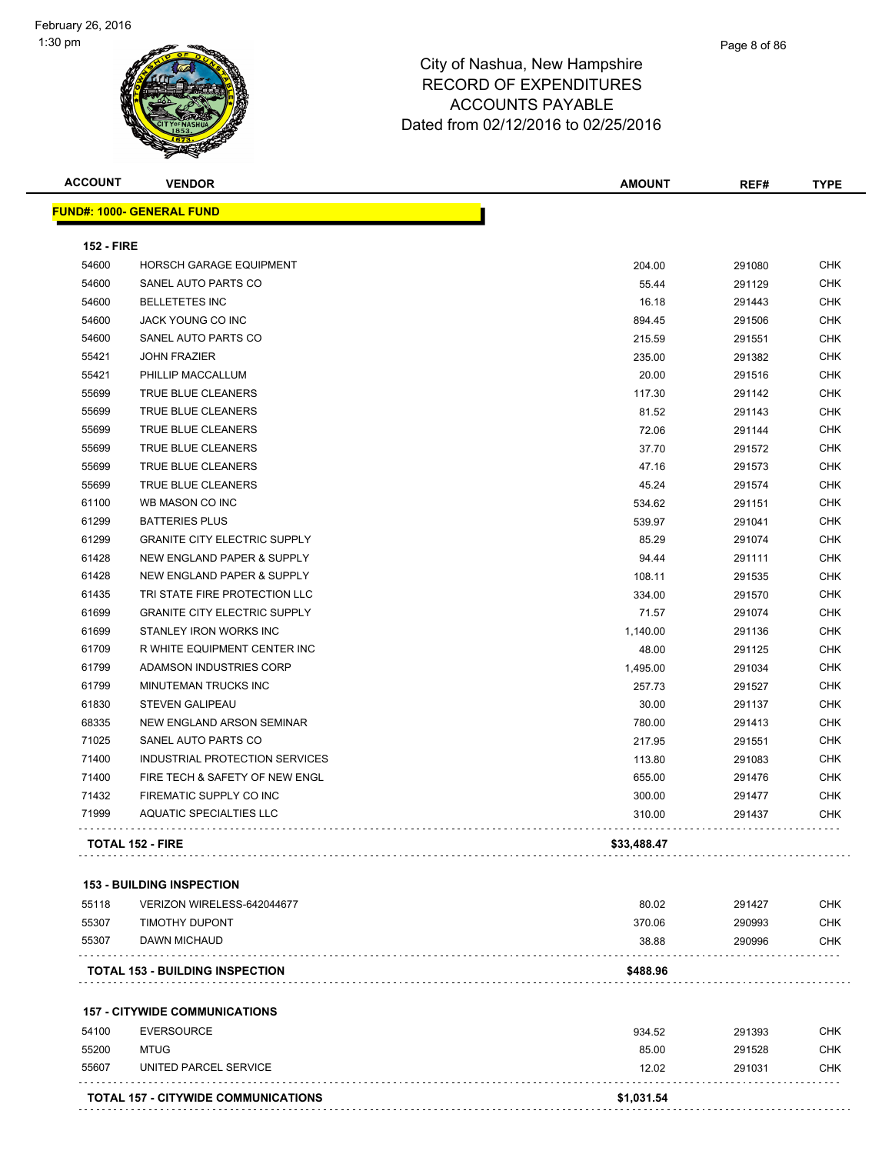| <b>ACCOUNT</b>    | <b>VENDOR</b>                              | <b>AMOUNT</b> | REF#   | <b>TYPE</b> |
|-------------------|--------------------------------------------|---------------|--------|-------------|
|                   | <b>FUND#: 1000- GENERAL FUND</b>           |               |        |             |
|                   |                                            |               |        |             |
| <b>152 - FIRE</b> |                                            |               |        |             |
| 54600             | HORSCH GARAGE EQUIPMENT                    | 204.00        | 291080 | <b>CHK</b>  |
| 54600             | SANEL AUTO PARTS CO                        | 55.44         | 291129 | <b>CHK</b>  |
| 54600             | <b>BELLETETES INC</b>                      | 16.18         | 291443 | <b>CHK</b>  |
| 54600             | JACK YOUNG CO INC                          | 894.45        | 291506 | <b>CHK</b>  |
| 54600             | SANEL AUTO PARTS CO                        | 215.59        | 291551 | <b>CHK</b>  |
| 55421             | <b>JOHN FRAZIER</b>                        | 235.00        | 291382 | <b>CHK</b>  |
| 55421             | PHILLIP MACCALLUM                          | 20.00         | 291516 | <b>CHK</b>  |
| 55699             | TRUE BLUE CLEANERS                         | 117.30        | 291142 | <b>CHK</b>  |
| 55699             | TRUE BLUE CLEANERS                         | 81.52         | 291143 | <b>CHK</b>  |
| 55699             | TRUE BLUE CLEANERS                         | 72.06         | 291144 | <b>CHK</b>  |
| 55699             | TRUE BLUE CLEANERS                         | 37.70         | 291572 | <b>CHK</b>  |
| 55699             | TRUE BLUE CLEANERS                         | 47.16         | 291573 | <b>CHK</b>  |
| 55699             | TRUE BLUE CLEANERS                         | 45.24         | 291574 | <b>CHK</b>  |
| 61100             | WB MASON CO INC                            | 534.62        | 291151 | <b>CHK</b>  |
| 61299             | <b>BATTERIES PLUS</b>                      | 539.97        | 291041 | <b>CHK</b>  |
| 61299             | <b>GRANITE CITY ELECTRIC SUPPLY</b>        | 85.29         | 291074 | <b>CHK</b>  |
| 61428             | NEW ENGLAND PAPER & SUPPLY                 | 94.44         | 291111 | <b>CHK</b>  |
| 61428             | NEW ENGLAND PAPER & SUPPLY                 | 108.11        | 291535 | <b>CHK</b>  |
| 61435             | TRI STATE FIRE PROTECTION LLC              | 334.00        | 291570 | <b>CHK</b>  |
| 61699             | <b>GRANITE CITY ELECTRIC SUPPLY</b>        | 71.57         | 291074 | CHK         |
| 61699             | STANLEY IRON WORKS INC                     | 1,140.00      | 291136 | <b>CHK</b>  |
| 61709             | R WHITE EQUIPMENT CENTER INC               | 48.00         | 291125 | <b>CHK</b>  |
| 61799             | ADAMSON INDUSTRIES CORP                    | 1,495.00      | 291034 | <b>CHK</b>  |
| 61799             | MINUTEMAN TRUCKS INC                       | 257.73        | 291527 | <b>CHK</b>  |
| 61830             | <b>STEVEN GALIPEAU</b>                     | 30.00         | 291137 | <b>CHK</b>  |
| 68335             | NEW ENGLAND ARSON SEMINAR                  | 780.00        | 291413 | <b>CHK</b>  |
| 71025             | SANEL AUTO PARTS CO                        | 217.95        | 291551 | <b>CHK</b>  |
| 71400             | INDUSTRIAL PROTECTION SERVICES             | 113.80        | 291083 | <b>CHK</b>  |
| 71400             | FIRE TECH & SAFETY OF NEW ENGL             | 655.00        | 291476 | <b>CHK</b>  |
| 71432             | FIREMATIC SUPPLY CO INC                    | 300.00        | 291477 | <b>CHK</b>  |
| 71999             | AQUATIC SPECIALTIES LLC                    | 310.00        | 291437 | <b>CHK</b>  |
|                   | <b>TOTAL 152 - FIRE</b>                    | \$33,488.47   |        |             |
|                   | <b>153 - BUILDING INSPECTION</b>           |               |        |             |
| 55118             | VERIZON WIRELESS-642044677                 | 80.02         | 291427 | <b>CHK</b>  |
| 55307             | <b>TIMOTHY DUPONT</b>                      | 370.06        | 290993 | <b>CHK</b>  |
| 55307             | DAWN MICHAUD                               | 38.88         | 290996 | <b>CHK</b>  |
|                   | <b>TOTAL 153 - BUILDING INSPECTION</b>     | \$488.96      |        |             |
|                   | <b>157 - CITYWIDE COMMUNICATIONS</b>       |               |        |             |
| 54100             | <b>EVERSOURCE</b>                          | 934.52        | 291393 | <b>CHK</b>  |
| 55200             | <b>MTUG</b>                                | 85.00         | 291528 | <b>CHK</b>  |
| 55607             | UNITED PARCEL SERVICE                      | 12.02         | 291031 | <b>CHK</b>  |
|                   | <b>TOTAL 157 - CITYWIDE COMMUNICATIONS</b> | \$1,031.54    |        |             |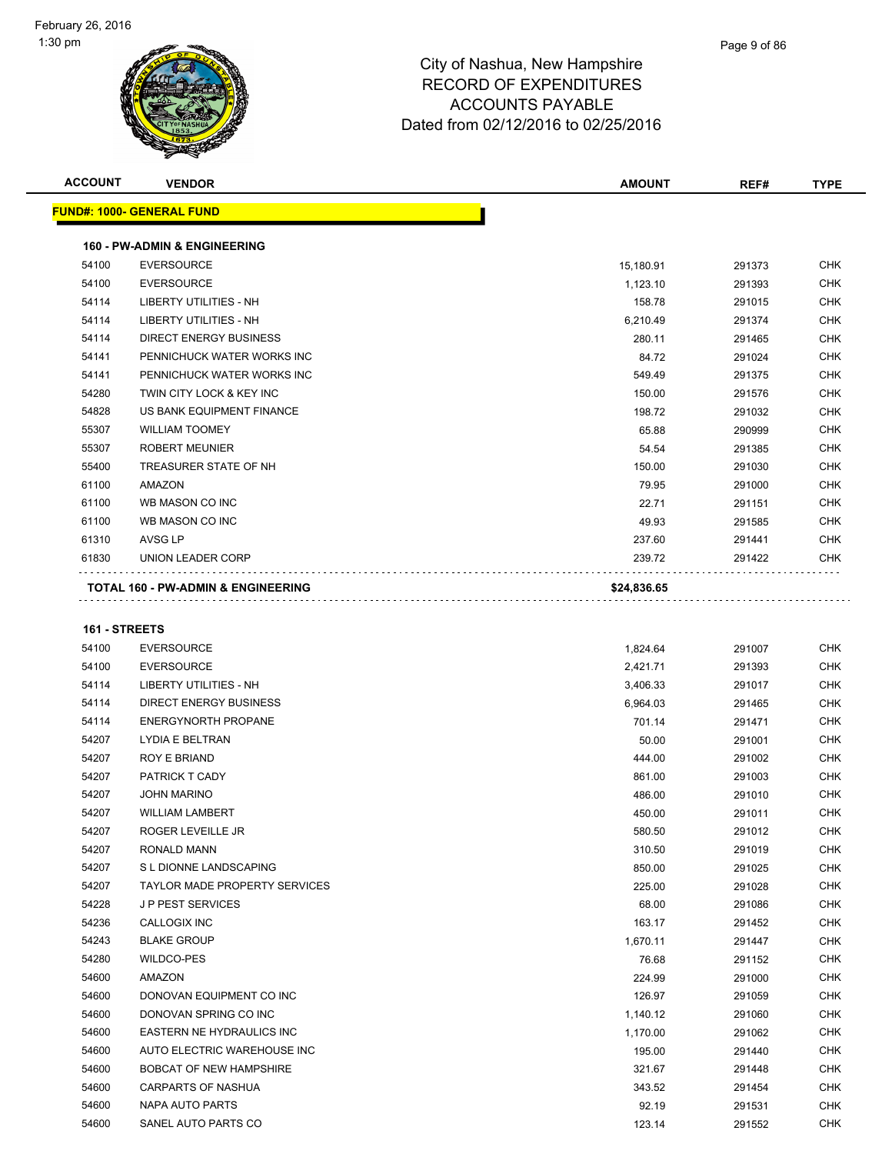| <b>ACCOUNT</b> | <b>VENDOR</b>                                 | <b>AMOUNT</b> | REF#   | <b>TYPE</b> |
|----------------|-----------------------------------------------|---------------|--------|-------------|
|                | <b>FUND#: 1000- GENERAL FUND</b>              |               |        |             |
|                | <b>160 - PW-ADMIN &amp; ENGINEERING</b>       |               |        |             |
| 54100          | <b>EVERSOURCE</b>                             | 15,180.91     | 291373 | <b>CHK</b>  |
| 54100          | <b>EVERSOURCE</b>                             | 1,123.10      | 291393 | <b>CHK</b>  |
| 54114          | <b>LIBERTY UTILITIES - NH</b>                 | 158.78        | 291015 | <b>CHK</b>  |
| 54114          | LIBERTY UTILITIES - NH                        | 6,210.49      | 291374 | <b>CHK</b>  |
| 54114          | <b>DIRECT ENERGY BUSINESS</b>                 | 280.11        | 291465 | <b>CHK</b>  |
| 54141          | PENNICHUCK WATER WORKS INC                    | 84.72         | 291024 | <b>CHK</b>  |
| 54141          | PENNICHUCK WATER WORKS INC                    | 549.49        | 291375 | <b>CHK</b>  |
| 54280          | TWIN CITY LOCK & KEY INC                      | 150.00        | 291576 | <b>CHK</b>  |
| 54828          | US BANK EQUIPMENT FINANCE                     | 198.72        | 291032 | <b>CHK</b>  |
| 55307          | <b>WILLIAM TOOMEY</b>                         | 65.88         | 290999 | <b>CHK</b>  |
| 55307          | <b>ROBERT MEUNIER</b>                         | 54.54         | 291385 | <b>CHK</b>  |
| 55400          | TREASURER STATE OF NH                         | 150.00        | 291030 | <b>CHK</b>  |
| 61100          | <b>AMAZON</b>                                 | 79.95         | 291000 | <b>CHK</b>  |
| 61100          | WB MASON CO INC                               | 22.71         | 291151 | <b>CHK</b>  |
| 61100          | WB MASON CO INC                               | 49.93         | 291585 | <b>CHK</b>  |
| 61310          | AVSG LP                                       | 237.60        | 291441 | <b>CHK</b>  |
| 61830          | <b>UNION LEADER CORP</b>                      | 239.72        | 291422 | <b>CHK</b>  |
|                | <b>TOTAL 160 - PW-ADMIN &amp; ENGINEERING</b> | \$24,836.65   |        |             |

#### **161 - STREETS**

| 54100 | <b>EVERSOURCE</b>                    | 1,824.64 | 291007 | <b>CHK</b> |
|-------|--------------------------------------|----------|--------|------------|
| 54100 | <b>EVERSOURCE</b>                    | 2,421.71 | 291393 | <b>CHK</b> |
| 54114 | <b>LIBERTY UTILITIES - NH</b>        | 3,406.33 | 291017 | <b>CHK</b> |
| 54114 | <b>DIRECT ENERGY BUSINESS</b>        | 6,964.03 | 291465 | <b>CHK</b> |
| 54114 | <b>ENERGYNORTH PROPANE</b>           | 701.14   | 291471 | <b>CHK</b> |
| 54207 | LYDIA E BELTRAN                      | 50.00    | 291001 | <b>CHK</b> |
| 54207 | <b>ROY E BRIAND</b>                  | 444.00   | 291002 | <b>CHK</b> |
| 54207 | PATRICK T CADY                       | 861.00   | 291003 | <b>CHK</b> |
| 54207 | <b>JOHN MARINO</b>                   | 486.00   | 291010 | <b>CHK</b> |
| 54207 | <b>WILLIAM LAMBERT</b>               | 450.00   | 291011 | <b>CHK</b> |
| 54207 | ROGER LEVEILLE JR                    | 580.50   | 291012 | <b>CHK</b> |
| 54207 | <b>RONALD MANN</b>                   | 310.50   | 291019 | <b>CHK</b> |
| 54207 | S L DIONNE LANDSCAPING               | 850.00   | 291025 | <b>CHK</b> |
| 54207 | <b>TAYLOR MADE PROPERTY SERVICES</b> | 225.00   | 291028 | <b>CHK</b> |
| 54228 | <b>JP PEST SERVICES</b>              | 68.00    | 291086 | <b>CHK</b> |
| 54236 | <b>CALLOGIX INC</b>                  | 163.17   | 291452 | <b>CHK</b> |
| 54243 | <b>BLAKE GROUP</b>                   | 1,670.11 | 291447 | <b>CHK</b> |
| 54280 | <b>WILDCO-PES</b>                    | 76.68    | 291152 | <b>CHK</b> |
| 54600 | AMAZON                               | 224.99   | 291000 | <b>CHK</b> |
| 54600 | DONOVAN EQUIPMENT CO INC             | 126.97   | 291059 | <b>CHK</b> |
| 54600 | DONOVAN SPRING CO INC                | 1,140.12 | 291060 | <b>CHK</b> |
| 54600 | EASTERN NE HYDRAULICS INC            | 1,170.00 | 291062 | <b>CHK</b> |
| 54600 | AUTO ELECTRIC WAREHOUSE INC          | 195.00   | 291440 | <b>CHK</b> |
| 54600 | <b>BOBCAT OF NEW HAMPSHIRE</b>       | 321.67   | 291448 | <b>CHK</b> |
| 54600 | <b>CARPARTS OF NASHUA</b>            | 343.52   | 291454 | <b>CHK</b> |
| 54600 | NAPA AUTO PARTS                      | 92.19    | 291531 | CHK        |
| 54600 | SANEL AUTO PARTS CO                  | 123.14   | 291552 | <b>CHK</b> |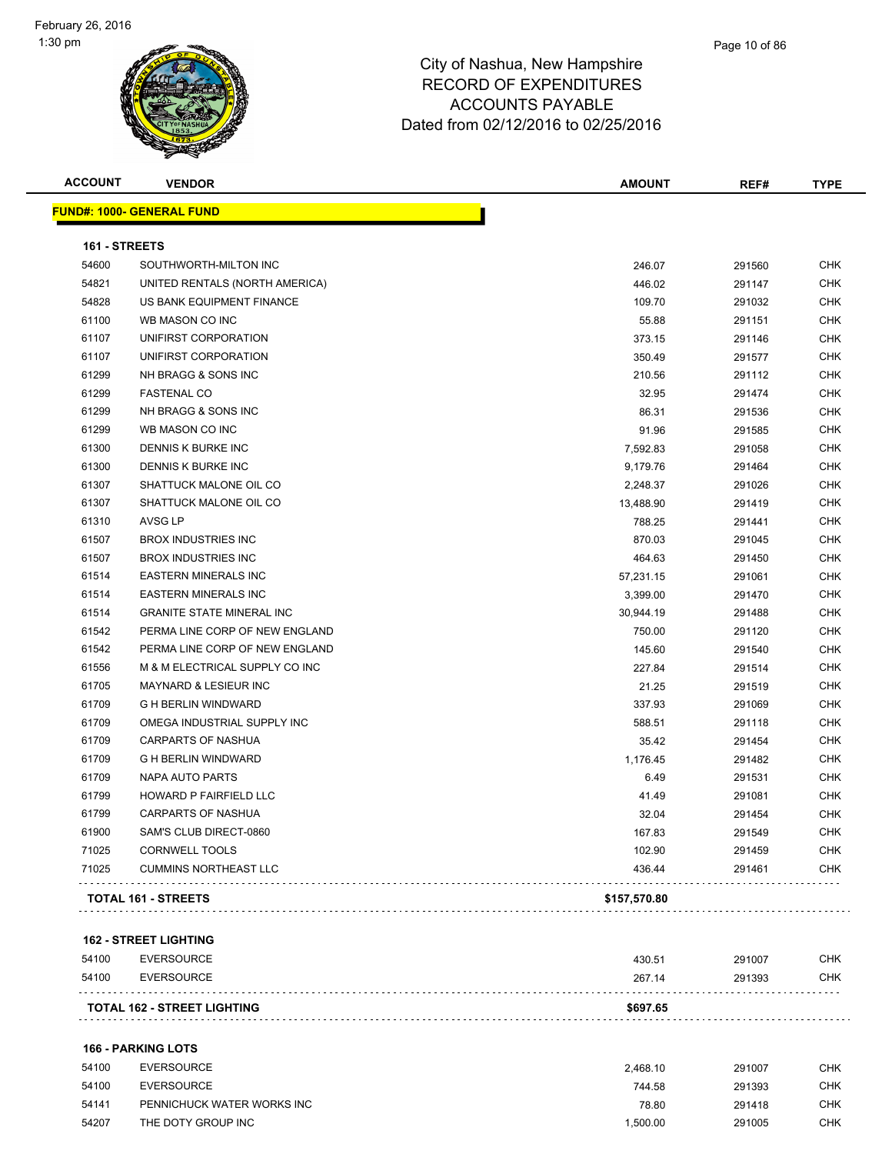

| <b>ACCOUNT</b> | <b>VENDOR</b>                    | <b>AMOUNT</b> | REF#   | <b>TYPE</b> |
|----------------|----------------------------------|---------------|--------|-------------|
|                | <b>FUND#: 1000- GENERAL FUND</b> |               |        |             |
| 161 - STREETS  |                                  |               |        |             |
| 54600          | SOUTHWORTH-MILTON INC            | 246.07        | 291560 | <b>CHK</b>  |
| 54821          | UNITED RENTALS (NORTH AMERICA)   | 446.02        | 291147 | <b>CHK</b>  |
| 54828          | US BANK EQUIPMENT FINANCE        | 109.70        | 291032 | <b>CHK</b>  |
| 61100          | WB MASON CO INC                  | 55.88         | 291151 | <b>CHK</b>  |
| 61107          | UNIFIRST CORPORATION             | 373.15        | 291146 | <b>CHK</b>  |
| 61107          | UNIFIRST CORPORATION             | 350.49        | 291577 | <b>CHK</b>  |
| 61299          | NH BRAGG & SONS INC              | 210.56        | 291112 | <b>CHK</b>  |
| 61299          | <b>FASTENAL CO</b>               | 32.95         | 291474 | <b>CHK</b>  |
| 61299          | NH BRAGG & SONS INC              | 86.31         | 291536 | <b>CHK</b>  |
| 61299          | WB MASON CO INC                  | 91.96         | 291585 | <b>CHK</b>  |
| 61300          | DENNIS K BURKE INC               | 7,592.83      | 291058 | <b>CHK</b>  |
| 61300          | DENNIS K BURKE INC               | 9,179.76      | 291464 | <b>CHK</b>  |
| 61307          | SHATTUCK MALONE OIL CO           | 2,248.37      | 291026 | <b>CHK</b>  |
| 61307          | SHATTUCK MALONE OIL CO           | 13,488.90     | 291419 | <b>CHK</b>  |
| 61310          | <b>AVSG LP</b>                   | 788.25        | 291441 | <b>CHK</b>  |
| 61507          | <b>BROX INDUSTRIES INC</b>       | 870.03        | 291045 | <b>CHK</b>  |
| 61507          | <b>BROX INDUSTRIES INC</b>       | 464.63        | 291450 | <b>CHK</b>  |
| 61514          | <b>EASTERN MINERALS INC</b>      | 57,231.15     | 291061 | <b>CHK</b>  |
| 61514          | <b>EASTERN MINERALS INC</b>      | 3,399.00      | 291470 | <b>CHK</b>  |
| 61514          | <b>GRANITE STATE MINERAL INC</b> | 30,944.19     | 291488 | <b>CHK</b>  |
| 61542          | PERMA LINE CORP OF NEW ENGLAND   | 750.00        | 291120 | <b>CHK</b>  |
| 61542          | PERMA LINE CORP OF NEW ENGLAND   | 145.60        | 291540 | <b>CHK</b>  |
| 61556          | M & M ELECTRICAL SUPPLY CO INC   | 227.84        | 291514 | <b>CHK</b>  |
| 61705          | MAYNARD & LESIEUR INC            | 21.25         | 291519 | <b>CHK</b>  |
| 61709          | <b>G H BERLIN WINDWARD</b>       | 337.93        | 291069 | <b>CHK</b>  |
| 61709          | OMEGA INDUSTRIAL SUPPLY INC      | 588.51        | 291118 | <b>CHK</b>  |
| 61709          | <b>CARPARTS OF NASHUA</b>        | 35.42         | 291454 | <b>CHK</b>  |
| 61709          | <b>G H BERLIN WINDWARD</b>       | 1,176.45      | 291482 | <b>CHK</b>  |
| 61709          | <b>NAPA AUTO PARTS</b>           | 6.49          | 291531 | <b>CHK</b>  |
| 61799          | HOWARD P FAIRFIELD LLC           | 41.49         | 291081 | CHK         |
| 61799          | <b>CARPARTS OF NASHUA</b>        | 32.04         | 291454 | <b>CHK</b>  |
| 61900          | SAM'S CLUB DIRECT-0860           | 167.83        | 291549 | CHK         |
| 71025          | <b>CORNWELL TOOLS</b>            | 102.90        | 291459 | <b>CHK</b>  |
| 71025          | <b>CUMMINS NORTHEAST LLC</b>     | 436.44        | 291461 | CHK         |
|                | <b>TOTAL 161 - STREETS</b>       | \$157,570.80  |        |             |

#### **162 - STREET LIGHTING**

|       | <b>TOTAL 162 - STREET LIGHTING</b> | \$697.65 |        |     |
|-------|------------------------------------|----------|--------|-----|
| 54100 | EVERSOURCE                         | 267.14   | 291393 | CHK |
| 54100 | EVERSOURCE                         | 430.51   | 291007 | CHK |

#### **166 - PARKING LOTS**

| 54100 | <b>EVERSOURCE</b>          | 2.468.10 | 291007 | снк |
|-------|----------------------------|----------|--------|-----|
| 54100 | EVERSOURCE                 | 744.58   | 291393 | СНК |
| 54141 | PENNICHUCK WATER WORKS INC | 78.80    | 291418 | снк |
| 54207 | THE DOTY GROUP INC         | 1.500.00 | 291005 | снк |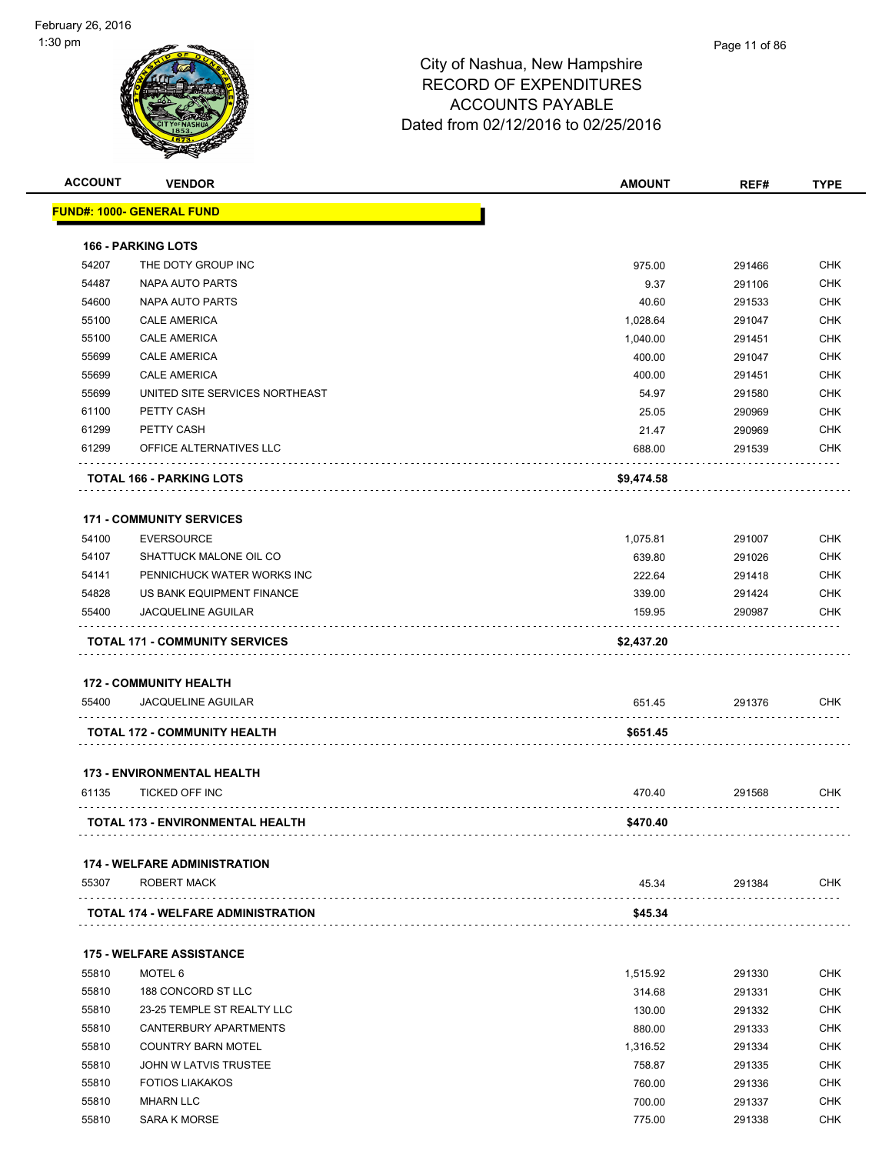| <b>ACCOUNT</b> | <b>VENDOR</b>                           | <b>AMOUNT</b> | REF#   | <b>TYPE</b> |
|----------------|-----------------------------------------|---------------|--------|-------------|
|                | <b>FUND#: 1000- GENERAL FUND</b>        |               |        |             |
|                | <b>166 - PARKING LOTS</b>               |               |        |             |
| 54207          | THE DOTY GROUP INC                      | 975.00        | 291466 | <b>CHK</b>  |
| 54487          | <b>NAPA AUTO PARTS</b>                  | 9.37          | 291106 | <b>CHK</b>  |
| 54600          | NAPA AUTO PARTS                         | 40.60         | 291533 | <b>CHK</b>  |
| 55100          | <b>CALE AMERICA</b>                     | 1,028.64      | 291047 | <b>CHK</b>  |
| 55100          | <b>CALE AMERICA</b>                     | 1,040.00      | 291451 | <b>CHK</b>  |
| 55699          | <b>CALE AMERICA</b>                     | 400.00        | 291047 | <b>CHK</b>  |
| 55699          | <b>CALE AMERICA</b>                     | 400.00        | 291451 | <b>CHK</b>  |
| 55699          | UNITED SITE SERVICES NORTHEAST          | 54.97         | 291580 | <b>CHK</b>  |
| 61100          | PETTY CASH                              | 25.05         | 290969 | <b>CHK</b>  |
| 61299          | PETTY CASH                              | 21.47         | 290969 | <b>CHK</b>  |
| 61299          | OFFICE ALTERNATIVES LLC                 | 688.00        | 291539 | <b>CHK</b>  |
|                | <b>TOTAL 166 - PARKING LOTS</b>         | \$9,474.58    |        |             |
|                | <b>171 - COMMUNITY SERVICES</b>         |               |        |             |
| 54100          | <b>EVERSOURCE</b>                       | 1,075.81      | 291007 | <b>CHK</b>  |
| 54107          | SHATTUCK MALONE OIL CO                  | 639.80        | 291026 | <b>CHK</b>  |
| 54141          | PENNICHUCK WATER WORKS INC              | 222.64        | 291418 | <b>CHK</b>  |
| 54828          | US BANK EQUIPMENT FINANCE               | 339.00        | 291424 | <b>CHK</b>  |
| 55400          | <b>JACQUELINE AGUILAR</b>               | 159.95        | 290987 | <b>CHK</b>  |
|                | <b>TOTAL 171 - COMMUNITY SERVICES</b>   | \$2,437.20    |        |             |
|                | <b>172 - COMMUNITY HEALTH</b>           |               |        |             |
| 55400          | <b>JACQUELINE AGUILAR</b>               | 651.45        | 291376 | <b>CHK</b>  |
|                | TOTAL 172 - COMMUNITY HEALTH            | \$651.45      |        |             |
|                |                                         |               |        |             |
|                | <b>173 - ENVIRONMENTAL HEALTH</b>       |               |        |             |
| 61135          | <b>TICKED OFF INC</b>                   | 470.40        | 291568 | <b>CHK</b>  |
|                | <b>TOTAL 173 - ENVIRONMENTAL HEALTH</b> | \$470.40      |        |             |
|                | <b>174 - WELFARE ADMINISTRATION</b>     |               |        |             |
| 55307          | ROBERT MACK                             | 45.34         | 291384 | <b>CHK</b>  |
|                | TOTAL 174 - WELFARE ADMINISTRATION      | \$45.34       |        |             |
|                | <b>175 - WELFARE ASSISTANCE</b>         |               |        |             |
| 55810          | MOTEL <sub>6</sub>                      | 1,515.92      | 291330 | <b>CHK</b>  |
| 55810          | 188 CONCORD ST LLC                      | 314.68        | 291331 | <b>CHK</b>  |
| 55810          | 23-25 TEMPLE ST REALTY LLC              | 130.00        | 291332 | <b>CHK</b>  |
| 55810          | CANTERBURY APARTMENTS                   | 880.00        | 291333 | <b>CHK</b>  |
| 55810          | <b>COUNTRY BARN MOTEL</b>               | 1,316.52      | 291334 | <b>CHK</b>  |
| 55810          | JOHN W LATVIS TRUSTEE                   | 758.87        | 291335 | <b>CHK</b>  |
| 55810          | <b>FOTIOS LIAKAKOS</b>                  | 760.00        | 291336 | <b>CHK</b>  |
| 55810          | <b>MHARN LLC</b>                        | 700.00        | 291337 | <b>CHK</b>  |
|                |                                         |               |        |             |

55810 SARA K MORSE 775.00 291338 CHK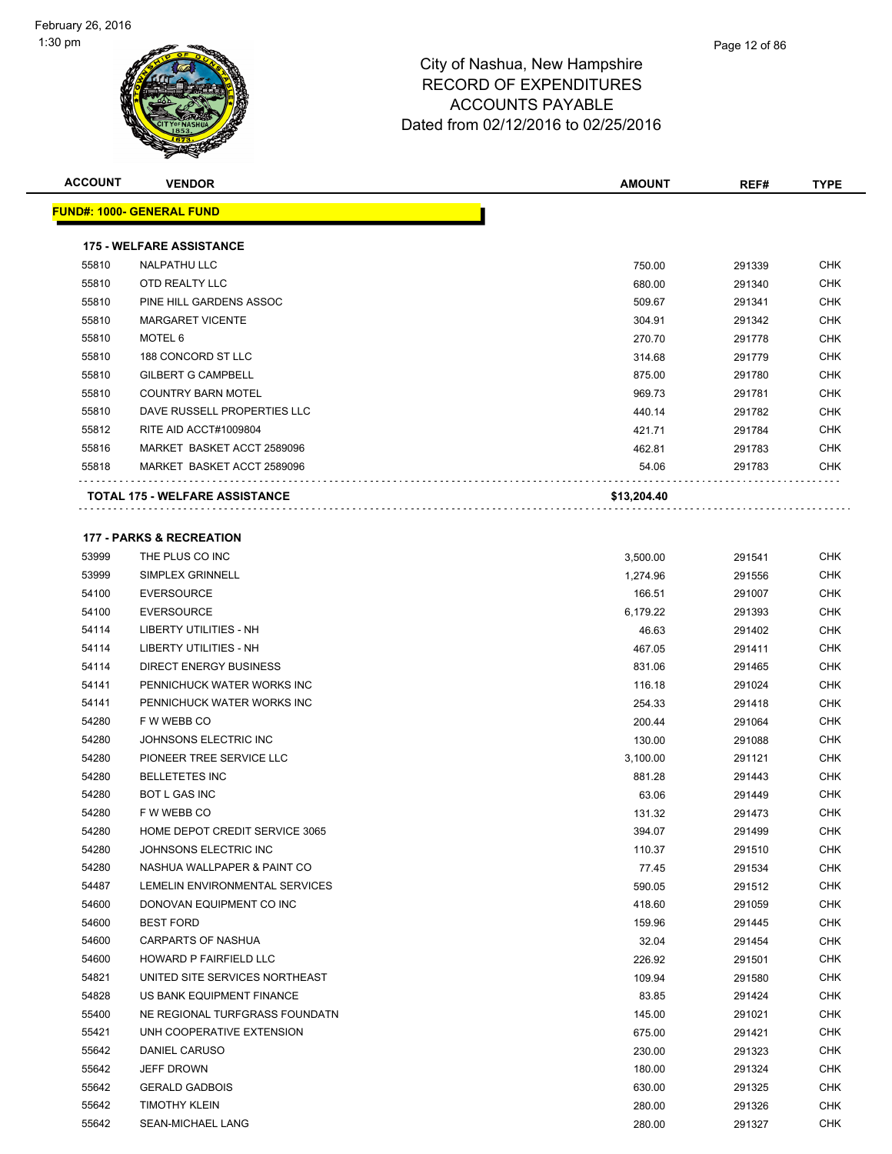**FUND#: 1000- GENERAL FUND**



## City of Nashua, New Hampshire RECORD OF EXPENDITURES ACCOUNTS PAYABLE Dated from 02/12/2016 to 02/25/2016

**ACCOUNT VENDOR AMOUNT REF# TYPE**

|       | <b>0#: 1000- GENERAL FUND</b>         |             |  |
|-------|---------------------------------------|-------------|--|
|       |                                       |             |  |
|       | <b>175 - WELFARE ASSISTANCE</b>       |             |  |
| 55810 | <b>NALPATHU LLC</b>                   | 750.00      |  |
| 55810 | OTD REALTY LLC                        | 680.00      |  |
| 55810 | PINE HILL GARDENS ASSOC               | 509.67      |  |
| 55810 | <b>MARGARET VICENTE</b>               | 304.91      |  |
| 55810 | MOTEL 6                               | 270.70      |  |
| 55810 | 188 CONCORD ST LLC                    | 314.68      |  |
| 55810 | <b>GILBERT G CAMPBELL</b>             | 875.00      |  |
| 55810 | <b>COUNTRY BARN MOTEL</b>             | 969.73      |  |
| 55810 | DAVE RUSSELL PROPERTIES LLC           | 440.14      |  |
| 55812 | RITE AID ACCT#1009804                 | 421.71      |  |
| 55816 | MARKET BASKET ACCT 2589096            | 462.81      |  |
| 55818 | MARKET BASKET ACCT 2589096            | 54.06       |  |
|       | <b>TOTAL 175 - WELFARE ASSISTANCE</b> | \$13,204.40 |  |
|       |                                       |             |  |
|       | <b>177 - PARKS &amp; RECREATION</b>   |             |  |
| 53999 | THE PLUS CO INC                       | 3,500.00    |  |
| 53999 | SIMPLEX GRINNELL                      | 1,274.96    |  |
| 54100 | <b>EVERSOURCE</b>                     | 166.51      |  |
| 54100 | <b>EVERSOURCE</b>                     | 6,179.22    |  |
| 54114 | LIBERTY UTILITIES - NH                | 46.63       |  |
| 54114 | LIBERTY UTILITIES - NH                | 467.05      |  |
| 54114 | <b>DIRECT ENERGY BUSINESS</b>         | 831.06      |  |
| 54141 | PENNICHUCK WATER WORKS INC            | 116.18      |  |
| 54141 | PENNICHUCK WATER WORKS INC            | 254.33      |  |
| 54280 | F W WEBB CO                           | 200.44      |  |
| 54280 | JOHNSONS ELECTRIC INC                 | 130.00      |  |
| 54280 | PIONEER TREE SERVICE LLC              | 3,100.00    |  |
| 54280 | <b>BELLETETES INC</b>                 | 881.28      |  |
| 54280 | <b>BOT L GAS INC</b>                  | 63.06       |  |
| 54280 | F W WEBB CO                           | 131.32      |  |
| 54280 | HOME DEPOT CREDIT SERVICE 3065        | 394.07      |  |
| 54280 | JOHNSONS ELECTRIC INC                 | 110.37      |  |
| 54280 | NASHUA WALLPAPER & PAINT CO           | 77.45       |  |
| 54487 | LEMELIN ENVIRONMENTAL SERVICES        | 590.05      |  |
| 54600 | DONOVAN EQUIPMENT CO INC              | 418.60      |  |
| 54600 | <b>BEST FORD</b>                      | 159.96      |  |
| 54600 | <b>CARPARTS OF NASHUA</b>             | 32.04       |  |
| 54600 | HOWARD P FAIRFIELD LLC                | 226.92      |  |
| 54821 | UNITED SITE SERVICES NORTHEAST        | 109.94      |  |
|       | US BANK EQUIPMENT FINANCE             |             |  |
| 54828 |                                       | 83.85       |  |
| 55400 | NE REGIONAL TURFGRASS FOUNDATN        | 145.00      |  |
| 55421 | UNH COOPERATIVE EXTENSION             | 675.00      |  |
| 55642 | DANIEL CARUSO                         | 230.00      |  |
| 55642 | JEFF DROWN                            | 180.00      |  |
| 55642 | <b>GERALD GADBOIS</b>                 | 630.00      |  |
| 55642 | <b>TIMOTHY KLEIN</b>                  | 280.00      |  |
| 55642 | SEAN-MICHAEL LANG                     | 280.00      |  |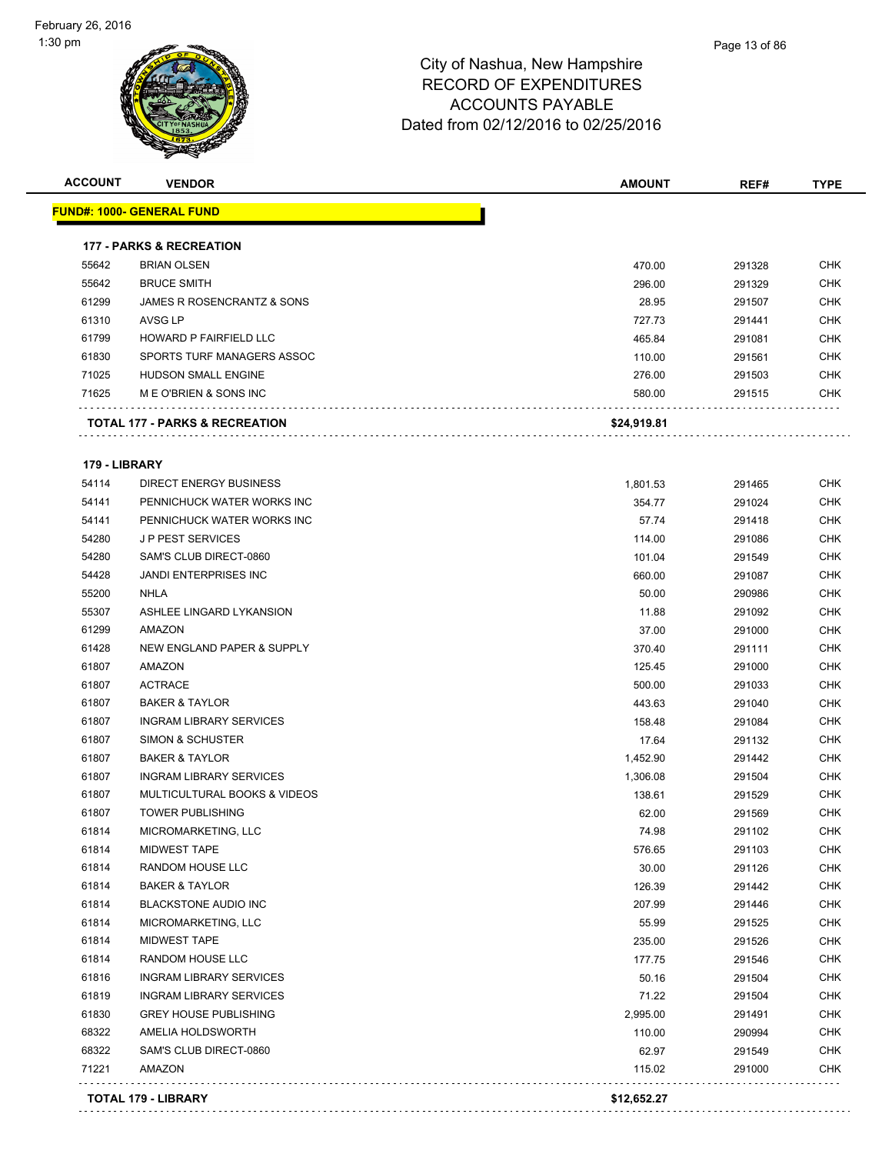

| iua, ivew Hampshire |  |
|---------------------|--|
| )F EXPENDITURES     |  |

Page 13 of 86

| <b>ACCOUNT</b> | <b>VENDOR</b>                             | <b>AMOUNT</b> | REF#   | <b>TYPE</b> |
|----------------|-------------------------------------------|---------------|--------|-------------|
|                | <b>FUND#: 1000- GENERAL FUND</b>          |               |        |             |
|                | <b>177 - PARKS &amp; RECREATION</b>       |               |        |             |
| 55642          | <b>BRIAN OLSEN</b>                        | 470.00        | 291328 | CHK         |
| 55642          | <b>BRUCE SMITH</b>                        | 296.00        | 291329 | <b>CHK</b>  |
| 61299          | JAMES R ROSENCRANTZ & SONS                | 28.95         | 291507 | <b>CHK</b>  |
| 61310          | AVSG LP                                   | 727.73        | 291441 | <b>CHK</b>  |
| 61799          | <b>HOWARD P FAIRFIELD LLC</b>             | 465.84        | 291081 | <b>CHK</b>  |
| 61830          | SPORTS TURF MANAGERS ASSOC                | 110.00        | 291561 | <b>CHK</b>  |
| 71025          | <b>HUDSON SMALL ENGINE</b>                | 276.00        | 291503 | <b>CHK</b>  |
| 71625          | M E O'BRIEN & SONS INC                    | 580.00        | 291515 | <b>CHK</b>  |
|                | <b>TOTAL 177 - PARKS &amp; RECREATION</b> | \$24,919.81   |        |             |

#### **179 - LIBRARY**

|       | TOTAL 179 - LIBRARY            | \$12.652.27 |        |            |
|-------|--------------------------------|-------------|--------|------------|
| 71221 | AMAZON                         | 115.02      | 291000 | <b>CHK</b> |
| 68322 | SAM'S CLUB DIRECT-0860         | 62.97       | 291549 | CHK        |
| 68322 | AMELIA HOLDSWORTH              | 110.00      | 290994 | <b>CHK</b> |
| 61830 | <b>GREY HOUSE PUBLISHING</b>   | 2,995.00    | 291491 | CHK        |
| 61819 | <b>INGRAM LIBRARY SERVICES</b> | 71.22       | 291504 | <b>CHK</b> |
| 61816 | <b>INGRAM LIBRARY SERVICES</b> | 50.16       | 291504 | <b>CHK</b> |
| 61814 | RANDOM HOUSE LLC               | 177.75      | 291546 | <b>CHK</b> |
| 61814 | <b>MIDWEST TAPE</b>            | 235.00      | 291526 | <b>CHK</b> |
| 61814 | MICROMARKETING, LLC            | 55.99       | 291525 | CHK        |
| 61814 | BLACKSTONE AUDIO INC           | 207.99      | 291446 | <b>CHK</b> |
| 61814 | <b>BAKER &amp; TAYLOR</b>      | 126.39      | 291442 | <b>CHK</b> |
| 61814 | RANDOM HOUSE LLC               | 30.00       | 291126 | <b>CHK</b> |
| 61814 | <b>MIDWEST TAPE</b>            | 576.65      | 291103 | <b>CHK</b> |
| 61814 | MICROMARKETING, LLC            | 74.98       | 291102 | CHK        |
| 61807 | <b>TOWER PUBLISHING</b>        | 62.00       | 291569 | <b>CHK</b> |
| 61807 | MULTICULTURAL BOOKS & VIDEOS   | 138.61      | 291529 | <b>CHK</b> |
| 61807 | <b>INGRAM LIBRARY SERVICES</b> | 1,306.08    | 291504 | <b>CHK</b> |
| 61807 | <b>BAKER &amp; TAYLOR</b>      | 1,452.90    | 291442 | <b>CHK</b> |
| 61807 | <b>SIMON &amp; SCHUSTER</b>    | 17.64       | 291132 | <b>CHK</b> |
| 61807 | <b>INGRAM LIBRARY SERVICES</b> | 158.48      | 291084 | <b>CHK</b> |
| 61807 | <b>BAKER &amp; TAYLOR</b>      | 443.63      | 291040 | <b>CHK</b> |
| 61807 | <b>ACTRACE</b>                 | 500.00      | 291033 | <b>CHK</b> |
| 61807 | AMAZON                         | 125.45      | 291000 | <b>CHK</b> |
| 61428 | NEW ENGLAND PAPER & SUPPLY     | 370.40      | 291111 | <b>CHK</b> |
| 61299 | AMAZON                         | 37.00       | 291000 | CHK        |
| 55307 | ASHLEE LINGARD LYKANSION       | 11.88       | 291092 | <b>CHK</b> |
| 55200 | <b>NHLA</b>                    | 50.00       | 290986 | <b>CHK</b> |
| 54428 | <b>JANDI ENTERPRISES INC</b>   | 660.00      | 291087 | <b>CHK</b> |
| 54280 | SAM'S CLUB DIRECT-0860         | 101.04      | 291549 | <b>CHK</b> |
| 54280 | <b>JP PEST SERVICES</b>        | 114.00      | 291086 | <b>CHK</b> |
| 54141 | PENNICHUCK WATER WORKS INC     | 57.74       | 291418 | <b>CHK</b> |
| 54141 | PENNICHUCK WATER WORKS INC     | 354.77      | 291024 | <b>CHK</b> |
| 54114 | <b>DIRECT ENERGY BUSINESS</b>  | 1,801.53    | 291465 | <b>CHK</b> |

**TOTAL 179 - LIBRARY \$12,652.27**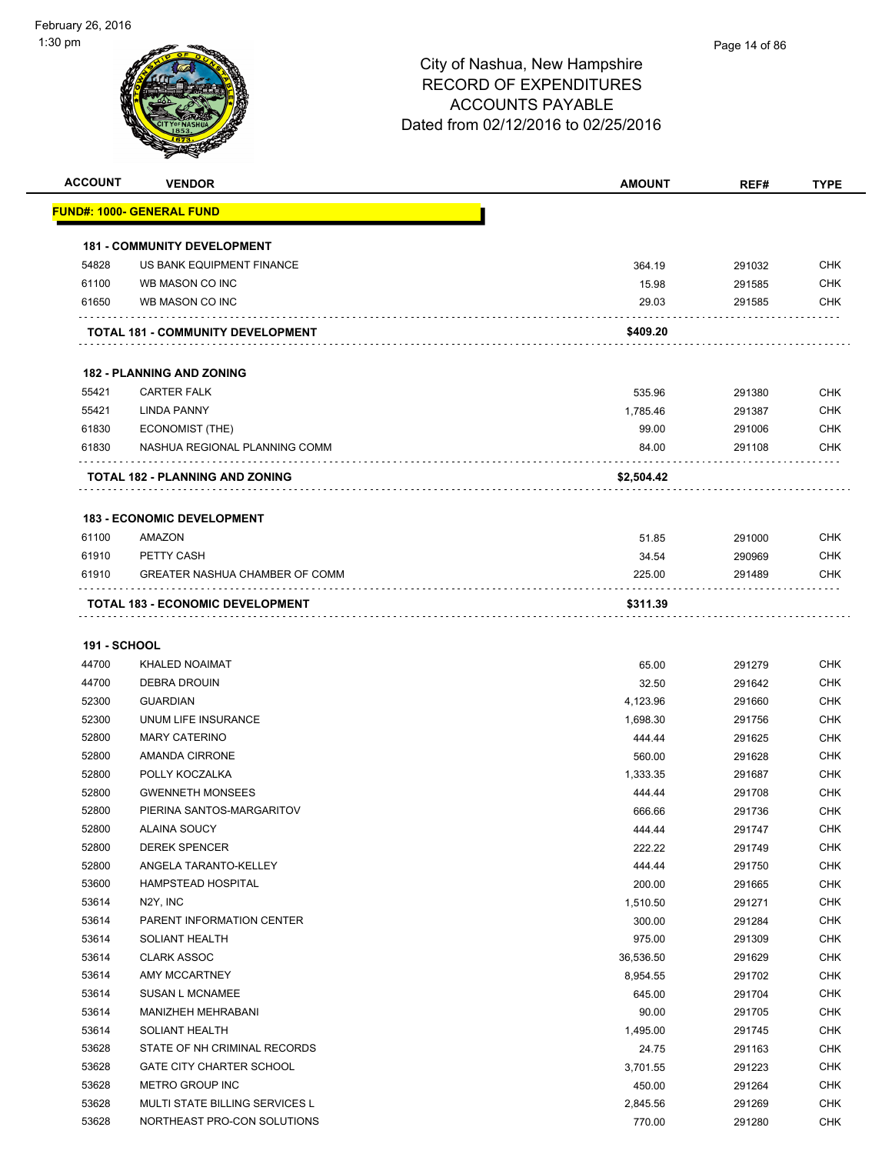

| <b>ACCOUNT</b>      | <b>VENDOR</b>                          | <b>AMOUNT</b> | REF#   | <b>TYPE</b> |
|---------------------|----------------------------------------|---------------|--------|-------------|
|                     | <u> FUND#: 1000- GENERAL FUND</u>      |               |        |             |
|                     | <b>181 - COMMUNITY DEVELOPMENT</b>     |               |        |             |
| 54828               | US BANK EQUIPMENT FINANCE              | 364.19        | 291032 | <b>CHK</b>  |
| 61100               | WB MASON CO INC                        | 15.98         | 291585 | <b>CHK</b>  |
| 61650               | WB MASON CO INC                        | 29.03         | 291585 | CHK         |
|                     |                                        |               |        |             |
|                     | TOTAL 181 - COMMUNITY DEVELOPMENT      | \$409.20      |        |             |
|                     | <b>182 - PLANNING AND ZONING</b>       |               |        |             |
| 55421               | <b>CARTER FALK</b>                     | 535.96        | 291380 | <b>CHK</b>  |
| 55421               | <b>LINDA PANNY</b>                     | 1,785.46      | 291387 | <b>CHK</b>  |
| 61830               | ECONOMIST (THE)                        | 99.00         | 291006 | <b>CHK</b>  |
| 61830               | NASHUA REGIONAL PLANNING COMM          | 84.00         | 291108 | <b>CHK</b>  |
|                     |                                        |               |        |             |
|                     | <b>TOTAL 182 - PLANNING AND ZONING</b> | \$2,504.42    |        |             |
|                     | <b>183 - ECONOMIC DEVELOPMENT</b>      |               |        |             |
| 61100               | AMAZON                                 | 51.85         | 291000 | <b>CHK</b>  |
| 61910               | PETTY CASH                             | 34.54         | 290969 | <b>CHK</b>  |
| 61910               | <b>GREATER NASHUA CHAMBER OF COMM</b>  | 225.00        | 291489 | <b>CHK</b>  |
|                     |                                        |               |        |             |
|                     | TOTAL 183 - ECONOMIC DEVELOPMENT       | \$311.39      |        |             |
| <b>191 - SCHOOL</b> |                                        |               |        |             |
| 44700               | KHALED NOAIMAT                         | 65.00         | 291279 | <b>CHK</b>  |
| 44700               | <b>DEBRA DROUIN</b>                    | 32.50         | 291642 | <b>CHK</b>  |
| 52300               | <b>GUARDIAN</b>                        | 4,123.96      | 291660 | <b>CHK</b>  |
| 52300               | UNUM LIFE INSURANCE                    | 1,698.30      | 291756 | <b>CHK</b>  |
| 52800               | <b>MARY CATERINO</b>                   | 444.44        | 291625 | <b>CHK</b>  |
| 52800               | <b>AMANDA CIRRONE</b>                  | 560.00        | 291628 | <b>CHK</b>  |
| 52800               | POLLY KOCZALKA                         | 1,333.35      | 291687 | <b>CHK</b>  |
| 52800               | <b>GWENNETH MONSEES</b>                | 444.44        | 291708 | <b>CHK</b>  |
| 52800               | PIERINA SANTOS-MARGARITOV              | 666.66        | 291736 | <b>CHK</b>  |
| 52800               | ALAINA SOUCY                           | 444.44        | 291747 | <b>CHK</b>  |
| 52800               | <b>DEREK SPENCER</b>                   | 222.22        | 291749 | <b>CHK</b>  |
| 52800               | ANGELA TARANTO-KELLEY                  | 444.44        | 291750 | <b>CHK</b>  |
| 53600               | HAMPSTEAD HOSPITAL                     | 200.00        | 291665 | <b>CHK</b>  |
| 53614               | N <sub>2</sub> Y, INC                  | 1,510.50      | 291271 | <b>CHK</b>  |
| 53614               | PARENT INFORMATION CENTER              | 300.00        | 291284 | <b>CHK</b>  |
| 53614               | SOLIANT HEALTH                         | 975.00        | 291309 | <b>CHK</b>  |
| 53614               | <b>CLARK ASSOC</b>                     | 36,536.50     | 291629 | <b>CHK</b>  |
| 53614               | AMY MCCARTNEY                          | 8,954.55      | 291702 | <b>CHK</b>  |
| 53614               | <b>SUSAN L MCNAMEE</b>                 | 645.00        | 291704 | <b>CHK</b>  |
| 53614               | MANIZHEH MEHRABANI                     | 90.00         | 291705 | <b>CHK</b>  |
| 53614               | SOLIANT HEALTH                         | 1,495.00      | 291745 | <b>CHK</b>  |
| 53628               | STATE OF NH CRIMINAL RECORDS           | 24.75         | 291163 | <b>CHK</b>  |
| 53628               | <b>GATE CITY CHARTER SCHOOL</b>        | 3,701.55      | 291223 | <b>CHK</b>  |
| 53628               | METRO GROUP INC                        | 450.00        | 291264 | <b>CHK</b>  |
| 53628               | MULTI STATE BILLING SERVICES L         | 2,845.56      | 291269 | <b>CHK</b>  |
| 53628               | NORTHEAST PRO-CON SOLUTIONS            | 770.00        | 291280 | <b>CHK</b>  |
|                     |                                        |               |        |             |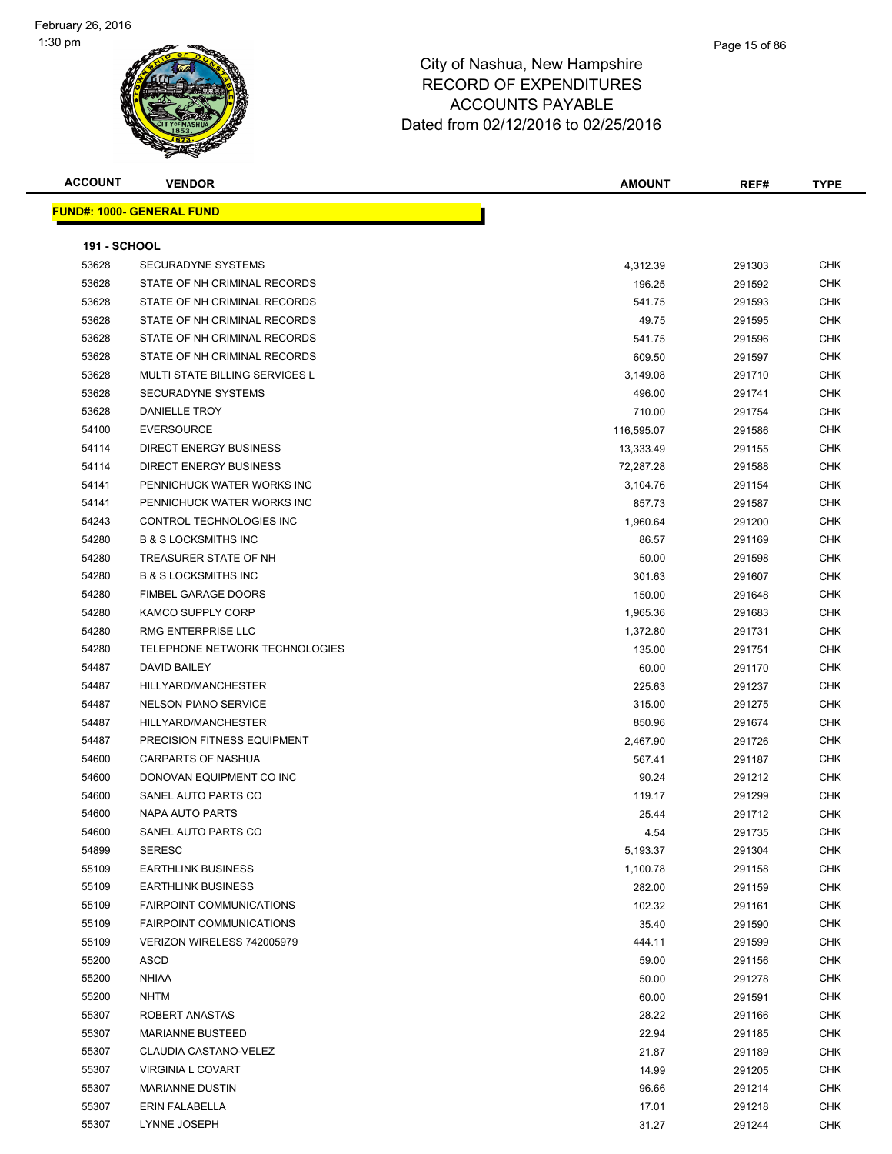| <b>ACCOUNT</b>      | <b>VENDOR</b>                    | <b>AMOUNT</b> | REF#   | TYPE       |
|---------------------|----------------------------------|---------------|--------|------------|
|                     | <b>FUND#: 1000- GENERAL FUND</b> |               |        |            |
| <b>191 - SCHOOL</b> |                                  |               |        |            |
| 53628               | SECURADYNE SYSTEMS               | 4,312.39      | 291303 | CHK        |
| 53628               | STATE OF NH CRIMINAL RECORDS     | 196.25        | 291592 | <b>CHK</b> |
| 53628               | STATE OF NH CRIMINAL RECORDS     | 541.75        | 291593 | <b>CHK</b> |
| 53628               | STATE OF NH CRIMINAL RECORDS     | 49.75         | 291595 | <b>CHK</b> |
| 53628               | STATE OF NH CRIMINAL RECORDS     | 541.75        | 291596 | <b>CHK</b> |
| 53628               | STATE OF NH CRIMINAL RECORDS     | 609.50        | 291597 | <b>CHK</b> |
| 53628               | MULTI STATE BILLING SERVICES L   | 3,149.08      | 291710 | <b>CHK</b> |
| 53628               | <b>SECURADYNE SYSTEMS</b>        | 496.00        | 291741 | <b>CHK</b> |
| 53628               | DANIELLE TROY                    | 710.00        | 291754 | <b>CHK</b> |
| 54100               | <b>EVERSOURCE</b>                | 116,595.07    | 291586 | <b>CHK</b> |
| 54114               | DIRECT ENERGY BUSINESS           | 13,333.49     | 291155 | <b>CHK</b> |
| 54114               | DIRECT ENERGY BUSINESS           | 72,287.28     | 291588 | <b>CHK</b> |
| 54141               | PENNICHUCK WATER WORKS INC       | 3,104.76      | 291154 | <b>CHK</b> |
| 54141               | PENNICHUCK WATER WORKS INC       | 857.73        | 291587 | <b>CHK</b> |
| 54243               | CONTROL TECHNOLOGIES INC         | 1,960.64      | 291200 | <b>CHK</b> |
| 54280               | <b>B &amp; S LOCKSMITHS INC</b>  | 86.57         | 291169 | <b>CHK</b> |
| 54280               | TREASURER STATE OF NH            | 50.00         | 291598 | <b>CHK</b> |
| 54280               | <b>B &amp; S LOCKSMITHS INC</b>  | 301.63        | 291607 | <b>CHK</b> |
| 54280               | <b>FIMBEL GARAGE DOORS</b>       | 150.00        | 291648 | <b>CHK</b> |
| 54280               | KAMCO SUPPLY CORP                | 1,965.36      | 291683 | <b>CHK</b> |
| 54280               | RMG ENTERPRISE LLC               | 1,372.80      | 291731 | CHK        |
| 54280               | TELEPHONE NETWORK TECHNOLOGIES   | 135.00        | 291751 | <b>CHK</b> |
| 54487               | DAVID BAILEY                     | 60.00         | 291170 | <b>CHK</b> |
| 54487               | HILLYARD/MANCHESTER              | 225.63        | 291237 | <b>CHK</b> |
| 54487               | <b>NELSON PIANO SERVICE</b>      | 315.00        | 291275 | <b>CHK</b> |
| 54487               | HILLYARD/MANCHESTER              | 850.96        | 291674 | <b>CHK</b> |
| 54487               | PRECISION FITNESS EQUIPMENT      | 2,467.90      | 291726 | <b>CHK</b> |
| 54600               | CARPARTS OF NASHUA               | 567.41        | 291187 | <b>CHK</b> |
| 54600               | DONOVAN EQUIPMENT CO INC         | 90.24         | 291212 | <b>CHK</b> |
| 54600               | SANEL AUTO PARTS CO              | 119.17        | 291299 | <b>CHK</b> |
| 54600               | <b>NAPA AUTO PARTS</b>           | 25.44         | 291712 | <b>CHK</b> |
| 54600               | SANEL AUTO PARTS CO              | 4.54          | 291735 | <b>CHK</b> |
| 54899               | <b>SERESC</b>                    | 5,193.37      | 291304 | <b>CHK</b> |
| 55109               | <b>EARTHLINK BUSINESS</b>        | 1,100.78      | 291158 | <b>CHK</b> |
| 55109               | <b>EARTHLINK BUSINESS</b>        | 282.00        | 291159 | <b>CHK</b> |
| 55109               | <b>FAIRPOINT COMMUNICATIONS</b>  | 102.32        | 291161 | <b>CHK</b> |
| 55109               | <b>FAIRPOINT COMMUNICATIONS</b>  | 35.40         | 291590 | <b>CHK</b> |
| 55109               | VERIZON WIRELESS 742005979       | 444.11        | 291599 | <b>CHK</b> |
| 55200               | ASCD                             | 59.00         | 291156 | <b>CHK</b> |
| 55200               | <b>NHIAA</b>                     | 50.00         | 291278 | <b>CHK</b> |
| 55200               | <b>NHTM</b>                      | 60.00         | 291591 | <b>CHK</b> |
| 55307               | ROBERT ANASTAS                   | 28.22         | 291166 | <b>CHK</b> |
| 55307               | <b>MARIANNE BUSTEED</b>          | 22.94         | 291185 | <b>CHK</b> |
| 55307               | CLAUDIA CASTANO-VELEZ            | 21.87         | 291189 | <b>CHK</b> |
| 55307               | <b>VIRGINIA L COVART</b>         | 14.99         | 291205 | <b>CHK</b> |
| 55307               | <b>MARIANNE DUSTIN</b>           | 96.66         | 291214 | <b>CHK</b> |
| 55307               | ERIN FALABELLA                   | 17.01         | 291218 | <b>CHK</b> |
| 55307               | LYNNE JOSEPH                     | 31.27         | 291244 | <b>CHK</b> |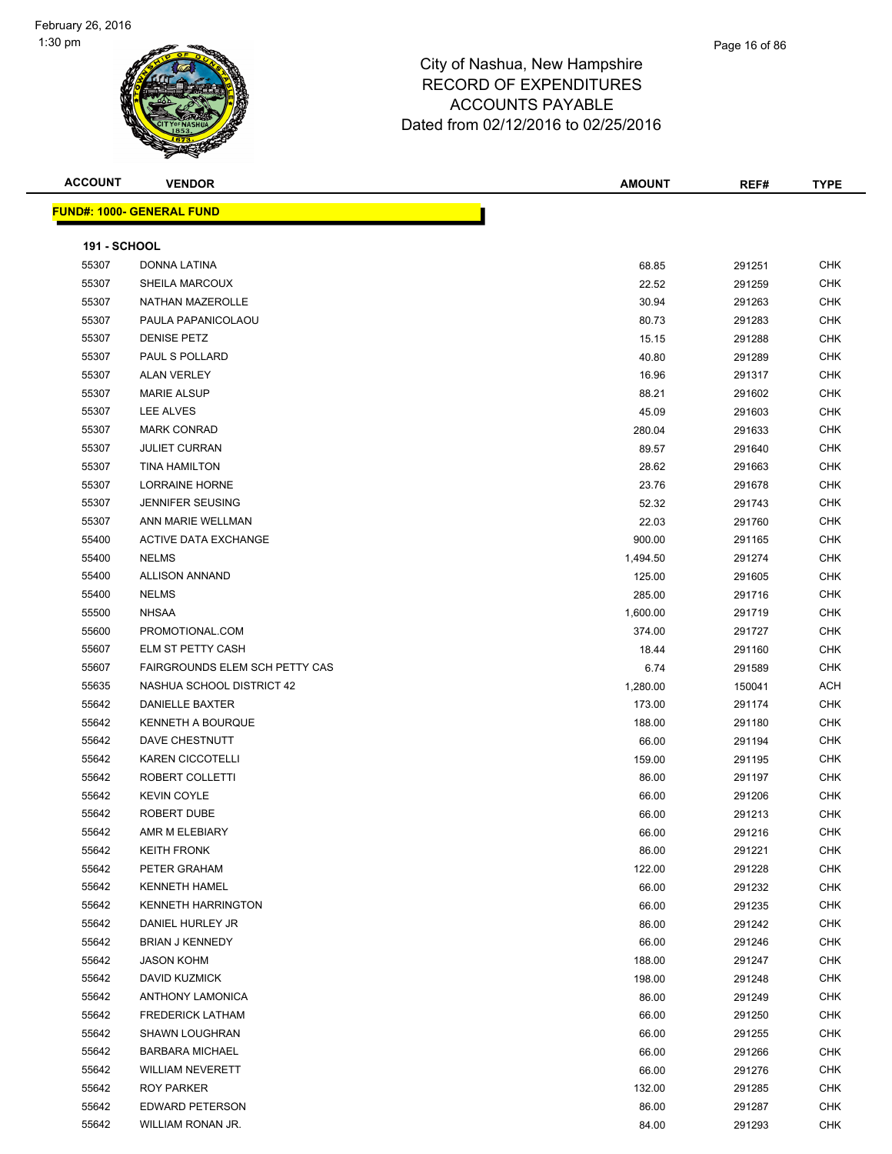| <b>ACCOUNT</b>      | <b>VENDOR</b>                    | <b>AMOUNT</b> | REF#   | <b>TYPE</b> |
|---------------------|----------------------------------|---------------|--------|-------------|
|                     | <b>FUND#: 1000- GENERAL FUND</b> |               |        |             |
| <b>191 - SCHOOL</b> |                                  |               |        |             |
| 55307               | DONNA LATINA                     | 68.85         | 291251 | <b>CHK</b>  |
| 55307               | SHEILA MARCOUX                   | 22.52         | 291259 | <b>CHK</b>  |
| 55307               | NATHAN MAZEROLLE                 | 30.94         | 291263 | <b>CHK</b>  |
| 55307               | PAULA PAPANICOLAOU               | 80.73         | 291283 | <b>CHK</b>  |
| 55307               | <b>DENISE PETZ</b>               | 15.15         | 291288 | <b>CHK</b>  |
| 55307               | PAUL S POLLARD                   | 40.80         | 291289 | <b>CHK</b>  |
| 55307               | <b>ALAN VERLEY</b>               | 16.96         | 291317 | <b>CHK</b>  |
| 55307               | <b>MARIE ALSUP</b>               | 88.21         | 291602 | <b>CHK</b>  |
| 55307               | LEE ALVES                        | 45.09         | 291603 | <b>CHK</b>  |
| 55307               | <b>MARK CONRAD</b>               | 280.04        | 291633 | <b>CHK</b>  |
| 55307               | <b>JULIET CURRAN</b>             | 89.57         | 291640 | <b>CHK</b>  |
| 55307               | <b>TINA HAMILTON</b>             | 28.62         | 291663 | <b>CHK</b>  |
| 55307               | <b>LORRAINE HORNE</b>            | 23.76         | 291678 | <b>CHK</b>  |
| 55307               | <b>JENNIFER SEUSING</b>          | 52.32         | 291743 | <b>CHK</b>  |
| 55307               | ANN MARIE WELLMAN                | 22.03         | 291760 | <b>CHK</b>  |
| 55400               | <b>ACTIVE DATA EXCHANGE</b>      | 900.00        | 291165 | <b>CHK</b>  |
| 55400               | <b>NELMS</b>                     | 1,494.50      | 291274 | <b>CHK</b>  |
| 55400               | <b>ALLISON ANNAND</b>            | 125.00        | 291605 | <b>CHK</b>  |
| 55400               | <b>NELMS</b>                     | 285.00        | 291716 | <b>CHK</b>  |
| 55500               | <b>NHSAA</b>                     | 1,600.00      | 291719 | <b>CHK</b>  |
| 55600               | PROMOTIONAL.COM                  | 374.00        | 291727 | <b>CHK</b>  |
| 55607               | ELM ST PETTY CASH                | 18.44         | 291160 | <b>CHK</b>  |
| 55607               | FAIRGROUNDS ELEM SCH PETTY CAS   | 6.74          | 291589 | <b>CHK</b>  |
| 55635               | NASHUA SCHOOL DISTRICT 42        | 1,280.00      | 150041 | <b>ACH</b>  |
| 55642               | DANIELLE BAXTER                  | 173.00        | 291174 | <b>CHK</b>  |
| 55642               | <b>KENNETH A BOURQUE</b>         | 188.00        | 291180 | <b>CHK</b>  |
| 55642               | DAVE CHESTNUTT                   | 66.00         | 291194 | <b>CHK</b>  |
| 55642               | <b>KAREN CICCOTELLI</b>          | 159.00        | 291195 | <b>CHK</b>  |
| 55642               | ROBERT COLLETTI                  | 86.00         | 291197 | <b>CHK</b>  |
| 55642               | <b>KEVIN COYLE</b>               | 66.00         | 291206 | <b>CHK</b>  |
| 55642               | ROBERT DUBE                      | 66.00         | 291213 | <b>CHK</b>  |
| 55642               | AMR M ELEBIARY                   | 66.00         | 291216 | CHK         |
| 55642               | <b>KEITH FRONK</b>               | 86.00         | 291221 | <b>CHK</b>  |
| 55642               | PETER GRAHAM                     | 122.00        | 291228 | <b>CHK</b>  |
| 55642               | <b>KENNETH HAMEL</b>             | 66.00         | 291232 | <b>CHK</b>  |
| 55642               | <b>KENNETH HARRINGTON</b>        | 66.00         | 291235 | <b>CHK</b>  |
| 55642               | DANIEL HURLEY JR                 | 86.00         | 291242 | <b>CHK</b>  |
| 55642               | <b>BRIAN J KENNEDY</b>           | 66.00         | 291246 | <b>CHK</b>  |
| 55642               | <b>JASON KOHM</b>                | 188.00        | 291247 | <b>CHK</b>  |
| 55642               | <b>DAVID KUZMICK</b>             | 198.00        | 291248 | CHK         |
| 55642               | <b>ANTHONY LAMONICA</b>          | 86.00         | 291249 | <b>CHK</b>  |
| 55642               | <b>FREDERICK LATHAM</b>          | 66.00         | 291250 | <b>CHK</b>  |
| 55642               | <b>SHAWN LOUGHRAN</b>            | 66.00         | 291255 | <b>CHK</b>  |
| 55642               | <b>BARBARA MICHAEL</b>           | 66.00         | 291266 | <b>CHK</b>  |
| 55642               | <b>WILLIAM NEVERETT</b>          | 66.00         | 291276 | <b>CHK</b>  |
| 55642               | ROY PARKER                       | 132.00        | 291285 | <b>CHK</b>  |
| 55642               | EDWARD PETERSON                  | 86.00         | 291287 | <b>CHK</b>  |
| 55642               | WILLIAM RONAN JR.                | 84.00         | 291293 | <b>CHK</b>  |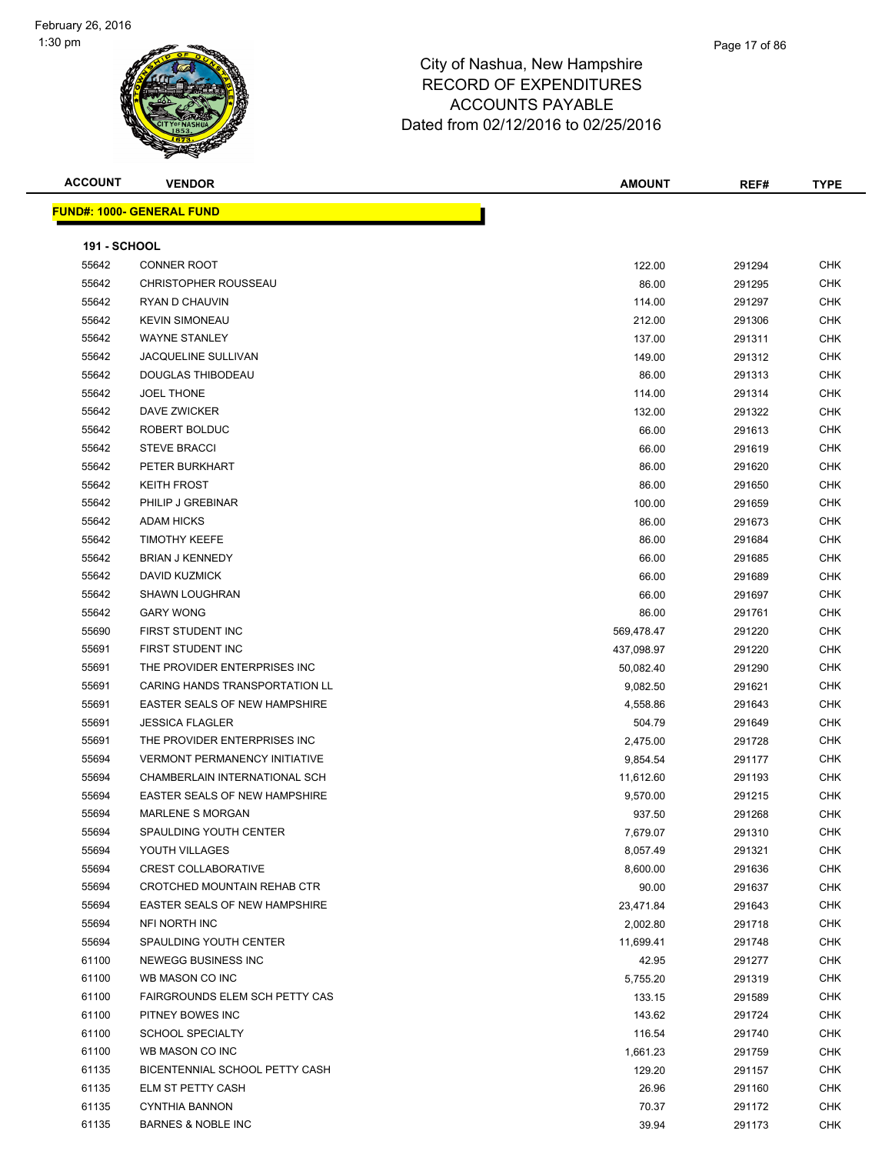#### Page 17 of 86

| <b>ACCOUNT</b> | <b>VENDOR</b>                        | <b>AMOUNT</b> | REF#   | <b>TYPE</b> |
|----------------|--------------------------------------|---------------|--------|-------------|
|                | <b>FUND#: 1000- GENERAL FUND</b>     |               |        |             |
|                |                                      |               |        |             |
| 191 - SCHOOL   |                                      |               |        |             |
| 55642          | <b>CONNER ROOT</b>                   | 122.00        | 291294 | <b>CHK</b>  |
| 55642          | <b>CHRISTOPHER ROUSSEAU</b>          | 86.00         | 291295 | <b>CHK</b>  |
| 55642          | RYAN D CHAUVIN                       | 114.00        | 291297 | <b>CHK</b>  |
| 55642          | <b>KEVIN SIMONEAU</b>                | 212.00        | 291306 | <b>CHK</b>  |
| 55642          | <b>WAYNE STANLEY</b>                 | 137.00        | 291311 | <b>CHK</b>  |
| 55642          | <b>JACQUELINE SULLIVAN</b>           | 149.00        | 291312 | <b>CHK</b>  |
| 55642          | DOUGLAS THIBODEAU                    | 86.00         | 291313 | <b>CHK</b>  |
| 55642          | <b>JOEL THONE</b>                    | 114.00        | 291314 | <b>CHK</b>  |
| 55642          | DAVE ZWICKER                         | 132.00        | 291322 | <b>CHK</b>  |
| 55642          | ROBERT BOLDUC                        | 66.00         | 291613 | <b>CHK</b>  |
| 55642          | <b>STEVE BRACCI</b>                  | 66.00         | 291619 | <b>CHK</b>  |
| 55642          | PETER BURKHART                       | 86.00         | 291620 | <b>CHK</b>  |
| 55642          | <b>KEITH FROST</b>                   | 86.00         | 291650 | <b>CHK</b>  |
| 55642          | PHILIP J GREBINAR                    | 100.00        | 291659 | <b>CHK</b>  |
| 55642          | <b>ADAM HICKS</b>                    | 86.00         | 291673 | <b>CHK</b>  |
| 55642          | <b>TIMOTHY KEEFE</b>                 | 86.00         | 291684 | <b>CHK</b>  |
| 55642          | <b>BRIAN J KENNEDY</b>               | 66.00         | 291685 | <b>CHK</b>  |
| 55642          | DAVID KUZMICK                        | 66.00         | 291689 | <b>CHK</b>  |
| 55642          | <b>SHAWN LOUGHRAN</b>                | 66.00         | 291697 | <b>CHK</b>  |
| 55642          | <b>GARY WONG</b>                     | 86.00         | 291761 | <b>CHK</b>  |
| 55690          | FIRST STUDENT INC                    | 569,478.47    | 291220 | <b>CHK</b>  |
| 55691          | FIRST STUDENT INC                    | 437,098.97    | 291220 | <b>CHK</b>  |
| 55691          | THE PROVIDER ENTERPRISES INC         | 50,082.40     | 291290 | <b>CHK</b>  |
| 55691          | CARING HANDS TRANSPORTATION LL       | 9,082.50      | 291621 | <b>CHK</b>  |
| 55691          | EASTER SEALS OF NEW HAMPSHIRE        | 4,558.86      | 291643 | CHK         |
| 55691          | <b>JESSICA FLAGLER</b>               | 504.79        | 291649 | CHK         |
| 55691          | THE PROVIDER ENTERPRISES INC         | 2,475.00      | 291728 | <b>CHK</b>  |
| 55694          | <b>VERMONT PERMANENCY INITIATIVE</b> | 9,854.54      | 291177 | <b>CHK</b>  |
| 55694          | CHAMBERLAIN INTERNATIONAL SCH        | 11,612.60     | 291193 | <b>CHK</b>  |
| 55694          | <b>EASTER SEALS OF NEW HAMPSHIRE</b> | 9,570.00      | 291215 | <b>CHK</b>  |
| 55694          | <b>MARLENE S MORGAN</b>              | 937.50        | 291268 | <b>CHK</b>  |
| 55694          | SPAULDING YOUTH CENTER               | 7,679.07      | 291310 | <b>CHK</b>  |
| 55694          | YOUTH VILLAGES                       | 8,057.49      | 291321 | <b>CHK</b>  |
| 55694          | <b>CREST COLLABORATIVE</b>           | 8,600.00      | 291636 | <b>CHK</b>  |
| 55694          | CROTCHED MOUNTAIN REHAB CTR          | 90.00         | 291637 | <b>CHK</b>  |
| 55694          | EASTER SEALS OF NEW HAMPSHIRE        | 23,471.84     | 291643 | <b>CHK</b>  |
| 55694          | NFI NORTH INC                        | 2,002.80      | 291718 | <b>CHK</b>  |
| 55694          | SPAULDING YOUTH CENTER               | 11,699.41     | 291748 | <b>CHK</b>  |
| 61100          | NEWEGG BUSINESS INC                  | 42.95         | 291277 | <b>CHK</b>  |
| 61100          | WB MASON CO INC                      | 5,755.20      | 291319 | CHK         |
| 61100          | FAIRGROUNDS ELEM SCH PETTY CAS       | 133.15        | 291589 | <b>CHK</b>  |
| 61100          | PITNEY BOWES INC                     | 143.62        | 291724 | <b>CHK</b>  |
| 61100          | <b>SCHOOL SPECIALTY</b>              | 116.54        | 291740 | <b>CHK</b>  |
| 61100          | WB MASON CO INC                      | 1,661.23      | 291759 | <b>CHK</b>  |
| 61135          | BICENTENNIAL SCHOOL PETTY CASH       | 129.20        | 291157 | <b>CHK</b>  |
| 61135          | ELM ST PETTY CASH                    | 26.96         | 291160 | <b>CHK</b>  |
| 61135          | <b>CYNTHIA BANNON</b>                | 70.37         | 291172 | <b>CHK</b>  |
| 61135          | <b>BARNES &amp; NOBLE INC</b>        | 39.94         | 291173 | <b>CHK</b>  |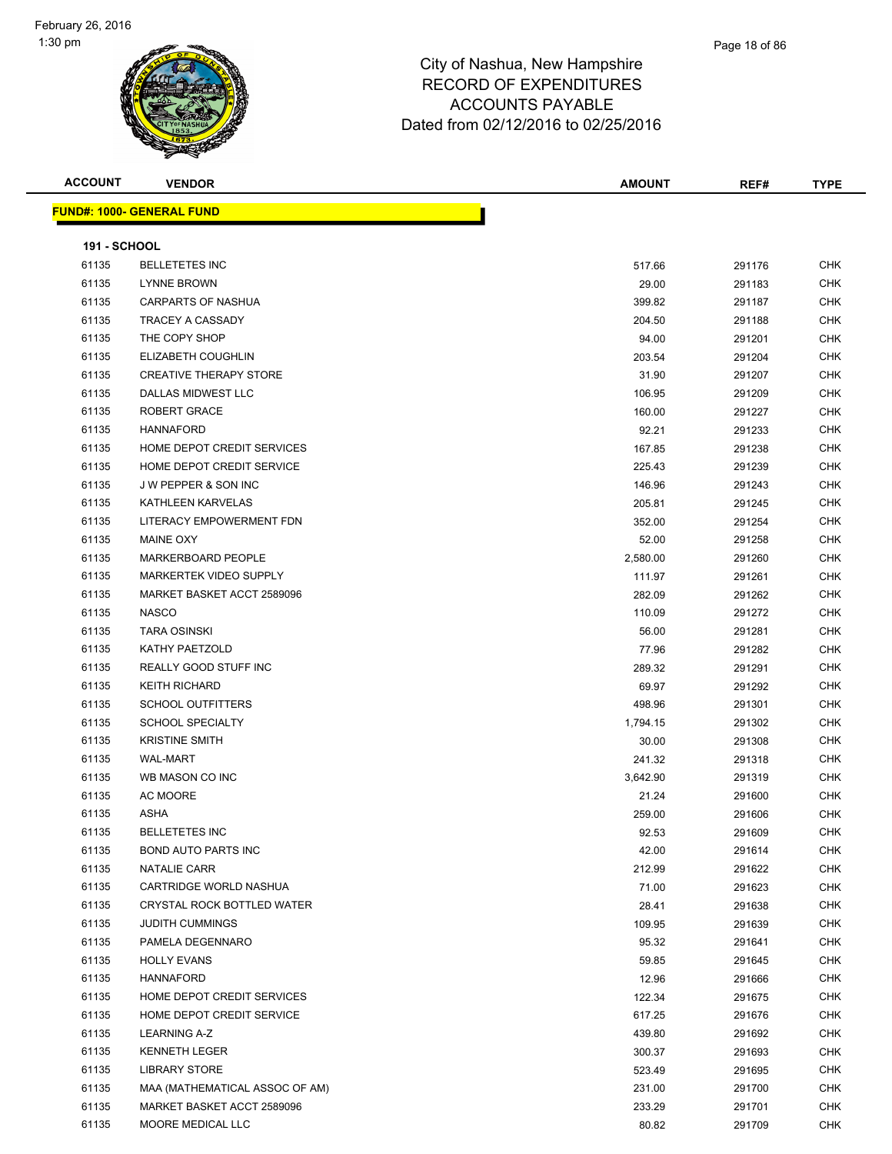#### Page 18 of 86

## City of Nashua, New Hampshire RECORD OF EXPENDITURES ACCOUNTS PAYABLE Dated from 02/12/2016 to 02/25/2016

| <b>ACCOUNT</b>      | <b>VENDOR</b>                    | <b>AMOUNT</b> | REF#   | <b>TYPE</b> |
|---------------------|----------------------------------|---------------|--------|-------------|
|                     | <b>FUND#: 1000- GENERAL FUND</b> |               |        |             |
|                     |                                  |               |        |             |
| <b>191 - SCHOOL</b> |                                  |               |        |             |
| 61135               | <b>BELLETETES INC</b>            | 517.66        | 291176 | <b>CHK</b>  |
| 61135               | <b>LYNNE BROWN</b>               | 29.00         | 291183 | <b>CHK</b>  |
| 61135               | CARPARTS OF NASHUA               | 399.82        | 291187 | <b>CHK</b>  |
| 61135               | <b>TRACEY A CASSADY</b>          | 204.50        | 291188 | <b>CHK</b>  |
| 61135               | THE COPY SHOP                    | 94.00         | 291201 | <b>CHK</b>  |
| 61135               | ELIZABETH COUGHLIN               | 203.54        | 291204 | CHK         |
| 61135               | <b>CREATIVE THERAPY STORE</b>    | 31.90         | 291207 | <b>CHK</b>  |
| 61135               | DALLAS MIDWEST LLC               | 106.95        | 291209 | <b>CHK</b>  |
| 61135               | ROBERT GRACE                     | 160.00        | 291227 | <b>CHK</b>  |
| 61135               | <b>HANNAFORD</b>                 | 92.21         | 291233 | <b>CHK</b>  |
| 61135               | HOME DEPOT CREDIT SERVICES       | 167.85        | 291238 | <b>CHK</b>  |
| 61135               | HOME DEPOT CREDIT SERVICE        | 225.43        | 291239 | <b>CHK</b>  |
| 61135               | <b>JW PEPPER &amp; SON INC</b>   | 146.96        | 291243 | <b>CHK</b>  |
| 61135               | KATHLEEN KARVELAS                | 205.81        | 291245 | CHK         |
| 61135               | LITERACY EMPOWERMENT FDN         | 352.00        | 291254 | <b>CHK</b>  |
| 61135               | <b>MAINE OXY</b>                 | 52.00         | 291258 | CHK         |
| 61135               | MARKERBOARD PEOPLE               | 2,580.00      | 291260 | CHK         |
| 61135               | MARKERTEK VIDEO SUPPLY           | 111.97        | 291261 | <b>CHK</b>  |
| 61135               | MARKET BASKET ACCT 2589096       | 282.09        | 291262 | CHK         |
| 61135               | <b>NASCO</b>                     | 110.09        | 291272 | <b>CHK</b>  |
| 61135               | <b>TARA OSINSKI</b>              | 56.00         | 291281 | <b>CHK</b>  |
| 61135               | KATHY PAETZOLD                   | 77.96         | 291282 | CHK         |
| 61135               | REALLY GOOD STUFF INC            | 289.32        | 291291 | <b>CHK</b>  |
| 61135               | <b>KEITH RICHARD</b>             | 69.97         | 291292 | <b>CHK</b>  |
| 61135               | <b>SCHOOL OUTFITTERS</b>         | 498.96        | 291301 | <b>CHK</b>  |
| 61135               | <b>SCHOOL SPECIALTY</b>          | 1,794.15      | 291302 | <b>CHK</b>  |
| 61135               | <b>KRISTINE SMITH</b>            | 30.00         | 291308 | CHK         |
| 61135               | <b>WAL-MART</b>                  | 241.32        | 291318 | CHK         |
| 61135               | WB MASON CO INC                  | 3,642.90      | 291319 | <b>CHK</b>  |
| 61135               | AC MOORE                         | 21.24         | 291600 | CHK         |
| 61135               | ASHA                             | 259.00        | 291606 | CHK         |
| 61135               | <b>BELLETETES INC</b>            | 92.53         | 291609 | <b>CHK</b>  |
| 61135               | <b>BOND AUTO PARTS INC</b>       | 42.00         | 291614 | CHK         |
| 61135               | NATALIE CARR                     | 212.99        | 291622 | <b>CHK</b>  |
| 61135               | CARTRIDGE WORLD NASHUA           | 71.00         | 291623 | <b>CHK</b>  |
| 61135               | CRYSTAL ROCK BOTTLED WATER       | 28.41         | 291638 | <b>CHK</b>  |
| 61135               | <b>JUDITH CUMMINGS</b>           | 109.95        | 291639 | <b>CHK</b>  |
| 61135               | PAMELA DEGENNARO                 | 95.32         | 291641 | <b>CHK</b>  |
| 61135               | <b>HOLLY EVANS</b>               | 59.85         | 291645 | <b>CHK</b>  |
| 61135               | <b>HANNAFORD</b>                 | 12.96         | 291666 | <b>CHK</b>  |
| 61135               | HOME DEPOT CREDIT SERVICES       | 122.34        | 291675 | CHK         |
| 61135               | HOME DEPOT CREDIT SERVICE        | 617.25        | 291676 | CHK         |
| 61135               | LEARNING A-Z                     | 439.80        | 291692 | CHK         |
| 61135               | <b>KENNETH LEGER</b>             | 300.37        | 291693 | <b>CHK</b>  |
| 61135               | <b>LIBRARY STORE</b>             | 523.49        | 291695 | <b>CHK</b>  |
| 61135               | MAA (MATHEMATICAL ASSOC OF AM)   | 231.00        | 291700 | <b>CHK</b>  |
| 61135               | MARKET BASKET ACCT 2589096       | 233.29        | 291701 | <b>CHK</b>  |

MOORE MEDICAL LLC 80.82 291709 CHK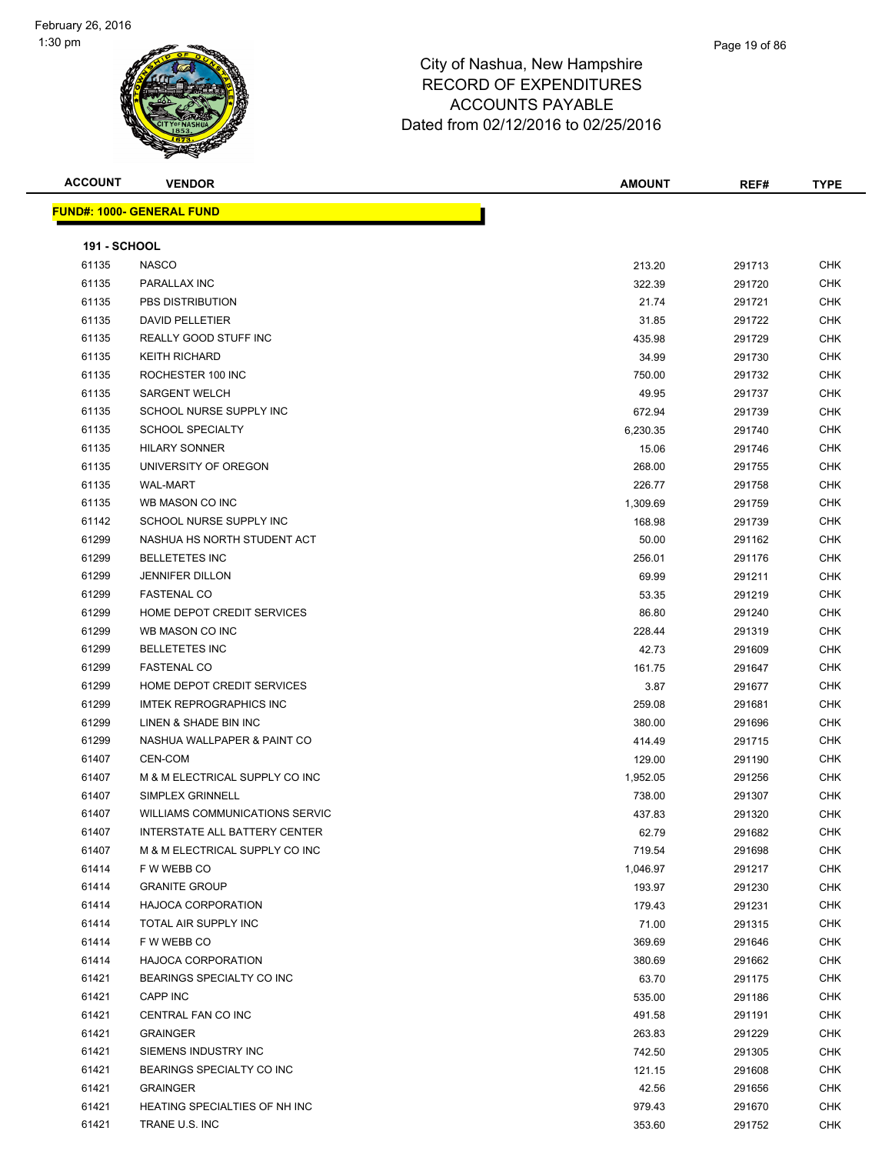#### Page 19 of 86

#### City of Nashua, New Hampshire RECORD OF EXPENDITURES ACCOUNTS PAYABLE Dated from 02/12/2016 to 02/25/2016

**FUND#:** 

| ACCOUNT             | <b>VENDOR</b>                        | <b>AMOUNT</b> | REF#   | <b>TYPE</b> |
|---------------------|--------------------------------------|---------------|--------|-------------|
|                     | <u> JND#: 1000- GENERAL FUND</u>     |               |        |             |
| <b>191 - SCHOOL</b> |                                      |               |        |             |
| 61135               | <b>NASCO</b>                         | 213.20        | 291713 | <b>CHK</b>  |
| 61135               | PARALLAX INC                         | 322.39        | 291720 | <b>CHK</b>  |
| 61135               | PBS DISTRIBUTION                     | 21.74         | 291721 | CHK         |
| 61135               | <b>DAVID PELLETIER</b>               | 31.85         | 291722 | <b>CHK</b>  |
| 61135               | REALLY GOOD STUFF INC                | 435.98        | 291729 | CHK         |
| 61135               | <b>KEITH RICHARD</b>                 | 34.99         | 291730 | <b>CHK</b>  |
| 61135               | ROCHESTER 100 INC                    | 750.00        | 291732 | <b>CHK</b>  |
| 61135               | <b>SARGENT WELCH</b>                 | 49.95         | 291737 | <b>CHK</b>  |
| 61135               | SCHOOL NURSE SUPPLY INC              | 672.94        | 291739 | <b>CHK</b>  |
| 61135               | <b>SCHOOL SPECIALTY</b>              | 6,230.35      | 291740 | <b>CHK</b>  |
| 61135               | <b>HILARY SONNER</b>                 | 15.06         | 291746 | <b>CHK</b>  |
| 61135               | UNIVERSITY OF OREGON                 | 268.00        | 291755 | <b>CHK</b>  |
| 61135               | <b>WAL-MART</b>                      | 226.77        | 291758 | <b>CHK</b>  |
| 61135               | WB MASON CO INC                      | 1,309.69      | 291759 | <b>CHK</b>  |
| 61142               | SCHOOL NURSE SUPPLY INC              | 168.98        | 291739 | <b>CHK</b>  |
| 61299               | NASHUA HS NORTH STUDENT ACT          | 50.00         | 291162 | <b>CHK</b>  |
| 61299               | <b>BELLETETES INC</b>                | 256.01        | 291176 | <b>CHK</b>  |
| 61299               | <b>JENNIFER DILLON</b>               | 69.99         | 291211 | <b>CHK</b>  |
| 61299               | <b>FASTENAL CO</b>                   | 53.35         | 291219 | <b>CHK</b>  |
| 61299               | HOME DEPOT CREDIT SERVICES           | 86.80         | 291240 | <b>CHK</b>  |
| 61299               | WB MASON CO INC                      | 228.44        | 291319 | <b>CHK</b>  |
| 61299               | <b>BELLETETES INC</b>                | 42.73         | 291609 | CHK         |
| 61299               | <b>FASTENAL CO</b>                   | 161.75        | 291647 | <b>CHK</b>  |
| 61299               | HOME DEPOT CREDIT SERVICES           | 3.87          | 291677 | CHK         |
| 61299               | <b>IMTEK REPROGRAPHICS INC</b>       | 259.08        | 291681 | CHK         |
| 61299               | LINEN & SHADE BIN INC                | 380.00        | 291696 | <b>CHK</b>  |
| 61299               | NASHUA WALLPAPER & PAINT CO          | 414.49        | 291715 | CHK         |
| 61407               | <b>CEN-COM</b>                       | 129.00        | 291190 | <b>CHK</b>  |
| 61407               | M & M ELECTRICAL SUPPLY CO INC       | 1,952.05      | 291256 | CHK         |
| 61407               | SIMPLEX GRINNELL                     | 738.00        | 291307 | <b>CHK</b>  |
| 61407               | WILLIAMS COMMUNICATIONS SERVIC       | 437.83        | 291320 | <b>CHK</b>  |
| 61407               | <b>INTERSTATE ALL BATTERY CENTER</b> | 62.79         | 291682 | <b>CHK</b>  |
| 61407               | M & M ELECTRICAL SUPPLY CO INC       | 719.54        | 291698 | <b>CHK</b>  |
| 61414               | F W WEBB CO                          | 1,046.97      | 291217 | <b>CHK</b>  |
| 61414               | <b>GRANITE GROUP</b>                 | 193.97        | 291230 | <b>CHK</b>  |
| 61414               | <b>HAJOCA CORPORATION</b>            | 179.43        | 291231 | <b>CHK</b>  |
| 61414               | TOTAL AIR SUPPLY INC                 | 71.00         | 291315 | CHK         |
| 61414               | F W WEBB CO                          | 369.69        | 291646 | CHK         |
| 61414               | <b>HAJOCA CORPORATION</b>            | 380.69        | 291662 | CHK         |
| 61421               | BEARINGS SPECIALTY CO INC            | 63.70         | 291175 | CHK         |

 CAPP INC 535.00 291186 CHK CENTRAL FAN CO INC 491.58 291191 CHK

| 61421 | <b>GRAINGER</b>               | 263.83 | 291229 | CHK |
|-------|-------------------------------|--------|--------|-----|
| 61421 | SIEMENS INDUSTRY INC          | 742.50 | 291305 | CHK |
| 61421 | BEARINGS SPECIALTY CO INC     | 121.15 | 291608 | CHK |
| 61421 | <b>GRAINGER</b>               | 42.56  | 291656 | CHK |
| 61421 | HEATING SPECIALTIES OF NH INC | 979.43 | 291670 | CHK |
| 61421 | TRANE U.S. INC                | 353.60 | 291752 | CHK |
|       |                               |        |        |     |
|       |                               |        |        |     |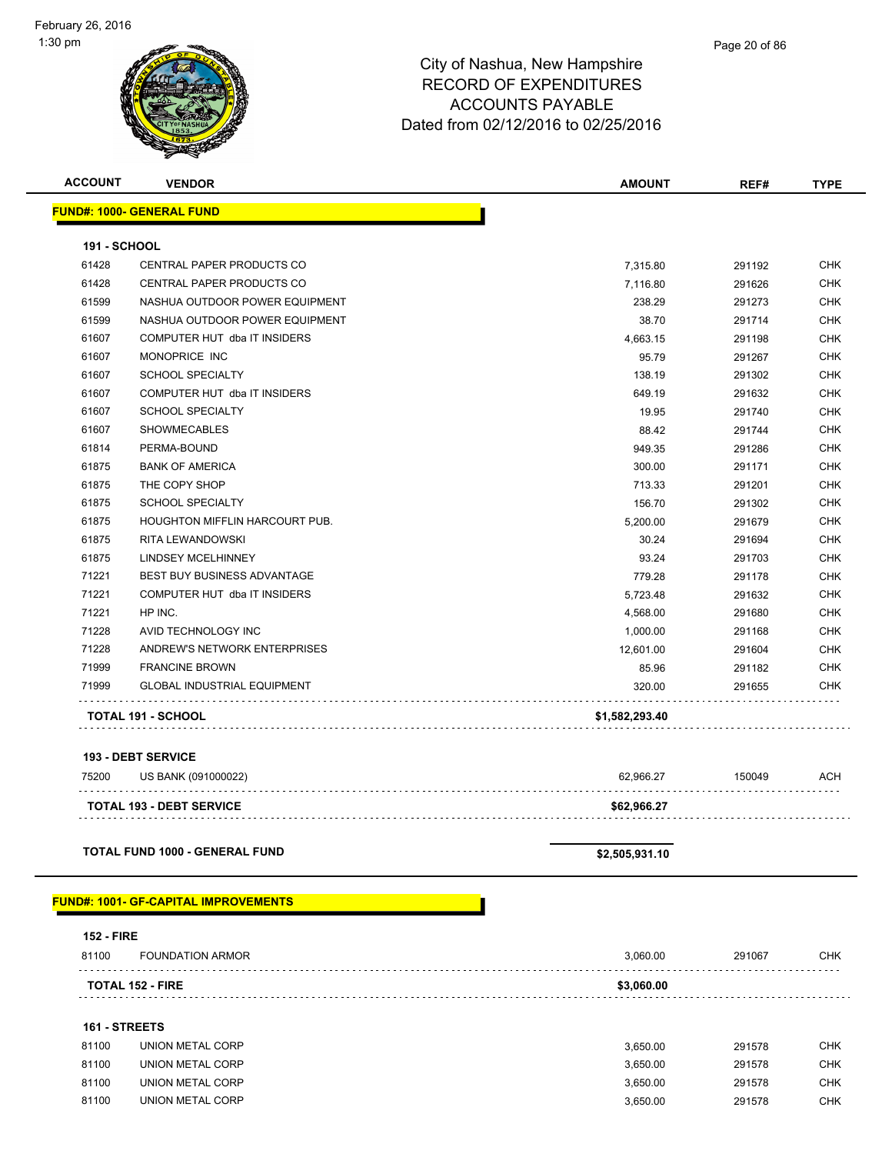

| <b>ACCOUNT</b>      | <b>VENDOR</b>                         | <b>AMOUNT</b>  | REF#   | <b>TYPE</b> |
|---------------------|---------------------------------------|----------------|--------|-------------|
|                     | <b>FUND#: 1000- GENERAL FUND</b>      |                |        |             |
| <b>191 - SCHOOL</b> |                                       |                |        |             |
| 61428               | <b>CENTRAL PAPER PRODUCTS CO</b>      | 7,315.80       | 291192 | <b>CHK</b>  |
| 61428               | CENTRAL PAPER PRODUCTS CO             | 7,116.80       | 291626 | <b>CHK</b>  |
| 61599               | NASHUA OUTDOOR POWER EQUIPMENT        | 238.29         | 291273 | <b>CHK</b>  |
| 61599               | NASHUA OUTDOOR POWER EQUIPMENT        | 38.70          | 291714 | <b>CHK</b>  |
| 61607               | COMPUTER HUT dba IT INSIDERS          | 4,663.15       | 291198 | <b>CHK</b>  |
| 61607               | MONOPRICE INC                         | 95.79          | 291267 | <b>CHK</b>  |
| 61607               | <b>SCHOOL SPECIALTY</b>               | 138.19         | 291302 | <b>CHK</b>  |
| 61607               | COMPUTER HUT dba IT INSIDERS          | 649.19         | 291632 | <b>CHK</b>  |
| 61607               | <b>SCHOOL SPECIALTY</b>               | 19.95          | 291740 | <b>CHK</b>  |
| 61607               | <b>SHOWMECABLES</b>                   | 88.42          | 291744 | <b>CHK</b>  |
| 61814               | PERMA-BOUND                           | 949.35         | 291286 | <b>CHK</b>  |
| 61875               | <b>BANK OF AMERICA</b>                | 300.00         | 291171 | <b>CHK</b>  |
| 61875               | THE COPY SHOP                         | 713.33         | 291201 | <b>CHK</b>  |
| 61875               | <b>SCHOOL SPECIALTY</b>               | 156.70         | 291302 | CHK         |
| 61875               | <b>HOUGHTON MIFFLIN HARCOURT PUB.</b> | 5,200.00       | 291679 | <b>CHK</b>  |
| 61875               | RITA LEWANDOWSKI                      | 30.24          | 291694 | <b>CHK</b>  |
| 61875               | <b>LINDSEY MCELHINNEY</b>             | 93.24          | 291703 | <b>CHK</b>  |
| 71221               | <b>BEST BUY BUSINESS ADVANTAGE</b>    | 779.28         | 291178 | <b>CHK</b>  |
| 71221               | COMPUTER HUT dba IT INSIDERS          | 5,723.48       | 291632 | <b>CHK</b>  |
| 71221               | HP INC.                               | 4,568.00       | 291680 | <b>CHK</b>  |
| 71228               | AVID TECHNOLOGY INC                   | 1,000.00       | 291168 | <b>CHK</b>  |
| 71228               | ANDREW'S NETWORK ENTERPRISES          | 12,601.00      | 291604 | <b>CHK</b>  |
| 71999               | <b>FRANCINE BROWN</b>                 | 85.96          | 291182 | <b>CHK</b>  |
| 71999               | <b>GLOBAL INDUSTRIAL EQUIPMENT</b>    | 320.00         | 291655 | CHK         |
|                     | <b>TOTAL 191 - SCHOOL</b>             | \$1,582,293.40 |        |             |

#### **193 - DEBT SERVICE**

| 75200 | US BANK (091000022)             | 62.966.27   | 150049 | ACH |
|-------|---------------------------------|-------------|--------|-----|
|       | <b>TOTAL 193 - DEBT SERVICE</b> | \$62.966.27 |        |     |

#### **TOTAL FUND 1000 - GENERAL FUND \$2,505,931.10**

#### **FUND#: 1001- GF-CAPITAL IMPROVEMENTS**

| <b>152 - FIRE</b><br>81100            |        |     |
|---------------------------------------|--------|-----|
| <b>FOUNDATION ARMOR</b><br>3.060.00   | 291067 | CHK |
| \$3.060.00<br><b>TOTAL 152 - FIRE</b> |        |     |

#### **161 - STREETS**

| 81100 | UNION METAL CORP | 3.650.00 | 291578 | <b>CHK</b> |
|-------|------------------|----------|--------|------------|
| 81100 | UNION METAL CORP | 3.650.00 | 291578 | <b>CHK</b> |
| 81100 | UNION METAL CORP | 3.650.00 | 291578 | CHK        |
| 81100 | UNION METAL CORP | 3.650.00 | 291578 | CHK        |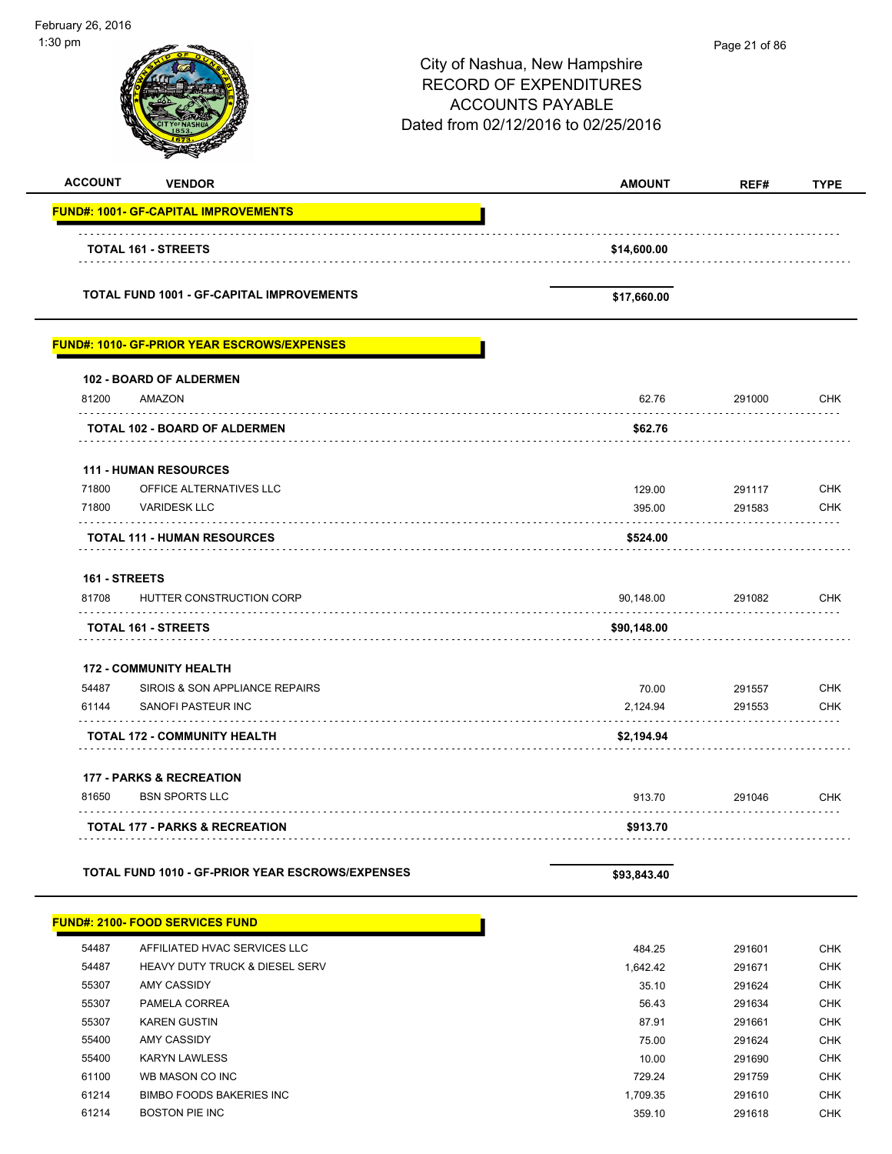| February 26, 2016<br>1:30 pm |                                                    |                                                                                                                                  | Page 21 of 86    |                          |
|------------------------------|----------------------------------------------------|----------------------------------------------------------------------------------------------------------------------------------|------------------|--------------------------|
|                              |                                                    | City of Nashua, New Hampshire<br><b>RECORD OF EXPENDITURES</b><br><b>ACCOUNTS PAYABLE</b><br>Dated from 02/12/2016 to 02/25/2016 |                  |                          |
| <b>ACCOUNT</b>               | <b>VENDOR</b>                                      | <b>AMOUNT</b>                                                                                                                    | REF#             | <b>TYPE</b>              |
|                              | <b>FUND#: 1001- GF-CAPITAL IMPROVEMENTS</b>        |                                                                                                                                  |                  |                          |
|                              | <b>TOTAL 161 - STREETS</b>                         | \$14,600.00                                                                                                                      |                  |                          |
|                              | <b>TOTAL FUND 1001 - GF-CAPITAL IMPROVEMENTS</b>   | \$17,660.00                                                                                                                      |                  |                          |
|                              | <b>FUND#: 1010- GF-PRIOR YEAR ESCROWS/EXPENSES</b> |                                                                                                                                  |                  |                          |
|                              | 102 - BOARD OF ALDERMEN                            |                                                                                                                                  |                  |                          |
| 81200                        | AMAZON                                             | 62.76                                                                                                                            | 291000<br>.      | CHK                      |
|                              | TOTAL 102 - BOARD OF ALDERMEN                      | \$62.76                                                                                                                          |                  |                          |
|                              | <b>111 - HUMAN RESOURCES</b>                       |                                                                                                                                  |                  |                          |
| 71800                        | OFFICE ALTERNATIVES LLC                            | 129.00                                                                                                                           | 291117           | CHK                      |
| 71800                        | <b>VARIDESK LLC</b>                                | 395.00                                                                                                                           | 291583           | <b>CHK</b>               |
|                              | <b>TOTAL 111 - HUMAN RESOURCES</b>                 | \$524.00                                                                                                                         |                  |                          |
| 161 - STREETS                |                                                    |                                                                                                                                  |                  |                          |
| 81708                        | HUTTER CONSTRUCTION CORP                           | 90,148.00                                                                                                                        | 291082           | CHK                      |
|                              | <b>TOTAL 161 - STREETS</b>                         | \$90,148.00                                                                                                                      |                  |                          |
|                              | <b>172 - COMMUNITY HEALTH</b>                      |                                                                                                                                  |                  |                          |
| 54487                        | SIROIS & SON APPLIANCE REPAIRS                     | 70.00                                                                                                                            | 291557           | <b>CHK</b>               |
| 61144                        | SANOFI PASTEUR INC                                 | 2,124.94                                                                                                                         | 291553           | <b>CHK</b>               |
|                              | <b>TOTAL 172 - COMMUNITY HEALTH</b>                | \$2,194.94                                                                                                                       |                  |                          |
|                              | <b>177 - PARKS &amp; RECREATION</b>                |                                                                                                                                  |                  |                          |
| 81650                        | <b>BSN SPORTS LLC</b>                              | 913.70                                                                                                                           | 291046           | CHK                      |
|                              | <b>TOTAL 177 - PARKS &amp; RECREATION</b>          | \$913.70                                                                                                                         |                  |                          |
|                              | TOTAL FUND 1010 - GF-PRIOR YEAR ESCROWS/EXPENSES   | \$93,843.40                                                                                                                      |                  |                          |
|                              | <b>FUND#: 2100- FOOD SERVICES FUND</b>             |                                                                                                                                  |                  |                          |
| 54487                        | AFFILIATED HVAC SERVICES LLC                       | 484.25                                                                                                                           | 291601           | <b>CHK</b>               |
| 54487                        | HEAVY DUTY TRUCK & DIESEL SERV                     | 1,642.42                                                                                                                         | 291671           | <b>CHK</b>               |
| 55307                        | AMY CASSIDY                                        | 35.10                                                                                                                            | 291624           | CHK                      |
| 55307                        | PAMELA CORREA                                      | 56.43                                                                                                                            | 291634           | <b>CHK</b><br><b>CHK</b> |
| 55307<br>55400               | <b>KAREN GUSTIN</b><br>AMY CASSIDY                 | 87.91<br>75.00                                                                                                                   | 291661<br>291624 | <b>CHK</b>               |
| 55400                        | <b>KARYN LAWLESS</b>                               | 10.00                                                                                                                            | 291690           | <b>CHK</b>               |
| 61100                        | WB MASON CO INC                                    | 729.24                                                                                                                           | 291759           | <b>CHK</b>               |
| 61214                        | <b>BIMBO FOODS BAKERIES INC</b>                    | 1,709.35                                                                                                                         | 291610           | <b>CHK</b>               |
| 61214                        | <b>BOSTON PIE INC</b>                              | 359.10                                                                                                                           | 291618           | CHK                      |

-

-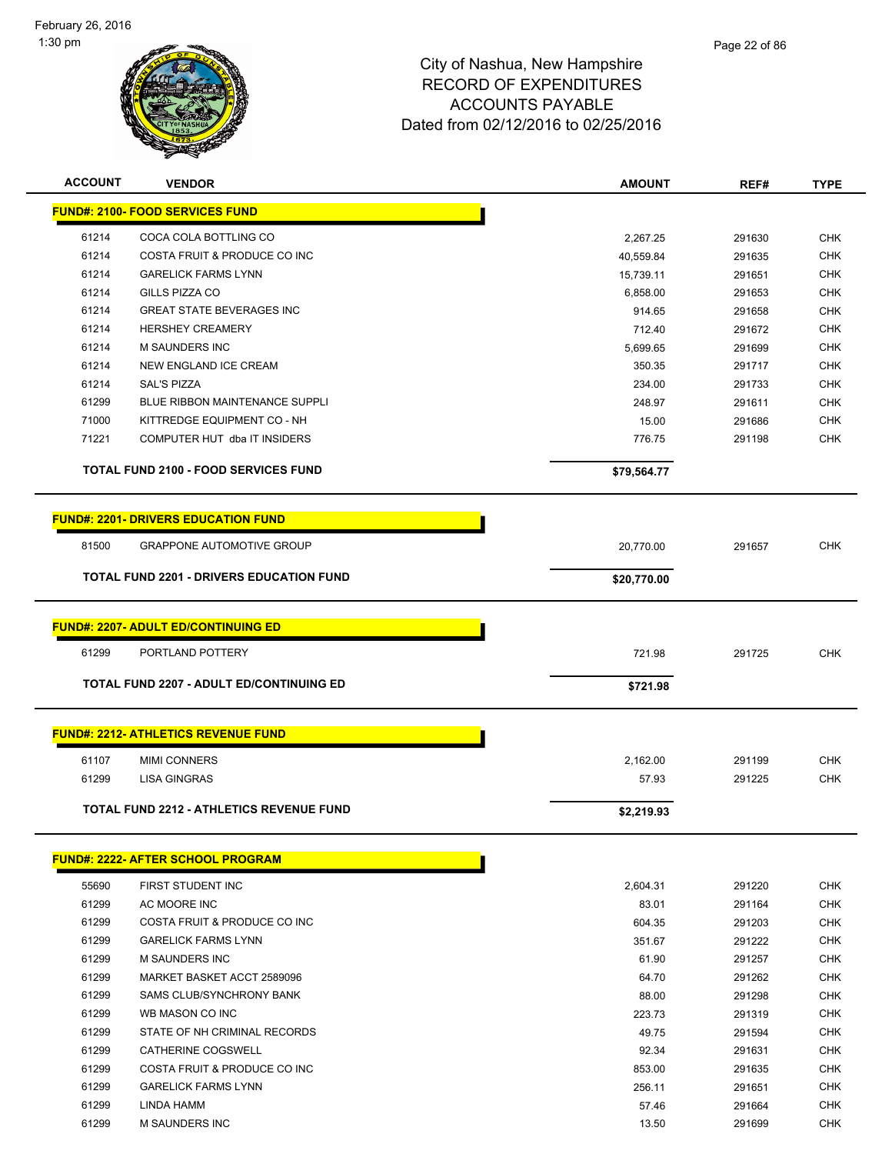

| <b>ACCOUNT</b> | <b>VENDOR</b>                                   | <b>AMOUNT</b> | REF#   | <b>TYPE</b> |
|----------------|-------------------------------------------------|---------------|--------|-------------|
|                | <b>FUND#: 2100- FOOD SERVICES FUND</b>          |               |        |             |
| 61214          | COCA COLA BOTTLING CO                           | 2,267.25      | 291630 | <b>CHK</b>  |
| 61214          | COSTA FRUIT & PRODUCE CO INC                    | 40,559.84     | 291635 | <b>CHK</b>  |
| 61214          | <b>GARELICK FARMS LYNN</b>                      | 15,739.11     | 291651 | <b>CHK</b>  |
| 61214          | GILLS PIZZA CO                                  | 6,858.00      | 291653 | CHK         |
| 61214          | <b>GREAT STATE BEVERAGES INC</b>                | 914.65        | 291658 | <b>CHK</b>  |
| 61214          | <b>HERSHEY CREAMERY</b>                         | 712.40        | 291672 | <b>CHK</b>  |
| 61214          | <b>M SAUNDERS INC</b>                           | 5,699.65      | 291699 | <b>CHK</b>  |
| 61214          | NEW ENGLAND ICE CREAM                           | 350.35        | 291717 | <b>CHK</b>  |
| 61214          | <b>SAL'S PIZZA</b>                              | 234.00        | 291733 | <b>CHK</b>  |
| 61299          | <b>BLUE RIBBON MAINTENANCE SUPPLI</b>           | 248.97        | 291611 | <b>CHK</b>  |
| 71000          | KITTREDGE EQUIPMENT CO - NH                     | 15.00         | 291686 | <b>CHK</b>  |
| 71221          | COMPUTER HUT dba IT INSIDERS                    | 776.75        | 291198 | <b>CHK</b>  |
|                | TOTAL FUND 2100 - FOOD SERVICES FUND            | \$79,564.77   |        |             |
|                | <b>FUND#: 2201- DRIVERS EDUCATION FUND</b>      |               |        |             |
| 81500          | <b>GRAPPONE AUTOMOTIVE GROUP</b>                | 20,770.00     | 291657 | <b>CHK</b>  |
|                | <b>TOTAL FUND 2201 - DRIVERS EDUCATION FUND</b> | \$20,770.00   |        |             |
|                |                                                 |               |        |             |
|                | <b>FUND#: 2207- ADULT ED/CONTINUING ED</b>      |               |        |             |
| 61299          | PORTLAND POTTERY                                | 721.98        | 291725 | <b>CHK</b>  |
|                | <b>TOTAL FUND 2207 - ADULT ED/CONTINUING ED</b> | \$721.98      |        |             |
|                |                                                 |               |        |             |
|                | <b>FUND#: 2212- ATHLETICS REVENUE FUND</b>      |               |        |             |
| 61107          | <b>MIMI CONNERS</b>                             | 2,162.00      | 291199 | <b>CHK</b>  |
| 61299          | <b>LISA GINGRAS</b>                             | 57.93         | 291225 | <b>CHK</b>  |
|                | <b>TOTAL FUND 2212 - ATHLETICS REVENUE FUND</b> | \$2,219.93    |        |             |
|                |                                                 |               |        |             |
|                | FUND#: 2222- AFTER SCHOOL PROGRAM               |               |        |             |
| 55690          | FIRST STUDENT INC                               | 2,604.31      | 291220 | <b>CHK</b>  |
| 61299          | AC MOORE INC                                    | 83.01         | 291164 | <b>CHK</b>  |
| 61299          | COSTA FRUIT & PRODUCE CO INC                    | 604.35        | 291203 | <b>CHK</b>  |
| 61299          | <b>GARELICK FARMS LYNN</b>                      | 351.67        | 291222 | <b>CHK</b>  |
| 61299          | M SAUNDERS INC                                  | 61.90         | 291257 | <b>CHK</b>  |
| 61299          | MARKET BASKET ACCT 2589096                      | 64.70         | 291262 | <b>CHK</b>  |
| 61299          | SAMS CLUB/SYNCHRONY BANK                        | 88.00         | 291298 | <b>CHK</b>  |
| 61299          | WB MASON CO INC                                 | 223.73        | 291319 | CHK         |
| 61299          | STATE OF NH CRIMINAL RECORDS                    | 49.75         | 291594 | <b>CHK</b>  |
| 61299          | CATHERINE COGSWELL                              | 92.34         | 291631 | <b>CHK</b>  |
| 61299          | COSTA FRUIT & PRODUCE CO INC                    | 853.00        | 291635 | CHK         |
| 61299          | <b>GARELICK FARMS LYNN</b>                      | 256.11        | 291651 | <b>CHK</b>  |
| 61299          | LINDA HAMM                                      | 57.46         | 291664 | <b>CHK</b>  |
| 61299          | <b>M SAUNDERS INC</b>                           | 13.50         | 291699 | <b>CHK</b>  |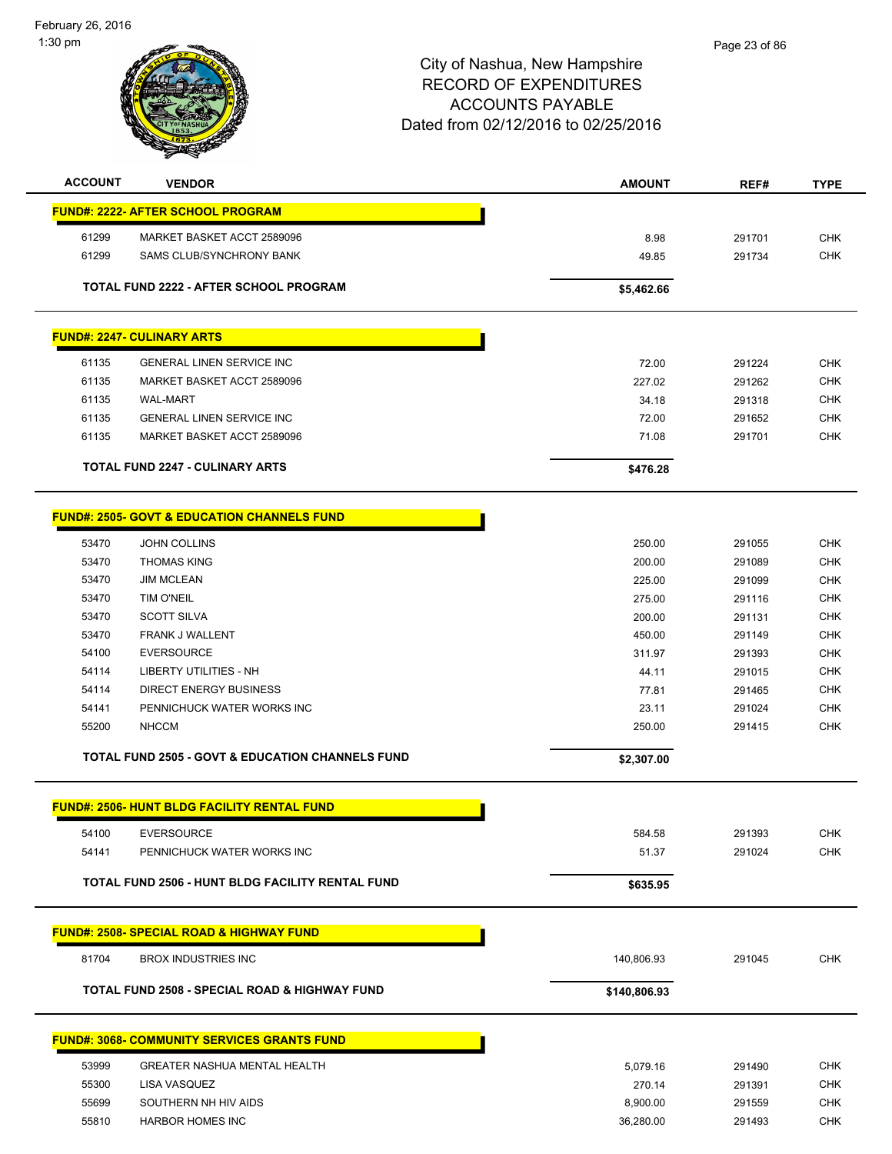February 26, 2016 1:30 pm



| <b>ACCOUNT</b> | <b>VENDOR</b>                                               | <b>AMOUNT</b> | REF#   | <b>TYPE</b> |
|----------------|-------------------------------------------------------------|---------------|--------|-------------|
|                | <b>FUND#: 2222- AFTER SCHOOL PROGRAM</b>                    |               |        |             |
| 61299          | MARKET BASKET ACCT 2589096                                  | 8.98          | 291701 | <b>CHK</b>  |
| 61299          | SAMS CLUB/SYNCHRONY BANK                                    | 49.85         | 291734 | <b>CHK</b>  |
|                | TOTAL FUND 2222 - AFTER SCHOOL PROGRAM                      | \$5,462.66    |        |             |
|                | <b>FUND#: 2247- CULINARY ARTS</b>                           |               |        |             |
| 61135          | <b>GENERAL LINEN SERVICE INC</b>                            | 72.00         | 291224 | <b>CHK</b>  |
| 61135          | MARKET BASKET ACCT 2589096                                  | 227.02        | 291262 | <b>CHK</b>  |
| 61135          | <b>WAL-MART</b>                                             | 34.18         | 291318 | <b>CHK</b>  |
| 61135          | <b>GENERAL LINEN SERVICE INC</b>                            | 72.00         | 291652 | <b>CHK</b>  |
| 61135          | MARKET BASKET ACCT 2589096                                  | 71.08         | 291701 | <b>CHK</b>  |
|                | <b>TOTAL FUND 2247 - CULINARY ARTS</b>                      | \$476.28      |        |             |
|                | <b>FUND#: 2505- GOVT &amp; EDUCATION CHANNELS FUND</b>      |               |        |             |
| 53470          | JOHN COLLINS                                                | 250.00        | 291055 | <b>CHK</b>  |
| 53470          | <b>THOMAS KING</b>                                          | 200.00        | 291089 | <b>CHK</b>  |
| 53470          | <b>JIM MCLEAN</b>                                           | 225.00        | 291099 | <b>CHK</b>  |
| 53470          | TIM O'NEIL                                                  | 275.00        | 291116 | <b>CHK</b>  |
| 53470          | <b>SCOTT SILVA</b>                                          | 200.00        | 291131 | <b>CHK</b>  |
| 53470          | FRANK J WALLENT                                             | 450.00        | 291149 | <b>CHK</b>  |
| 54100          | <b>EVERSOURCE</b>                                           | 311.97        | 291393 | <b>CHK</b>  |
| 54114          | LIBERTY UTILITIES - NH                                      | 44.11         | 291015 | <b>CHK</b>  |
| 54114          | <b>DIRECT ENERGY BUSINESS</b>                               | 77.81         | 291465 | <b>CHK</b>  |
| 54141          | PENNICHUCK WATER WORKS INC                                  | 23.11         | 291024 | <b>CHK</b>  |
| 55200          | <b>NHCCM</b>                                                | 250.00        | 291415 | <b>CHK</b>  |
|                | <b>TOTAL FUND 2505 - GOVT &amp; EDUCATION CHANNELS FUND</b> | \$2,307.00    |        |             |
|                | <b>FUND#: 2506- HUNT BLDG FACILITY RENTAL FUND</b>          |               |        |             |
| 54100          | <b>EVERSOURCE</b>                                           | 584.58        | 291393 | <b>CHK</b>  |
| 54141          | PENNICHUCK WATER WORKS INC                                  | 51.37         | 291024 | <b>CHK</b>  |
|                | TOTAL FUND 2506 - HUNT BLDG FACILITY RENTAL FUND            | \$635.95      |        |             |
|                | <b>FUND#: 2508- SPECIAL ROAD &amp; HIGHWAY FUND</b>         |               |        |             |
| 81704          | <b>BROX INDUSTRIES INC</b>                                  | 140,806.93    | 291045 | <b>CHK</b>  |
|                | <b>TOTAL FUND 2508 - SPECIAL ROAD &amp; HIGHWAY FUND</b>    |               |        |             |
|                |                                                             | \$140,806.93  |        |             |
|                | <b>FUND#: 3068- COMMUNITY SERVICES GRANTS FUND</b>          |               |        |             |
| 53999          | <b>GREATER NASHUA MENTAL HEALTH</b>                         | 5,079.16      | 291490 | <b>CHK</b>  |
| 55300          | LISA VASQUEZ                                                | 270.14        | 291391 | <b>CHK</b>  |
| 55699          | SOUTHERN NH HIV AIDS                                        | 8,900.00      | 291559 | <b>CHK</b>  |
| 55810          | <b>HARBOR HOMES INC</b>                                     | 36,280.00     | 291493 | <b>CHK</b>  |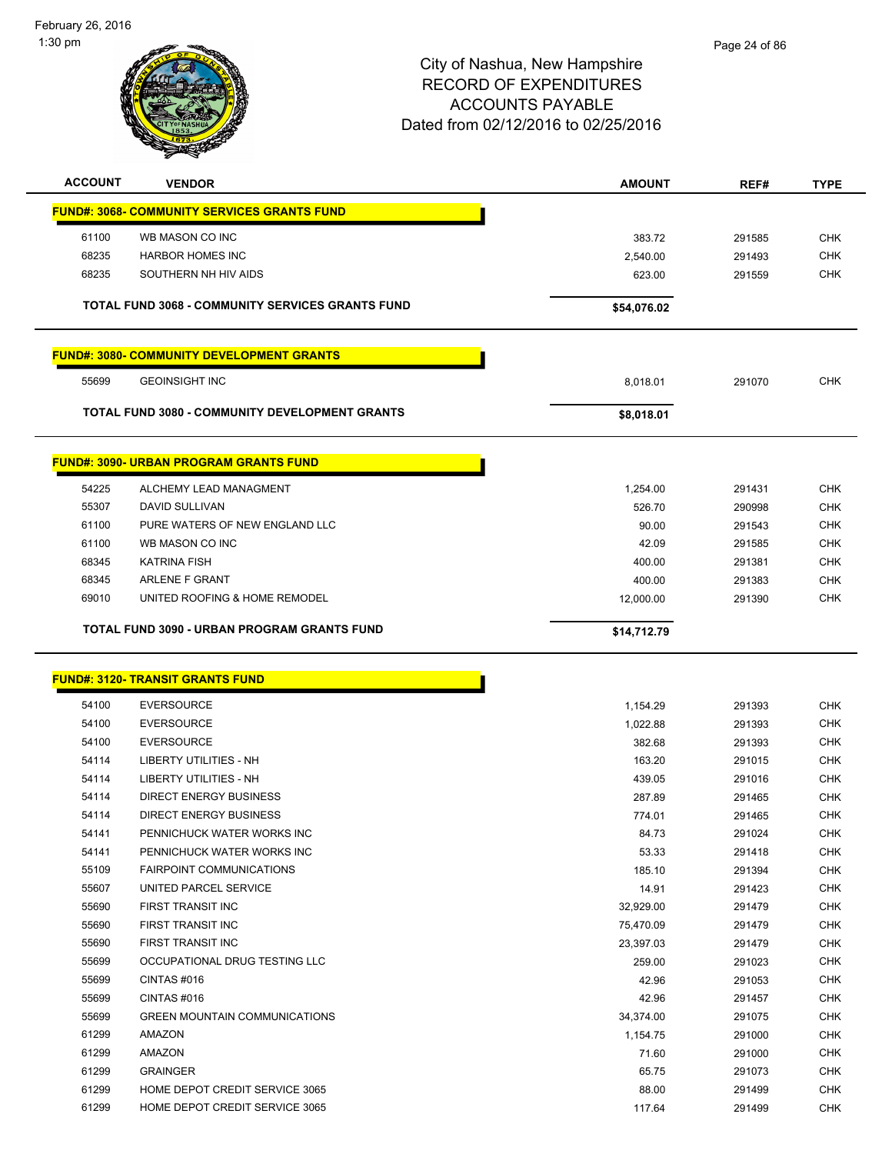February 26, 2016 1:30 pm



| <b>ACCOUNT</b> | <b>VENDOR</b>                                           | <b>AMOUNT</b>  | REF#             | <b>TYPE</b>              |
|----------------|---------------------------------------------------------|----------------|------------------|--------------------------|
|                | <b>FUND#: 3068- COMMUNITY SERVICES GRANTS FUND</b>      |                |                  |                          |
| 61100          | WB MASON CO INC                                         | 383.72         | 291585           | <b>CHK</b>               |
| 68235          | <b>HARBOR HOMES INC</b>                                 | 2,540.00       | 291493           | <b>CHK</b>               |
| 68235          | SOUTHERN NH HIV AIDS                                    | 623.00         | 291559           | <b>CHK</b>               |
|                |                                                         |                |                  |                          |
|                | <b>TOTAL FUND 3068 - COMMUNITY SERVICES GRANTS FUND</b> | \$54,076.02    |                  |                          |
|                | <b>FUND#: 3080- COMMUNITY DEVELOPMENT GRANTS</b>        |                |                  |                          |
| 55699          | <b>GEOINSIGHT INC</b>                                   | 8,018.01       | 291070           | <b>CHK</b>               |
|                | <b>TOTAL FUND 3080 - COMMUNITY DEVELOPMENT GRANTS</b>   | \$8,018.01     |                  |                          |
|                | <b>FUND#: 3090- URBAN PROGRAM GRANTS FUND</b>           |                |                  |                          |
| 54225          | ALCHEMY LEAD MANAGMENT                                  | 1,254.00       | 291431           | <b>CHK</b>               |
| 55307          | DAVID SULLIVAN                                          | 526.70         | 290998           | <b>CHK</b>               |
| 61100          | PURE WATERS OF NEW ENGLAND LLC                          | 90.00          | 291543           | <b>CHK</b>               |
| 61100          | WB MASON CO INC                                         | 42.09          | 291585           | <b>CHK</b>               |
| 68345          | <b>KATRINA FISH</b>                                     | 400.00         | 291381           | <b>CHK</b>               |
| 68345          | ARLENE F GRANT                                          | 400.00         | 291383           | <b>CHK</b>               |
| 69010          | UNITED ROOFING & HOME REMODEL                           | 12,000.00      | 291390           | <b>CHK</b>               |
|                | <b>TOTAL FUND 3090 - URBAN PROGRAM GRANTS FUND</b>      | \$14,712.79    |                  |                          |
|                |                                                         |                |                  |                          |
|                | <b>FUND#: 3120- TRANSIT GRANTS FUND</b>                 |                |                  |                          |
| 54100          | <b>EVERSOURCE</b>                                       | 1,154.29       | 291393           | <b>CHK</b>               |
| 54100          | <b>EVERSOURCE</b>                                       | 1,022.88       | 291393           | <b>CHK</b>               |
| 54100          | <b>EVERSOURCE</b>                                       | 382.68         | 291393           | <b>CHK</b>               |
| 54114          | <b>LIBERTY UTILITIES - NH</b>                           | 163.20         | 291015           | <b>CHK</b>               |
| 54114          | <b>LIBERTY UTILITIES - NH</b>                           | 439.05         | 291016           | <b>CHK</b>               |
| 54114          | <b>DIRECT ENERGY BUSINESS</b>                           | 287.89         | 291465           | <b>CHK</b>               |
| 54114          | <b>DIRECT ENERGY BUSINESS</b>                           | 774.01         | 291465           | <b>CHK</b>               |
| 54141          | PENNICHUCK WATER WORKS INC                              | 84.73          | 291024           | <b>CHK</b>               |
| 54141          | PENNICHUCK WATER WORKS INC                              | 53.33          | 291418           | <b>CHK</b>               |
| 55109          | <b>FAIRPOINT COMMUNICATIONS</b>                         | 185.10         | 291394           | <b>CHK</b>               |
| 55607          | UNITED PARCEL SERVICE                                   | 14.91          | 291423           | <b>CHK</b>               |
| 55690          | <b>FIRST TRANSIT INC</b>                                | 32,929.00      | 291479           | <b>CHK</b>               |
| 55690          | <b>FIRST TRANSIT INC</b>                                | 75,470.09      | 291479           | CHK                      |
| 55690          | FIRST TRANSIT INC                                       | 23,397.03      | 291479           | <b>CHK</b>               |
| 55699          | OCCUPATIONAL DRUG TESTING LLC                           | 259.00         | 291023           | <b>CHK</b>               |
| 55699          | CINTAS#016                                              | 42.96          | 291053           | CHK                      |
| 55699<br>55699 | CINTAS#016<br><b>GREEN MOUNTAIN COMMUNICATIONS</b>      | 42.96          | 291457           | <b>CHK</b><br><b>CHK</b> |
| 61299          | AMAZON                                                  | 34,374.00      | 291075           | <b>CHK</b>               |
| 61299          | AMAZON                                                  | 1,154.75       | 291000           | <b>CHK</b>               |
| 61299          | <b>GRAINGER</b>                                         | 71.60<br>65.75 | 291000<br>291073 | CHK                      |
| 61299          | HOME DEPOT CREDIT SERVICE 3065                          |                |                  | <b>CHK</b>               |
| 61299          | HOME DEPOT CREDIT SERVICE 3065                          | 88.00          | 291499           | <b>CHK</b>               |
|                |                                                         | 117.64         | 291499           |                          |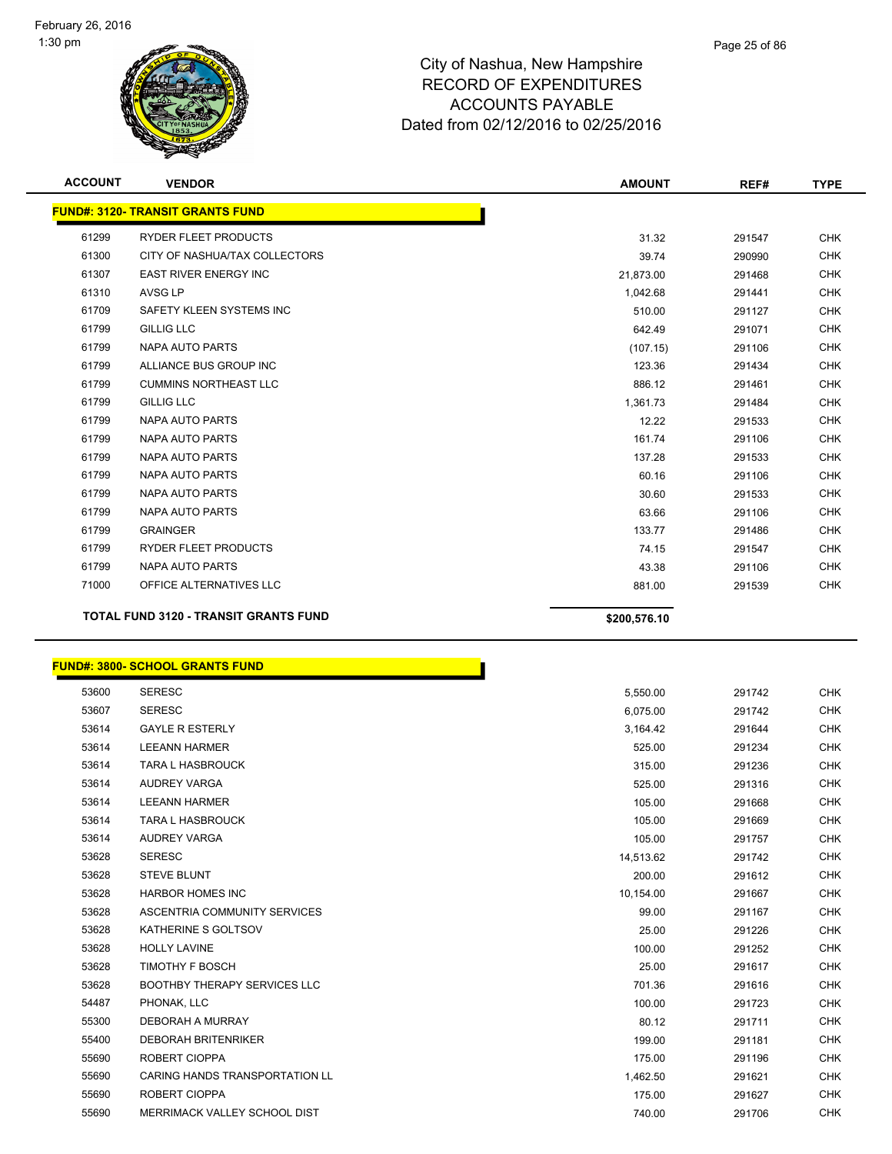

| <b>ACCOUNT</b> | <b>VENDOR</b>                                | <b>AMOUNT</b> | REF#   | <b>TYPE</b> |
|----------------|----------------------------------------------|---------------|--------|-------------|
|                | <b>FUND#: 3120- TRANSIT GRANTS FUND</b>      |               |        |             |
| 61299          | <b>RYDER FLEET PRODUCTS</b>                  | 31.32         | 291547 | <b>CHK</b>  |
| 61300          | CITY OF NASHUA/TAX COLLECTORS                | 39.74         | 290990 | <b>CHK</b>  |
| 61307          | <b>EAST RIVER ENERGY INC</b>                 | 21,873.00     | 291468 | <b>CHK</b>  |
| 61310          | <b>AVSG LP</b>                               | 1,042.68      | 291441 | <b>CHK</b>  |
| 61709          | SAFETY KLEEN SYSTEMS INC                     | 510.00        | 291127 | <b>CHK</b>  |
| 61799          | <b>GILLIG LLC</b>                            | 642.49        | 291071 | <b>CHK</b>  |
| 61799          | <b>NAPA AUTO PARTS</b>                       | (107.15)      | 291106 | <b>CHK</b>  |
| 61799          | ALLIANCE BUS GROUP INC                       | 123.36        | 291434 | <b>CHK</b>  |
| 61799          | <b>CUMMINS NORTHEAST LLC</b>                 | 886.12        | 291461 | <b>CHK</b>  |
| 61799          | <b>GILLIG LLC</b>                            | 1,361.73      | 291484 | <b>CHK</b>  |
| 61799          | <b>NAPA AUTO PARTS</b>                       | 12.22         | 291533 | <b>CHK</b>  |
| 61799          | NAPA AUTO PARTS                              | 161.74        | 291106 | <b>CHK</b>  |
| 61799          | <b>NAPA AUTO PARTS</b>                       | 137.28        | 291533 | <b>CHK</b>  |
| 61799          | <b>NAPA AUTO PARTS</b>                       | 60.16         | 291106 | <b>CHK</b>  |
| 61799          | <b>NAPA AUTO PARTS</b>                       | 30.60         | 291533 | <b>CHK</b>  |
| 61799          | <b>NAPA AUTO PARTS</b>                       | 63.66         | 291106 | <b>CHK</b>  |
| 61799          | <b>GRAINGER</b>                              | 133.77        | 291486 | <b>CHK</b>  |
| 61799          | <b>RYDER FLEET PRODUCTS</b>                  | 74.15         | 291547 | <b>CHK</b>  |
| 61799          | <b>NAPA AUTO PARTS</b>                       | 43.38         | 291106 | <b>CHK</b>  |
| 71000          | OFFICE ALTERNATIVES LLC                      | 881.00        | 291539 | <b>CHK</b>  |
|                | <b>TOTAL FUND 3120 - TRANSIT GRANTS FUND</b> | \$200,576.10  |        |             |

#### **FUND#: 3800- SCHOOL GRANTS FUND**

| 53600 | <b>SERESC</b>                         | 5,550.00  | 291742 | <b>CHK</b> |
|-------|---------------------------------------|-----------|--------|------------|
| 53607 | <b>SERESC</b>                         | 6,075.00  | 291742 | <b>CHK</b> |
| 53614 | <b>GAYLE R ESTERLY</b>                | 3,164.42  | 291644 | <b>CHK</b> |
| 53614 | <b>LEEANN HARMER</b>                  | 525.00    | 291234 | <b>CHK</b> |
| 53614 | TARA L HASBROUCK                      | 315.00    | 291236 | <b>CHK</b> |
| 53614 | <b>AUDREY VARGA</b>                   | 525.00    | 291316 | <b>CHK</b> |
| 53614 | <b>LEEANN HARMER</b>                  | 105.00    | 291668 | <b>CHK</b> |
| 53614 | <b>TARA L HASBROUCK</b>               | 105.00    | 291669 | <b>CHK</b> |
| 53614 | <b>AUDREY VARGA</b>                   | 105.00    | 291757 | <b>CHK</b> |
| 53628 | <b>SERESC</b>                         | 14,513.62 | 291742 | <b>CHK</b> |
| 53628 | <b>STEVE BLUNT</b>                    | 200.00    | 291612 | <b>CHK</b> |
| 53628 | <b>HARBOR HOMES INC</b>               | 10,154.00 | 291667 | <b>CHK</b> |
| 53628 | ASCENTRIA COMMUNITY SERVICES          | 99.00     | 291167 | <b>CHK</b> |
| 53628 | KATHERINE S GOLTSOV                   | 25.00     | 291226 | <b>CHK</b> |
| 53628 | <b>HOLLY LAVINE</b>                   | 100.00    | 291252 | <b>CHK</b> |
| 53628 | <b>TIMOTHY F BOSCH</b>                | 25.00     | 291617 | <b>CHK</b> |
| 53628 | <b>BOOTHBY THERAPY SERVICES LLC</b>   | 701.36    | 291616 | <b>CHK</b> |
| 54487 | PHONAK, LLC                           | 100.00    | 291723 | <b>CHK</b> |
| 55300 | <b>DEBORAH A MURRAY</b>               | 80.12     | 291711 | <b>CHK</b> |
| 55400 | <b>DEBORAH BRITENRIKER</b>            | 199.00    | 291181 | <b>CHK</b> |
| 55690 | ROBERT CIOPPA                         | 175.00    | 291196 | <b>CHK</b> |
| 55690 | <b>CARING HANDS TRANSPORTATION LL</b> | 1,462.50  | 291621 | <b>CHK</b> |
| 55690 | ROBERT CIOPPA                         | 175.00    | 291627 | <b>CHK</b> |
| 55690 | MERRIMACK VALLEY SCHOOL DIST          | 740.00    | 291706 | <b>CHK</b> |

Ì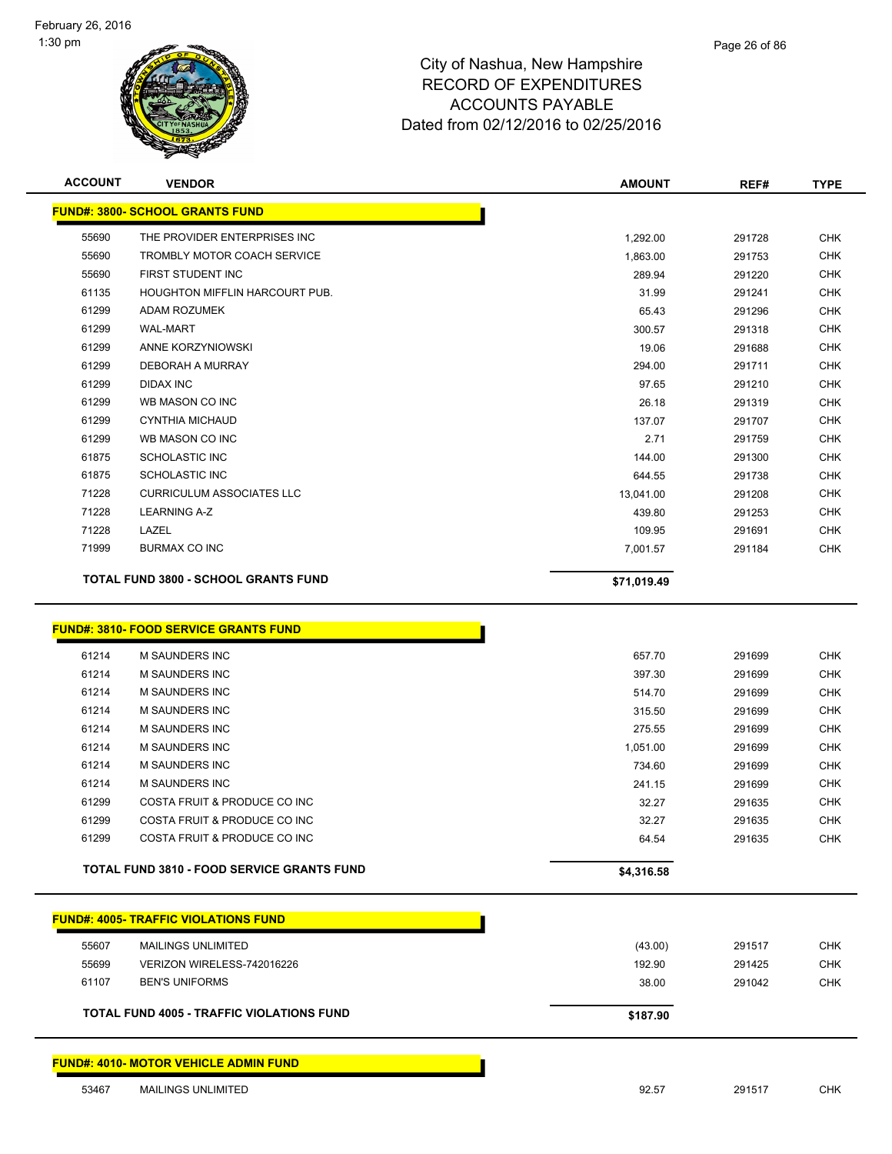

| <b>ACCOUNT</b> | <b>VENDOR</b>                               | <b>AMOUNT</b> | REF#   | <b>TYPE</b> |
|----------------|---------------------------------------------|---------------|--------|-------------|
|                | <b>FUND#: 3800- SCHOOL GRANTS FUND</b>      |               |        |             |
| 55690          | THE PROVIDER ENTERPRISES INC                | 1,292.00      | 291728 | <b>CHK</b>  |
| 55690          | TROMBLY MOTOR COACH SERVICE                 | 1,863.00      | 291753 | <b>CHK</b>  |
| 55690          | FIRST STUDENT INC                           | 289.94        | 291220 | <b>CHK</b>  |
| 61135          | <b>HOUGHTON MIFFLIN HARCOURT PUB.</b>       | 31.99         | 291241 | <b>CHK</b>  |
| 61299          | <b>ADAM ROZUMEK</b>                         | 65.43         | 291296 | <b>CHK</b>  |
| 61299          | <b>WAL-MART</b>                             | 300.57        | 291318 | <b>CHK</b>  |
| 61299          | ANNE KORZYNIOWSKI                           | 19.06         | 291688 | <b>CHK</b>  |
| 61299          | DEBORAH A MURRAY                            | 294.00        | 291711 | <b>CHK</b>  |
| 61299          | <b>DIDAX INC</b>                            | 97.65         | 291210 | <b>CHK</b>  |
| 61299          | WB MASON CO INC                             | 26.18         | 291319 | <b>CHK</b>  |
| 61299          | <b>CYNTHIA MICHAUD</b>                      | 137.07        | 291707 | <b>CHK</b>  |
| 61299          | WB MASON CO INC                             | 2.71          | 291759 | <b>CHK</b>  |
| 61875          | <b>SCHOLASTIC INC</b>                       | 144.00        | 291300 | <b>CHK</b>  |
| 61875          | <b>SCHOLASTIC INC</b>                       | 644.55        | 291738 | <b>CHK</b>  |
| 71228          | <b>CURRICULUM ASSOCIATES LLC</b>            | 13,041.00     | 291208 | <b>CHK</b>  |
| 71228          | <b>LEARNING A-Z</b>                         | 439.80        | 291253 | <b>CHK</b>  |
| 71228          | LAZEL                                       | 109.95        | 291691 | <b>CHK</b>  |
| 71999          | <b>BURMAX CO INC</b>                        | 7,001.57      | 291184 | <b>CHK</b>  |
|                | <b>TOTAL FUND 3800 - SCHOOL GRANTS FUND</b> | \$71,019.49   |        |             |

#### **FUND#: 3810- FOOD SERVICE GRANTS FUND**

| 61214 | M SAUNDERS INC                                    | 657.70     | 291699 | <b>CHK</b> |
|-------|---------------------------------------------------|------------|--------|------------|
| 61214 | M SAUNDERS INC                                    | 397.30     | 291699 | <b>CHK</b> |
|       |                                                   |            |        |            |
| 61214 | M SAUNDERS INC                                    | 514.70     | 291699 | <b>CHK</b> |
| 61214 | M SAUNDERS INC                                    | 315.50     | 291699 | <b>CHK</b> |
| 61214 | M SAUNDERS INC                                    | 275.55     | 291699 | <b>CHK</b> |
| 61214 | <b>M SAUNDERS INC</b>                             | 1,051.00   | 291699 | <b>CHK</b> |
| 61214 | <b>M SAUNDERS INC</b>                             | 734.60     | 291699 | <b>CHK</b> |
| 61214 | M SAUNDERS INC                                    | 241.15     | 291699 | <b>CHK</b> |
| 61299 | COSTA FRUIT & PRODUCE CO INC                      | 32.27      | 291635 | <b>CHK</b> |
| 61299 | COSTA FRUIT & PRODUCE CO INC                      | 32.27      | 291635 | <b>CHK</b> |
| 61299 | COSTA FRUIT & PRODUCE CO INC                      | 64.54      | 291635 | <b>CHK</b> |
|       | <b>TOTAL FUND 3810 - FOOD SERVICE GRANTS FUND</b> | \$4,316.58 |        |            |

n

|       | <b>FUND#: 4005- TRAFFIC VIOLATIONS FUND</b>      |          |        |            |
|-------|--------------------------------------------------|----------|--------|------------|
| 55607 | <b>MAILINGS UNLIMITED</b>                        | (43.00)  | 291517 | CHK        |
| 55699 | VERIZON WIRELESS-742016226                       | 192.90   | 291425 | <b>CHK</b> |
| 61107 | <b>BEN'S UNIFORMS</b>                            | 38.00    | 291042 | <b>CHK</b> |
|       | <b>TOTAL FUND 4005 - TRAFFIC VIOLATIONS FUND</b> | \$187.90 |        |            |

#### **FUND#: 4010- MOTOR VEHICLE ADMIN FUND**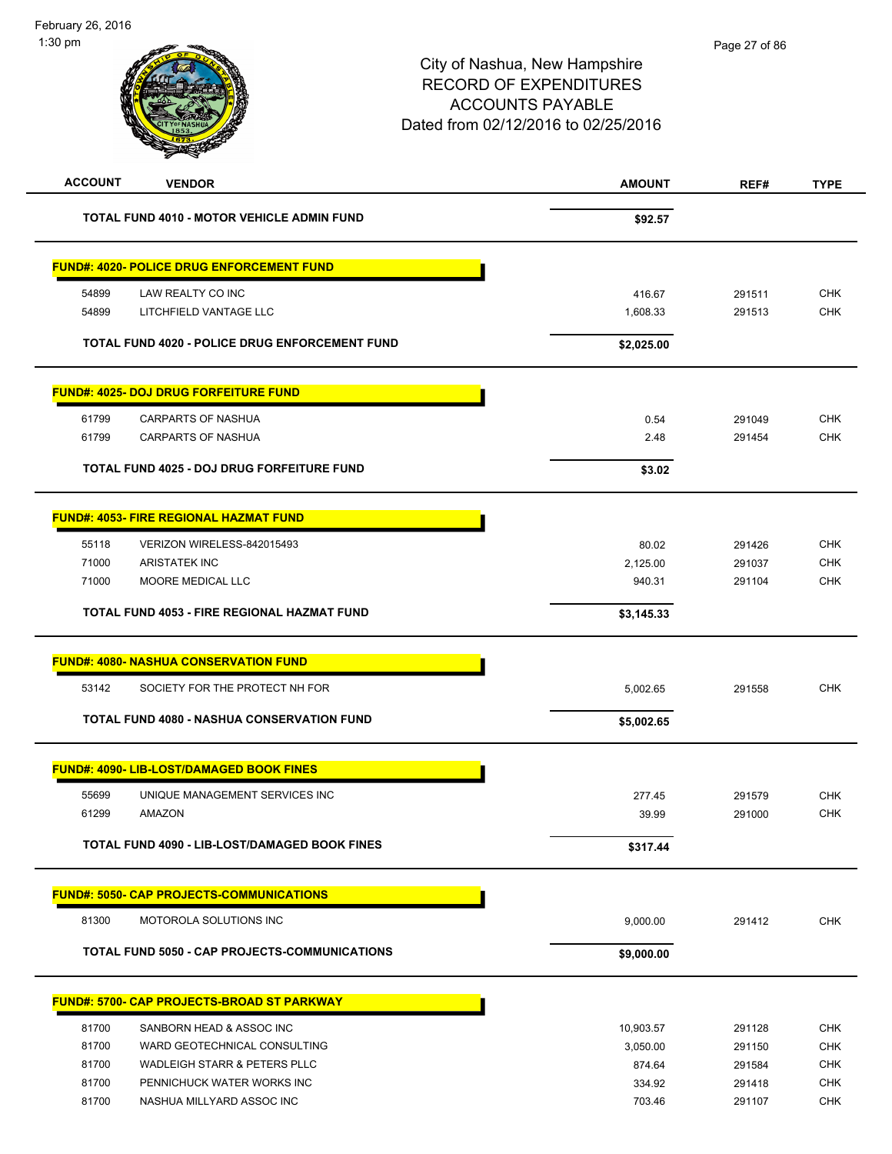| <b>ACCOUNT</b><br><b>VENDOR</b>                      | <b>AMOUNT</b> | REF#   | <b>TYPE</b> |
|------------------------------------------------------|---------------|--------|-------------|
| <b>TOTAL FUND 4010 - MOTOR VEHICLE ADMIN FUND</b>    | \$92.57       |        |             |
| <u> FUND#: 4020- POLICE DRUG ENFORCEMENT FUND</u>    |               |        |             |
| 54899<br>LAW REALTY CO INC                           | 416.67        | 291511 | <b>CHK</b>  |
| 54899<br>LITCHFIELD VANTAGE LLC                      | 1,608.33      | 291513 | <b>CHK</b>  |
| TOTAL FUND 4020 - POLICE DRUG ENFORCEMENT FUND       | \$2,025.00    |        |             |
| <u> FUND#: 4025- DOJ DRUG FORFEITURE FUND</u>        |               |        |             |
| 61799<br><b>CARPARTS OF NASHUA</b>                   | 0.54          | 291049 | <b>CHK</b>  |
| 61799<br>CARPARTS OF NASHUA                          | 2.48          | 291454 | <b>CHK</b>  |
| <b>TOTAL FUND 4025 - DOJ DRUG FORFEITURE FUND</b>    | \$3.02        |        |             |
| <b>FUND#: 4053- FIRE REGIONAL HAZMAT FUND</b>        |               |        |             |
| 55118<br>VERIZON WIRELESS-842015493                  | 80.02         | 291426 | <b>CHK</b>  |
| 71000<br><b>ARISTATEK INC</b>                        | 2,125.00      | 291037 | <b>CHK</b>  |
| 71000<br><b>MOORE MEDICAL LLC</b>                    | 940.31        | 291104 | <b>CHK</b>  |
| TOTAL FUND 4053 - FIRE REGIONAL HAZMAT FUND          | \$3,145.33    |        |             |
| <u> FUND#: 4080- NASHUA CONSERVATION FUND</u>        |               |        |             |
| 53142<br>SOCIETY FOR THE PROTECT NH FOR              | 5,002.65      | 291558 | <b>CHK</b>  |
| <b>TOTAL FUND 4080 - NASHUA CONSERVATION FUND</b>    | \$5,002.65    |        |             |
| <b>FUND#: 4090- LIB-LOST/DAMAGED BOOK FINES</b>      |               |        |             |
| 55699<br>UNIQUE MANAGEMENT SERVICES INC              | 277.45        | 291579 | <b>CHK</b>  |
| <b>AMAZON</b><br>61299                               | 39.99         | 291000 | <b>CHK</b>  |
| TOTAL FUND 4090 - LIB-LOST/DAMAGED BOOK FINES        | \$317.44      |        |             |
| <b>FUND#: 5050- CAP PROJECTS-COMMUNICATIONS</b>      |               |        |             |
| 81300<br>MOTOROLA SOLUTIONS INC                      | 9,000.00      | 291412 | <b>CHK</b>  |
| <b>TOTAL FUND 5050 - CAP PROJECTS-COMMUNICATIONS</b> | \$9,000.00    |        |             |
| <u> FUND#: 5700- CAP PROJECTS-BROAD ST PARKWAY</u>   |               |        |             |
| 81700<br>SANBORN HEAD & ASSOC INC                    | 10,903.57     | 291128 | <b>CHK</b>  |
| 81700<br>WARD GEOTECHNICAL CONSULTING                | 3,050.00      | 291150 | <b>CHK</b>  |
| 81700<br><b>WADLEIGH STARR &amp; PETERS PLLC</b>     | 874.64        | 291584 | <b>CHK</b>  |
| 81700<br>PENNICHUCK WATER WORKS INC                  | 334.92        | 291418 | <b>CHK</b>  |
| 81700<br>NASHUA MILLYARD ASSOC INC                   | 703.46        | 291107 | <b>CHK</b>  |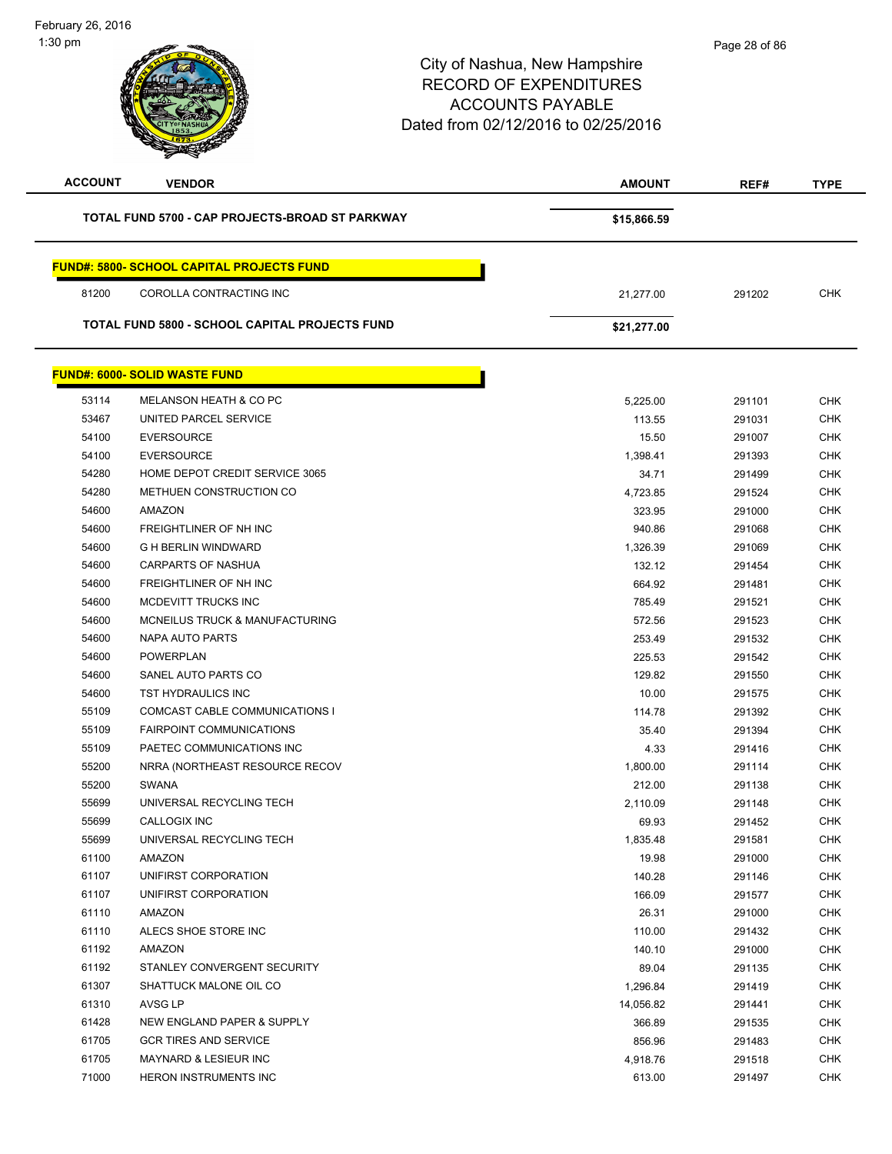| <b>ACCOUNT</b> | <b>VENDOR</b>                                         | <b>AMOUNT</b> | REF#   | <b>TYPE</b> |
|----------------|-------------------------------------------------------|---------------|--------|-------------|
|                | TOTAL FUND 5700 - CAP PROJECTS-BROAD ST PARKWAY       | \$15,866.59   |        |             |
|                | <b>FUND#: 5800- SCHOOL CAPITAL PROJECTS FUND</b>      |               |        |             |
| 81200          | COROLLA CONTRACTING INC                               | 21,277.00     | 291202 | <b>CHK</b>  |
|                | <b>TOTAL FUND 5800 - SCHOOL CAPITAL PROJECTS FUND</b> | \$21,277.00   |        |             |
|                | <b>FUND#: 6000- SOLID WASTE FUND</b>                  |               |        |             |
| 53114          | MELANSON HEATH & CO PC                                | 5,225.00      | 291101 | <b>CHK</b>  |
| 53467          | UNITED PARCEL SERVICE                                 | 113.55        | 291031 | <b>CHK</b>  |
| 54100          | <b>EVERSOURCE</b>                                     | 15.50         | 291007 | <b>CHK</b>  |
| 54100          | <b>EVERSOURCE</b>                                     | 1,398.41      | 291393 | <b>CHK</b>  |
| 54280          | HOME DEPOT CREDIT SERVICE 3065                        | 34.71         | 291499 | <b>CHK</b>  |
| 54280          | METHUEN CONSTRUCTION CO                               | 4,723.85      | 291524 | <b>CHK</b>  |
| 54600          | AMAZON                                                | 323.95        | 291000 | <b>CHK</b>  |
| 54600          | FREIGHTLINER OF NH INC                                | 940.86        | 291068 | <b>CHK</b>  |
| 54600          | <b>G H BERLIN WINDWARD</b>                            | 1,326.39      | 291069 | <b>CHK</b>  |
| 54600          | CARPARTS OF NASHUA                                    | 132.12        | 291454 | <b>CHK</b>  |
| 54600          | FREIGHTLINER OF NH INC                                | 664.92        | 291481 | <b>CHK</b>  |
| 54600          | MCDEVITT TRUCKS INC                                   | 785.49        | 291521 | <b>CHK</b>  |
| 54600          | MCNEILUS TRUCK & MANUFACTURING                        | 572.56        | 291523 | <b>CHK</b>  |
| 54600          | NAPA AUTO PARTS                                       | 253.49        | 291532 | <b>CHK</b>  |
| 54600          | <b>POWERPLAN</b>                                      | 225.53        | 291542 | <b>CHK</b>  |
| 54600          | SANEL AUTO PARTS CO                                   | 129.82        | 291550 | <b>CHK</b>  |
| 54600          | TST HYDRAULICS INC                                    | 10.00         | 291575 | <b>CHK</b>  |
| 55109          | COMCAST CABLE COMMUNICATIONS I                        | 114.78        | 291392 | <b>CHK</b>  |
| 55109          | <b>FAIRPOINT COMMUNICATIONS</b>                       | 35.40         | 291394 | <b>CHK</b>  |
| 55109          | PAETEC COMMUNICATIONS INC                             | 4.33          | 291416 | <b>CHK</b>  |
| 55200          | NRRA (NORTHEAST RESOURCE RECOV                        | 1,800.00      | 291114 | <b>CHK</b>  |
| 55200          | <b>SWANA</b>                                          | 212.00        | 291138 | <b>CHK</b>  |
| 55699          | UNIVERSAL RECYCLING TECH                              | 2,110.09      | 291148 | <b>CHK</b>  |
| 55699          | CALLOGIX INC                                          | 69.93         | 291452 | CHK         |
| 55699          | UNIVERSAL RECYCLING TECH                              | 1,835.48      | 291581 | <b>CHK</b>  |
| 61100          | AMAZON                                                | 19.98         | 291000 | <b>CHK</b>  |
| 61107          | UNIFIRST CORPORATION                                  | 140.28        | 291146 | <b>CHK</b>  |
| 61107          | UNIFIRST CORPORATION                                  | 166.09        | 291577 | <b>CHK</b>  |
| 61110          | AMAZON                                                | 26.31         | 291000 | CHK         |
| 61110          | ALECS SHOE STORE INC                                  | 110.00        | 291432 | <b>CHK</b>  |
| 61192          | AMAZON                                                | 140.10        | 291000 | <b>CHK</b>  |
| 61192          | STANLEY CONVERGENT SECURITY                           | 89.04         | 291135 | <b>CHK</b>  |
| 61307          | SHATTUCK MALONE OIL CO                                | 1,296.84      | 291419 | <b>CHK</b>  |
| 61310          | AVSG LP                                               | 14,056.82     | 291441 | <b>CHK</b>  |
| 61428          | NEW ENGLAND PAPER & SUPPLY                            | 366.89        | 291535 | <b>CHK</b>  |
| 61705          | <b>GCR TIRES AND SERVICE</b>                          | 856.96        | 291483 | <b>CHK</b>  |
| 61705          | MAYNARD & LESIEUR INC                                 | 4,918.76      | 291518 | <b>CHK</b>  |
| 71000          | HERON INSTRUMENTS INC                                 | 613.00        | 291497 | <b>CHK</b>  |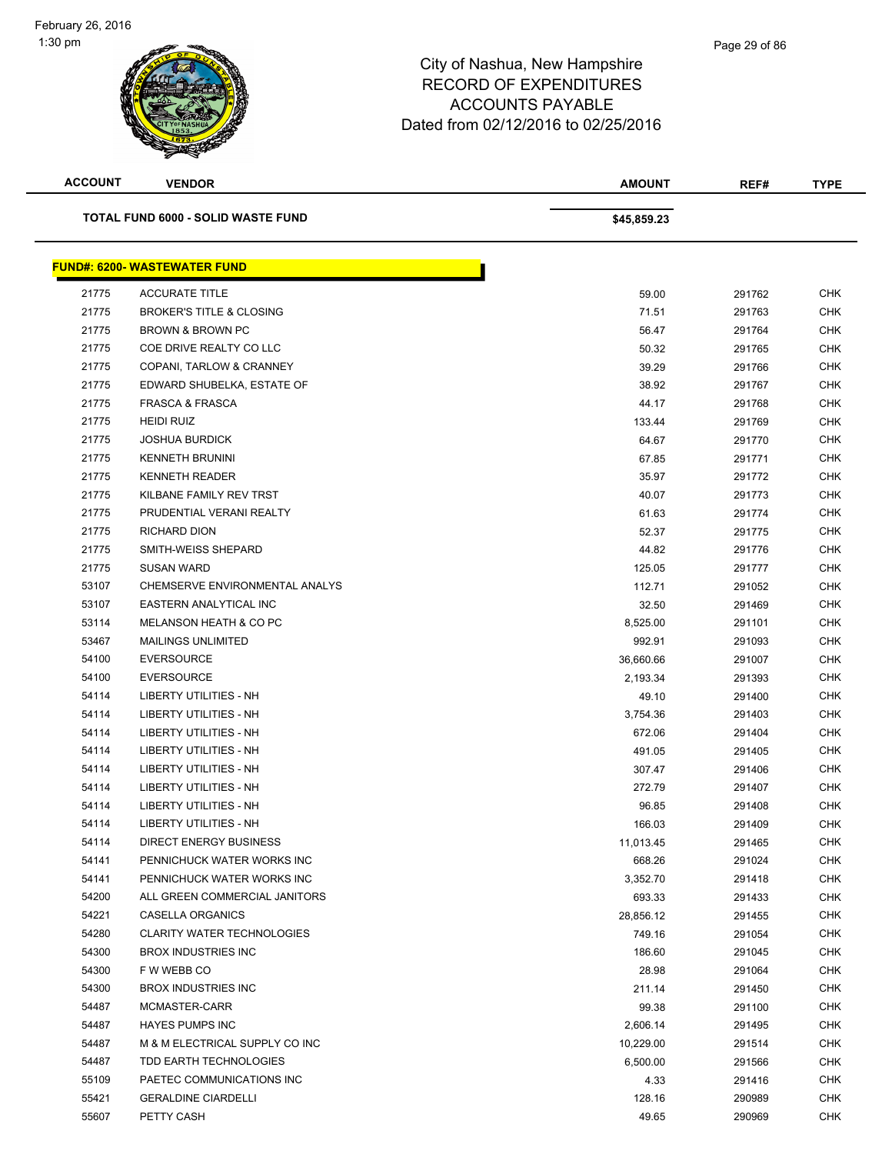

| <b>ACCOUNT</b>                     | <b>VENDOR</b>                        | <b>AMOUNT</b> | REF#   | <b>TYPE</b> |
|------------------------------------|--------------------------------------|---------------|--------|-------------|
| TOTAL FUND 6000 - SOLID WASTE FUND |                                      | \$45,859.23   |        |             |
|                                    | <u> FUND#: 6200- WASTEWATER FUND</u> |               |        |             |
| 21775                              | <b>ACCURATE TITLE</b>                | 59.00         | 291762 | <b>CHK</b>  |
| 21775                              | <b>BROKER'S TITLE &amp; CLOSING</b>  | 71.51         | 291763 | <b>CHK</b>  |
| 21775                              | BROWN & BROWN PC                     | 56.47         | 291764 | <b>CHK</b>  |
| 21775                              | COE DRIVE REALTY CO LLC              | 50.32         | 291765 | <b>CHK</b>  |
| 21775                              | COPANI, TARLOW & CRANNEY             | 39.29         | 291766 | <b>CHK</b>  |
| 21775                              | EDWARD SHUBELKA, ESTATE OF           | 38.92         | 291767 | <b>CHK</b>  |
| 21775                              | <b>FRASCA &amp; FRASCA</b>           | 44.17         | 291768 | <b>CHK</b>  |
| 21775                              | <b>HEIDI RUIZ</b>                    | 133.44        | 291769 | CHK         |
| 21775                              | <b>JOSHUA BURDICK</b>                | 64.67         | 291770 | <b>CHK</b>  |
| 21775                              | <b>KENNETH BRUNINI</b>               | 67.85         | 291771 | <b>CHK</b>  |
| 21775                              | <b>KENNETH READER</b>                | 35.97         | 291772 | <b>CHK</b>  |
| 21775                              | KILBANE FAMILY REV TRST              | 40.07         | 291773 | <b>CHK</b>  |
| 21775                              | PRUDENTIAL VERANI REALTY             | 61.63         | 291774 | <b>CHK</b>  |
| 21775                              | <b>RICHARD DION</b>                  | 52.37         | 291775 | <b>CHK</b>  |
| 21775                              | SMITH-WEISS SHEPARD                  | 44.82         | 291776 | <b>CHK</b>  |
| 21775                              | <b>SUSAN WARD</b>                    | 125.05        | 291777 | <b>CHK</b>  |
| 53107                              | CHEMSERVE ENVIRONMENTAL ANALYS       | 112.71        | 291052 | <b>CHK</b>  |
| 53107                              | EASTERN ANALYTICAL INC               | 32.50         | 291469 | <b>CHK</b>  |
| 53114                              | MELANSON HEATH & CO PC               | 8,525.00      | 291101 | <b>CHK</b>  |
| 53467                              | <b>MAILINGS UNLIMITED</b>            | 992.91        | 291093 | <b>CHK</b>  |
| 54100                              | <b>EVERSOURCE</b>                    | 36,660.66     | 291007 | <b>CHK</b>  |
| 54100                              | <b>EVERSOURCE</b>                    | 2,193.34      | 291393 | <b>CHK</b>  |
| 54114                              | LIBERTY UTILITIES - NH               | 49.10         | 291400 | <b>CHK</b>  |
| 54114                              | LIBERTY UTILITIES - NH               | 3,754.36      | 291403 | <b>CHK</b>  |
| 54114                              | LIBERTY UTILITIES - NH               | 672.06        | 291404 | CHK         |
| 54114                              | LIBERTY UTILITIES - NH               | 491.05        | 291405 | <b>CHK</b>  |
| 54114                              | LIBERTY UTILITIES - NH               | 307.47        | 291406 | <b>CHK</b>  |
| 54114                              | LIBERTY UTILITIES - NH               | 272.79        | 291407 | <b>CHK</b>  |
| 54114                              | LIBERTY UTILITIES - NH               | 96.85         | 291408 | <b>CHK</b>  |
| 54114                              | LIBERTY UTILITIES - NH               | 166.03        | 291409 | <b>CHK</b>  |
| 54114                              | <b>DIRECT ENERGY BUSINESS</b>        | 11,013.45     | 291465 | <b>CHK</b>  |
| 54141                              | PENNICHUCK WATER WORKS INC           | 668.26        | 291024 | <b>CHK</b>  |
| 54141                              | PENNICHUCK WATER WORKS INC           | 3,352.70      | 291418 | <b>CHK</b>  |
| 54200                              | ALL GREEN COMMERCIAL JANITORS        | 693.33        | 291433 | <b>CHK</b>  |
| 54221                              | <b>CASELLA ORGANICS</b>              | 28,856.12     | 291455 | <b>CHK</b>  |
| 54280                              | <b>CLARITY WATER TECHNOLOGIES</b>    | 749.16        | 291054 | <b>CHK</b>  |
| 54300                              | <b>BROX INDUSTRIES INC</b>           | 186.60        | 291045 | <b>CHK</b>  |
| 54300                              | F W WEBB CO                          | 28.98         | 291064 | <b>CHK</b>  |
| 54300                              | <b>BROX INDUSTRIES INC</b>           | 211.14        | 291450 | <b>CHK</b>  |
| 54487                              | MCMASTER-CARR                        | 99.38         | 291100 | <b>CHK</b>  |
| 54487                              | <b>HAYES PUMPS INC</b>               | 2,606.14      | 291495 | CHK         |
| 54487                              | M & M ELECTRICAL SUPPLY CO INC       | 10,229.00     | 291514 | CHK         |
| 54487                              | TDD EARTH TECHNOLOGIES               | 6,500.00      | 291566 | <b>CHK</b>  |
| 55109                              | PAETEC COMMUNICATIONS INC            | 4.33          | 291416 | <b>CHK</b>  |
| 55421                              | <b>GERALDINE CIARDELLI</b>           | 128.16        | 290989 | <b>CHK</b>  |
| 55607                              | PETTY CASH                           | 49.65         | 290969 | <b>CHK</b>  |
|                                    |                                      |               |        |             |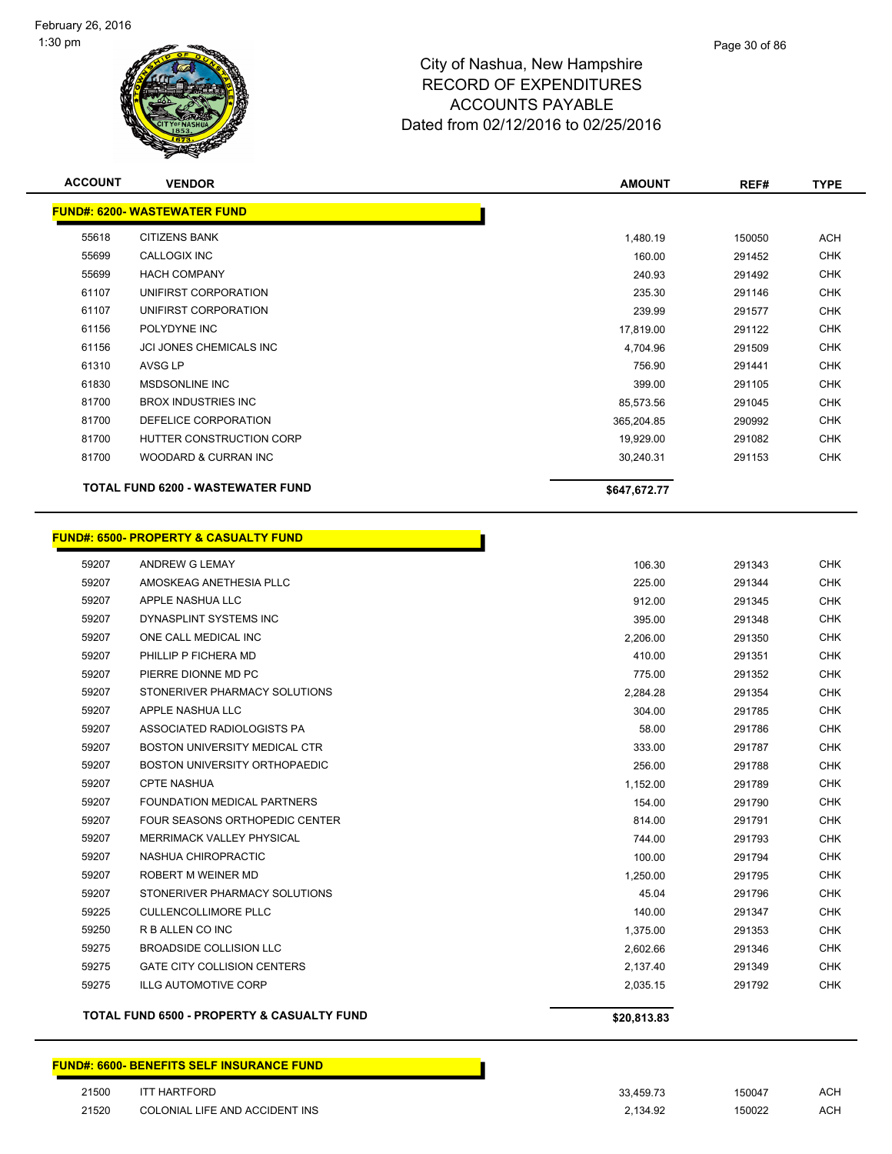

|                | <b>FUND#: 6200- WASTEWATER FUND</b>                               |                      |                  |                          |
|----------------|-------------------------------------------------------------------|----------------------|------------------|--------------------------|
| 55618          | <b>CITIZENS BANK</b>                                              | 1,480.19             | 150050           | <b>ACH</b>               |
| 55699          | CALLOGIX INC                                                      | 160.00               | 291452           | <b>CHK</b>               |
| 55699          | <b>HACH COMPANY</b>                                               | 240.93               | 291492           | <b>CHK</b>               |
| 61107          | UNIFIRST CORPORATION                                              | 235.30               | 291146           | <b>CHK</b>               |
| 61107          | UNIFIRST CORPORATION                                              | 239.99               | 291577           | <b>CHK</b>               |
| 61156          | POLYDYNE INC                                                      | 17,819.00            | 291122           | <b>CHK</b>               |
| 61156          | JCI JONES CHEMICALS INC                                           | 4,704.96             | 291509           | <b>CHK</b>               |
| 61310          | AVSG LP                                                           | 756.90               | 291441           | <b>CHK</b>               |
| 61830          | <b>MSDSONLINE INC</b>                                             | 399.00               | 291105           | <b>CHK</b>               |
| 81700          | <b>BROX INDUSTRIES INC</b>                                        | 85,573.56            | 291045           | <b>CHK</b>               |
| 81700          | DEFELICE CORPORATION                                              | 365,204.85           | 290992           | <b>CHK</b>               |
| 81700          | HUTTER CONSTRUCTION CORP<br>19,929.00                             |                      | 291082           | <b>CHK</b>               |
| 81700          | WOODARD & CURRAN INC                                              | 30,240.31            | 291153           | <b>CHK</b>               |
|                | <b>TOTAL FUND 6200 - WASTEWATER FUND</b>                          | \$647,672.77         |                  |                          |
|                | <u> FUND#: 6500- PROPERTY &amp; CASUALTY FUND</u>                 |                      |                  |                          |
| 59207          | ANDREW G LEMAY                                                    | 106.30               | 291343           | <b>CHK</b>               |
| 59207          | AMOSKEAG ANETHESIA PLLC                                           | 225.00               | 291344           | <b>CHK</b>               |
| 59207          | APPLE NASHUA LLC                                                  | 912.00               | 291345           | <b>CHK</b>               |
| 59207          | DYNASPLINT SYSTEMS INC                                            | 395.00               | 291348           | <b>CHK</b>               |
| 59207          | ONE CALL MEDICAL INC                                              | 2,206.00             | 291350           | <b>CHK</b>               |
| 59207          | PHILLIP P FICHERA MD                                              | 410.00               | 291351           | CHK                      |
| 59207          | PIERRE DIONNE MD PC                                               | 775.00               | 291352           | <b>CHK</b>               |
| 59207          | STONERIVER PHARMACY SOLUTIONS                                     | 2,284.28             | 291354           | <b>CHK</b>               |
| 59207          | APPLE NASHUA LLC                                                  | 304.00               | 291785           | <b>CHK</b>               |
| 59207          | ASSOCIATED RADIOLOGISTS PA                                        | 58.00                | 291786           | <b>CHK</b>               |
| 59207          | BOSTON UNIVERSITY MEDICAL CTR                                     | 333.00               | 291787           | <b>CHK</b>               |
| 59207          | BOSTON UNIVERSITY ORTHOPAEDIC                                     | 256.00               | 291788           | <b>CHK</b>               |
| 59207          | <b>CPTE NASHUA</b>                                                | 1,152.00             | 291789           | <b>CHK</b>               |
| 59207          | <b>FOUNDATION MEDICAL PARTNERS</b>                                | 154.00               | 291790           | <b>CHK</b>               |
| 59207          | <b>FOUR SEASONS ORTHOPEDIC CENTER</b>                             | 814.00               | 291791           | <b>CHK</b>               |
| 59207          | <b>MERRIMACK VALLEY PHYSICAL</b>                                  | 744.00               | 291793           | <b>CHK</b>               |
| 59207          | NASHUA CHIROPRACTIC                                               | 100.00               | 291794           | CHK                      |
| 59207          | ROBERT M WEINER MD                                                | 1,250.00             | 291795           | <b>CHK</b>               |
| 59207          | STONERIVER PHARMACY SOLUTIONS                                     | 45.04                | 291796           | <b>CHK</b>               |
| 59225          | <b>CULLENCOLLIMORE PLLC</b>                                       | 140.00               | 291347           | <b>CHK</b>               |
| 59250          | R B ALLEN CO INC                                                  | 1,375.00             | 291353           | <b>CHK</b>               |
| 59275          | BROADSIDE COLLISION LLC                                           | 2,602.66             | 291346           | <b>CHK</b>               |
| 59275<br>59275 | <b>GATE CITY COLLISION CENTERS</b><br><b>ILLG AUTOMOTIVE CORP</b> | 2,137.40<br>2,035.15 | 291349<br>291792 | <b>CHK</b><br><b>CHK</b> |
|                |                                                                   |                      |                  |                          |
|                | TOTAL FUND 6500 - PROPERTY & CASUALTY FUND                        | \$20,813.83          |                  |                          |
|                | <b>FUND#: 6600- BENEFITS SELF INSURANCE FUND</b>                  |                      |                  |                          |

**ACCOUNT VENDOR AMOUNT REF# TYPE**

 ITT HARTFORD 33,459.73 150047 ACH 21520 COLONIAL LIFE AND ACCIDENT INS 2,134.92 150022 ACH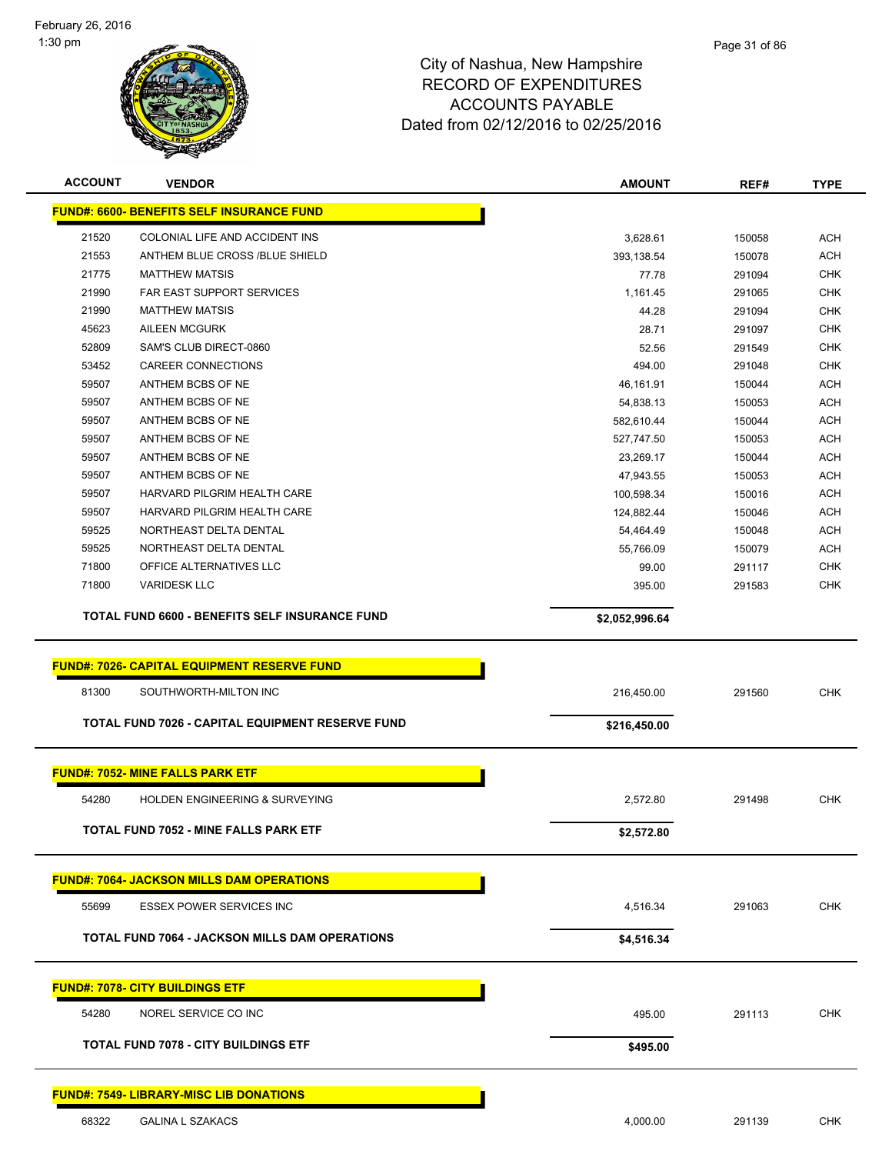

| <b>ACCOUNT</b> | <b>VENDOR</b>                                         | <b>AMOUNT</b>  | REF#   | <b>TYPE</b> |
|----------------|-------------------------------------------------------|----------------|--------|-------------|
|                | <b>FUND#: 6600- BENEFITS SELF INSURANCE FUND</b>      |                |        |             |
| 21520          | COLONIAL LIFE AND ACCIDENT INS                        | 3,628.61       | 150058 | <b>ACH</b>  |
| 21553          | ANTHEM BLUE CROSS /BLUE SHIELD                        | 393,138.54     | 150078 | <b>ACH</b>  |
| 21775          | <b>MATTHEW MATSIS</b>                                 | 77.78          | 291094 | <b>CHK</b>  |
| 21990          | FAR EAST SUPPORT SERVICES                             | 1,161.45       | 291065 | <b>CHK</b>  |
| 21990          | <b>MATTHEW MATSIS</b>                                 | 44.28          | 291094 | <b>CHK</b>  |
| 45623          | <b>AILEEN MCGURK</b>                                  | 28.71          | 291097 | <b>CHK</b>  |
| 52809          | SAM'S CLUB DIRECT-0860                                | 52.56          | 291549 | <b>CHK</b>  |
| 53452          | <b>CAREER CONNECTIONS</b>                             | 494.00         | 291048 | <b>CHK</b>  |
| 59507          | ANTHEM BCBS OF NE                                     | 46,161.91      | 150044 | <b>ACH</b>  |
| 59507          | ANTHEM BCBS OF NE                                     | 54,838.13      | 150053 | ACH         |
| 59507          | ANTHEM BCBS OF NE                                     | 582,610.44     | 150044 | <b>ACH</b>  |
| 59507          | ANTHEM BCBS OF NE                                     | 527,747.50     | 150053 | <b>ACH</b>  |
| 59507          | ANTHEM BCBS OF NE                                     | 23,269.17      | 150044 | <b>ACH</b>  |
| 59507          | ANTHEM BCBS OF NE                                     | 47,943.55      | 150053 | <b>ACH</b>  |
| 59507          | HARVARD PILGRIM HEALTH CARE                           | 100,598.34     | 150016 | ACH         |
| 59507          | HARVARD PILGRIM HEALTH CARE                           | 124,882.44     | 150046 | ACH         |
| 59525          | NORTHEAST DELTA DENTAL                                | 54,464.49      | 150048 | <b>ACH</b>  |
| 59525          | NORTHEAST DELTA DENTAL                                | 55,766.09      | 150079 | <b>ACH</b>  |
| 71800          | OFFICE ALTERNATIVES LLC                               | 99.00          | 291117 | <b>CHK</b>  |
| 71800          | <b>VARIDESK LLC</b>                                   | 395.00         | 291583 | <b>CHK</b>  |
|                | TOTAL FUND 6600 - BENEFITS SELF INSURANCE FUND        | \$2,052,996.64 |        |             |
|                |                                                       |                |        |             |
|                | <b>FUND#: 7026- CAPITAL EQUIPMENT RESERVE FUND</b>    |                |        |             |
| 81300          | SOUTHWORTH-MILTON INC                                 | 216,450.00     | 291560 | <b>CHK</b>  |
|                | TOTAL FUND 7026 - CAPITAL EQUIPMENT RESERVE FUND      | \$216,450.00   |        |             |
|                | <b>FUND#: 7052- MINE FALLS PARK ETF</b>               |                |        |             |
|                |                                                       |                |        |             |
| 54280          | HOLDEN ENGINEERING & SURVEYING                        | 2,572.80       | 291498 | <b>CHK</b>  |
|                | TOTAL FUND 7052 - MINE FALLS PARK ETF                 | \$2,572.80     |        |             |
|                |                                                       |                |        |             |
|                | <b>FUND#: 7064- JACKSON MILLS DAM OPERATIONS</b>      |                |        |             |
| 55699          | <b>ESSEX POWER SERVICES INC</b>                       | 4,516.34       | 291063 | <b>CHK</b>  |
|                | <b>TOTAL FUND 7064 - JACKSON MILLS DAM OPERATIONS</b> | \$4,516.34     |        |             |
|                |                                                       |                |        |             |
|                | <b>FUND#: 7078- CITY BUILDINGS ETF</b>                |                |        |             |
| 54280          | NOREL SERVICE CO INC                                  | 495.00         | 291113 | <b>CHK</b>  |
|                | <b>TOTAL FUND 7078 - CITY BUILDINGS ETF</b>           | \$495.00       |        |             |
|                | <b>FUND#: 7549- LIBRARY-MISC LIB DONATIONS</b>        |                |        |             |
|                |                                                       |                |        |             |
| 68322          | <b>GALINA L SZAKACS</b>                               | 4,000.00       | 291139 | <b>CHK</b>  |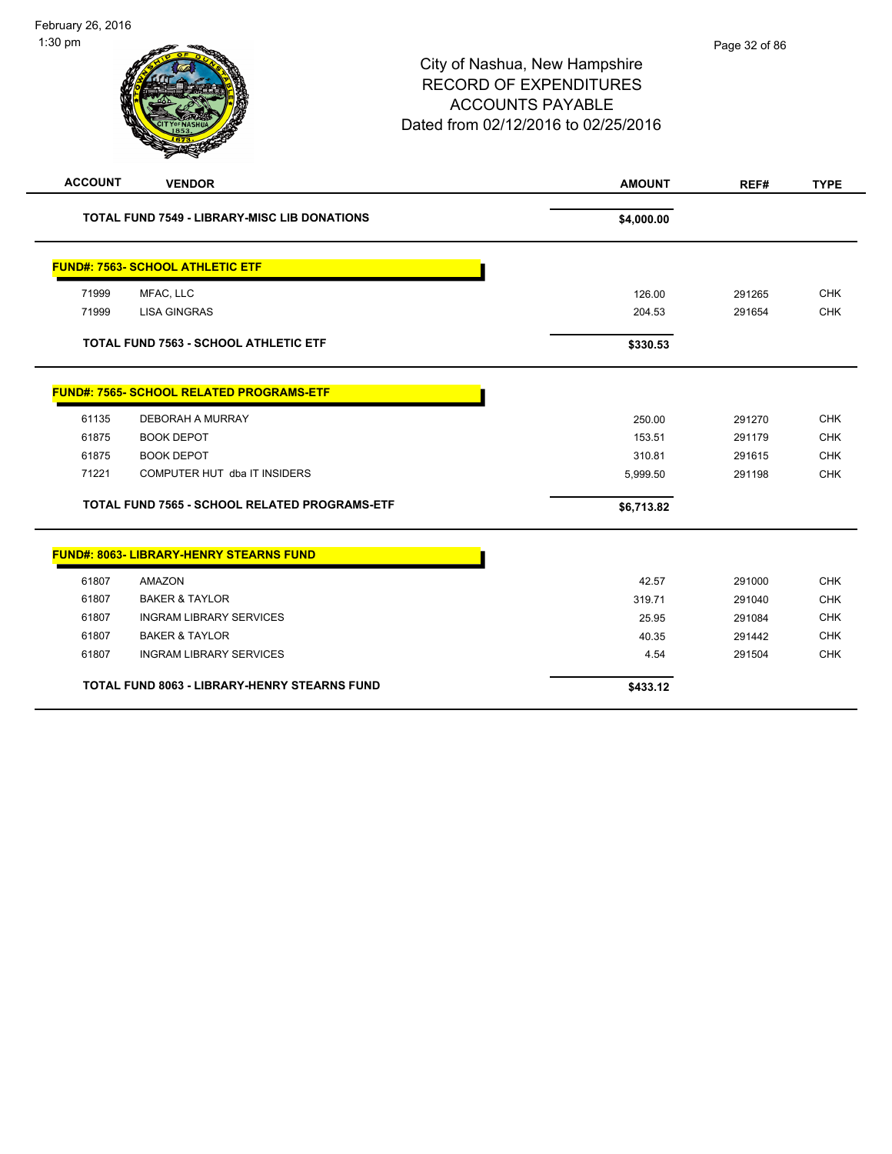| <b>ACCOUNT</b> | <b>VENDOR</b>                                       | <b>AMOUNT</b> | REF#   | <b>TYPE</b> |  |
|----------------|-----------------------------------------------------|---------------|--------|-------------|--|
|                | <b>TOTAL FUND 7549 - LIBRARY-MISC LIB DONATIONS</b> | \$4,000.00    |        |             |  |
|                | <b>FUND#: 7563- SCHOOL ATHLETIC ETF</b>             |               |        |             |  |
| 71999          | MFAC, LLC                                           | 126.00        | 291265 | <b>CHK</b>  |  |
| 71999          | <b>LISA GINGRAS</b>                                 | 204.53        | 291654 | <b>CHK</b>  |  |
|                | <b>TOTAL FUND 7563 - SCHOOL ATHLETIC ETF</b>        | \$330.53      |        |             |  |
|                | <b>FUND#: 7565- SCHOOL RELATED PROGRAMS-ETF</b>     |               |        |             |  |
| 61135          | <b>DEBORAH A MURRAY</b>                             | 250.00        | 291270 | <b>CHK</b>  |  |
| 61875          | <b>BOOK DEPOT</b>                                   | 153.51        | 291179 | <b>CHK</b>  |  |
| 61875          | <b>BOOK DEPOT</b>                                   | 310.81        | 291615 | <b>CHK</b>  |  |
| 71221          | COMPUTER HUT dba IT INSIDERS                        | 5,999.50      | 291198 | <b>CHK</b>  |  |
|                | TOTAL FUND 7565 - SCHOOL RELATED PROGRAMS-ETF       | \$6,713.82    |        |             |  |
|                | <b>FUND#: 8063- LIBRARY-HENRY STEARNS FUND</b>      |               |        |             |  |
| 61807          | <b>AMAZON</b>                                       | 42.57         | 291000 | <b>CHK</b>  |  |
| 61807          | <b>BAKER &amp; TAYLOR</b>                           | 319.71        | 291040 | <b>CHK</b>  |  |
| 61807          | <b>INGRAM LIBRARY SERVICES</b>                      | 25.95         | 291084 | <b>CHK</b>  |  |
| 61807          | <b>BAKER &amp; TAYLOR</b>                           | 40.35         | 291442 | <b>CHK</b>  |  |
| 61807          | <b>INGRAM LIBRARY SERVICES</b>                      | 4.54          | 291504 | <b>CHK</b>  |  |
|                | <b>TOTAL FUND 8063 - LIBRARY-HENRY STEARNS FUND</b> | \$433.12      |        |             |  |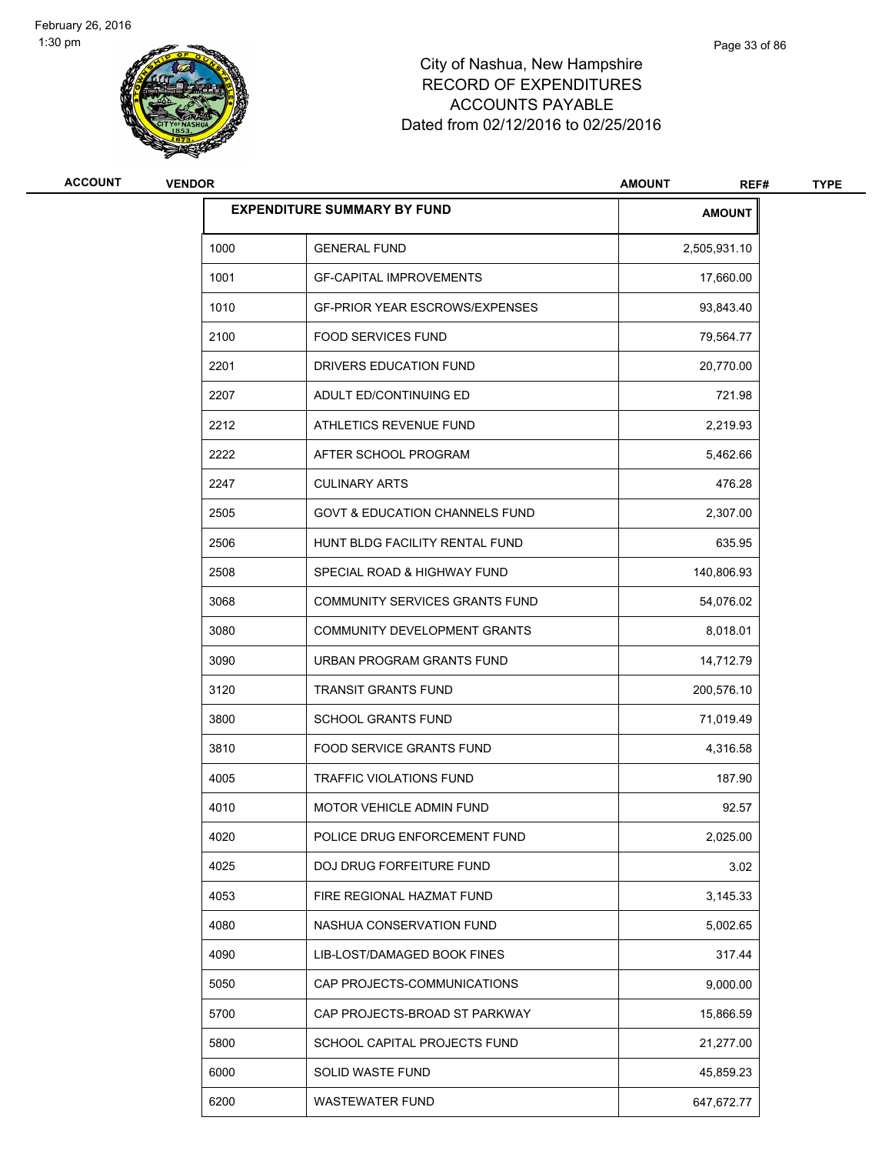

| ACCOUNT | <b>VENDOR</b> |                                           | <b>AMOUNT</b><br>REF# | <b>TYPE</b> |
|---------|---------------|-------------------------------------------|-----------------------|-------------|
|         |               | <b>EXPENDITURE SUMMARY BY FUND</b>        | <b>AMOUNT</b>         |             |
|         | 1000          | <b>GENERAL FUND</b>                       | 2,505,931.10          |             |
|         | 1001          | <b>GF-CAPITAL IMPROVEMENTS</b>            | 17,660.00             |             |
|         | 1010          | <b>GF-PRIOR YEAR ESCROWS/EXPENSES</b>     | 93,843.40             |             |
|         | 2100          | <b>FOOD SERVICES FUND</b>                 | 79,564.77             |             |
|         | 2201          | DRIVERS EDUCATION FUND                    | 20,770.00             |             |
|         | 2207          | ADULT ED/CONTINUING ED                    | 721.98                |             |
|         | 2212          | ATHLETICS REVENUE FUND                    | 2,219.93              |             |
|         | 2222          | AFTER SCHOOL PROGRAM                      | 5,462.66              |             |
|         | 2247          | <b>CULINARY ARTS</b>                      | 476.28                |             |
|         | 2505          | <b>GOVT &amp; EDUCATION CHANNELS FUND</b> | 2,307.00              |             |
|         | 2506          | HUNT BLDG FACILITY RENTAL FUND            | 635.95                |             |
|         | 2508          | SPECIAL ROAD & HIGHWAY FUND               | 140,806.93            |             |
|         | 3068          | COMMUNITY SERVICES GRANTS FUND            | 54,076.02             |             |
|         | 3080          | COMMUNITY DEVELOPMENT GRANTS              | 8,018.01              |             |
|         | 3090          | URBAN PROGRAM GRANTS FUND                 | 14,712.79             |             |
|         | 3120          | <b>TRANSIT GRANTS FUND</b>                | 200,576.10            |             |
|         | 3800          | <b>SCHOOL GRANTS FUND</b>                 | 71,019.49             |             |
|         | 3810          | <b>FOOD SERVICE GRANTS FUND</b>           | 4,316.58              |             |
|         | 4005          | TRAFFIC VIOLATIONS FUND                   | 187.90                |             |
|         | 4010          | <b>MOTOR VEHICLE ADMIN FUND</b>           | 92.57                 |             |
|         | 4020          | POLICE DRUG ENFORCEMENT FUND              | 2,025.00              |             |
|         | 4025          | DOJ DRUG FORFEITURE FUND                  | 3.02                  |             |
|         | 4053          | FIRE REGIONAL HAZMAT FUND                 | 3,145.33              |             |
|         | 4080          | NASHUA CONSERVATION FUND                  | 5,002.65              |             |
|         | 4090          | LIB-LOST/DAMAGED BOOK FINES               | 317.44                |             |
|         | 5050          | CAP PROJECTS-COMMUNICATIONS               | 9,000.00              |             |
|         | 5700          | CAP PROJECTS-BROAD ST PARKWAY             | 15,866.59             |             |
|         | 5800          | SCHOOL CAPITAL PROJECTS FUND              | 21,277.00             |             |
|         | 6000          | SOLID WASTE FUND                          | 45,859.23             |             |
|         | 6200          | WASTEWATER FUND                           | 647,672.77            |             |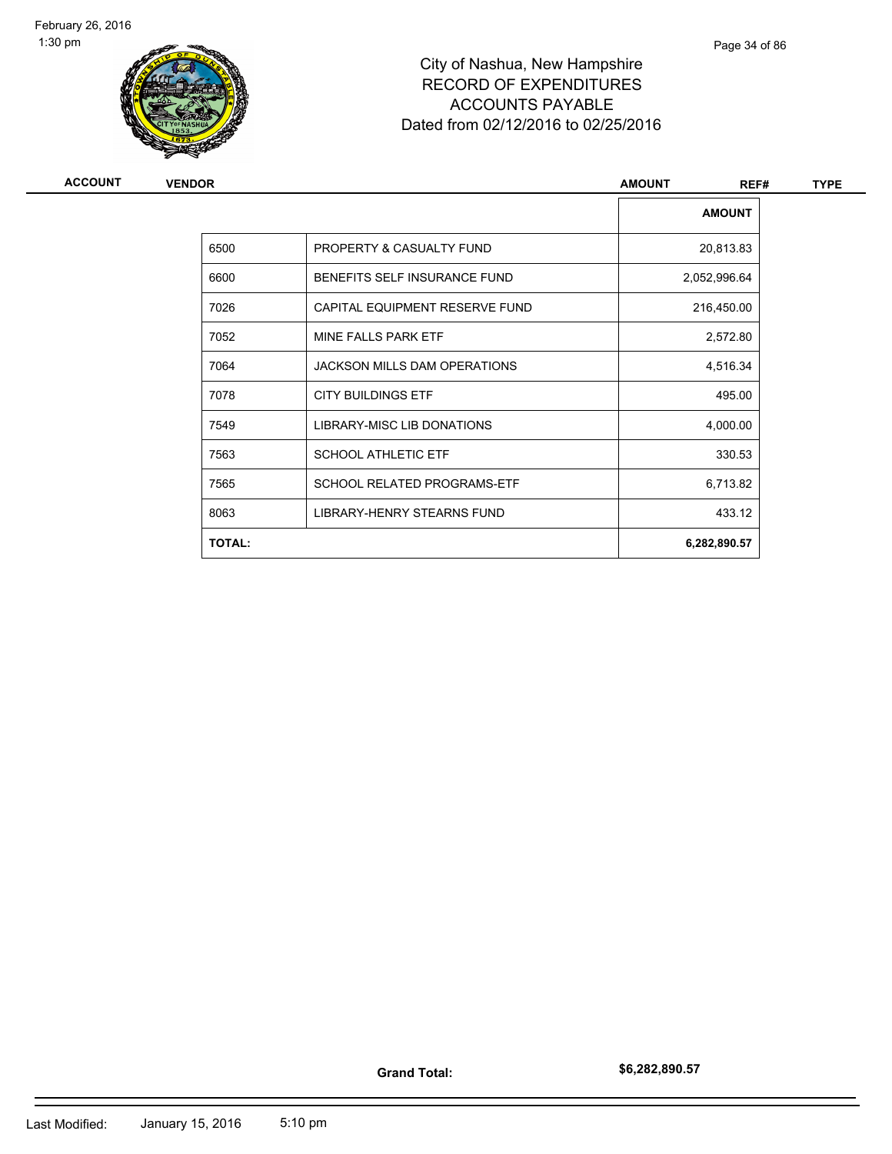

| <b>ACCOUNT</b> | <b>VENDOR</b> |                                    | <b>AMOUNT</b><br>REF# | <b>TYPE</b> |
|----------------|---------------|------------------------------------|-----------------------|-------------|
|                |               |                                    | <b>AMOUNT</b>         |             |
|                | 6500          | PROPERTY & CASUALTY FUND           | 20,813.83             |             |
|                | 6600          | BENEFITS SELF INSURANCE FUND       | 2,052,996.64          |             |
|                | 7026          | CAPITAL EQUIPMENT RESERVE FUND     | 216,450.00            |             |
|                | 7052          | MINE FALLS PARK ETF                | 2,572.80              |             |
|                | 7064          | JACKSON MILLS DAM OPERATIONS       | 4,516.34              |             |
|                | 7078          | <b>CITY BUILDINGS ETF</b>          | 495.00                |             |
|                | 7549          | LIBRARY-MISC LIB DONATIONS         | 4,000.00              |             |
|                | 7563          | <b>SCHOOL ATHLETIC ETF</b>         | 330.53                |             |
|                | 7565          | <b>SCHOOL RELATED PROGRAMS-ETF</b> | 6,713.82              |             |
|                | 8063          | LIBRARY-HENRY STEARNS FUND         | 433.12                |             |
|                | <b>TOTAL:</b> |                                    | 6,282,890.57          |             |
|                |               |                                    |                       |             |

**Grand Total:**

**\$6,282,890.57**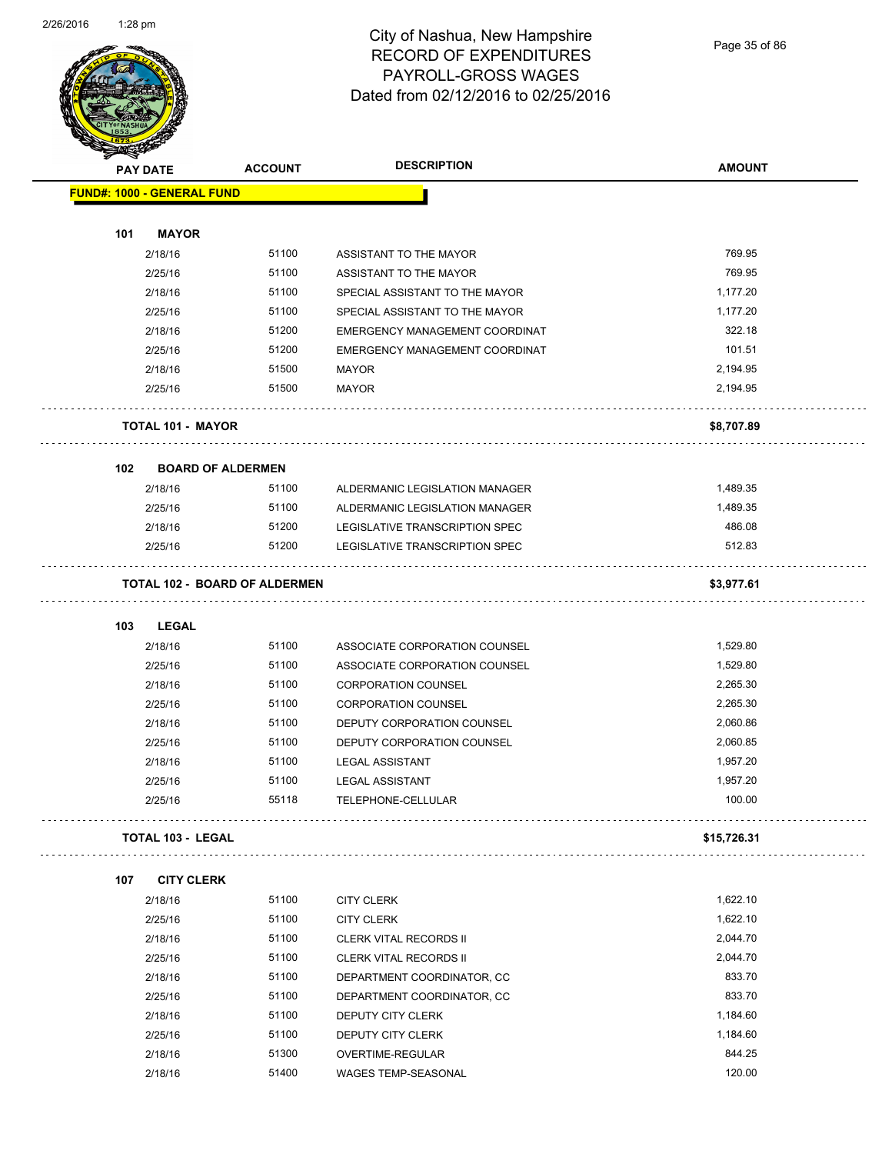

# City of Nashua, New Hampshire RECORD OF EXPENDITURES PAYROLL-GROSS WAGES Dated from 02/12/2016 to 02/25/2016

Page 35 of 86

| <b>STATERS</b>                    |                          |                                      |                                |               |
|-----------------------------------|--------------------------|--------------------------------------|--------------------------------|---------------|
| <b>PAY DATE</b>                   |                          | <b>ACCOUNT</b>                       | <b>DESCRIPTION</b>             | <b>AMOUNT</b> |
| <b>FUND#: 1000 - GENERAL FUND</b> |                          |                                      |                                |               |
|                                   |                          |                                      |                                |               |
| 101                               | <b>MAYOR</b>             |                                      |                                |               |
|                                   | 2/18/16                  | 51100                                | ASSISTANT TO THE MAYOR         | 769.95        |
|                                   | 2/25/16                  | 51100                                | ASSISTANT TO THE MAYOR         | 769.95        |
|                                   | 2/18/16                  | 51100                                | SPECIAL ASSISTANT TO THE MAYOR | 1,177.20      |
|                                   | 2/25/16                  | 51100                                | SPECIAL ASSISTANT TO THE MAYOR | 1,177.20      |
|                                   | 2/18/16                  | 51200                                | EMERGENCY MANAGEMENT COORDINAT | 322.18        |
|                                   | 2/25/16                  | 51200                                | EMERGENCY MANAGEMENT COORDINAT | 101.51        |
|                                   | 2/18/16                  | 51500                                | <b>MAYOR</b>                   | 2,194.95      |
|                                   | 2/25/16                  | 51500                                | <b>MAYOR</b>                   | 2,194.95      |
|                                   | <b>TOTAL 101 - MAYOR</b> |                                      |                                | \$8,707.89    |
| 102                               |                          | <b>BOARD OF ALDERMEN</b>             |                                |               |
|                                   | 2/18/16                  | 51100                                | ALDERMANIC LEGISLATION MANAGER | 1,489.35      |
|                                   | 2/25/16                  | 51100                                | ALDERMANIC LEGISLATION MANAGER | 1,489.35      |
|                                   | 2/18/16                  | 51200                                | LEGISLATIVE TRANSCRIPTION SPEC | 486.08        |
|                                   | 2/25/16                  | 51200                                | LEGISLATIVE TRANSCRIPTION SPEC | 512.83        |
|                                   |                          | <b>TOTAL 102 - BOARD OF ALDERMEN</b> |                                | \$3,977.61    |
| 103                               | <b>LEGAL</b>             |                                      |                                |               |
|                                   | 2/18/16                  | 51100                                | ASSOCIATE CORPORATION COUNSEL  | 1,529.80      |
|                                   | 2/25/16                  | 51100                                | ASSOCIATE CORPORATION COUNSEL  | 1,529.80      |
|                                   | 2/18/16                  | 51100                                | <b>CORPORATION COUNSEL</b>     | 2,265.30      |
|                                   | 2/25/16                  | 51100                                | <b>CORPORATION COUNSEL</b>     | 2,265.30      |
|                                   | 2/18/16                  | 51100                                | DEPUTY CORPORATION COUNSEL     | 2,060.86      |
|                                   | 2/25/16                  | 51100                                | DEPUTY CORPORATION COUNSEL     | 2,060.85      |
|                                   | 2/18/16                  | 51100                                | <b>LEGAL ASSISTANT</b>         | 1,957.20      |
|                                   | 2/25/16                  | 51100                                | <b>LEGAL ASSISTANT</b>         | 1,957.20      |
|                                   | 2/25/16                  | 55118                                | TELEPHONE-CELLULAR             | 100.00        |
| <b>TOTAL 103 - LEGAL</b>          |                          |                                      |                                | \$15,726.31   |
| 107                               | <b>CITY CLERK</b>        |                                      |                                |               |
|                                   | 2/18/16                  | 51100                                | <b>CITY CLERK</b>              | 1,622.10      |
|                                   | 2/25/16                  | 51100                                | <b>CITY CLERK</b>              | 1,622.10      |
|                                   | 2/18/16                  | 51100                                | <b>CLERK VITAL RECORDS II</b>  | 2,044.70      |
|                                   | 2/25/16                  | 51100                                | <b>CLERK VITAL RECORDS II</b>  | 2,044.70      |
|                                   | 2/18/16                  | 51100                                | DEPARTMENT COORDINATOR, CC     | 833.70        |
|                                   | 2/25/16                  | 51100                                | DEPARTMENT COORDINATOR, CC     | 833.70        |
|                                   | 2/18/16                  | 51100                                | DEPUTY CITY CLERK              | 1,184.60      |
|                                   | 2/25/16                  | 51100                                | DEPUTY CITY CLERK              | 1,184.60      |
|                                   | 2/18/16                  | 51300                                | OVERTIME-REGULAR               | 844.25        |
|                                   | 2/18/16                  | 51400                                | WAGES TEMP-SEASONAL            | 120.00        |
|                                   |                          |                                      |                                |               |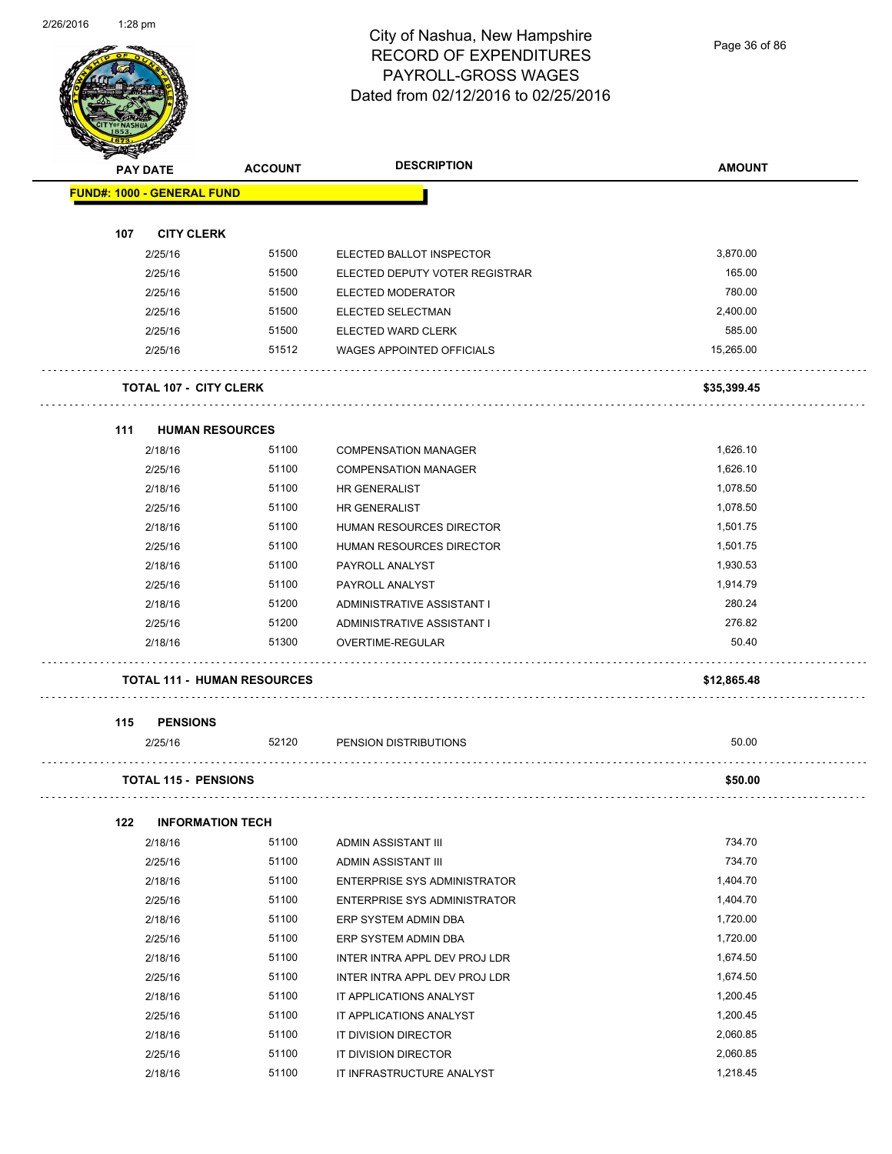# City of Nashua, New Hampshire RECORD OF EXPENDITURES PAYROLL-GROSS WAGES Dated from 02/12/2016 to 02/25/2016

Page 36 of 86

|                                   | <b>STARTING CARD</b><br><b>PAY DATE</b> |       | <b>DESCRIPTION</b><br><b>ACCOUNT</b> | <b>AMOUNT</b> |
|-----------------------------------|-----------------------------------------|-------|--------------------------------------|---------------|
| <b>FUND#: 1000 - GENERAL FUND</b> |                                         |       |                                      |               |
|                                   |                                         |       |                                      |               |
| 107                               | <b>CITY CLERK</b>                       |       |                                      |               |
|                                   | 2/25/16                                 | 51500 | ELECTED BALLOT INSPECTOR             | 3,870.00      |
|                                   | 2/25/16                                 | 51500 | ELECTED DEPUTY VOTER REGISTRAR       | 165.00        |
|                                   | 2/25/16                                 | 51500 | ELECTED MODERATOR                    | 780.00        |
|                                   | 2/25/16                                 | 51500 | ELECTED SELECTMAN                    | 2,400.00      |
|                                   | 2/25/16                                 | 51500 | ELECTED WARD CLERK                   | 585.00        |
|                                   | 2/25/16                                 | 51512 | <b>WAGES APPOINTED OFFICIALS</b>     | 15,265.00     |
|                                   | <b>TOTAL 107 - CITY CLERK</b>           |       |                                      | \$35,399.45   |
| 111                               | <b>HUMAN RESOURCES</b>                  |       |                                      |               |
|                                   | 2/18/16                                 | 51100 | <b>COMPENSATION MANAGER</b>          | 1,626.10      |
|                                   | 2/25/16                                 | 51100 | <b>COMPENSATION MANAGER</b>          | 1,626.10      |
|                                   | 2/18/16                                 | 51100 | <b>HR GENERALIST</b>                 | 1,078.50      |
|                                   | 2/25/16                                 | 51100 | <b>HR GENERALIST</b>                 | 1,078.50      |
|                                   | 2/18/16                                 | 51100 | <b>HUMAN RESOURCES DIRECTOR</b>      | 1,501.75      |
|                                   | 2/25/16                                 | 51100 | HUMAN RESOURCES DIRECTOR             | 1,501.75      |
|                                   | 2/18/16                                 | 51100 | PAYROLL ANALYST                      | 1,930.53      |
|                                   | 2/25/16                                 | 51100 | PAYROLL ANALYST                      | 1,914.79      |
|                                   | 2/18/16                                 | 51200 | ADMINISTRATIVE ASSISTANT I           | 280.24        |
|                                   | 2/25/16                                 | 51200 | ADMINISTRATIVE ASSISTANT I           | 276.82        |
|                                   | 2/18/16                                 | 51300 | OVERTIME-REGULAR                     | 50.40         |
|                                   | <b>TOTAL 111 - HUMAN RESOURCES</b>      |       |                                      | \$12,865.48   |
| 115                               | <b>PENSIONS</b>                         |       |                                      |               |
|                                   | 2/25/16                                 | 52120 | PENSION DISTRIBUTIONS                | 50.00         |
|                                   | <b>TOTAL 115 - PENSIONS</b>             |       |                                      | \$50.00       |
| 122                               | <b>INFORMATION TECH</b>                 |       |                                      |               |
|                                   | 2/18/16                                 | 51100 | ADMIN ASSISTANT III                  | 734.70        |
|                                   | 2/25/16                                 | 51100 | ADMIN ASSISTANT III                  | 734.70        |
|                                   | 2/18/16                                 | 51100 | <b>ENTERPRISE SYS ADMINISTRATOR</b>  | 1,404.70      |
|                                   | 2/25/16                                 | 51100 | <b>ENTERPRISE SYS ADMINISTRATOR</b>  | 1,404.70      |
|                                   | 2/18/16                                 | 51100 | ERP SYSTEM ADMIN DBA                 | 1,720.00      |
|                                   | 2/25/16                                 | 51100 | ERP SYSTEM ADMIN DBA                 | 1,720.00      |
|                                   | 2/18/16                                 | 51100 | INTER INTRA APPL DEV PROJ LDR        | 1,674.50      |
|                                   | 2/25/16                                 | 51100 | INTER INTRA APPL DEV PROJ LDR        | 1,674.50      |
|                                   | 2/18/16                                 | 51100 | IT APPLICATIONS ANALYST              | 1,200.45      |
|                                   | 2/25/16                                 | 51100 | IT APPLICATIONS ANALYST              | 1,200.45      |
|                                   | 2/18/16                                 | 51100 | IT DIVISION DIRECTOR                 | 2,060.85      |
|                                   | 2/25/16                                 | 51100 | IT DIVISION DIRECTOR                 | 2,060.85      |
|                                   | 2/18/16                                 | 51100 | IT INFRASTRUCTURE ANALYST            | 1,218.45      |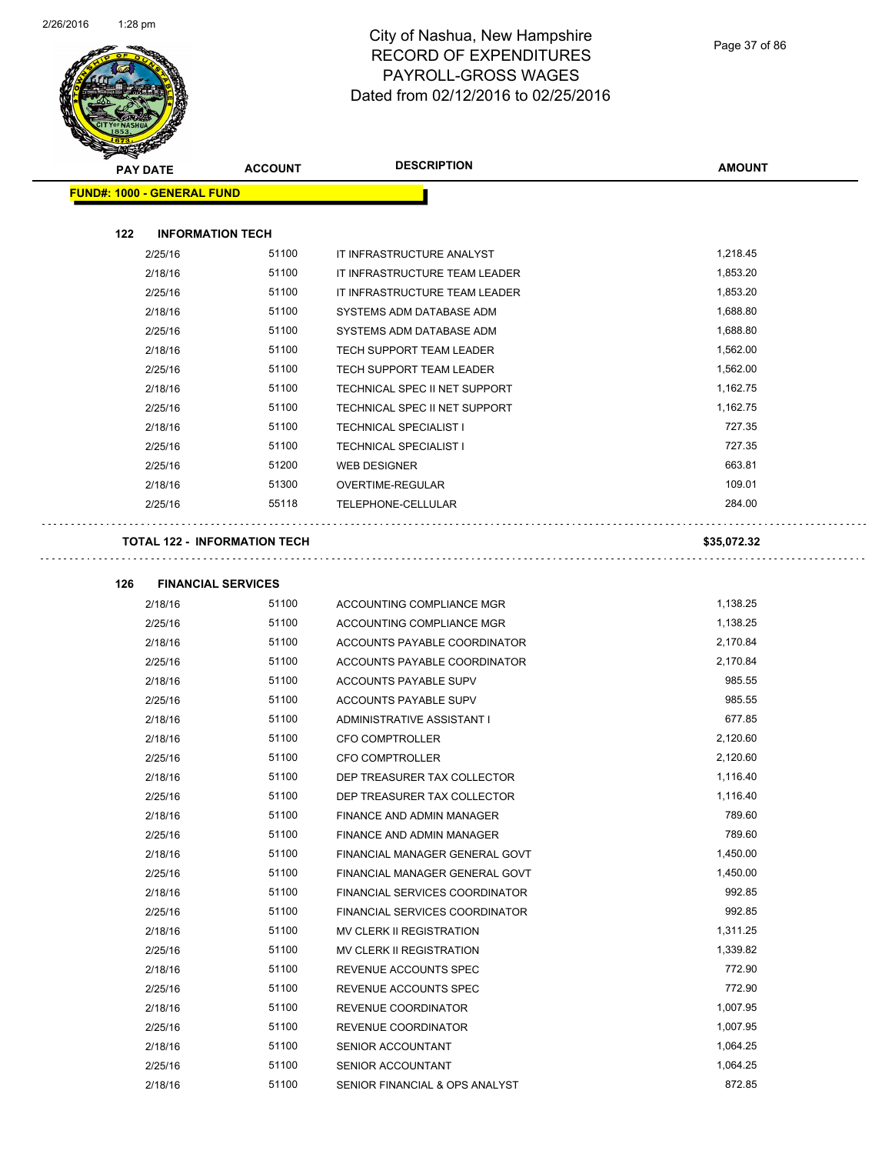

| $\mathscr{D} \rightarrow \mathscr{D}$<br><b>PAY DATE</b> | <b>ACCOUNT</b>                      | <b>DESCRIPTION</b>              | <b>AMOUNT</b> |  |
|----------------------------------------------------------|-------------------------------------|---------------------------------|---------------|--|
| <b>FUND#: 1000 - GENERAL FUND</b>                        |                                     |                                 |               |  |
| 122                                                      | <b>INFORMATION TECH</b>             |                                 |               |  |
| 2/25/16                                                  | 51100                               | IT INFRASTRUCTURE ANALYST       | 1,218.45      |  |
| 2/18/16                                                  | 51100                               | IT INFRASTRUCTURE TEAM LEADER   | 1,853.20      |  |
| 2/25/16                                                  | 51100                               | IT INFRASTRUCTURE TEAM LEADER   | 1,853.20      |  |
| 2/18/16                                                  | 51100                               | SYSTEMS ADM DATABASE ADM        | 1,688.80      |  |
| 2/25/16                                                  | 51100                               | SYSTEMS ADM DATABASE ADM        | 1,688.80      |  |
| 2/18/16                                                  | 51100                               | <b>TECH SUPPORT TEAM LEADER</b> | 1,562.00      |  |
| 2/25/16                                                  | 51100                               | <b>TECH SUPPORT TEAM LEADER</b> | 1,562.00      |  |
| 2/18/16                                                  | 51100                               | TECHNICAL SPEC II NET SUPPORT   | 1,162.75      |  |
| 2/25/16                                                  | 51100                               | TECHNICAL SPEC II NET SUPPORT   | 1,162.75      |  |
| 2/18/16                                                  | 51100                               | <b>TECHNICAL SPECIALIST I</b>   | 727.35        |  |
| 2/25/16                                                  | 51100                               | <b>TECHNICAL SPECIALIST I</b>   | 727.35        |  |
| 2/25/16                                                  | 51200                               | <b>WEB DESIGNER</b>             | 663.81        |  |
| 2/18/16                                                  | 51300                               | <b>OVERTIME-REGULAR</b>         | 109.01        |  |
| 2/25/16                                                  | 55118                               | <b>TELEPHONE-CELLULAR</b>       | 284.00        |  |
|                                                          | <b>TOTAL 122 - INFORMATION TECH</b> |                                 | \$35,072.32   |  |

| 126 | <b>FINANCIAL SERVICES</b> |       |                                       |          |
|-----|---------------------------|-------|---------------------------------------|----------|
|     | 2/18/16                   | 51100 | ACCOUNTING COMPLIANCE MGR             | 1,138.25 |
|     | 2/25/16                   | 51100 | ACCOUNTING COMPLIANCE MGR             | 1,138.25 |
|     | 2/18/16                   | 51100 | ACCOUNTS PAYABLE COORDINATOR          | 2,170.84 |
|     | 2/25/16                   | 51100 | ACCOUNTS PAYABLE COORDINATOR          | 2,170.84 |
|     | 2/18/16                   | 51100 | <b>ACCOUNTS PAYABLE SUPV</b>          | 985.55   |
|     | 2/25/16                   | 51100 | <b>ACCOUNTS PAYABLE SUPV</b>          | 985.55   |
|     | 2/18/16                   | 51100 | ADMINISTRATIVE ASSISTANT I            | 677.85   |
|     | 2/18/16                   | 51100 | CFO COMPTROLLER                       | 2,120.60 |
|     | 2/25/16                   | 51100 | <b>CFO COMPTROLLER</b>                | 2,120.60 |
|     | 2/18/16                   | 51100 | DEP TREASURER TAX COLLECTOR           | 1,116.40 |
|     | 2/25/16                   | 51100 | DEP TREASURER TAX COLLECTOR           | 1,116.40 |
|     | 2/18/16                   | 51100 | FINANCE AND ADMIN MANAGER             | 789.60   |
|     | 2/25/16                   | 51100 | FINANCE AND ADMIN MANAGER             | 789.60   |
|     | 2/18/16                   | 51100 | FINANCIAL MANAGER GENERAL GOVT        | 1,450.00 |
|     | 2/25/16                   | 51100 | FINANCIAL MANAGER GENERAL GOVT        | 1,450.00 |
|     | 2/18/16                   | 51100 | <b>FINANCIAL SERVICES COORDINATOR</b> | 992.85   |
|     | 2/25/16                   | 51100 | <b>FINANCIAL SERVICES COORDINATOR</b> | 992.85   |
|     | 2/18/16                   | 51100 | MV CLERK II REGISTRATION              | 1,311.25 |
|     | 2/25/16                   | 51100 | <b>MV CLERK II REGISTRATION</b>       | 1,339.82 |
|     | 2/18/16                   | 51100 | REVENUE ACCOUNTS SPEC                 | 772.90   |
|     | 2/25/16                   | 51100 | <b>REVENUE ACCOUNTS SPEC</b>          | 772.90   |
|     | 2/18/16                   | 51100 | <b>REVENUE COORDINATOR</b>            | 1,007.95 |
|     | 2/25/16                   | 51100 | <b>REVENUE COORDINATOR</b>            | 1,007.95 |
|     | 2/18/16                   | 51100 | <b>SENIOR ACCOUNTANT</b>              | 1,064.25 |

2/25/16 51100 SENIOR ACCOUNTANT 1,064.25 2/18/16 51100 SENIOR FINANCIAL & OPS ANALYST 872.85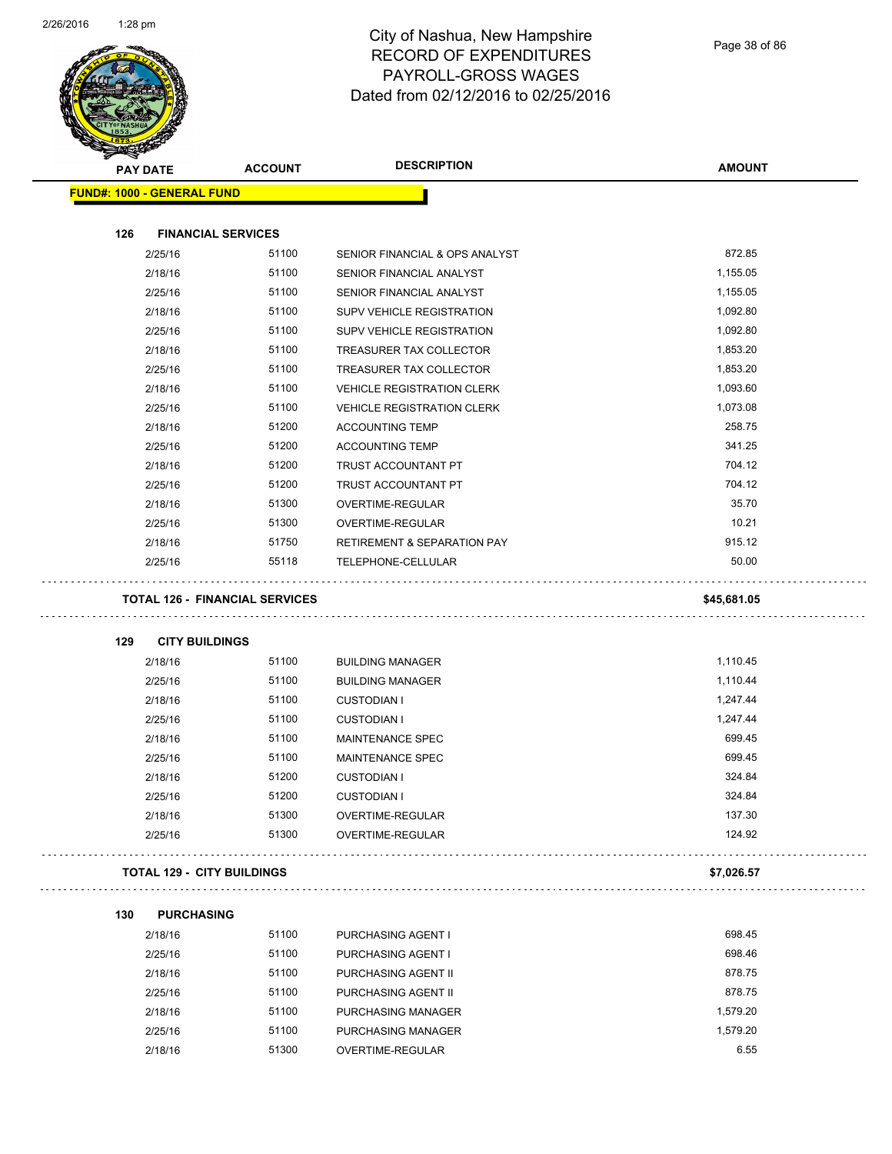$\overline{\phantom{a}}$ 



# City of Nashua, New Hampshire RECORD OF EXPENDITURES PAYROLL-GROSS WAGES Dated from 02/12/2016 to 02/25/2016

| <b>PAY DATE</b>                       | <b>ACCOUNT</b> | <b>DESCRIPTION</b>                     | <b>AMOUNT</b> |
|---------------------------------------|----------------|----------------------------------------|---------------|
| <b>FUND#: 1000 - GENERAL FUND</b>     |                |                                        |               |
|                                       |                |                                        |               |
| 126<br><b>FINANCIAL SERVICES</b>      |                |                                        |               |
| 2/25/16                               | 51100          | SENIOR FINANCIAL & OPS ANALYST         | 872.85        |
| 2/18/16                               | 51100          | SENIOR FINANCIAL ANALYST               | 1,155.05      |
| 2/25/16                               | 51100          | SENIOR FINANCIAL ANALYST               | 1,155.05      |
| 2/18/16                               | 51100          | SUPV VEHICLE REGISTRATION              | 1,092.80      |
| 2/25/16                               | 51100          | SUPV VEHICLE REGISTRATION              | 1,092.80      |
| 2/18/16                               | 51100          | TREASURER TAX COLLECTOR                | 1,853.20      |
| 2/25/16                               | 51100          | TREASURER TAX COLLECTOR                | 1,853.20      |
| 2/18/16                               | 51100          | <b>VEHICLE REGISTRATION CLERK</b>      | 1,093.60      |
| 2/25/16                               | 51100          | <b>VEHICLE REGISTRATION CLERK</b>      | 1,073.08      |
| 2/18/16                               | 51200          | <b>ACCOUNTING TEMP</b>                 | 258.75        |
| 2/25/16                               | 51200          | <b>ACCOUNTING TEMP</b>                 | 341.25        |
| 2/18/16                               | 51200          | TRUST ACCOUNTANT PT                    | 704.12        |
| 2/25/16                               | 51200          | TRUST ACCOUNTANT PT                    | 704.12        |
| 2/18/16                               | 51300          | OVERTIME-REGULAR                       | 35.70         |
| 2/25/16                               | 51300          | <b>OVERTIME-REGULAR</b>                | 10.21         |
| 2/18/16                               | 51750          | <b>RETIREMENT &amp; SEPARATION PAY</b> | 915.12        |
| 2/25/16                               | 55118          | TELEPHONE-CELLULAR                     | 50.00         |
| <b>TOTAL 126 - FINANCIAL SERVICES</b> |                |                                        | \$45,681.05   |
| 129<br><b>CITY BUILDINGS</b>          |                |                                        |               |
| 2/18/16                               | 51100          | <b>BUILDING MANAGER</b>                | 1,110.45      |
| 2/25/16                               | 51100          | <b>BUILDING MANAGER</b>                | 1,110.44      |
| 2/18/16                               | 51100          | <b>CUSTODIAN I</b>                     | 1,247.44      |
| 2/25/16                               | 51100          | <b>CUSTODIAN I</b>                     | 1,247.44      |
| 2/18/16                               | 51100          | MAINTENANCE SPEC                       | 699.45        |
| 2/25/16                               | 51100          | <b>MAINTENANCE SPEC</b>                | 699.45        |
| 2/18/16                               | 51200          | <b>CUSTODIAN I</b>                     | 324.84        |
| 2/25/16                               | 51200          | <b>CUSTODIAN I</b>                     | 324.84        |
| 2/18/16                               | 51300          | OVERTIME-REGULAR                       | 137.30        |
| 2/25/16                               | 51300          | OVERTIME-REGULAR                       | 124.92        |
| <b>TOTAL 129 - CITY BUILDINGS</b>     |                |                                        | \$7,026.57    |
| 130<br><b>PURCHASING</b>              |                |                                        |               |
| 2/18/16                               | 51100          | PURCHASING AGENT I                     | 698.45        |
| 2/25/16                               | 51100          | PURCHASING AGENT I                     | 698.46        |
| 2/18/16                               | 51100          | PURCHASING AGENT II                    | 878.75        |
| 2/25/16                               | 51100          | PURCHASING AGENT II                    | 878.75        |
| 2/18/16                               | 51100          | PURCHASING MANAGER                     | 1,579.20      |
|                                       |                |                                        | 1,579.20      |

2/18/16 51300 OVERTIME-REGULAR 6.55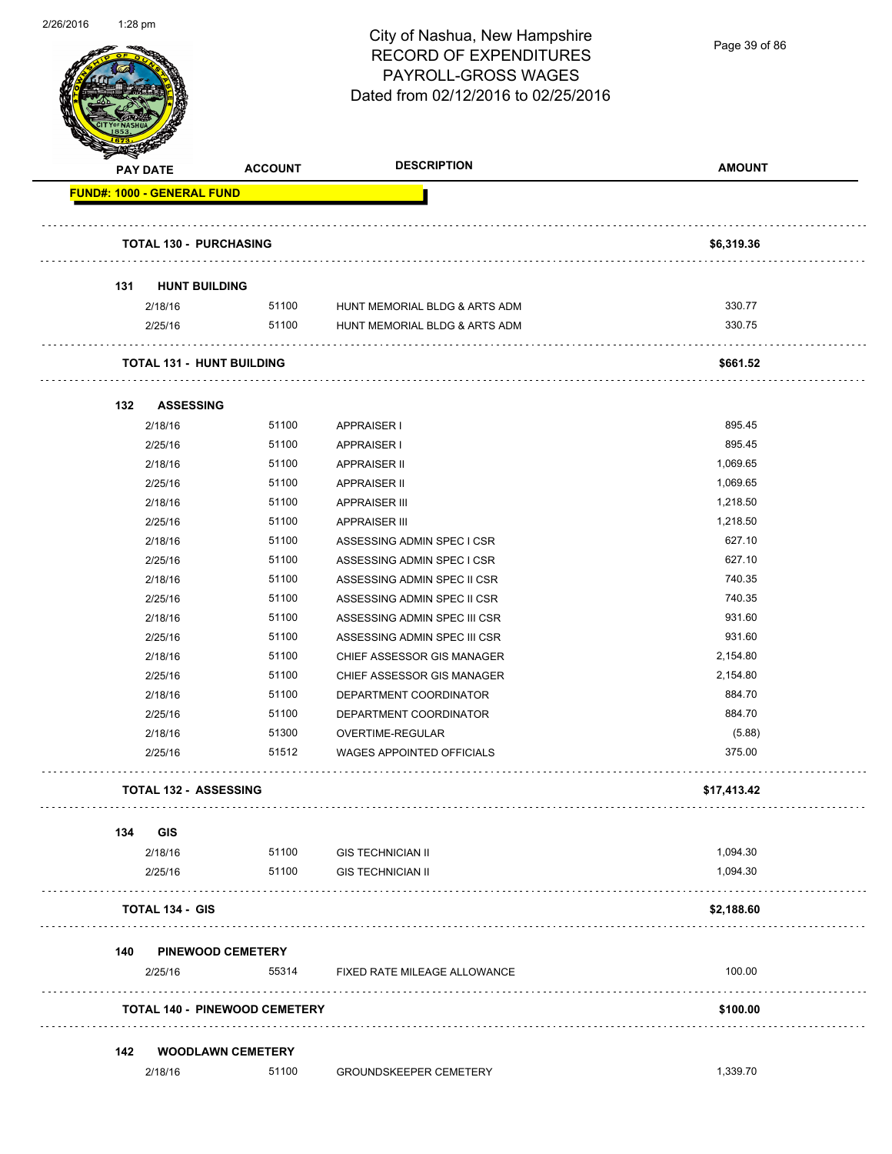

Page 39 of 86

|     | <b>PAY DATE</b>                  | <b>ACCOUNT</b>                       | <b>DESCRIPTION</b>            | <b>AMOUNT</b> |
|-----|----------------------------------|--------------------------------------|-------------------------------|---------------|
|     | FUND#: 1000 - GENERAL FUND       |                                      |                               |               |
|     | <b>TOTAL 130 - PURCHASING</b>    |                                      |                               | \$6,319.36    |
| 131 | <b>HUNT BUILDING</b>             |                                      |                               |               |
|     | 2/18/16                          | 51100                                | HUNT MEMORIAL BLDG & ARTS ADM | 330.77        |
|     | 2/25/16                          | 51100                                | HUNT MEMORIAL BLDG & ARTS ADM | 330.75        |
|     | <b>TOTAL 131 - HUNT BUILDING</b> |                                      |                               | \$661.52      |
| 132 | <b>ASSESSING</b>                 |                                      |                               |               |
|     | 2/18/16                          | 51100                                | APPRAISER I                   | 895.45        |
|     | 2/25/16                          | 51100                                | <b>APPRAISER I</b>            | 895.45        |
|     | 2/18/16                          | 51100                                | <b>APPRAISER II</b>           | 1,069.65      |
|     | 2/25/16                          | 51100                                | APPRAISER II                  | 1,069.65      |
|     | 2/18/16                          | 51100                                | <b>APPRAISER III</b>          | 1,218.50      |
|     | 2/25/16                          | 51100                                | <b>APPRAISER III</b>          | 1,218.50      |
|     | 2/18/16                          | 51100                                | ASSESSING ADMIN SPEC I CSR    | 627.10        |
|     | 2/25/16                          | 51100                                | ASSESSING ADMIN SPEC I CSR    | 627.10        |
|     | 2/18/16                          | 51100                                | ASSESSING ADMIN SPEC II CSR   | 740.35        |
|     | 2/25/16                          | 51100                                | ASSESSING ADMIN SPEC II CSR   | 740.35        |
|     | 2/18/16                          | 51100                                | ASSESSING ADMIN SPEC III CSR  | 931.60        |
|     | 2/25/16                          | 51100                                | ASSESSING ADMIN SPEC III CSR  | 931.60        |
|     | 2/18/16                          | 51100                                | CHIEF ASSESSOR GIS MANAGER    | 2,154.80      |
|     | 2/25/16                          | 51100                                | CHIEF ASSESSOR GIS MANAGER    | 2,154.80      |
|     | 2/18/16                          | 51100                                | DEPARTMENT COORDINATOR        | 884.70        |
|     | 2/25/16                          | 51100                                | DEPARTMENT COORDINATOR        | 884.70        |
|     | 2/18/16                          | 51300                                | OVERTIME-REGULAR              | (5.88)        |
|     | 2/25/16                          | 51512                                | WAGES APPOINTED OFFICIALS     | 375.00        |
|     | <b>TOTAL 132 - ASSESSING</b>     |                                      |                               | \$17,413.42   |
| 134 | GIS                              |                                      |                               |               |
|     | 2/18/16                          | 51100                                | <b>GIS TECHNICIAN II</b>      | 1,094.30      |
|     | 2/25/16                          | 51100                                | <b>GIS TECHNICIAN II</b>      | 1,094.30      |
|     | <b>TOTAL 134 - GIS</b>           |                                      |                               | \$2,188.60    |
| 140 | <b>PINEWOOD CEMETERY</b>         |                                      |                               |               |
|     | 2/25/16                          | 55314                                | FIXED RATE MILEAGE ALLOWANCE  | 100.00        |
|     |                                  | <b>TOTAL 140 - PINEWOOD CEMETERY</b> |                               | \$100.00      |
| 142 |                                  | <b>WOODLAWN CEMETERY</b>             |                               |               |
|     |                                  |                                      |                               |               |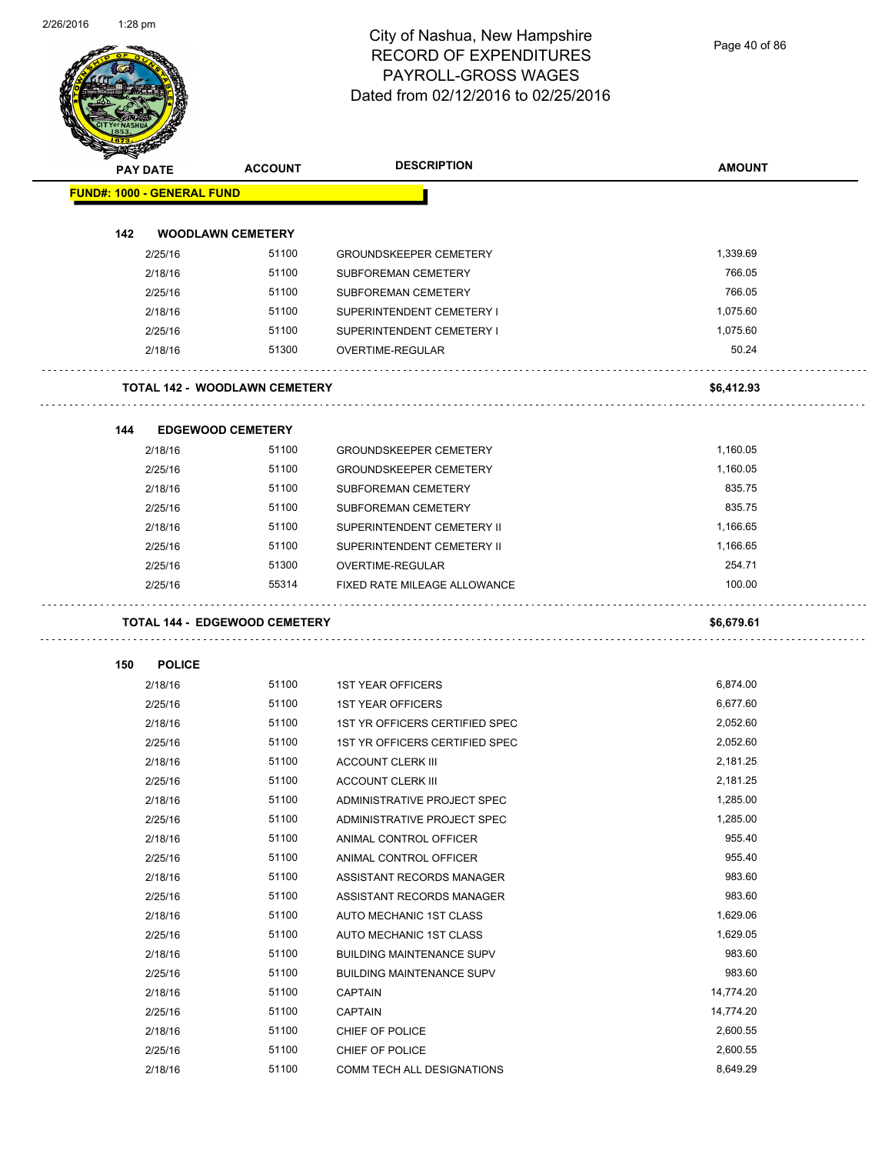Page 40 of 86

|                                   | PAY DATE                 | <b>ACCOUNT</b>                       | <b>DESCRIPTION</b>                                         | <b>AMOUNT</b>      |
|-----------------------------------|--------------------------|--------------------------------------|------------------------------------------------------------|--------------------|
| <b>FUND#: 1000 - GENERAL FUND</b> |                          |                                      |                                                            |                    |
|                                   |                          |                                      |                                                            |                    |
| 142                               |                          | <b>WOODLAWN CEMETERY</b>             |                                                            |                    |
|                                   | 2/25/16                  | 51100<br>51100                       | <b>GROUNDSKEEPER CEMETERY</b>                              | 1,339.69<br>766.05 |
|                                   | 2/18/16                  |                                      | SUBFOREMAN CEMETERY                                        |                    |
|                                   | 2/25/16                  | 51100<br>51100                       | SUBFOREMAN CEMETERY<br>SUPERINTENDENT CEMETERY I           | 766.05<br>1.075.60 |
|                                   | 2/18/16                  | 51100                                |                                                            | 1,075.60           |
|                                   | 2/25/16<br>2/18/16       | 51300                                | SUPERINTENDENT CEMETERY I<br>OVERTIME-REGULAR              | 50.24              |
|                                   |                          |                                      |                                                            |                    |
|                                   |                          | <b>TOTAL 142 - WOODLAWN CEMETERY</b> |                                                            | \$6,412.93         |
| 144                               |                          | <b>EDGEWOOD CEMETERY</b>             |                                                            |                    |
|                                   | 2/18/16                  | 51100                                | <b>GROUNDSKEEPER CEMETERY</b>                              | 1,160.05           |
|                                   | 2/25/16                  | 51100                                | <b>GROUNDSKEEPER CEMETERY</b>                              | 1,160.05           |
|                                   | 2/18/16                  | 51100                                | SUBFOREMAN CEMETERY                                        | 835.75             |
|                                   | 2/25/16                  | 51100                                | SUBFOREMAN CEMETERY                                        | 835.75             |
|                                   | 2/18/16                  | 51100                                | SUPERINTENDENT CEMETERY II                                 | 1,166.65           |
|                                   | 2/25/16                  | 51100                                | SUPERINTENDENT CEMETERY II                                 | 1,166.65           |
|                                   | 2/25/16                  | 51300                                | OVERTIME-REGULAR                                           | 254.71             |
|                                   | 2/25/16                  | 55314                                | <b>FIXED RATE MILEAGE ALLOWANCE</b>                        | 100.00             |
|                                   |                          | <b>TOTAL 144 - EDGEWOOD CEMETERY</b> |                                                            | \$6,679.61         |
|                                   |                          |                                      |                                                            |                    |
| 150                               | <b>POLICE</b><br>2/18/16 | 51100                                | <b>1ST YEAR OFFICERS</b>                                   | 6,874.00           |
|                                   | 2/25/16                  | 51100                                | <b>1ST YEAR OFFICERS</b>                                   | 6,677.60           |
|                                   | 2/18/16                  | 51100                                | 1ST YR OFFICERS CERTIFIED SPEC                             | 2,052.60           |
|                                   |                          | 51100                                |                                                            | 2,052.60           |
|                                   | 2/25/16<br>2/18/16       | 51100                                | 1ST YR OFFICERS CERTIFIED SPEC<br><b>ACCOUNT CLERK III</b> | 2,181.25           |
|                                   | 2/25/16                  | 51100                                | <b>ACCOUNT CLERK III</b>                                   | 2,181.25           |
|                                   |                          | 51100                                |                                                            | 1,285.00           |
|                                   | 2/18/16                  | 51100                                | ADMINISTRATIVE PROJECT SPEC<br>ADMINISTRATIVE PROJECT SPEC | 1,285.00           |
|                                   | 2/25/16                  | 51100                                |                                                            | 955.40             |
|                                   | 2/18/16                  |                                      | ANIMAL CONTROL OFFICER                                     |                    |
|                                   | 2/25/16                  | 51100                                | ANIMAL CONTROL OFFICER                                     | 955.40             |
|                                   | 2/18/16                  | 51100                                | ASSISTANT RECORDS MANAGER                                  | 983.60             |
|                                   | 2/25/16                  | 51100                                | ASSISTANT RECORDS MANAGER                                  | 983.60             |
|                                   | 2/18/16                  | 51100                                | AUTO MECHANIC 1ST CLASS                                    | 1,629.06           |
|                                   | 2/25/16                  | 51100                                | AUTO MECHANIC 1ST CLASS                                    | 1,629.05           |
|                                   | 2/18/16                  | 51100                                | <b>BUILDING MAINTENANCE SUPV</b>                           | 983.60             |
|                                   | 2/25/16                  | 51100                                | <b>BUILDING MAINTENANCE SUPV</b>                           | 983.60             |
|                                   | 2/18/16                  | 51100                                | <b>CAPTAIN</b>                                             | 14,774.20          |
|                                   | 2/25/16                  | 51100                                | <b>CAPTAIN</b>                                             | 14,774.20          |
|                                   | 2/18/16                  | 51100                                | CHIEF OF POLICE                                            | 2,600.55           |
|                                   | 2/25/16                  | 51100                                | CHIEF OF POLICE                                            | 2,600.55           |
|                                   | 2/18/16                  | 51100                                | COMM TECH ALL DESIGNATIONS                                 | 8,649.29           |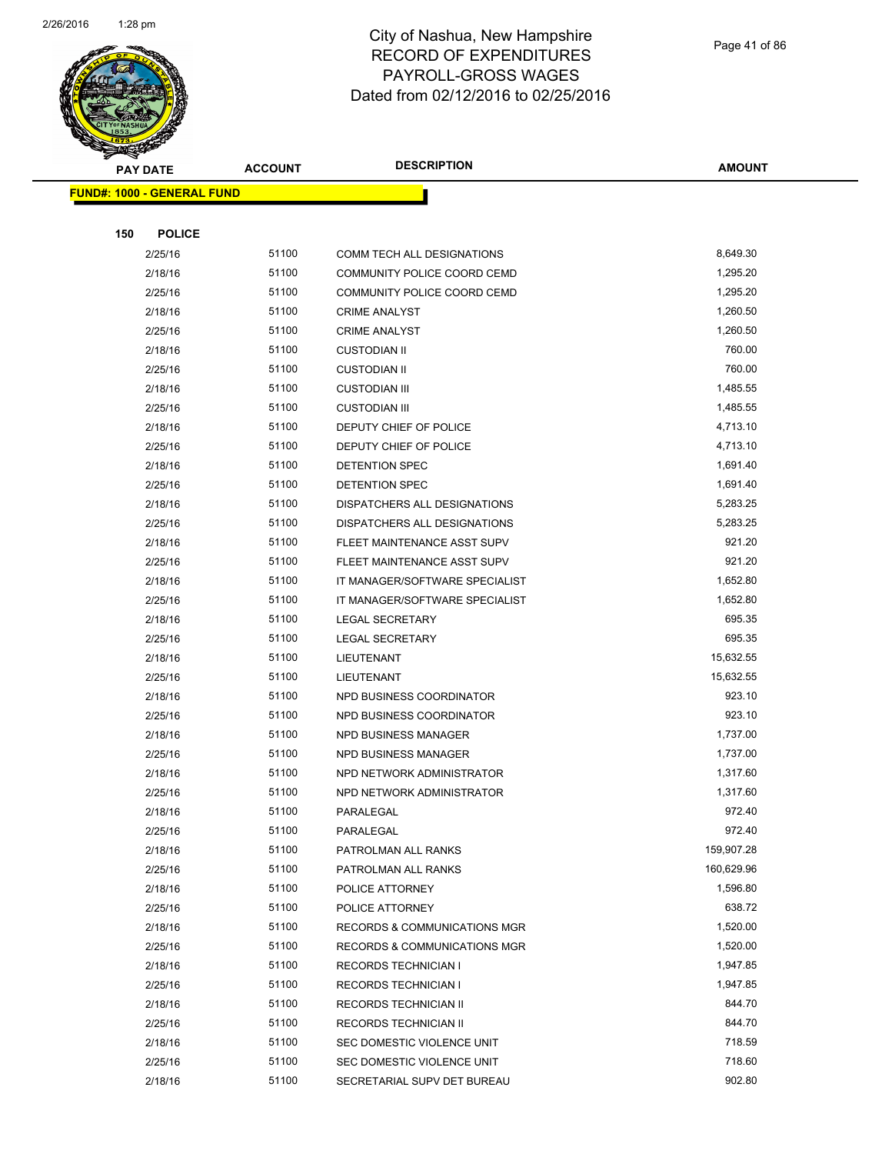

Page 41 of 86

**AMOUNT**

|     | <u> FUND#: 1000 - GENERAL FUND</u> |       |                                |            |
|-----|------------------------------------|-------|--------------------------------|------------|
|     |                                    |       |                                |            |
| 150 | <b>POLICE</b>                      |       |                                |            |
|     | 2/25/16                            | 51100 | COMM TECH ALL DESIGNATIONS     | 8,649.30   |
|     | 2/18/16                            | 51100 | COMMUNITY POLICE COORD CEMD    | 1,295.20   |
|     | 2/25/16                            | 51100 | COMMUNITY POLICE COORD CEMD    | 1,295.20   |
|     | 2/18/16                            | 51100 | <b>CRIME ANALYST</b>           | 1,260.50   |
|     | 2/25/16                            | 51100 | <b>CRIME ANALYST</b>           | 1,260.50   |
|     | 2/18/16                            | 51100 | <b>CUSTODIAN II</b>            | 760.00     |
|     | 2/25/16                            | 51100 | <b>CUSTODIAN II</b>            | 760.00     |
|     | 2/18/16                            | 51100 | <b>CUSTODIAN III</b>           | 1,485.55   |
|     | 2/25/16                            | 51100 | <b>CUSTODIAN III</b>           | 1,485.55   |
|     | 2/18/16                            | 51100 | DEPUTY CHIEF OF POLICE         | 4,713.10   |
|     | 2/25/16                            | 51100 | DEPUTY CHIEF OF POLICE         | 4,713.10   |
|     | 2/18/16                            | 51100 | DETENTION SPEC                 | 1,691.40   |
|     | 2/25/16                            | 51100 | DETENTION SPEC                 | 1,691.40   |
|     | 2/18/16                            | 51100 | DISPATCHERS ALL DESIGNATIONS   | 5,283.25   |
|     | 2/25/16                            | 51100 | DISPATCHERS ALL DESIGNATIONS   | 5,283.25   |
|     | 2/18/16                            | 51100 | FLEET MAINTENANCE ASST SUPV    | 921.20     |
|     | 2/25/16                            | 51100 | FLEET MAINTENANCE ASST SUPV    | 921.20     |
|     | 2/18/16                            | 51100 | IT MANAGER/SOFTWARE SPECIALIST | 1,652.80   |
|     | 2/25/16                            | 51100 | IT MANAGER/SOFTWARE SPECIALIST | 1,652.80   |
|     | 2/18/16                            | 51100 | <b>LEGAL SECRETARY</b>         | 695.35     |
|     | 2/25/16                            | 51100 | <b>LEGAL SECRETARY</b>         | 695.35     |
|     | 2/18/16                            | 51100 | LIEUTENANT                     | 15,632.55  |
|     | 2/25/16                            | 51100 | LIEUTENANT                     | 15,632.55  |
|     | 2/18/16                            | 51100 | NPD BUSINESS COORDINATOR       | 923.10     |
|     | 2/25/16                            | 51100 | NPD BUSINESS COORDINATOR       | 923.10     |
|     | 2/18/16                            | 51100 | NPD BUSINESS MANAGER           | 1,737.00   |
|     | 2/25/16                            | 51100 | NPD BUSINESS MANAGER           | 1,737.00   |
|     | 2/18/16                            | 51100 | NPD NETWORK ADMINISTRATOR      | 1,317.60   |
|     | 2/25/16                            | 51100 | NPD NETWORK ADMINISTRATOR      | 1,317.60   |
|     | 2/18/16                            | 51100 | PARALEGAL                      | 972.40     |
|     | 2/25/16                            | 51100 | PARALEGAL                      | 972.40     |
|     | 2/18/16                            | 51100 | PATROLMAN ALL RANKS            | 159,907.28 |
|     | 2/25/16                            | 51100 | PATROLMAN ALL RANKS            | 160,629.96 |
|     | 2/18/16                            | 51100 | POLICE ATTORNEY                | 1,596.80   |
|     | 2/25/16                            | 51100 | POLICE ATTORNEY                | 638.72     |
|     | 2/18/16                            | 51100 | RECORDS & COMMUNICATIONS MGR   | 1,520.00   |
|     | 2/25/16                            | 51100 | RECORDS & COMMUNICATIONS MGR   | 1,520.00   |
|     | 2/18/16                            | 51100 | <b>RECORDS TECHNICIAN I</b>    | 1,947.85   |
|     | 2/25/16                            | 51100 | <b>RECORDS TECHNICIAN I</b>    | 1,947.85   |
|     | 2/18/16                            | 51100 | RECORDS TECHNICIAN II          | 844.70     |
|     | 2/25/16                            | 51100 | RECORDS TECHNICIAN II          | 844.70     |
|     | 2/18/16                            | 51100 | SEC DOMESTIC VIOLENCE UNIT     | 718.59     |
|     | 2/25/16                            | 51100 | SEC DOMESTIC VIOLENCE UNIT     | 718.60     |
|     | 2/18/16                            | 51100 | SECRETARIAL SUPV DET BUREAU    | 902.80     |
|     |                                    |       |                                |            |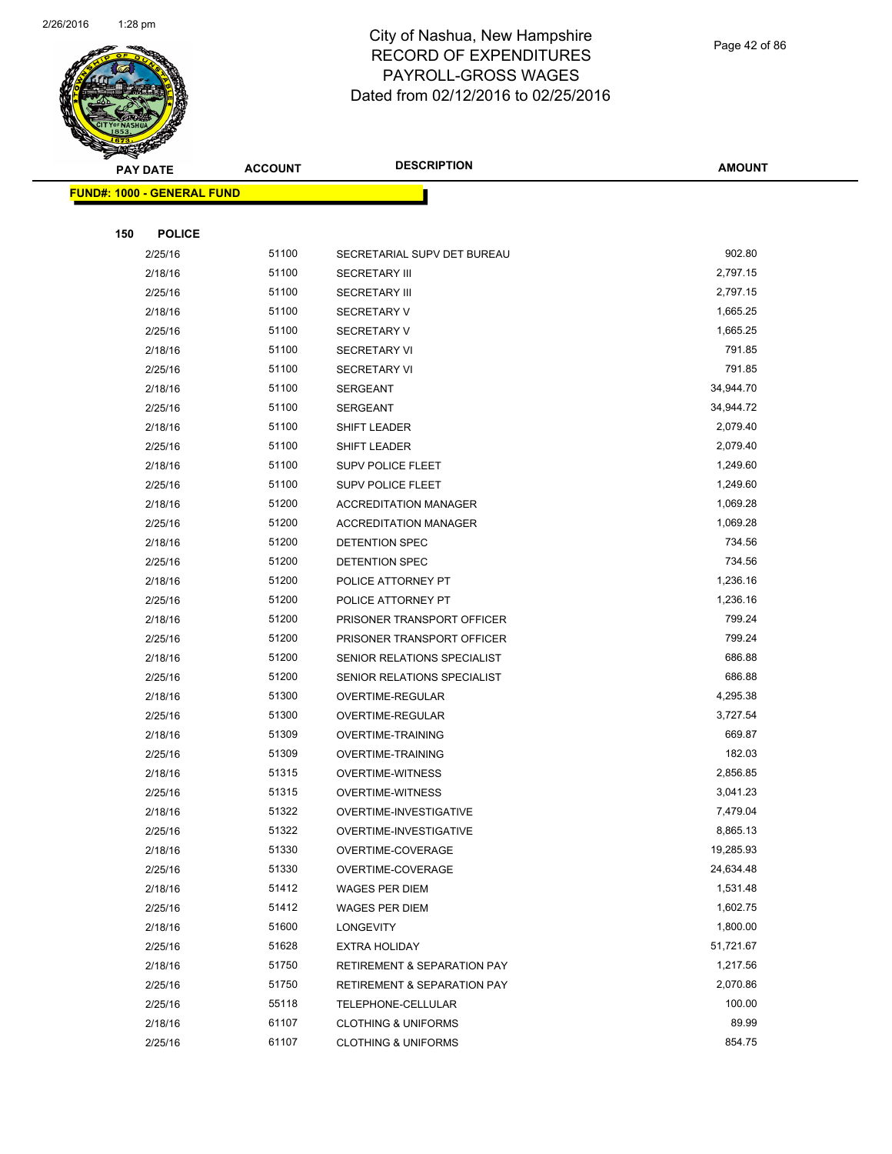

Page 42 of 86

|     | <b>PAY DATE</b>                   | <b>ACCOUNT</b> | <b>DESCRIPTION</b>                     | <b>AMOUNT</b> |
|-----|-----------------------------------|----------------|----------------------------------------|---------------|
|     | <b>FUND#: 1000 - GENERAL FUND</b> |                |                                        |               |
|     |                                   |                |                                        |               |
| 150 | <b>POLICE</b>                     |                |                                        |               |
|     | 2/25/16                           | 51100          | SECRETARIAL SUPV DET BUREAU            | 902.80        |
|     | 2/18/16                           | 51100          | <b>SECRETARY III</b>                   | 2,797.15      |
|     | 2/25/16                           | 51100          | <b>SECRETARY III</b>                   | 2,797.15      |
|     | 2/18/16                           | 51100          | <b>SECRETARY V</b>                     | 1,665.25      |
|     | 2/25/16                           | 51100          | <b>SECRETARY V</b>                     | 1,665.25      |
|     | 2/18/16                           | 51100          | <b>SECRETARY VI</b>                    | 791.85        |
|     | 2/25/16                           | 51100          | <b>SECRETARY VI</b>                    | 791.85        |
|     | 2/18/16                           | 51100          | <b>SERGEANT</b>                        | 34,944.70     |
|     | 2/25/16                           | 51100          | <b>SERGEANT</b>                        | 34,944.72     |
|     | 2/18/16                           | 51100          | SHIFT LEADER                           | 2,079.40      |
|     | 2/25/16                           | 51100          | SHIFT LEADER                           | 2,079.40      |
|     | 2/18/16                           | 51100          | SUPV POLICE FLEET                      | 1,249.60      |
|     | 2/25/16                           | 51100          | <b>SUPV POLICE FLEET</b>               | 1,249.60      |
|     | 2/18/16                           | 51200          | <b>ACCREDITATION MANAGER</b>           | 1,069.28      |
|     | 2/25/16                           | 51200          | <b>ACCREDITATION MANAGER</b>           | 1,069.28      |
|     | 2/18/16                           | 51200          | DETENTION SPEC                         | 734.56        |
|     | 2/25/16                           | 51200          | DETENTION SPEC                         | 734.56        |
|     | 2/18/16                           | 51200          | POLICE ATTORNEY PT                     | 1,236.16      |
|     | 2/25/16                           | 51200          | POLICE ATTORNEY PT                     | 1,236.16      |
|     | 2/18/16                           | 51200          | PRISONER TRANSPORT OFFICER             | 799.24        |
|     | 2/25/16                           | 51200          | PRISONER TRANSPORT OFFICER             | 799.24        |
|     | 2/18/16                           | 51200          | SENIOR RELATIONS SPECIALIST            | 686.88        |
|     | 2/25/16                           | 51200          | SENIOR RELATIONS SPECIALIST            | 686.88        |
|     | 2/18/16                           | 51300          | OVERTIME-REGULAR                       | 4,295.38      |
|     | 2/25/16                           | 51300          | OVERTIME-REGULAR                       | 3,727.54      |
|     | 2/18/16                           | 51309          | <b>OVERTIME-TRAINING</b>               | 669.87        |
|     | 2/25/16                           | 51309          | <b>OVERTIME-TRAINING</b>               | 182.03        |
|     | 2/18/16                           | 51315          | <b>OVERTIME-WITNESS</b>                | 2,856.85      |
|     | 2/25/16                           | 51315          | <b>OVERTIME-WITNESS</b>                | 3,041.23      |
|     | 2/18/16                           | 51322          | OVERTIME-INVESTIGATIVE                 | 7,479.04      |
|     | 2/25/16                           | 51322          | OVERTIME-INVESTIGATIVE                 | 8,865.13      |
|     | 2/18/16                           | 51330          | OVERTIME-COVERAGE                      | 19,285.93     |
|     | 2/25/16                           | 51330          | OVERTIME-COVERAGE                      | 24,634.48     |
|     | 2/18/16                           | 51412          | <b>WAGES PER DIEM</b>                  | 1,531.48      |
|     | 2/25/16                           | 51412          | <b>WAGES PER DIEM</b>                  | 1,602.75      |
|     | 2/18/16                           | 51600          | LONGEVITY                              | 1,800.00      |
|     | 2/25/16                           | 51628          | <b>EXTRA HOLIDAY</b>                   | 51,721.67     |
|     | 2/18/16                           | 51750          | <b>RETIREMENT &amp; SEPARATION PAY</b> | 1,217.56      |
|     | 2/25/16                           | 51750          | <b>RETIREMENT &amp; SEPARATION PAY</b> | 2,070.86      |
|     | 2/25/16                           | 55118          | TELEPHONE-CELLULAR                     | 100.00        |
|     | 2/18/16                           | 61107          | <b>CLOTHING &amp; UNIFORMS</b>         | 89.99         |
|     | 2/25/16                           | 61107          | <b>CLOTHING &amp; UNIFORMS</b>         | 854.75        |
|     |                                   |                |                                        |               |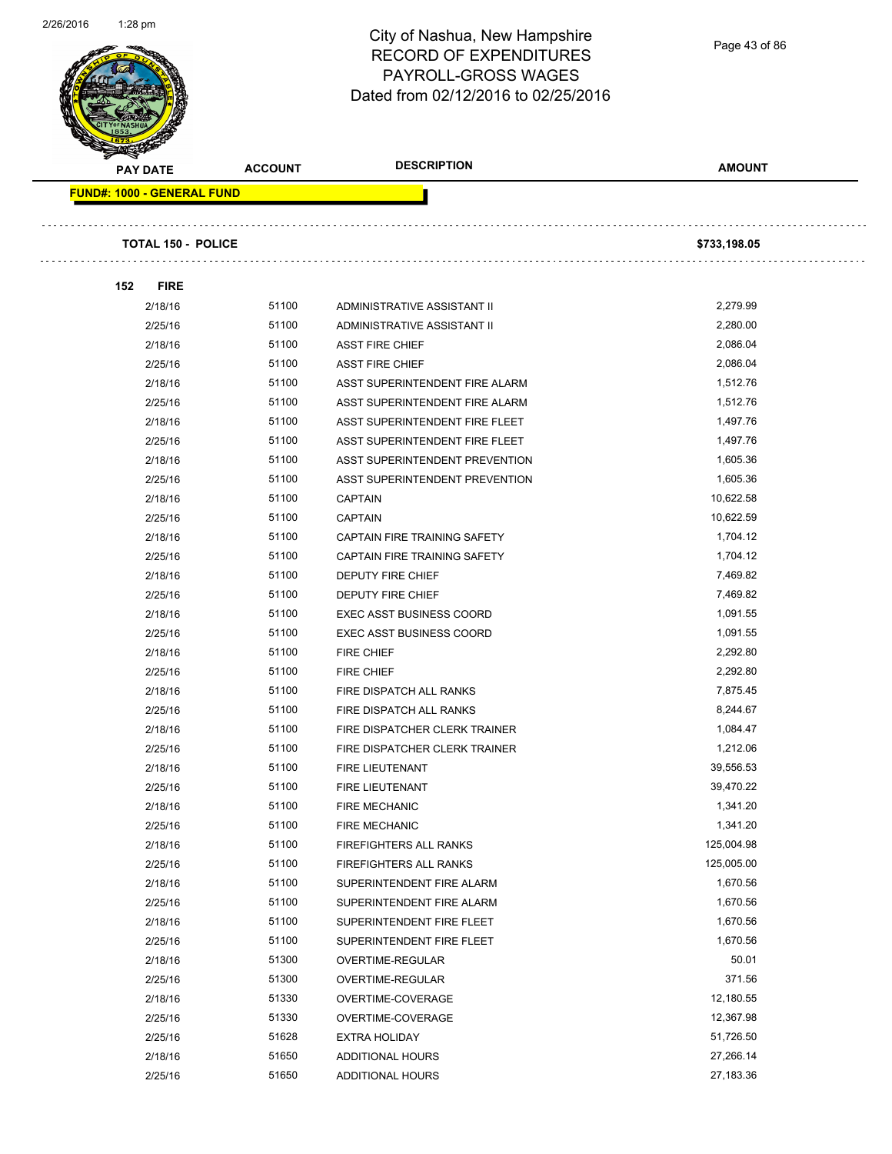

Page 43 of 86

**PAY DATE ACCOUNT DESCRIPTION AMOUNT FUND#: 1000 - GENERAL FUND TOTAL 150 - POLICE \$733,198.05 152 FIRE** 2/18/16 51100 ADMINISTRATIVE ASSISTANT II 2,279.99 2/25/16 51100 ADMINISTRATIVE ASSISTANT II 2,280.00 2/18/16 51100 ASST FIRE CHIEF 2,086.04 2/25/16 51100 ASST FIRE CHIEF 2,086.04 2/18/16 51100 ASST SUPERINTENDENT FIRE ALARM 1,512.76 2/25/16 51100 ASST SUPERINTENDENT FIRE ALARM 1,512.76 2/18/16 51100 ASST SUPERINTENDENT FIRE FLEET 1,497.76 2/25/16 51100 ASST SUPERINTENDENT FIRE FLEET 1,497.76 2/18/16 51100 ASST SUPERINTENDENT PREVENTION 571605.36 2/25/16 51100 ASST SUPERINTENDENT PREVENTION 5 1,605.36 2/18/16 51100 CAPTAIN 10,622.58 2/25/16 51100 CAPTAIN 10,622.59 2/18/16 51100 CAPTAIN FIRE TRAINING SAFETY 1,704.12 2/25/16 51100 CAPTAIN FIRE TRAINING SAFETY 1,704.12 2/18/16 51100 DEPUTY FIRE CHIEF **12/18/16** 7,469.82 2/25/16 51100 DEPUTY FIRE CHIEF 30 2025/16 7,469.82 2/18/16 51100 EXEC ASST BUSINESS COORD 550 1,091.55 2/25/16 51100 EXEC ASST BUSINESS COORD 1,091.55 2/18/16 51100 FIRE CHIEF 2,292.80 2/25/16 51100 FIRE CHIEF 2,292.80 2/18/16 51100 FIRE DISPATCH ALL RANKS 516 12/18/16 7,875.45 2/25/16 51100 FIRE DISPATCH ALL RANKS 8,244.67 2/18/16 51100 FIRE DISPATCHER CLERK TRAINER 1,084.47 2/25/16 51100 FIRE DISPATCHER CLERK TRAINER 1,212.06 2/18/16 51100 FIRE LIEUTENANT 39,556.53 2/25/16 51100 FIRE LIEUTENANT 39,470.22 2/18/16 51100 FIRE MECHANIC 3 2018/16 1,341.20 2/25/16 51100 FIRE MECHANIC 1,341.20 2/18/16 51100 FIREFIGHTERS ALL RANKS 125,004.98 2/25/16 51100 FIREFIGHTERS ALL RANKS 125,005.00

> 2/18/16 51100 SUPERINTENDENT FIRE ALARM 1,670.56 2/25/16 51100 SUPERINTENDENT FIRE ALARM 1,670.56 2/18/16 51100 SUPERINTENDENT FIRE FLEET 5 1,670.56 2/25/16 51100 SUPERINTENDENT FIRE FLEET 1,670.56 2/18/16 51300 OVERTIME-REGULAR 50.01 2/25/16 51300 OVERTIME-REGULAR 371.56 2/18/16 51330 OVERTIME-COVERAGE 12,180.55 2/25/16 51330 OVERTIME-COVERAGE 12,367.98 2/25/16 51628 EXTRA HOLIDAY 51,726.50 2/18/16 51650 ADDITIONAL HOURS 27,266.14 2/25/16 51650 ADDITIONAL HOURS 27,183.36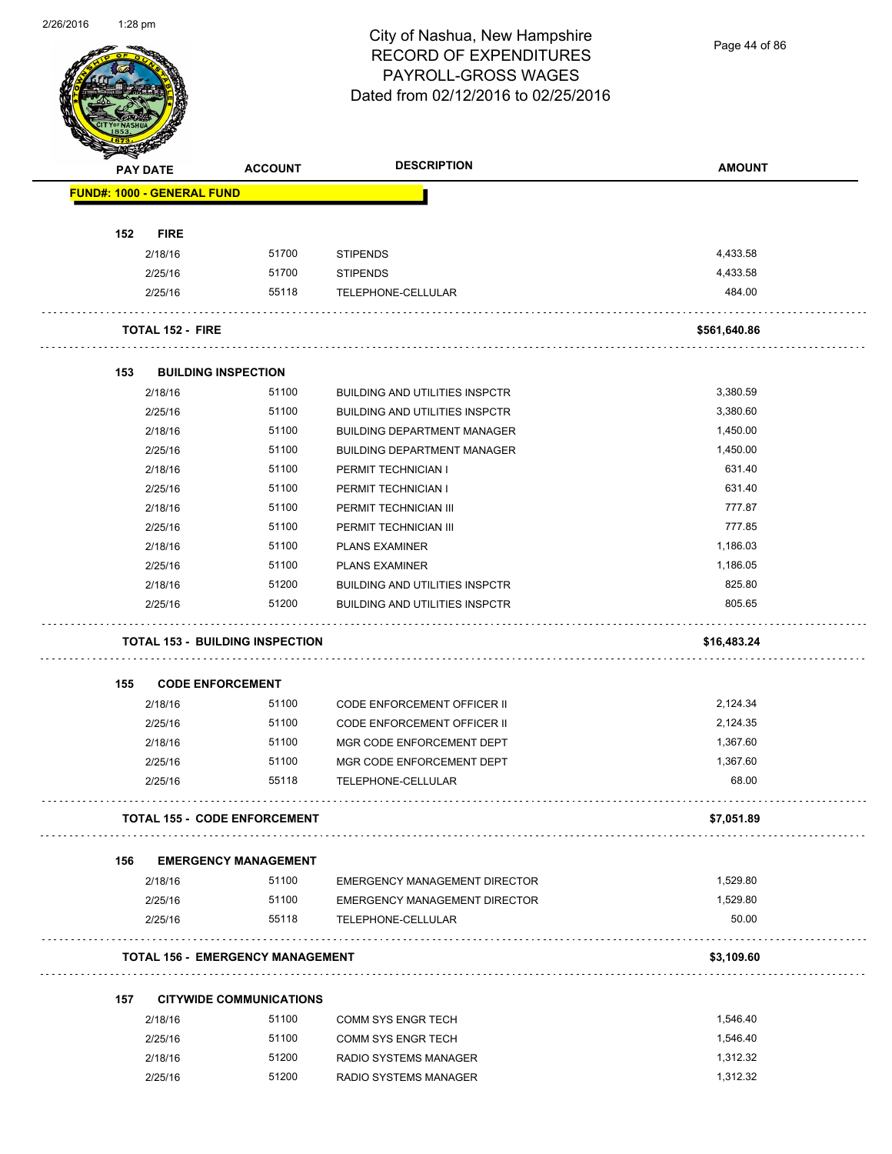

Page 44 of 86

|     | <b>PAY DATE</b>                   | <b>ACCOUNT</b>                          | <b>DESCRIPTION</b>                                         | <b>AMOUNT</b>     |
|-----|-----------------------------------|-----------------------------------------|------------------------------------------------------------|-------------------|
|     | <b>FUND#: 1000 - GENERAL FUND</b> |                                         |                                                            |                   |
|     |                                   |                                         |                                                            |                   |
| 152 | <b>FIRE</b>                       |                                         |                                                            |                   |
|     | 2/18/16                           | 51700                                   | <b>STIPENDS</b>                                            | 4,433.58          |
|     | 2/25/16                           | 51700                                   | <b>STIPENDS</b>                                            | 4,433.58          |
|     | 2/25/16                           | 55118                                   | TELEPHONE-CELLULAR                                         | 484.00            |
|     | <b>TOTAL 152 - FIRE</b>           |                                         |                                                            | \$561,640.86      |
| 153 |                                   | <b>BUILDING INSPECTION</b>              |                                                            |                   |
|     | 2/18/16                           | 51100                                   | <b>BUILDING AND UTILITIES INSPCTR</b>                      | 3,380.59          |
|     | 2/25/16                           | 51100                                   | <b>BUILDING AND UTILITIES INSPCTR</b>                      | 3,380.60          |
|     | 2/18/16                           | 51100                                   | <b>BUILDING DEPARTMENT MANAGER</b>                         | 1,450.00          |
|     | 2/25/16                           | 51100                                   | <b>BUILDING DEPARTMENT MANAGER</b>                         | 1,450.00          |
|     | 2/18/16                           | 51100                                   | PERMIT TECHNICIAN I                                        | 631.40            |
|     | 2/25/16                           | 51100                                   | PERMIT TECHNICIAN I                                        | 631.40            |
|     | 2/18/16                           | 51100                                   | PERMIT TECHNICIAN III                                      | 777.87            |
|     | 2/25/16                           | 51100                                   | PERMIT TECHNICIAN III                                      | 777.85            |
|     | 2/18/16                           | 51100                                   | <b>PLANS EXAMINER</b>                                      | 1,186.03          |
|     | 2/25/16                           | 51100                                   | <b>PLANS EXAMINER</b>                                      | 1,186.05          |
|     | 2/18/16                           | 51200                                   | <b>BUILDING AND UTILITIES INSPCTR</b>                      | 825.80            |
|     | 2/25/16                           | 51200                                   | <b>BUILDING AND UTILITIES INSPCTR</b>                      | 805.65            |
|     |                                   | <b>TOTAL 153 - BUILDING INSPECTION</b>  |                                                            | \$16,483.24       |
| 155 |                                   | <b>CODE ENFORCEMENT</b>                 |                                                            |                   |
|     | 2/18/16                           | 51100                                   | <b>CODE ENFORCEMENT OFFICER II</b>                         | 2,124.34          |
|     | 2/25/16                           | 51100                                   | CODE ENFORCEMENT OFFICER II                                | 2,124.35          |
|     | 2/18/16                           | 51100                                   | MGR CODE ENFORCEMENT DEPT                                  | 1,367.60          |
|     | 2/25/16                           | 51100                                   | MGR CODE ENFORCEMENT DEPT                                  | 1,367.60          |
|     | 2/25/16                           | 55118                                   | TELEPHONE-CELLULAR                                         | 68.00             |
|     |                                   | <b>TOTAL 155 - CODE ENFORCEMENT</b>     |                                                            | \$7,051.89        |
|     |                                   |                                         |                                                            |                   |
| 156 |                                   | <b>EMERGENCY MANAGEMENT</b>             |                                                            |                   |
|     | 2/18/16                           | 51100                                   | <b>EMERGENCY MANAGEMENT DIRECTOR</b>                       | 1,529.80          |
|     | 2/25/16<br>2/25/16                | 51100<br>55118                          | <b>EMERGENCY MANAGEMENT DIRECTOR</b><br>TELEPHONE-CELLULAR | 1,529.80<br>50.00 |
|     |                                   |                                         |                                                            |                   |
|     |                                   | <b>TOTAL 156 - EMERGENCY MANAGEMENT</b> |                                                            | \$3,109.60        |
| 157 |                                   | <b>CITYWIDE COMMUNICATIONS</b>          |                                                            |                   |
|     | 2/18/16                           | 51100                                   | COMM SYS ENGR TECH                                         | 1,546.40          |
|     | 2/25/16                           | 51100                                   | COMM SYS ENGR TECH                                         | 1,546.40          |
|     |                                   |                                         |                                                            |                   |
|     | 2/18/16                           | 51200                                   | RADIO SYSTEMS MANAGER                                      | 1,312.32          |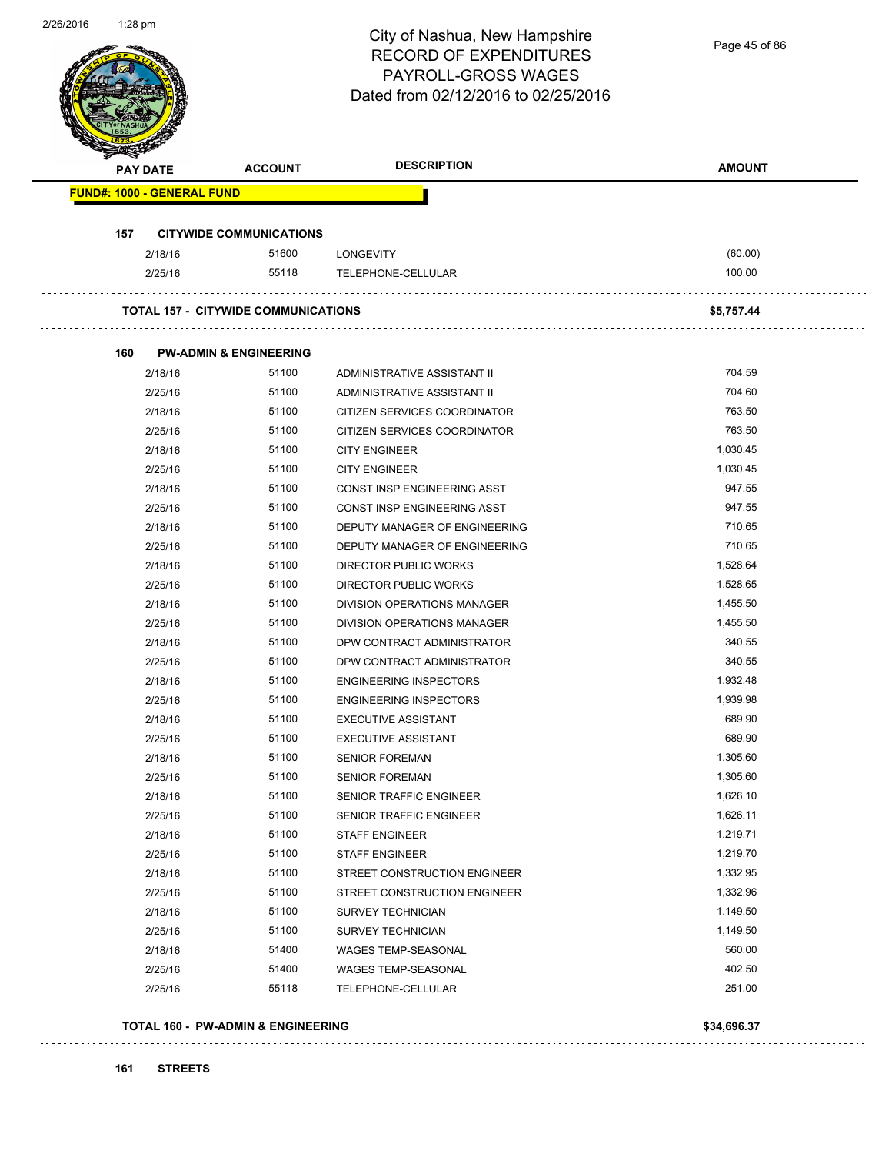| 2/26/2016 | $1:28$ pm                         |                                            | City of Nashua, New Hampshire<br><b>RECORD OF EXPENDITURES</b><br>PAYROLL-GROSS WAGES<br>Dated from 02/12/2016 to 02/25/2016 | Page 45 of 86 |
|-----------|-----------------------------------|--------------------------------------------|------------------------------------------------------------------------------------------------------------------------------|---------------|
|           | <b>PAY DATE</b>                   | <b>ACCOUNT</b>                             | <b>DESCRIPTION</b>                                                                                                           | <b>AMOUNT</b> |
|           | <b>FUND#: 1000 - GENERAL FUND</b> |                                            |                                                                                                                              |               |
|           | 157                               | <b>CITYWIDE COMMUNICATIONS</b>             |                                                                                                                              |               |
|           | 2/18/16                           | 51600                                      | <b>LONGEVITY</b>                                                                                                             | (60.00)       |
|           | 2/25/16                           | 55118                                      | TELEPHONE-CELLULAR                                                                                                           | 100.00        |
|           |                                   |                                            |                                                                                                                              |               |
|           |                                   | <b>TOTAL 157 - CITYWIDE COMMUNICATIONS</b> |                                                                                                                              | \$5,757.44    |
|           |                                   |                                            |                                                                                                                              |               |
|           | 160                               | <b>PW-ADMIN &amp; ENGINEERING</b>          |                                                                                                                              |               |
|           | 2/18/16                           | 51100                                      | ADMINISTRATIVE ASSISTANT II                                                                                                  | 704.59        |
|           | 2/25/16                           | 51100                                      | ADMINISTRATIVE ASSISTANT II                                                                                                  | 704.60        |
|           | 2/18/16                           | 51100                                      | CITIZEN SERVICES COORDINATOR                                                                                                 | 763.50        |
|           | 2/25/16                           | 51100                                      | CITIZEN SERVICES COORDINATOR                                                                                                 | 763.50        |
|           | 2/18/16                           | 51100                                      | <b>CITY ENGINEER</b>                                                                                                         | 1,030.45      |
|           | 2/25/16                           | 51100                                      | <b>CITY ENGINEER</b>                                                                                                         | 1,030.45      |
|           | 2/18/16                           | 51100                                      | CONST INSP ENGINEERING ASST                                                                                                  | 947.55        |
|           | 2/25/16                           | 51100                                      | CONST INSP ENGINEERING ASST                                                                                                  | 947.55        |
|           | 2/18/16                           | 51100                                      | DEPUTY MANAGER OF ENGINEERING                                                                                                | 710.65        |
|           | 2/25/16                           | 51100                                      | DEPUTY MANAGER OF ENGINEERING                                                                                                | 710.65        |
|           | 2/18/16                           | 51100                                      | DIRECTOR PUBLIC WORKS                                                                                                        | 1,528.64      |
|           | 2/25/16                           | 51100                                      | <b>DIRECTOR PUBLIC WORKS</b>                                                                                                 | 1,528.65      |
|           | 2/18/16                           | 51100                                      | <b>DIVISION OPERATIONS MANAGER</b>                                                                                           | 1,455.50      |
|           | 2/25/16                           | 51100                                      | DIVISION OPERATIONS MANAGER                                                                                                  | 1,455.50      |
|           | 2/18/16                           | 51100                                      | DPW CONTRACT ADMINISTRATOR                                                                                                   | 340.55        |
|           | 2/25/16                           | 51100                                      | DPW CONTRACT ADMINISTRATOR                                                                                                   | 340.55        |
|           | 2/18/16                           | 51100                                      | <b>ENGINEERING INSPECTORS</b>                                                                                                | 1,932.48      |
|           | 2/25/16                           | 51100                                      | <b>ENGINEERING INSPECTORS</b>                                                                                                | 1,939.98      |
|           | 2/18/16                           | 51100                                      | <b>EXECUTIVE ASSISTANT</b>                                                                                                   | 689.90        |
|           | 2/25/16                           | 51100                                      | <b>EXECUTIVE ASSISTANT</b>                                                                                                   | 689.90        |
|           | 2/18/16                           | 51100                                      | <b>SENIOR FOREMAN</b>                                                                                                        | 1,305.60      |
|           | 2/25/16                           | 51100                                      | <b>SENIOR FOREMAN</b>                                                                                                        | 1,305.60      |
|           | 2/18/16                           | 51100                                      | SENIOR TRAFFIC ENGINEER                                                                                                      | 1,626.10      |
|           | 2/25/16                           | 51100                                      | <b>SENIOR TRAFFIC ENGINEER</b>                                                                                               | 1,626.11      |
|           | 2/18/16                           | 51100                                      | <b>STAFF ENGINEER</b>                                                                                                        | 1,219.71      |
|           | 2/25/16                           | 51100                                      | <b>STAFF ENGINEER</b>                                                                                                        | 1,219.70      |
|           | 2/18/16                           | 51100                                      | STREET CONSTRUCTION ENGINEER                                                                                                 | 1,332.95      |
|           | 2/25/16                           | 51100                                      | STREET CONSTRUCTION ENGINEER                                                                                                 | 1,332.96      |
|           | 2/18/16                           | 51100                                      | <b>SURVEY TECHNICIAN</b>                                                                                                     | 1,149.50      |
|           | 2/25/16                           | 51100                                      | <b>SURVEY TECHNICIAN</b>                                                                                                     | 1,149.50      |
|           | 2/18/16                           | 51400                                      | WAGES TEMP-SEASONAL                                                                                                          | 560.00        |
|           | 2/25/16                           | 51400                                      | WAGES TEMP-SEASONAL                                                                                                          | 402.50        |
|           | 2/25/16                           | 55118                                      | TELEPHONE-CELLULAR                                                                                                           | 251.00        |
|           |                                   | TOTAL 160 - PW-ADMIN & ENGINEERING         |                                                                                                                              | \$34,696.37   |

 $\mathbb{R}^2$  .

. . . . . . . . . . . . . . .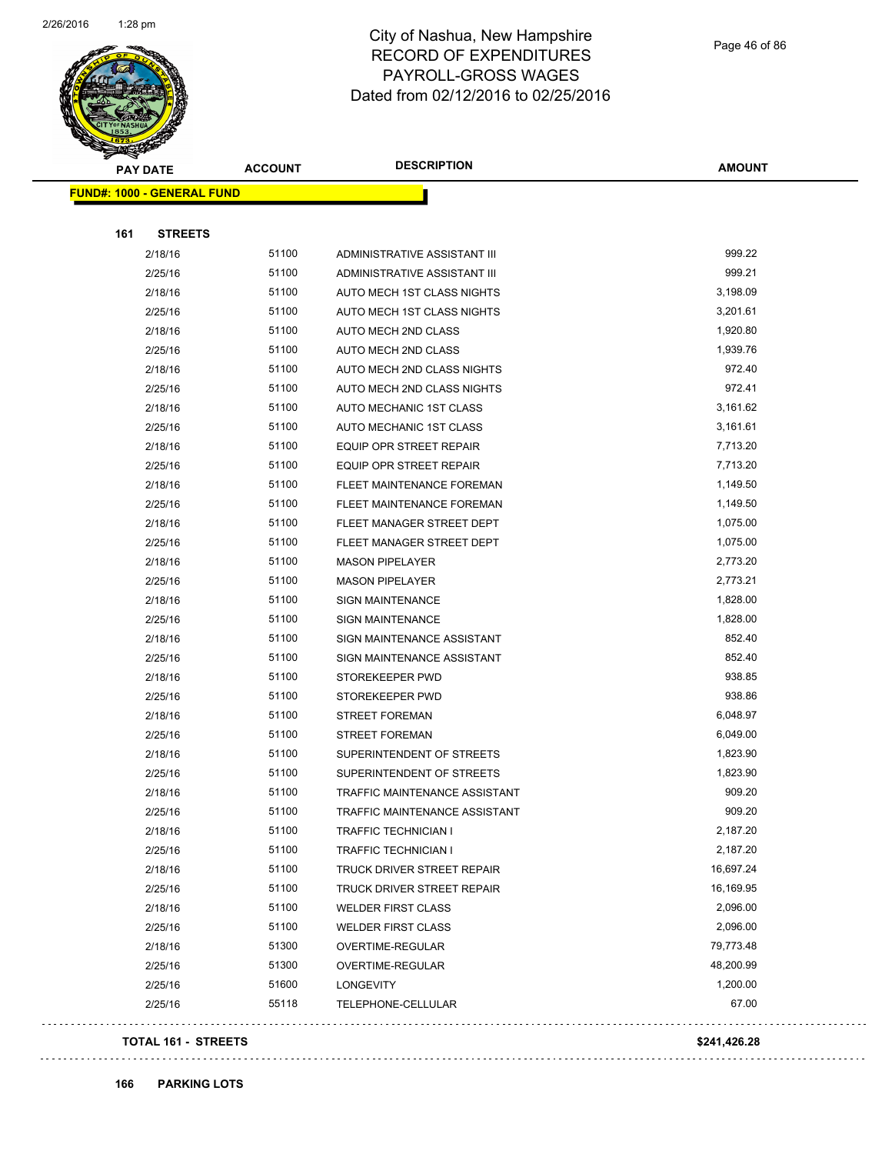

Page 46 of 86

| <b>PAY DATE</b>                   | <b>ACCOUNT</b> | <b>DESCRIPTION</b>                   | <b>AMOUNT</b> |
|-----------------------------------|----------------|--------------------------------------|---------------|
| <b>FUND#: 1000 - GENERAL FUND</b> |                |                                      |               |
|                                   |                |                                      |               |
| <b>STREETS</b><br>161             |                |                                      |               |
| 2/18/16                           | 51100          | ADMINISTRATIVE ASSISTANT III         | 999.22        |
| 2/25/16                           | 51100          | ADMINISTRATIVE ASSISTANT III         | 999.21        |
| 2/18/16                           | 51100          | AUTO MECH 1ST CLASS NIGHTS           | 3,198.09      |
| 2/25/16                           | 51100          | AUTO MECH 1ST CLASS NIGHTS           | 3,201.61      |
| 2/18/16                           | 51100          | AUTO MECH 2ND CLASS                  | 1,920.80      |
| 2/25/16                           | 51100          | AUTO MECH 2ND CLASS                  | 1,939.76      |
| 2/18/16                           | 51100          | AUTO MECH 2ND CLASS NIGHTS           | 972.40        |
| 2/25/16                           | 51100          | AUTO MECH 2ND CLASS NIGHTS           | 972.41        |
| 2/18/16                           | 51100          | AUTO MECHANIC 1ST CLASS              | 3,161.62      |
| 2/25/16                           | 51100          | AUTO MECHANIC 1ST CLASS              | 3,161.61      |
| 2/18/16                           | 51100          | EQUIP OPR STREET REPAIR              | 7,713.20      |
| 2/25/16                           | 51100          | EQUIP OPR STREET REPAIR              | 7,713.20      |
| 2/18/16                           | 51100          | FLEET MAINTENANCE FOREMAN            | 1,149.50      |
| 2/25/16                           | 51100          | FLEET MAINTENANCE FOREMAN            | 1,149.50      |
| 2/18/16                           | 51100          | FLEET MANAGER STREET DEPT            | 1,075.00      |
| 2/25/16                           | 51100          | FLEET MANAGER STREET DEPT            | 1,075.00      |
| 2/18/16                           | 51100          | <b>MASON PIPELAYER</b>               | 2,773.20      |
| 2/25/16                           | 51100          | <b>MASON PIPELAYER</b>               | 2,773.21      |
| 2/18/16                           | 51100          | <b>SIGN MAINTENANCE</b>              | 1,828.00      |
| 2/25/16                           | 51100          | <b>SIGN MAINTENANCE</b>              | 1,828.00      |
| 2/18/16                           | 51100          | SIGN MAINTENANCE ASSISTANT           | 852.40        |
| 2/25/16                           | 51100          | SIGN MAINTENANCE ASSISTANT           | 852.40        |
| 2/18/16                           | 51100          | STOREKEEPER PWD                      | 938.85        |
| 2/25/16                           | 51100          | STOREKEEPER PWD                      | 938.86        |
| 2/18/16                           | 51100          | <b>STREET FOREMAN</b>                | 6,048.97      |
| 2/25/16                           | 51100          | <b>STREET FOREMAN</b>                | 6,049.00      |
| 2/18/16                           | 51100          | SUPERINTENDENT OF STREETS            | 1,823.90      |
| 2/25/16                           | 51100          | SUPERINTENDENT OF STREETS            | 1,823.90      |
| 2/18/16                           | 51100          | TRAFFIC MAINTENANCE ASSISTANT        | 909.20        |
| 2/25/16                           | 51100          | <b>TRAFFIC MAINTENANCE ASSISTANT</b> | 909.20        |
| 2/18/16                           | 51100          | TRAFFIC TECHNICIAN I                 | 2,187.20      |
| 2/25/16                           | 51100          | <b>TRAFFIC TECHNICIAN I</b>          | 2,187.20      |
| 2/18/16                           | 51100          | TRUCK DRIVER STREET REPAIR           | 16,697.24     |
| 2/25/16                           | 51100          | TRUCK DRIVER STREET REPAIR           | 16,169.95     |
| 2/18/16                           | 51100          | <b>WELDER FIRST CLASS</b>            | 2,096.00      |
| 2/25/16                           | 51100          | <b>WELDER FIRST CLASS</b>            | 2,096.00      |
| 2/18/16                           | 51300          | OVERTIME-REGULAR                     | 79,773.48     |
| 2/25/16                           | 51300          | OVERTIME-REGULAR                     | 48,200.99     |
| 2/25/16                           | 51600          | <b>LONGEVITY</b>                     | 1,200.00      |
| 2/25/16                           | 55118          | TELEPHONE-CELLULAR                   | 67.00         |

#### **TOTAL 161 - STREETS \$241,426.28**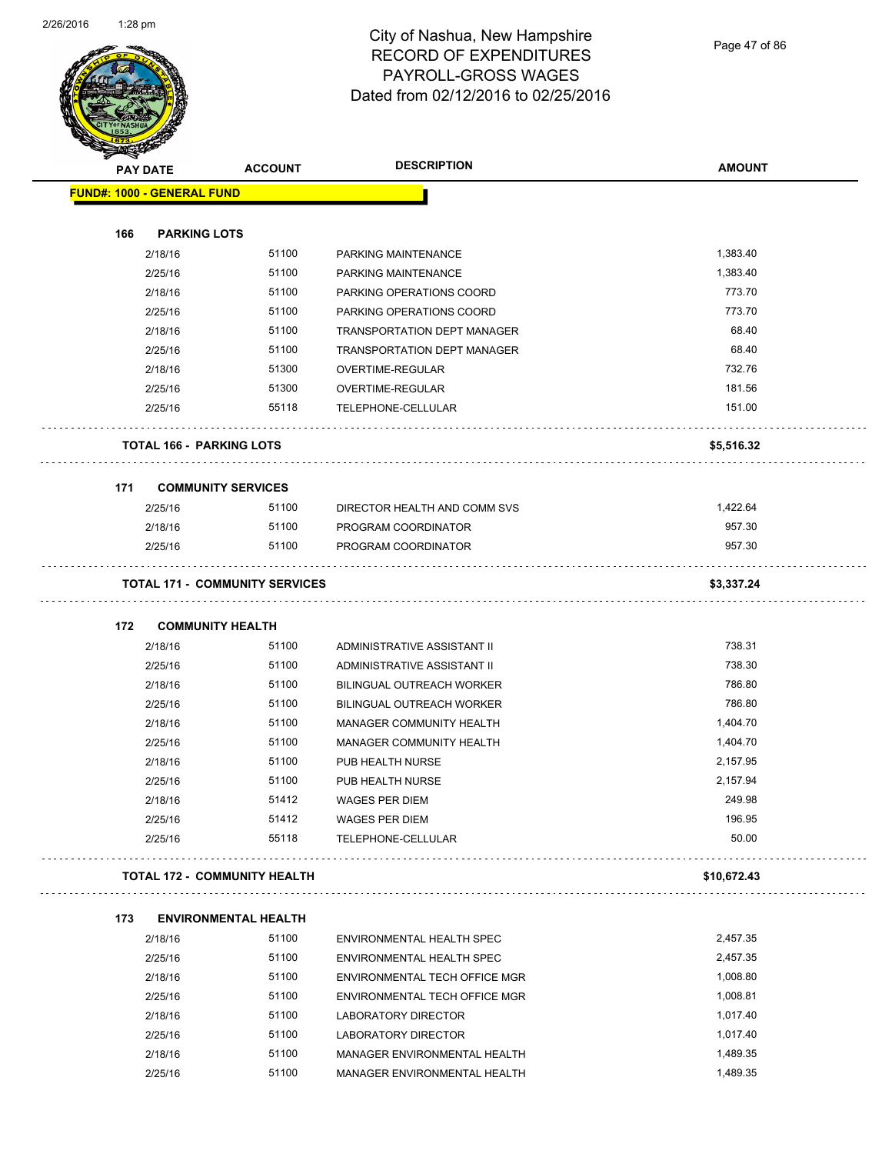

Page 47 of 86

|                                   | <b>STARTING CARDS</b> |                                       |                                    |               |  |
|-----------------------------------|-----------------------|---------------------------------------|------------------------------------|---------------|--|
|                                   | <b>PAY DATE</b>       | <b>ACCOUNT</b>                        | <b>DESCRIPTION</b>                 | <b>AMOUNT</b> |  |
| <b>FUND#: 1000 - GENERAL FUND</b> |                       |                                       |                                    |               |  |
|                                   |                       |                                       |                                    |               |  |
| 166                               |                       | <b>PARKING LOTS</b>                   |                                    |               |  |
|                                   | 2/18/16               | 51100                                 | PARKING MAINTENANCE                | 1,383.40      |  |
|                                   | 2/25/16               | 51100                                 | PARKING MAINTENANCE                | 1,383.40      |  |
|                                   | 2/18/16               | 51100                                 | PARKING OPERATIONS COORD           | 773.70        |  |
|                                   | 2/25/16               | 51100                                 | PARKING OPERATIONS COORD           | 773.70        |  |
|                                   | 2/18/16               | 51100                                 | <b>TRANSPORTATION DEPT MANAGER</b> | 68.40         |  |
|                                   | 2/25/16               | 51100                                 | <b>TRANSPORTATION DEPT MANAGER</b> | 68.40         |  |
|                                   | 2/18/16               | 51300                                 | OVERTIME-REGULAR                   | 732.76        |  |
|                                   | 2/25/16               | 51300                                 | OVERTIME-REGULAR                   | 181.56        |  |
|                                   | 2/25/16               | 55118                                 | TELEPHONE-CELLULAR                 | 151.00        |  |
|                                   |                       | <b>TOTAL 166 - PARKING LOTS</b>       |                                    | \$5,516.32    |  |
| 171                               |                       | <b>COMMUNITY SERVICES</b>             |                                    |               |  |
|                                   | 2/25/16               | 51100                                 | DIRECTOR HEALTH AND COMM SVS       | 1,422.64      |  |
|                                   | 2/18/16               | 51100                                 | PROGRAM COORDINATOR                | 957.30        |  |
|                                   | 2/25/16               | 51100                                 | PROGRAM COORDINATOR                | 957.30        |  |
|                                   |                       | <b>TOTAL 171 - COMMUNITY SERVICES</b> |                                    | \$3,337.24    |  |
|                                   |                       |                                       |                                    |               |  |
| 172                               |                       | <b>COMMUNITY HEALTH</b>               |                                    |               |  |
|                                   | 2/18/16               | 51100                                 | ADMINISTRATIVE ASSISTANT II        | 738.31        |  |
|                                   | 2/25/16               | 51100                                 | ADMINISTRATIVE ASSISTANT II        | 738.30        |  |
|                                   | 2/18/16               | 51100                                 | <b>BILINGUAL OUTREACH WORKER</b>   | 786.80        |  |
|                                   | 2/25/16               | 51100                                 | <b>BILINGUAL OUTREACH WORKER</b>   | 786.80        |  |
|                                   | 2/18/16               | 51100                                 | MANAGER COMMUNITY HEALTH           | 1,404.70      |  |
|                                   | 2/25/16               | 51100                                 | MANAGER COMMUNITY HEALTH           | 1,404.70      |  |
|                                   | 2/18/16               | 51100                                 | PUB HEALTH NURSE                   | 2,157.95      |  |
|                                   | 2/25/16               | 51100                                 | PUB HEALTH NURSE                   | 2,157.94      |  |
|                                   | 2/18/16               | 51412                                 | WAGES PER DIEM                     | 249.98        |  |
|                                   | 2/25/16               | 51412                                 | WAGES PER DIEM                     | 196.95        |  |
|                                   | 2/25/16               | 55118                                 | TELEPHONE-CELLULAR                 | 50.00         |  |
|                                   |                       | <b>TOTAL 172 - COMMUNITY HEALTH</b>   |                                    | \$10,672.43   |  |
| 173                               |                       | <b>ENVIRONMENTAL HEALTH</b>           |                                    |               |  |
|                                   | 2/18/16               | 51100                                 | ENVIRONMENTAL HEALTH SPEC          | 2,457.35      |  |
|                                   | 2/25/16               | 51100                                 | ENVIRONMENTAL HEALTH SPEC          | 2,457.35      |  |
|                                   | 2/18/16               | 51100                                 | ENVIRONMENTAL TECH OFFICE MGR      | 1,008.80      |  |
|                                   | 2/25/16               | 51100                                 | ENVIRONMENTAL TECH OFFICE MGR      | 1,008.81      |  |
|                                   | 2/18/16               | 51100                                 | LABORATORY DIRECTOR                | 1,017.40      |  |
|                                   | 2/25/16               | 51100                                 | LABORATORY DIRECTOR                | 1,017.40      |  |
|                                   | 2/18/16               | 51100                                 | MANAGER ENVIRONMENTAL HEALTH       | 1,489.35      |  |
|                                   | 2/25/16               | 51100                                 | MANAGER ENVIRONMENTAL HEALTH       | 1,489.35      |  |
|                                   |                       |                                       |                                    |               |  |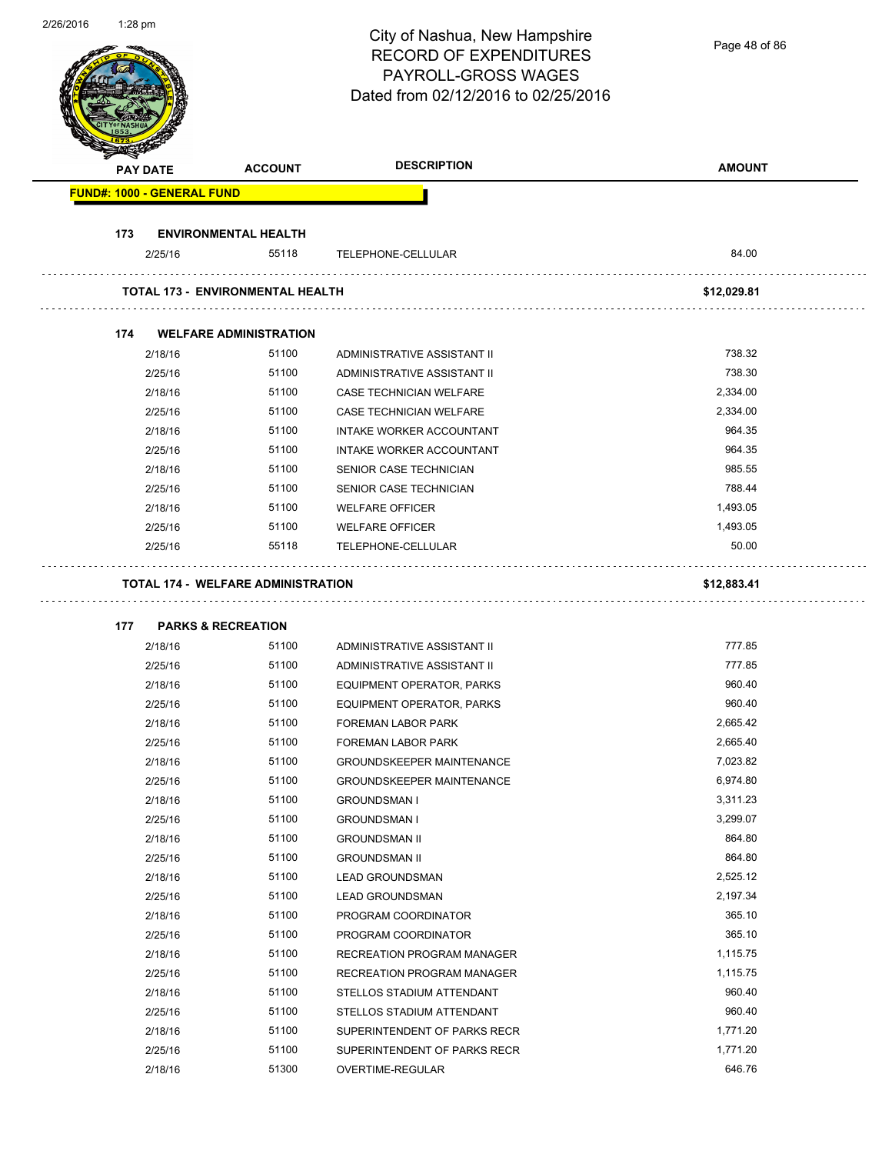| 2/26/2016 | $1:28$ pm |                                   |                                           | City of Nashua, New Hampshire<br><b>RECORD OF EXPENDITURES</b><br>PAYROLL-GROSS WAGES<br>Dated from 02/12/2016 to 02/25/2016 | Page 48 of 86      |
|-----------|-----------|-----------------------------------|-------------------------------------------|------------------------------------------------------------------------------------------------------------------------------|--------------------|
|           |           | <b>PAY DATE</b>                   | <b>ACCOUNT</b>                            | <b>DESCRIPTION</b>                                                                                                           | <b>AMOUNT</b>      |
|           |           | <b>FUND#: 1000 - GENERAL FUND</b> |                                           |                                                                                                                              |                    |
|           |           |                                   |                                           |                                                                                                                              |                    |
|           | 173       |                                   | <b>ENVIRONMENTAL HEALTH</b>               |                                                                                                                              |                    |
|           |           | 2/25/16                           | 55118                                     | TELEPHONE-CELLULAR                                                                                                           | 84.00              |
|           |           |                                   | <b>TOTAL 173 - ENVIRONMENTAL HEALTH</b>   |                                                                                                                              | \$12,029.81        |
|           | 174       |                                   | <b>WELFARE ADMINISTRATION</b>             |                                                                                                                              |                    |
|           |           | 2/18/16                           | 51100                                     | ADMINISTRATIVE ASSISTANT II                                                                                                  | 738.32             |
|           |           | 2/25/16                           | 51100                                     | ADMINISTRATIVE ASSISTANT II                                                                                                  | 738.30             |
|           |           | 2/18/16                           | 51100                                     | <b>CASE TECHNICIAN WELFARE</b>                                                                                               | 2,334.00           |
|           |           | 2/25/16                           | 51100                                     | <b>CASE TECHNICIAN WELFARE</b>                                                                                               | 2,334.00           |
|           |           | 2/18/16                           | 51100                                     | INTAKE WORKER ACCOUNTANT                                                                                                     | 964.35             |
|           |           | 2/25/16                           | 51100                                     | INTAKE WORKER ACCOUNTANT                                                                                                     | 964.35             |
|           |           | 2/18/16                           | 51100                                     | SENIOR CASE TECHNICIAN                                                                                                       | 985.55             |
|           |           | 2/25/16                           | 51100                                     | SENIOR CASE TECHNICIAN                                                                                                       | 788.44             |
|           |           | 2/18/16                           | 51100                                     | <b>WELFARE OFFICER</b>                                                                                                       | 1,493.05           |
|           |           | 2/25/16                           | 51100                                     | <b>WELFARE OFFICER</b>                                                                                                       | 1,493.05           |
|           |           | 2/25/16                           | 55118                                     | TELEPHONE-CELLULAR                                                                                                           | 50.00              |
|           |           |                                   | <b>TOTAL 174 - WELFARE ADMINISTRATION</b> |                                                                                                                              | \$12,883.41        |
|           | 177       |                                   | <b>PARKS &amp; RECREATION</b>             |                                                                                                                              |                    |
|           |           | 2/18/16                           | 51100                                     | ADMINISTRATIVE ASSISTANT II                                                                                                  | 777.85             |
|           |           | 2/25/16                           | 51100                                     | ADMINISTRATIVE ASSISTANT II                                                                                                  | 777.85             |
|           |           | 2/18/16                           | 51100                                     | EQUIPMENT OPERATOR, PARKS                                                                                                    | 960.40             |
|           |           | 2/25/16                           | 51100                                     | EQUIPMENT OPERATOR, PARKS                                                                                                    | 960.40             |
|           |           | 2/18/16                           | 51100                                     | FOREMAN LABOR PARK                                                                                                           | 2,665.42           |
|           |           | 2/25/16                           | 51100                                     | FOREMAN LABOR PARK                                                                                                           | 2,665.40           |
|           |           | 2/18/16                           | 51100                                     | <b>GROUNDSKEEPER MAINTENANCE</b>                                                                                             | 7,023.82           |
|           |           | 2/25/16                           | 51100                                     | <b>GROUNDSKEEPER MAINTENANCE</b>                                                                                             | 6,974.80           |
|           |           | 2/18/16                           | 51100                                     | <b>GROUNDSMAN I</b>                                                                                                          | 3,311.23           |
|           |           | 2/25/16                           | 51100                                     | <b>GROUNDSMAN I</b>                                                                                                          | 3,299.07           |
|           |           | 2/18/16                           | 51100                                     | <b>GROUNDSMAN II</b>                                                                                                         | 864.80             |
|           |           | 2/25/16                           | 51100                                     | <b>GROUNDSMAN II</b>                                                                                                         | 864.80             |
|           |           | 2/18/16                           | 51100                                     | <b>LEAD GROUNDSMAN</b>                                                                                                       | 2,525.12           |
|           |           | 2/25/16                           | 51100                                     | <b>LEAD GROUNDSMAN</b>                                                                                                       | 2,197.34           |
|           |           | 2/18/16                           | 51100                                     | PROGRAM COORDINATOR                                                                                                          | 365.10             |
|           |           | 2/25/16                           | 51100                                     | PROGRAM COORDINATOR                                                                                                          | 365.10<br>1,115.75 |
|           |           | 2/18/16<br>2/25/16                | 51100<br>51100                            | RECREATION PROGRAM MANAGER<br>RECREATION PROGRAM MANAGER                                                                     | 1,115.75           |
|           |           | 2/18/16                           | 51100                                     | STELLOS STADIUM ATTENDANT                                                                                                    | 960.40             |
|           |           | 2/25/16                           | 51100                                     | STELLOS STADIUM ATTENDANT                                                                                                    | 960.40             |
|           |           | 2/18/16                           | 51100                                     | SUPERINTENDENT OF PARKS RECR                                                                                                 | 1,771.20           |
|           |           | 2/25/16                           | 51100                                     | SUPERINTENDENT OF PARKS RECR                                                                                                 | 1,771.20           |
|           |           | 2/18/16                           | 51300                                     | OVERTIME-REGULAR                                                                                                             | 646.76             |
|           |           |                                   |                                           |                                                                                                                              |                    |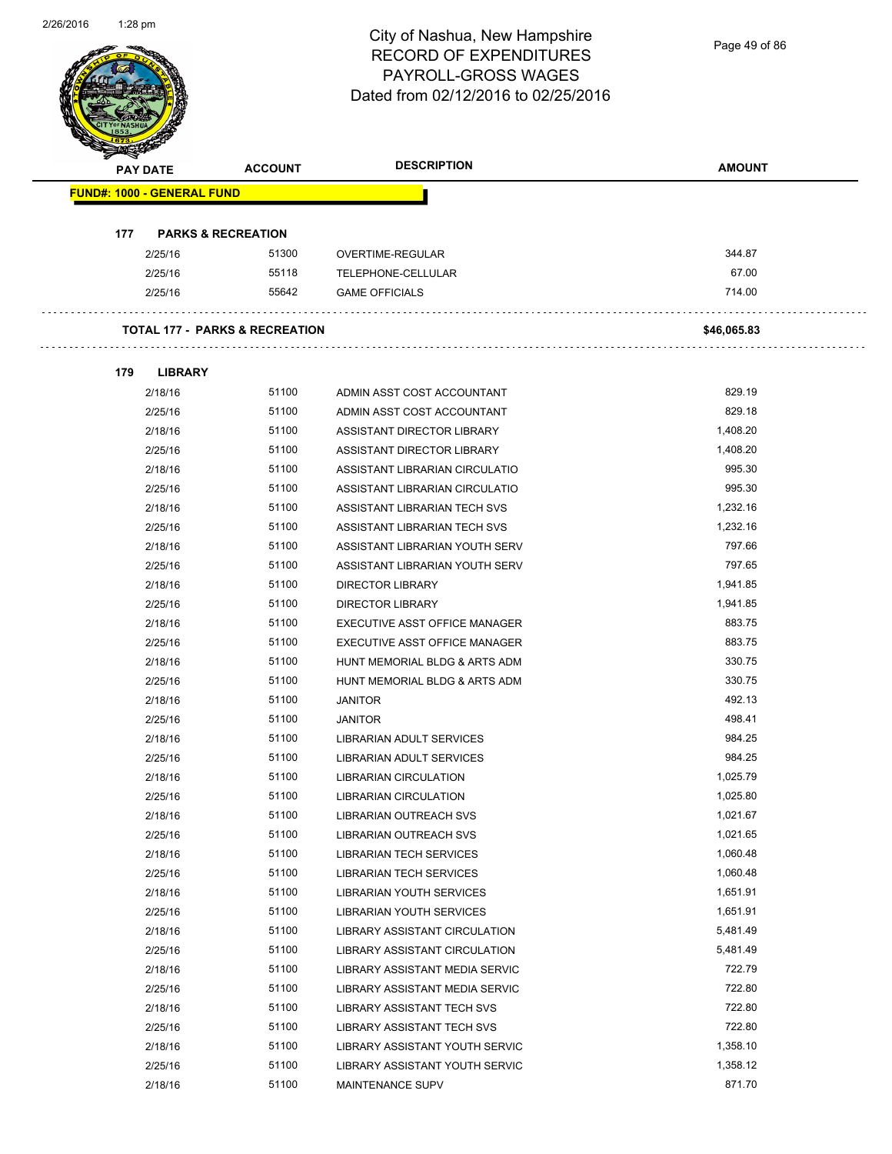Page 49 of 86

| PAY DATE<br><b>FUND#: 1000 - GENERAL FUND</b><br>177<br><b>PARKS &amp; RECREATION</b><br>2/25/16<br>2/25/16<br>2/25/16<br><b>TOTAL 177 - PARKS &amp; RECREATION</b><br>179<br><b>LIBRARY</b><br>2/18/16<br>2/25/16<br>2/18/16<br>2/25/16<br>2/18/16 | 51300<br>55118<br>55642<br>51100<br>51100<br>51100 | OVERTIME-REGULAR<br>TELEPHONE-CELLULAR<br><b>GAME OFFICIALS</b><br>ADMIN ASST COST ACCOUNTANT<br>ADMIN ASST COST ACCOUNTANT | 344.87<br>67.00<br>714.00<br>\$46,065.83<br>829.19 |
|-----------------------------------------------------------------------------------------------------------------------------------------------------------------------------------------------------------------------------------------------------|----------------------------------------------------|-----------------------------------------------------------------------------------------------------------------------------|----------------------------------------------------|
|                                                                                                                                                                                                                                                     |                                                    |                                                                                                                             |                                                    |
|                                                                                                                                                                                                                                                     |                                                    |                                                                                                                             |                                                    |
|                                                                                                                                                                                                                                                     |                                                    |                                                                                                                             |                                                    |
|                                                                                                                                                                                                                                                     |                                                    |                                                                                                                             |                                                    |
|                                                                                                                                                                                                                                                     |                                                    |                                                                                                                             |                                                    |
|                                                                                                                                                                                                                                                     |                                                    |                                                                                                                             |                                                    |
|                                                                                                                                                                                                                                                     |                                                    |                                                                                                                             |                                                    |
|                                                                                                                                                                                                                                                     |                                                    |                                                                                                                             |                                                    |
|                                                                                                                                                                                                                                                     |                                                    |                                                                                                                             |                                                    |
|                                                                                                                                                                                                                                                     |                                                    |                                                                                                                             | 829.18                                             |
|                                                                                                                                                                                                                                                     |                                                    | ASSISTANT DIRECTOR LIBRARY                                                                                                  | 1,408.20                                           |
|                                                                                                                                                                                                                                                     | 51100                                              | ASSISTANT DIRECTOR LIBRARY                                                                                                  | 1,408.20                                           |
|                                                                                                                                                                                                                                                     | 51100                                              | ASSISTANT LIBRARIAN CIRCULATIO                                                                                              | 995.30                                             |
| 2/25/16                                                                                                                                                                                                                                             | 51100                                              | ASSISTANT LIBRARIAN CIRCULATIO                                                                                              | 995.30                                             |
| 2/18/16                                                                                                                                                                                                                                             | 51100                                              | ASSISTANT LIBRARIAN TECH SVS                                                                                                | 1,232.16                                           |
| 2/25/16                                                                                                                                                                                                                                             | 51100                                              | ASSISTANT LIBRARIAN TECH SVS                                                                                                | 1,232.16                                           |
| 2/18/16                                                                                                                                                                                                                                             | 51100                                              | ASSISTANT LIBRARIAN YOUTH SERV                                                                                              | 797.66                                             |
| 2/25/16                                                                                                                                                                                                                                             | 51100                                              | ASSISTANT LIBRARIAN YOUTH SERV                                                                                              | 797.65                                             |
| 2/18/16                                                                                                                                                                                                                                             | 51100                                              | <b>DIRECTOR LIBRARY</b>                                                                                                     | 1,941.85                                           |
| 2/25/16                                                                                                                                                                                                                                             | 51100                                              | <b>DIRECTOR LIBRARY</b>                                                                                                     | 1,941.85                                           |
| 2/18/16                                                                                                                                                                                                                                             | 51100                                              | EXECUTIVE ASST OFFICE MANAGER                                                                                               | 883.75                                             |
| 2/25/16                                                                                                                                                                                                                                             | 51100                                              | EXECUTIVE ASST OFFICE MANAGER                                                                                               | 883.75                                             |
| 2/18/16                                                                                                                                                                                                                                             | 51100                                              | HUNT MEMORIAL BLDG & ARTS ADM                                                                                               | 330.75                                             |
| 2/25/16                                                                                                                                                                                                                                             | 51100                                              | HUNT MEMORIAL BLDG & ARTS ADM                                                                                               | 330.75                                             |
| 2/18/16                                                                                                                                                                                                                                             | 51100                                              | <b>JANITOR</b>                                                                                                              | 492.13                                             |
| 2/25/16                                                                                                                                                                                                                                             | 51100                                              | <b>JANITOR</b>                                                                                                              | 498.41                                             |
| 2/18/16                                                                                                                                                                                                                                             | 51100                                              | LIBRARIAN ADULT SERVICES                                                                                                    | 984.25                                             |
| 2/25/16                                                                                                                                                                                                                                             | 51100                                              | LIBRARIAN ADULT SERVICES                                                                                                    | 984.25                                             |
| 2/18/16                                                                                                                                                                                                                                             | 51100                                              | LIBRARIAN CIRCULATION                                                                                                       | 1,025.79                                           |
| 2/25/16                                                                                                                                                                                                                                             | 51100                                              | LIBRARIAN CIRCULATION                                                                                                       | 1,025.80                                           |
| 2/18/16                                                                                                                                                                                                                                             | 51100                                              | LIBRARIAN OUTREACH SVS                                                                                                      | 1,021.67                                           |
| 2/25/16                                                                                                                                                                                                                                             | 51100                                              | LIBRARIAN OUTREACH SVS                                                                                                      | 1,021.65                                           |
| 2/18/16                                                                                                                                                                                                                                             | 51100                                              | <b>LIBRARIAN TECH SERVICES</b>                                                                                              | 1,060.48                                           |
| 2/25/16                                                                                                                                                                                                                                             | 51100                                              | <b>LIBRARIAN TECH SERVICES</b>                                                                                              | 1,060.48                                           |
| 2/18/16                                                                                                                                                                                                                                             | 51100                                              | LIBRARIAN YOUTH SERVICES                                                                                                    | 1,651.91                                           |
| 2/25/16                                                                                                                                                                                                                                             | 51100                                              | LIBRARIAN YOUTH SERVICES                                                                                                    | 1,651.91                                           |
| 2/18/16                                                                                                                                                                                                                                             | 51100                                              | LIBRARY ASSISTANT CIRCULATION                                                                                               | 5,481.49                                           |
| 2/25/16                                                                                                                                                                                                                                             | 51100                                              | LIBRARY ASSISTANT CIRCULATION                                                                                               | 5,481.49                                           |
| 2/18/16                                                                                                                                                                                                                                             | 51100                                              | LIBRARY ASSISTANT MEDIA SERVIC                                                                                              | 722.79                                             |
| 2/25/16                                                                                                                                                                                                                                             | 51100                                              | LIBRARY ASSISTANT MEDIA SERVIC                                                                                              | 722.80                                             |
| 2/18/16                                                                                                                                                                                                                                             | 51100                                              | LIBRARY ASSISTANT TECH SVS                                                                                                  | 722.80                                             |
| 2/25/16                                                                                                                                                                                                                                             | 51100                                              | LIBRARY ASSISTANT TECH SVS                                                                                                  | 722.80                                             |
| 2/18/16                                                                                                                                                                                                                                             | 51100                                              | LIBRARY ASSISTANT YOUTH SERVIC                                                                                              | 1,358.10                                           |
| 2/25/16                                                                                                                                                                                                                                             | 51100                                              | LIBRARY ASSISTANT YOUTH SERVIC                                                                                              | 1,358.12                                           |
| 2/18/16                                                                                                                                                                                                                                             | 51100                                              | <b>MAINTENANCE SUPV</b>                                                                                                     | 871.70                                             |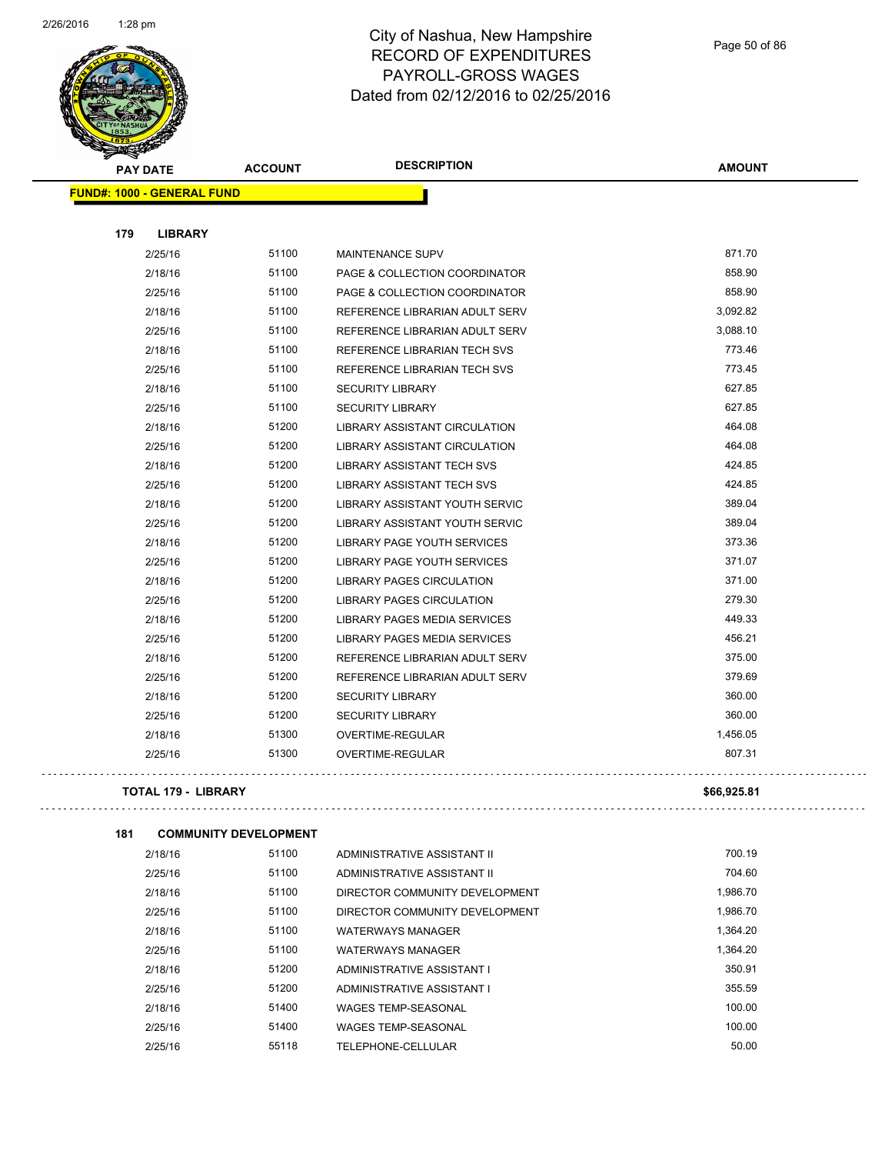

| <b>PAY DATE</b>                   | <b>ACCOUNT</b> | <b>DESCRIPTION</b>                                             | <b>AMOUNT</b> |
|-----------------------------------|----------------|----------------------------------------------------------------|---------------|
| <b>FUND#: 1000 - GENERAL FUND</b> |                |                                                                |               |
| 179<br><b>LIBRARY</b>             |                |                                                                |               |
| 2/25/16                           | 51100          | <b>MAINTENANCE SUPV</b>                                        | 871.70        |
| 2/18/16                           | 51100          | PAGE & COLLECTION COORDINATOR                                  | 858.90        |
| 2/25/16                           | 51100          | PAGE & COLLECTION COORDINATOR                                  | 858.90        |
| 2/18/16                           | 51100          | REFERENCE LIBRARIAN ADULT SERV                                 | 3,092.82      |
|                                   | 51100          |                                                                | 3,088.10      |
| 2/25/16<br>2/18/16                | 51100          | REFERENCE LIBRARIAN ADULT SERV<br>REFERENCE LIBRARIAN TECH SVS | 773.46        |
| 2/25/16                           | 51100          | REFERENCE LIBRARIAN TECH SVS                                   | 773.45        |
| 2/18/16                           | 51100          | <b>SECURITY LIBRARY</b>                                        | 627.85        |
|                                   | 51100          |                                                                | 627.85        |
| 2/25/16                           | 51200          | <b>SECURITY LIBRARY</b>                                        | 464.08        |
| 2/18/16                           | 51200          | <b>LIBRARY ASSISTANT CIRCULATION</b>                           | 464.08        |
| 2/25/16                           | 51200          | <b>LIBRARY ASSISTANT CIRCULATION</b>                           | 424.85        |
| 2/18/16                           |                | <b>LIBRARY ASSISTANT TECH SVS</b>                              | 424.85        |
| 2/25/16                           | 51200          | <b>LIBRARY ASSISTANT TECH SVS</b>                              | 389.04        |
| 2/18/16                           | 51200          | LIBRARY ASSISTANT YOUTH SERVIC                                 |               |
| 2/25/16                           | 51200          | LIBRARY ASSISTANT YOUTH SERVIC                                 | 389.04        |
| 2/18/16                           | 51200          | LIBRARY PAGE YOUTH SERVICES                                    | 373.36        |
| 2/25/16                           | 51200          | <b>LIBRARY PAGE YOUTH SERVICES</b>                             | 371.07        |
| 2/18/16                           | 51200          | <b>LIBRARY PAGES CIRCULATION</b>                               | 371.00        |
| 2/25/16                           | 51200          | <b>LIBRARY PAGES CIRCULATION</b>                               | 279.30        |
| 2/18/16                           | 51200          | <b>LIBRARY PAGES MEDIA SERVICES</b>                            | 449.33        |
| 2/25/16                           | 51200          | LIBRARY PAGES MEDIA SERVICES                                   | 456.21        |
| 2/18/16                           | 51200          | REFERENCE LIBRARIAN ADULT SERV                                 | 375.00        |
| 2/25/16                           | 51200          | REFERENCE LIBRARIAN ADULT SERV                                 | 379.69        |
| 2/18/16                           | 51200          | <b>SECURITY LIBRARY</b>                                        | 360.00        |
| 2/25/16                           | 51200          | <b>SECURITY LIBRARY</b>                                        | 360.00        |
| 2/18/16                           | 51300          | OVERTIME-REGULAR                                               | 1,456.05      |
| 2/25/16                           | 51300          | OVERTIME-REGULAR                                               | 807.31        |
|                                   |                |                                                                |               |

**TOTAL 179 - LIBRARY \$66,925.81**

**181 COMMUNITY DEVELOPMENT**

 $\bar{z}$  ,  $\bar{z}$  ,  $\bar{z}$ 

| 2/18/16 | 51100 | ADMINISTRATIVE ASSISTANT II    | 700.19   |
|---------|-------|--------------------------------|----------|
| 2/25/16 | 51100 | ADMINISTRATIVE ASSISTANT II    | 704.60   |
| 2/18/16 | 51100 | DIRECTOR COMMUNITY DEVELOPMENT | 1.986.70 |
| 2/25/16 | 51100 | DIRECTOR COMMUNITY DEVELOPMENT | 1.986.70 |
| 2/18/16 | 51100 | <b>WATERWAYS MANAGER</b>       | 1.364.20 |
| 2/25/16 | 51100 | <b>WATERWAYS MANAGER</b>       | 1.364.20 |
| 2/18/16 | 51200 | ADMINISTRATIVE ASSISTANT I     | 350.91   |
| 2/25/16 | 51200 | ADMINISTRATIVE ASSISTANT I     | 355.59   |
| 2/18/16 | 51400 | <b>WAGES TEMP-SEASONAL</b>     | 100.00   |
| 2/25/16 | 51400 | <b>WAGES TEMP-SEASONAL</b>     | 100.00   |
| 2/25/16 | 55118 | TELEPHONE-CELLULAR             | 50.00    |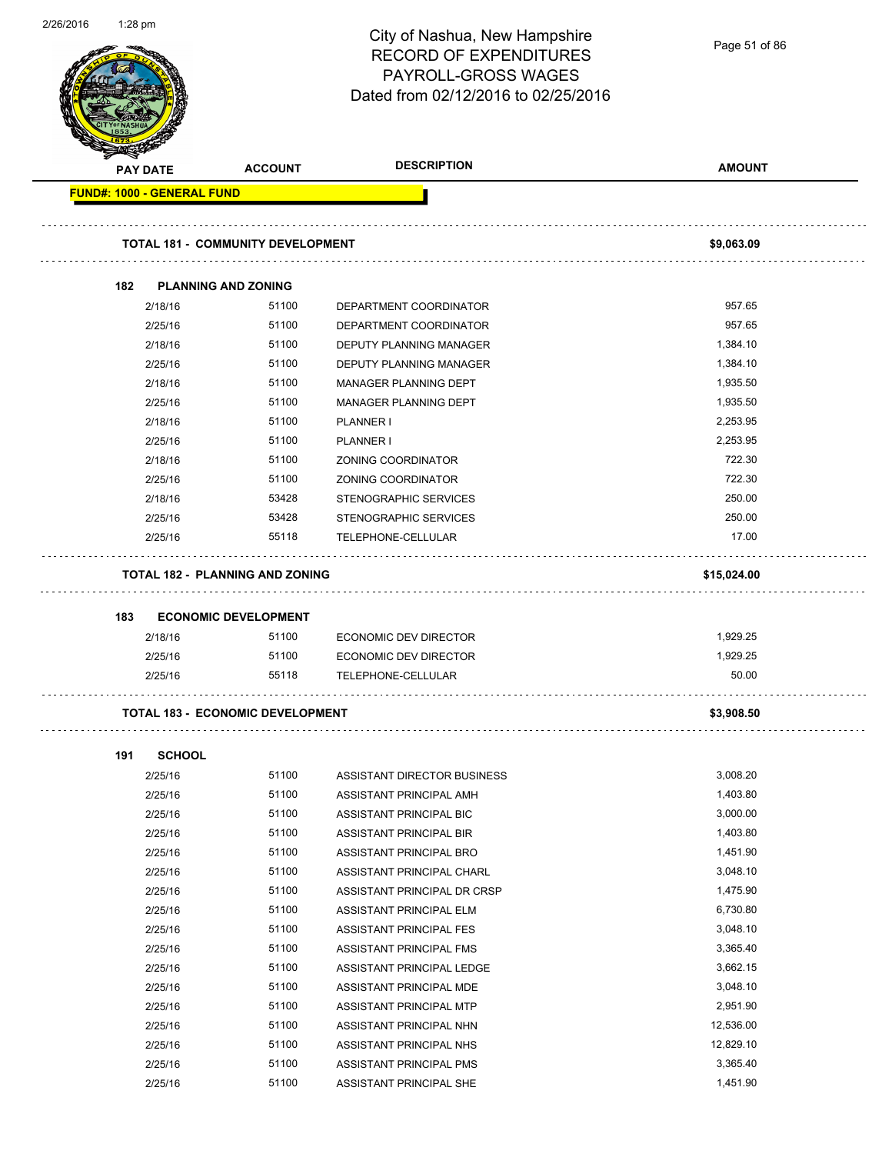| 2/26/2016 | $1:28$ pm |                                   |                                          | City of Nashua, New Hampshire<br><b>RECORD OF EXPENDITURES</b><br>PAYROLL-GROSS WAGES<br>Dated from 02/12/2016 to 02/25/2016 | Page 51 of 86 |
|-----------|-----------|-----------------------------------|------------------------------------------|------------------------------------------------------------------------------------------------------------------------------|---------------|
|           |           | PAY DATE                          | <b>ACCOUNT</b>                           | <b>DESCRIPTION</b>                                                                                                           | <b>AMOUNT</b> |
|           |           | <b>FUND#: 1000 - GENERAL FUND</b> |                                          |                                                                                                                              |               |
|           |           |                                   | <b>TOTAL 181 - COMMUNITY DEVELOPMENT</b> |                                                                                                                              | \$9,063.09    |
|           | 182       |                                   | <b>PLANNING AND ZONING</b>               |                                                                                                                              |               |
|           |           | 2/18/16                           | 51100                                    | DEPARTMENT COORDINATOR                                                                                                       | 957.65        |
|           |           | 2/25/16                           | 51100                                    | DEPARTMENT COORDINATOR                                                                                                       | 957.65        |
|           |           | 2/18/16                           | 51100                                    | DEPUTY PLANNING MANAGER                                                                                                      | 1,384.10      |
|           |           | 2/25/16                           | 51100                                    | <b>DEPUTY PLANNING MANAGER</b>                                                                                               | 1,384.10      |
|           |           | 2/18/16                           | 51100                                    | MANAGER PLANNING DEPT                                                                                                        | 1,935.50      |
|           |           | 2/25/16                           | 51100                                    | MANAGER PLANNING DEPT                                                                                                        | 1,935.50      |
|           |           | 2/18/16                           | 51100                                    | PLANNER I                                                                                                                    | 2,253.95      |
|           |           | 2/25/16                           | 51100                                    | <b>PLANNER I</b>                                                                                                             | 2,253.95      |
|           |           | 2/18/16                           | 51100                                    | ZONING COORDINATOR                                                                                                           | 722.30        |
|           |           | 2/25/16                           | 51100                                    | ZONING COORDINATOR                                                                                                           | 722.30        |
|           |           | 2/18/16                           | 53428                                    | STENOGRAPHIC SERVICES                                                                                                        | 250.00        |
|           |           | 2/25/16                           | 53428                                    | STENOGRAPHIC SERVICES                                                                                                        | 250.00        |
|           |           | 2/25/16                           | 55118                                    | TELEPHONE-CELLULAR                                                                                                           | 17.00         |
|           |           |                                   | <b>TOTAL 182 - PLANNING AND ZONING</b>   |                                                                                                                              | \$15,024.00   |
|           | 183       |                                   | <b>ECONOMIC DEVELOPMENT</b>              |                                                                                                                              |               |
|           |           | 2/18/16                           | 51100                                    | ECONOMIC DEV DIRECTOR                                                                                                        | 1,929.25      |
|           |           | 2/25/16                           | 51100                                    | <b>ECONOMIC DEV DIRECTOR</b>                                                                                                 | 1,929.25      |
|           |           | 2/25/16                           | 55118                                    | TELEPHONE-CELLULAR                                                                                                           | 50.00         |
|           |           |                                   | <b>TOTAL 183 - ECONOMIC DEVELOPMENT</b>  |                                                                                                                              | \$3,908.50    |
|           |           |                                   |                                          |                                                                                                                              |               |
|           | 191       | <b>SCHOOL</b>                     |                                          |                                                                                                                              |               |
|           |           | 2/25/16                           | 51100                                    | ASSISTANT DIRECTOR BUSINESS                                                                                                  | 3,008.20      |
|           |           | 2/25/16                           | 51100                                    | ASSISTANT PRINCIPAL AMH                                                                                                      | 1,403.80      |
|           |           | 2/25/16                           | 51100                                    | ASSISTANT PRINCIPAL BIC                                                                                                      | 3,000.00      |
|           |           | 2/25/16                           | 51100                                    | ASSISTANT PRINCIPAL BIR                                                                                                      | 1,403.80      |
|           |           | 2/25/16                           | 51100                                    | ASSISTANT PRINCIPAL BRO                                                                                                      | 1,451.90      |
|           |           | 2/25/16                           | 51100                                    | ASSISTANT PRINCIPAL CHARL                                                                                                    | 3,048.10      |
|           |           | 2/25/16                           | 51100                                    | ASSISTANT PRINCIPAL DR CRSP                                                                                                  | 1,475.90      |
|           |           | 2/25/16                           | 51100                                    | ASSISTANT PRINCIPAL ELM                                                                                                      | 6,730.80      |
|           |           | 2/25/16                           | 51100                                    | ASSISTANT PRINCIPAL FES                                                                                                      | 3,048.10      |
|           |           | 2/25/16                           | 51100                                    | ASSISTANT PRINCIPAL FMS                                                                                                      | 3,365.40      |
|           |           | 2/25/16                           | 51100                                    | ASSISTANT PRINCIPAL LEDGE                                                                                                    | 3,662.15      |
|           |           | 2/25/16                           | 51100                                    | ASSISTANT PRINCIPAL MDE                                                                                                      | 3,048.10      |
|           |           | 2/25/16                           | 51100                                    | ASSISTANT PRINCIPAL MTP                                                                                                      | 2,951.90      |
|           |           | 2/25/16                           | 51100                                    | ASSISTANT PRINCIPAL NHN                                                                                                      | 12,536.00     |
|           |           | 2/25/16                           | 51100                                    | ASSISTANT PRINCIPAL NHS                                                                                                      | 12,829.10     |
|           |           | 2/25/16                           | 51100                                    | ASSISTANT PRINCIPAL PMS                                                                                                      | 3,365.40      |
|           |           | 2/25/16                           | 51100                                    | ASSISTANT PRINCIPAL SHE                                                                                                      | 1,451.90      |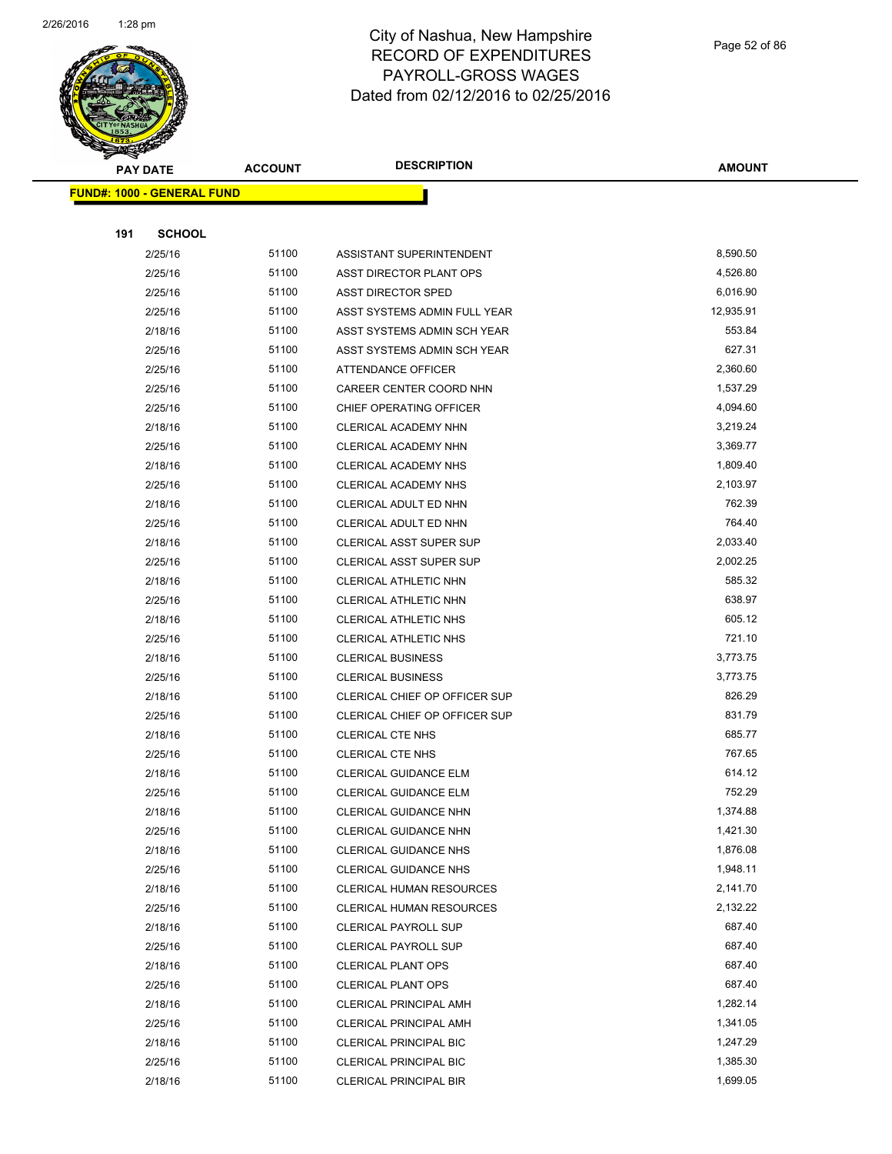

Page 52 of 86

|     | <b>PAY DATE</b>                   | <b>ACCOUNT</b> | <b>DESCRIPTION</b>                                       | <b>AMOUNT</b>        |
|-----|-----------------------------------|----------------|----------------------------------------------------------|----------------------|
|     | <b>FUND#: 1000 - GENERAL FUND</b> |                |                                                          |                      |
|     |                                   |                |                                                          |                      |
| 191 | <b>SCHOOL</b>                     |                |                                                          |                      |
|     | 2/25/16                           | 51100          | ASSISTANT SUPERINTENDENT                                 | 8,590.50             |
|     | 2/25/16                           | 51100          | ASST DIRECTOR PLANT OPS                                  | 4,526.80             |
|     | 2/25/16                           | 51100          | <b>ASST DIRECTOR SPED</b>                                | 6,016.90             |
|     | 2/25/16                           | 51100          | ASST SYSTEMS ADMIN FULL YEAR                             | 12,935.91            |
|     | 2/18/16                           | 51100          | ASST SYSTEMS ADMIN SCH YEAR                              | 553.84               |
|     | 2/25/16                           | 51100          | ASST SYSTEMS ADMIN SCH YEAR                              | 627.31               |
|     | 2/25/16                           | 51100          | ATTENDANCE OFFICER                                       | 2,360.60             |
|     | 2/25/16                           | 51100          | CAREER CENTER COORD NHN                                  | 1,537.29             |
|     | 2/25/16                           | 51100          | CHIEF OPERATING OFFICER                                  | 4,094.60             |
|     | 2/18/16                           | 51100          | <b>CLERICAL ACADEMY NHN</b>                              | 3,219.24             |
|     | 2/25/16                           | 51100          | <b>CLERICAL ACADEMY NHN</b>                              | 3,369.77             |
|     | 2/18/16                           | 51100          | <b>CLERICAL ACADEMY NHS</b>                              | 1,809.40             |
|     | 2/25/16                           | 51100          | CLERICAL ACADEMY NHS                                     | 2,103.97             |
|     | 2/18/16                           | 51100          | CLERICAL ADULT ED NHN                                    | 762.39               |
|     | 2/25/16                           | 51100          | CLERICAL ADULT ED NHN                                    | 764.40               |
|     | 2/18/16                           | 51100          | CLERICAL ASST SUPER SUP                                  | 2,033.40             |
|     | 2/25/16                           | 51100          | CLERICAL ASST SUPER SUP                                  | 2,002.25             |
|     | 2/18/16                           | 51100          | CLERICAL ATHLETIC NHN                                    | 585.32               |
|     | 2/25/16                           | 51100          | CLERICAL ATHLETIC NHN                                    | 638.97               |
|     | 2/18/16                           | 51100          | CLERICAL ATHLETIC NHS                                    | 605.12               |
|     | 2/25/16                           | 51100          | CLERICAL ATHLETIC NHS                                    | 721.10               |
|     | 2/18/16                           | 51100          | <b>CLERICAL BUSINESS</b>                                 | 3,773.75             |
|     | 2/25/16                           | 51100          | <b>CLERICAL BUSINESS</b>                                 | 3,773.75             |
|     | 2/18/16                           | 51100          | CLERICAL CHIEF OP OFFICER SUP                            | 826.29               |
|     | 2/25/16                           | 51100          | CLERICAL CHIEF OP OFFICER SUP                            | 831.79               |
|     | 2/18/16                           | 51100          | <b>CLERICAL CTE NHS</b>                                  | 685.77               |
|     | 2/25/16                           | 51100          | <b>CLERICAL CTE NHS</b>                                  | 767.65               |
|     | 2/18/16                           | 51100          | CLERICAL GUIDANCE ELM                                    | 614.12               |
|     | 2/25/16                           | 51100          | <b>CLERICAL GUIDANCE ELM</b>                             | 752.29               |
|     | 2/18/16                           | 51100          | CLERICAL GUIDANCE NHN                                    | 1,374.88             |
|     | 2/25/16                           | 51100          | CLERICAL GUIDANCE NHN                                    | 1,421.30<br>1,876.08 |
|     | 2/18/16                           | 51100          | <b>CLERICAL GUIDANCE NHS</b>                             |                      |
|     | 2/25/16                           | 51100          | <b>CLERICAL GUIDANCE NHS</b>                             | 1,948.11             |
|     | 2/18/16                           | 51100<br>51100 | <b>CLERICAL HUMAN RESOURCES</b>                          | 2,141.70             |
|     | 2/25/16                           | 51100          | <b>CLERICAL HUMAN RESOURCES</b>                          | 2,132.22<br>687.40   |
|     | 2/18/16                           | 51100          | <b>CLERICAL PAYROLL SUP</b>                              | 687.40               |
|     | 2/25/16<br>2/18/16                | 51100          | <b>CLERICAL PAYROLL SUP</b><br><b>CLERICAL PLANT OPS</b> | 687.40               |
|     | 2/25/16                           | 51100          | <b>CLERICAL PLANT OPS</b>                                | 687.40               |
|     | 2/18/16                           | 51100          | <b>CLERICAL PRINCIPAL AMH</b>                            | 1,282.14             |
|     | 2/25/16                           | 51100          | <b>CLERICAL PRINCIPAL AMH</b>                            | 1,341.05             |
|     | 2/18/16                           | 51100          | <b>CLERICAL PRINCIPAL BIC</b>                            | 1,247.29             |
|     | 2/25/16                           | 51100          | <b>CLERICAL PRINCIPAL BIC</b>                            | 1,385.30             |
|     | 2/18/16                           | 51100          | <b>CLERICAL PRINCIPAL BIR</b>                            | 1,699.05             |
|     |                                   |                |                                                          |                      |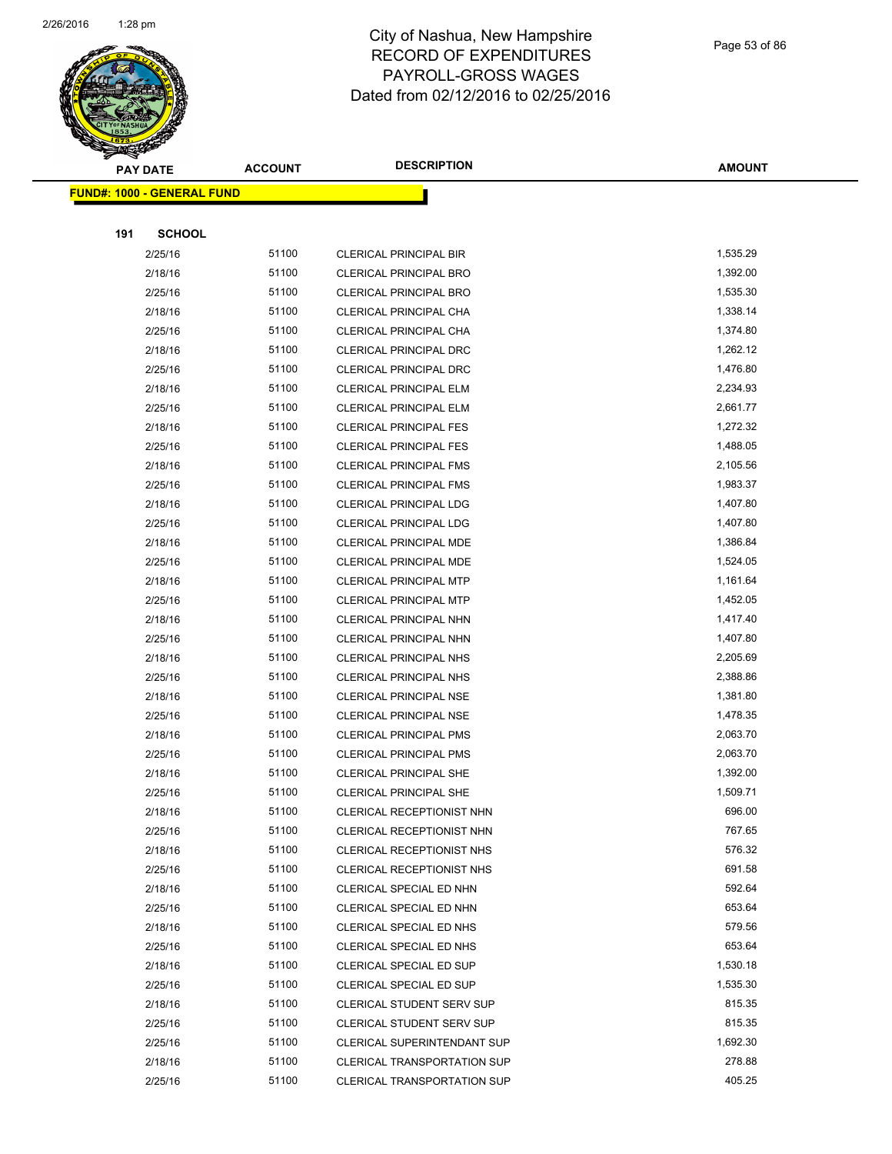

|     | <b>PAY DATE</b>                    | <b>ACCOUNT</b> | <b>DESCRIPTION</b>                 | <b>AMOUNT</b> |
|-----|------------------------------------|----------------|------------------------------------|---------------|
|     | <u> FUND#: 1000 - GENERAL FUND</u> |                |                                    |               |
|     |                                    |                |                                    |               |
| 191 | <b>SCHOOL</b>                      |                |                                    |               |
|     | 2/25/16                            | 51100          | <b>CLERICAL PRINCIPAL BIR</b>      | 1,535.29      |
|     | 2/18/16                            | 51100          | <b>CLERICAL PRINCIPAL BRO</b>      | 1,392.00      |
|     | 2/25/16                            | 51100          | <b>CLERICAL PRINCIPAL BRO</b>      | 1,535.30      |
|     | 2/18/16                            | 51100          | CLERICAL PRINCIPAL CHA             | 1,338.14      |
|     | 2/25/16                            | 51100          | CLERICAL PRINCIPAL CHA             | 1,374.80      |
|     | 2/18/16                            | 51100          | CLERICAL PRINCIPAL DRC             | 1,262.12      |
|     | 2/25/16                            | 51100          | <b>CLERICAL PRINCIPAL DRC</b>      | 1,476.80      |
|     | 2/18/16                            | 51100          | <b>CLERICAL PRINCIPAL ELM</b>      | 2,234.93      |
|     | 2/25/16                            | 51100          | <b>CLERICAL PRINCIPAL ELM</b>      | 2,661.77      |
|     | 2/18/16                            | 51100          | <b>CLERICAL PRINCIPAL FES</b>      | 1,272.32      |
|     | 2/25/16                            | 51100          | <b>CLERICAL PRINCIPAL FES</b>      | 1,488.05      |
|     | 2/18/16                            | 51100          | <b>CLERICAL PRINCIPAL FMS</b>      | 2,105.56      |
|     | 2/25/16                            | 51100          | <b>CLERICAL PRINCIPAL FMS</b>      | 1,983.37      |
|     | 2/18/16                            | 51100          | <b>CLERICAL PRINCIPAL LDG</b>      | 1,407.80      |
|     | 2/25/16                            | 51100          | CLERICAL PRINCIPAL LDG             | 1,407.80      |
|     | 2/18/16                            | 51100          | CLERICAL PRINCIPAL MDE             | 1,386.84      |
|     | 2/25/16                            | 51100          | <b>CLERICAL PRINCIPAL MDE</b>      | 1,524.05      |
|     | 2/18/16                            | 51100          | CLERICAL PRINCIPAL MTP             | 1,161.64      |
|     | 2/25/16                            | 51100          | <b>CLERICAL PRINCIPAL MTP</b>      | 1,452.05      |
|     | 2/18/16                            | 51100          | CLERICAL PRINCIPAL NHN             | 1,417.40      |
|     | 2/25/16                            | 51100          | CLERICAL PRINCIPAL NHN             | 1,407.80      |
|     | 2/18/16                            | 51100          | <b>CLERICAL PRINCIPAL NHS</b>      | 2,205.69      |
|     | 2/25/16                            | 51100          | <b>CLERICAL PRINCIPAL NHS</b>      | 2,388.86      |
|     | 2/18/16                            | 51100          | <b>CLERICAL PRINCIPAL NSE</b>      | 1,381.80      |
|     | 2/25/16                            | 51100          | CLERICAL PRINCIPAL NSE             | 1,478.35      |
|     | 2/18/16                            | 51100          | CLERICAL PRINCIPAL PMS             | 2,063.70      |
|     | 2/25/16                            | 51100          | <b>CLERICAL PRINCIPAL PMS</b>      | 2,063.70      |
|     | 2/18/16                            | 51100          | <b>CLERICAL PRINCIPAL SHE</b>      | 1,392.00      |
|     | 2/25/16                            | 51100          | <b>CLERICAL PRINCIPAL SHE</b>      | 1,509.71      |
|     | 2/18/16                            | 51100          | CLERICAL RECEPTIONIST NHN          | 696.00        |
|     | 2/25/16                            | 51100          | CLERICAL RECEPTIONIST NHN          | 767.65        |
|     | 2/18/16                            | 51100          | CLERICAL RECEPTIONIST NHS          | 576.32        |
|     | 2/25/16                            | 51100          | CLERICAL RECEPTIONIST NHS          | 691.58        |
|     | 2/18/16                            | 51100          | CLERICAL SPECIAL ED NHN            | 592.64        |
|     | 2/25/16                            | 51100          | CLERICAL SPECIAL ED NHN            | 653.64        |
|     | 2/18/16                            | 51100          | CLERICAL SPECIAL ED NHS            | 579.56        |
|     | 2/25/16                            | 51100          | CLERICAL SPECIAL ED NHS            | 653.64        |
|     | 2/18/16                            | 51100          | CLERICAL SPECIAL ED SUP            | 1,530.18      |
|     | 2/25/16                            | 51100          | CLERICAL SPECIAL ED SUP            | 1,535.30      |
|     | 2/18/16                            | 51100          | <b>CLERICAL STUDENT SERV SUP</b>   | 815.35        |
|     | 2/25/16                            | 51100          | CLERICAL STUDENT SERV SUP          | 815.35        |
|     | 2/25/16                            | 51100          | <b>CLERICAL SUPERINTENDANT SUP</b> | 1,692.30      |
|     | 2/18/16                            | 51100          | <b>CLERICAL TRANSPORTATION SUP</b> | 278.88        |
|     | 2/25/16                            | 51100          | <b>CLERICAL TRANSPORTATION SUP</b> | 405.25        |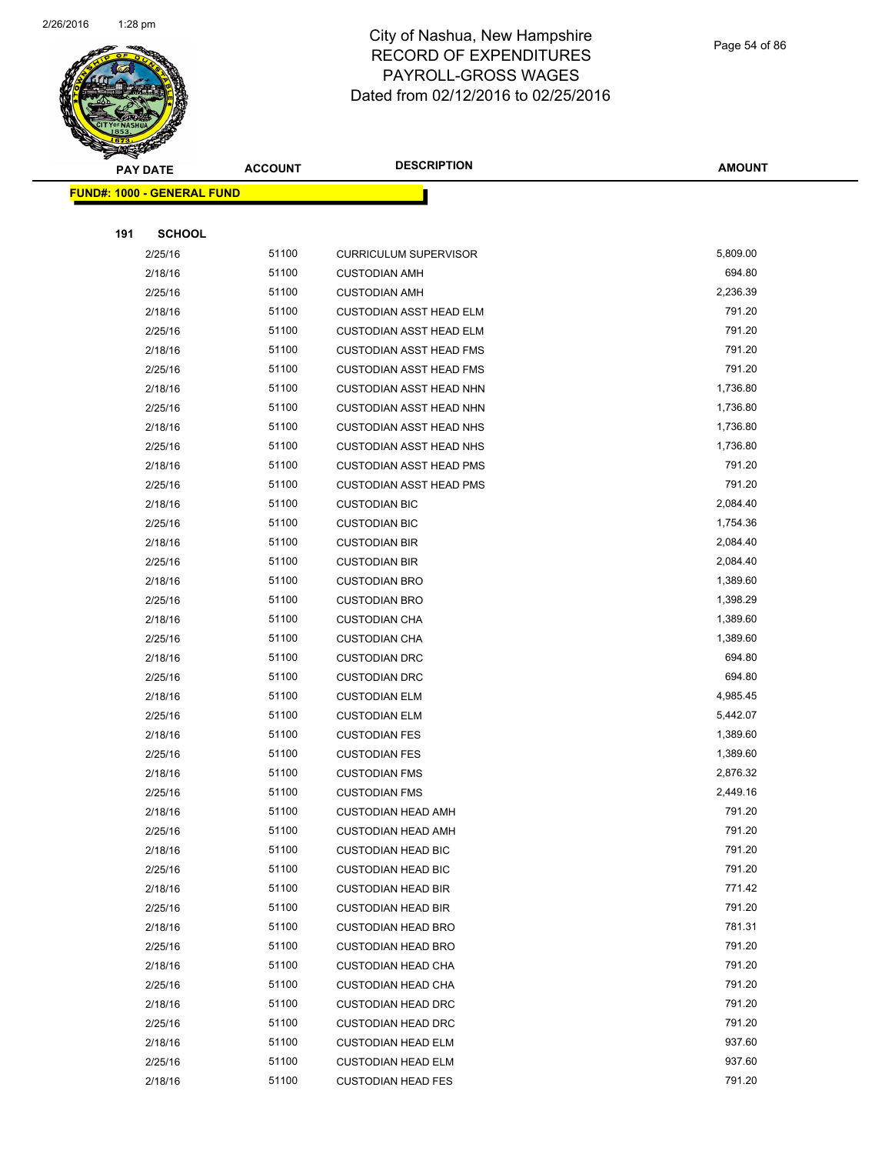

Page 54 of 86

|     | <b>PAY DATE</b>                   | <b>ACCOUNT</b> | <b>DESCRIPTION</b>                                     | <b>AMOUNT</b>    |
|-----|-----------------------------------|----------------|--------------------------------------------------------|------------------|
|     | <b>FUND#: 1000 - GENERAL FUND</b> |                |                                                        |                  |
|     |                                   |                |                                                        |                  |
| 191 | <b>SCHOOL</b>                     |                |                                                        |                  |
|     | 2/25/16                           | 51100          | <b>CURRICULUM SUPERVISOR</b>                           | 5,809.00         |
|     | 2/18/16                           | 51100          | <b>CUSTODIAN AMH</b>                                   | 694.80           |
|     | 2/25/16                           | 51100          | <b>CUSTODIAN AMH</b>                                   | 2,236.39         |
|     | 2/18/16                           | 51100          | <b>CUSTODIAN ASST HEAD ELM</b>                         | 791.20           |
|     | 2/25/16                           | 51100          | <b>CUSTODIAN ASST HEAD ELM</b>                         | 791.20           |
|     | 2/18/16                           | 51100          | <b>CUSTODIAN ASST HEAD FMS</b>                         | 791.20           |
|     | 2/25/16                           | 51100          | <b>CUSTODIAN ASST HEAD FMS</b>                         | 791.20           |
|     | 2/18/16                           | 51100          | <b>CUSTODIAN ASST HEAD NHN</b>                         | 1,736.80         |
|     | 2/25/16                           | 51100          | <b>CUSTODIAN ASST HEAD NHN</b>                         | 1,736.80         |
|     | 2/18/16                           | 51100          | <b>CUSTODIAN ASST HEAD NHS</b>                         | 1,736.80         |
|     | 2/25/16                           | 51100          | <b>CUSTODIAN ASST HEAD NHS</b>                         | 1,736.80         |
|     | 2/18/16                           | 51100          | <b>CUSTODIAN ASST HEAD PMS</b>                         | 791.20           |
|     | 2/25/16                           | 51100          | <b>CUSTODIAN ASST HEAD PMS</b>                         | 791.20           |
|     | 2/18/16                           | 51100          | <b>CUSTODIAN BIC</b>                                   | 2,084.40         |
|     | 2/25/16                           | 51100          | <b>CUSTODIAN BIC</b>                                   | 1,754.36         |
|     | 2/18/16                           | 51100          | <b>CUSTODIAN BIR</b>                                   | 2,084.40         |
|     | 2/25/16                           | 51100          | <b>CUSTODIAN BIR</b>                                   | 2,084.40         |
|     | 2/18/16                           | 51100          | <b>CUSTODIAN BRO</b>                                   | 1,389.60         |
|     | 2/25/16                           | 51100          | <b>CUSTODIAN BRO</b>                                   | 1,398.29         |
|     | 2/18/16                           | 51100          | <b>CUSTODIAN CHA</b>                                   | 1,389.60         |
|     | 2/25/16                           | 51100          | <b>CUSTODIAN CHA</b>                                   | 1,389.60         |
|     | 2/18/16                           | 51100          | <b>CUSTODIAN DRC</b>                                   | 694.80           |
|     | 2/25/16                           | 51100          | <b>CUSTODIAN DRC</b>                                   | 694.80           |
|     | 2/18/16                           | 51100          | <b>CUSTODIAN ELM</b>                                   | 4,985.45         |
|     | 2/25/16                           | 51100          | <b>CUSTODIAN ELM</b>                                   | 5,442.07         |
|     | 2/18/16                           | 51100          | <b>CUSTODIAN FES</b>                                   | 1,389.60         |
|     | 2/25/16                           | 51100          | <b>CUSTODIAN FES</b>                                   | 1,389.60         |
|     | 2/18/16                           | 51100          | <b>CUSTODIAN FMS</b>                                   | 2,876.32         |
|     | 2/25/16                           | 51100          | <b>CUSTODIAN FMS</b>                                   | 2,449.16         |
|     | 2/18/16                           | 51100          | CUSTODIAN HEAD AMH                                     | 791.20           |
|     | 2/25/16                           | 51100          | <b>CUSTODIAN HEAD AMH</b>                              | 791.20           |
|     | 2/18/16                           | 51100          | <b>CUSTODIAN HEAD BIC</b>                              | 791.20           |
|     | 2/25/16                           | 51100          | <b>CUSTODIAN HEAD BIC</b>                              | 791.20           |
|     | 2/18/16                           | 51100          | <b>CUSTODIAN HEAD BIR</b>                              | 771.42           |
|     | 2/25/16                           | 51100          | <b>CUSTODIAN HEAD BIR</b>                              | 791.20<br>781.31 |
|     | 2/18/16                           | 51100<br>51100 | <b>CUSTODIAN HEAD BRO</b>                              | 791.20           |
|     | 2/25/16<br>2/18/16                | 51100          | <b>CUSTODIAN HEAD BRO</b>                              | 791.20           |
|     | 2/25/16                           | 51100          | <b>CUSTODIAN HEAD CHA</b><br><b>CUSTODIAN HEAD CHA</b> | 791.20           |
|     |                                   | 51100          |                                                        | 791.20           |
|     | 2/18/16<br>2/25/16                | 51100          | <b>CUSTODIAN HEAD DRC</b>                              | 791.20           |
|     | 2/18/16                           | 51100          | <b>CUSTODIAN HEAD DRC</b><br><b>CUSTODIAN HEAD ELM</b> | 937.60           |
|     | 2/25/16                           | 51100          | <b>CUSTODIAN HEAD ELM</b>                              | 937.60           |
|     | 2/18/16                           | 51100          | <b>CUSTODIAN HEAD FES</b>                              | 791.20           |
|     |                                   |                |                                                        |                  |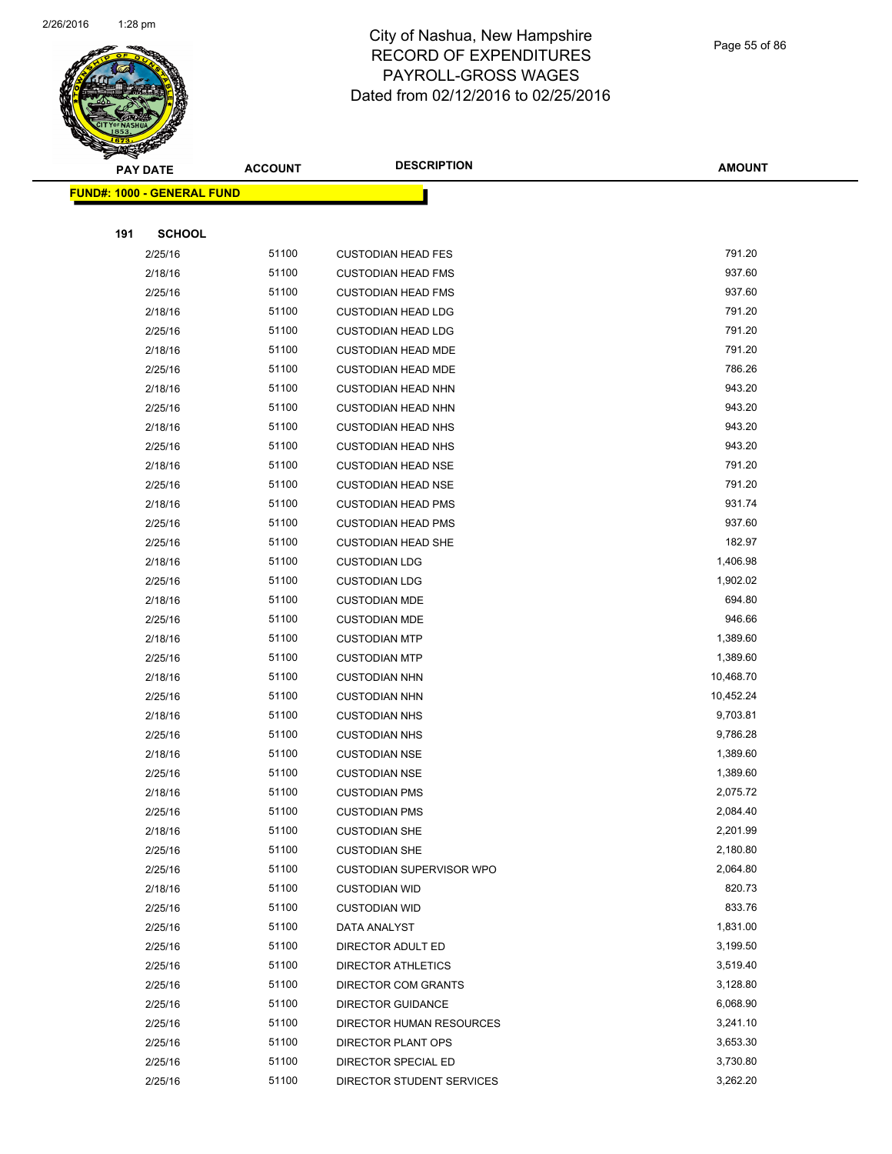

Page 55 of 86

| <b>PAY DATE</b> |                                    | <b>ACCOUNT</b> | <b>DESCRIPTION</b>         | <b>AMOUNT</b> |
|-----------------|------------------------------------|----------------|----------------------------|---------------|
|                 | <u> FUND#: 1000 - GENERAL FUND</u> |                |                            |               |
|                 |                                    |                |                            |               |
| 191             | <b>SCHOOL</b>                      |                |                            |               |
|                 | 2/25/16                            | 51100          | <b>CUSTODIAN HEAD FES</b>  | 791.20        |
|                 | 2/18/16                            | 51100          | <b>CUSTODIAN HEAD FMS</b>  | 937.60        |
|                 | 2/25/16                            | 51100          | <b>CUSTODIAN HEAD FMS</b>  | 937.60        |
|                 | 2/18/16                            | 51100          | <b>CUSTODIAN HEAD LDG</b>  | 791.20        |
|                 | 2/25/16                            | 51100          | <b>CUSTODIAN HEAD LDG</b>  | 791.20        |
|                 | 2/18/16                            | 51100          | <b>CUSTODIAN HEAD MDE</b>  | 791.20        |
|                 | 2/25/16                            | 51100          | <b>CUSTODIAN HEAD MDE</b>  | 786.26        |
|                 | 2/18/16                            | 51100          | <b>CUSTODIAN HEAD NHN</b>  | 943.20        |
|                 | 2/25/16                            | 51100          | <b>CUSTODIAN HEAD NHN</b>  | 943.20        |
|                 | 2/18/16                            | 51100          | <b>CUSTODIAN HEAD NHS</b>  | 943.20        |
|                 | 2/25/16                            | 51100          | <b>CUSTODIAN HEAD NHS</b>  | 943.20        |
|                 | 2/18/16                            | 51100          | <b>CUSTODIAN HEAD NSE</b>  | 791.20        |
|                 | 2/25/16                            | 51100          | <b>CUSTODIAN HEAD NSE</b>  | 791.20        |
|                 | 2/18/16                            | 51100          | <b>CUSTODIAN HEAD PMS</b>  | 931.74        |
|                 | 2/25/16                            | 51100          | <b>CUSTODIAN HEAD PMS</b>  | 937.60        |
|                 | 2/25/16                            | 51100          | <b>CUSTODIAN HEAD SHE</b>  | 182.97        |
|                 | 2/18/16                            | 51100          | <b>CUSTODIAN LDG</b>       | 1,406.98      |
|                 | 2/25/16                            | 51100          | <b>CUSTODIAN LDG</b>       | 1,902.02      |
|                 | 2/18/16                            | 51100          | <b>CUSTODIAN MDE</b>       | 694.80        |
|                 | 2/25/16                            | 51100          | <b>CUSTODIAN MDE</b>       | 946.66        |
|                 | 2/18/16                            | 51100          | <b>CUSTODIAN MTP</b>       | 1,389.60      |
|                 | 2/25/16                            | 51100          | <b>CUSTODIAN MTP</b>       | 1,389.60      |
|                 | 2/18/16                            | 51100          | <b>CUSTODIAN NHN</b>       | 10,468.70     |
|                 | 2/25/16                            | 51100          | <b>CUSTODIAN NHN</b>       | 10,452.24     |
|                 | 2/18/16                            | 51100          | <b>CUSTODIAN NHS</b>       | 9,703.81      |
|                 | 2/25/16                            | 51100          | <b>CUSTODIAN NHS</b>       | 9,786.28      |
|                 | 2/18/16                            | 51100          | <b>CUSTODIAN NSE</b>       | 1,389.60      |
|                 | 2/25/16                            | 51100          | <b>CUSTODIAN NSE</b>       | 1,389.60      |
|                 | 2/18/16                            | 51100          | <b>CUSTODIAN PMS</b>       | 2,075.72      |
|                 | 2/25/16                            | 51100          | <b>CUSTODIAN PMS</b>       | 2,084.40      |
|                 | 2/18/16                            | 51100          | <b>CUSTODIAN SHE</b>       | 2,201.99      |
|                 | 2/25/16                            | 51100          | <b>CUSTODIAN SHE</b>       | 2,180.80      |
|                 | 2/25/16                            | 51100          | CUSTODIAN SUPERVISOR WPO   | 2,064.80      |
|                 | 2/18/16                            | 51100          | <b>CUSTODIAN WID</b>       | 820.73        |
|                 | 2/25/16                            | 51100          | <b>CUSTODIAN WID</b>       | 833.76        |
|                 | 2/25/16                            | 51100          | DATA ANALYST               | 1,831.00      |
|                 | 2/25/16                            | 51100          | DIRECTOR ADULT ED          | 3,199.50      |
|                 | 2/25/16                            | 51100          | <b>DIRECTOR ATHLETICS</b>  | 3,519.40      |
|                 | 2/25/16                            | 51100          | <b>DIRECTOR COM GRANTS</b> | 3,128.80      |
|                 | 2/25/16                            | 51100          | <b>DIRECTOR GUIDANCE</b>   | 6,068.90      |
|                 | 2/25/16                            | 51100          | DIRECTOR HUMAN RESOURCES   | 3,241.10      |
|                 | 2/25/16                            | 51100          | DIRECTOR PLANT OPS         | 3,653.30      |
|                 | 2/25/16                            | 51100          | DIRECTOR SPECIAL ED        | 3,730.80      |
|                 | 2/25/16                            | 51100          | DIRECTOR STUDENT SERVICES  | 3,262.20      |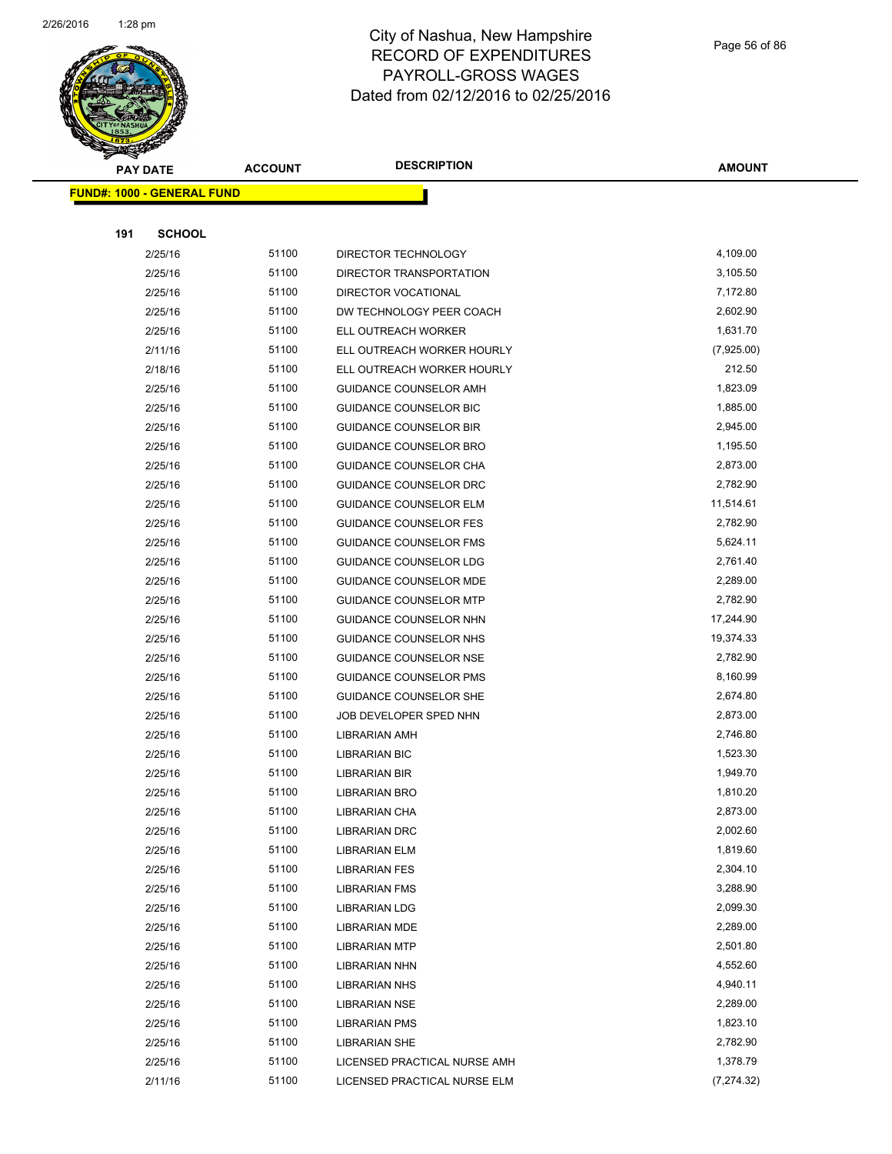

Page 56 of 86

| <b>PAY DATE</b>                   | <b>ACCOUNT</b> | <b>DESCRIPTION</b>            | <b>AMOUNT</b> |
|-----------------------------------|----------------|-------------------------------|---------------|
| <b>FUND#: 1000 - GENERAL FUND</b> |                |                               |               |
|                                   |                |                               |               |
| 191<br><b>SCHOOL</b>              |                |                               |               |
| 2/25/16                           | 51100          | DIRECTOR TECHNOLOGY           | 4,109.00      |
| 2/25/16                           | 51100          | DIRECTOR TRANSPORTATION       | 3,105.50      |
| 2/25/16                           | 51100          | DIRECTOR VOCATIONAL           | 7,172.80      |
| 2/25/16                           | 51100          | DW TECHNOLOGY PEER COACH      | 2,602.90      |
| 2/25/16                           | 51100          | ELL OUTREACH WORKER           | 1,631.70      |
| 2/11/16                           | 51100          | ELL OUTREACH WORKER HOURLY    | (7,925.00)    |
| 2/18/16                           | 51100          | ELL OUTREACH WORKER HOURLY    | 212.50        |
| 2/25/16                           | 51100          | GUIDANCE COUNSELOR AMH        | 1,823.09      |
| 2/25/16                           | 51100          | GUIDANCE COUNSELOR BIC        | 1,885.00      |
| 2/25/16                           | 51100          | <b>GUIDANCE COUNSELOR BIR</b> | 2,945.00      |
| 2/25/16                           | 51100          | <b>GUIDANCE COUNSELOR BRO</b> | 1,195.50      |
| 2/25/16                           | 51100          | GUIDANCE COUNSELOR CHA        | 2,873.00      |
| 2/25/16                           | 51100          | GUIDANCE COUNSELOR DRC        | 2,782.90      |
| 2/25/16                           | 51100          | <b>GUIDANCE COUNSELOR ELM</b> | 11,514.61     |
| 2/25/16                           | 51100          | <b>GUIDANCE COUNSELOR FES</b> | 2,782.90      |
| 2/25/16                           | 51100          | <b>GUIDANCE COUNSELOR FMS</b> | 5,624.11      |
| 2/25/16                           | 51100          | <b>GUIDANCE COUNSELOR LDG</b> | 2,761.40      |
| 2/25/16                           | 51100          | GUIDANCE COUNSELOR MDE        | 2,289.00      |
| 2/25/16                           | 51100          | <b>GUIDANCE COUNSELOR MTP</b> | 2,782.90      |
| 2/25/16                           | 51100          | GUIDANCE COUNSELOR NHN        | 17,244.90     |
| 2/25/16                           | 51100          | GUIDANCE COUNSELOR NHS        | 19,374.33     |
| 2/25/16                           | 51100          | <b>GUIDANCE COUNSELOR NSE</b> | 2,782.90      |
| 2/25/16                           | 51100          | <b>GUIDANCE COUNSELOR PMS</b> | 8,160.99      |
| 2/25/16                           | 51100          | <b>GUIDANCE COUNSELOR SHE</b> | 2,674.80      |
| 2/25/16                           | 51100          | JOB DEVELOPER SPED NHN        | 2,873.00      |
| 2/25/16                           | 51100          | LIBRARIAN AMH                 | 2,746.80      |
| 2/25/16                           | 51100          | <b>LIBRARIAN BIC</b>          | 1,523.30      |
| 2/25/16                           | 51100          | LIBRARIAN BIR                 | 1,949.70      |
| 2/25/16                           | 51100          | <b>LIBRARIAN BRO</b>          | 1,810.20      |
| 2/25/16                           | 51100          | <b>LIBRARIAN CHA</b>          | 2,873.00      |
| 2/25/16                           | 51100          | <b>LIBRARIAN DRC</b>          | 2,002.60      |
| 2/25/16                           | 51100          | <b>LIBRARIAN ELM</b>          | 1,819.60      |
| 2/25/16                           | 51100          | <b>LIBRARIAN FES</b>          | 2,304.10      |
| 2/25/16                           | 51100          | <b>LIBRARIAN FMS</b>          | 3,288.90      |
| 2/25/16                           | 51100          | <b>LIBRARIAN LDG</b>          | 2,099.30      |
| 2/25/16                           | 51100          | LIBRARIAN MDE                 | 2,289.00      |
| 2/25/16                           | 51100          | <b>LIBRARIAN MTP</b>          | 2,501.80      |
| 2/25/16                           | 51100          | LIBRARIAN NHN                 | 4,552.60      |
| 2/25/16                           | 51100          | <b>LIBRARIAN NHS</b>          | 4,940.11      |
| 2/25/16                           | 51100          | LIBRARIAN NSE                 | 2,289.00      |
| 2/25/16                           | 51100          | LIBRARIAN PMS                 | 1,823.10      |
| 2/25/16                           | 51100          | LIBRARIAN SHE                 | 2,782.90      |
| 2/25/16                           | 51100          | LICENSED PRACTICAL NURSE AMH  | 1,378.79      |
| 2/11/16                           | 51100          | LICENSED PRACTICAL NURSE ELM  | (7, 274.32)   |
|                                   |                |                               |               |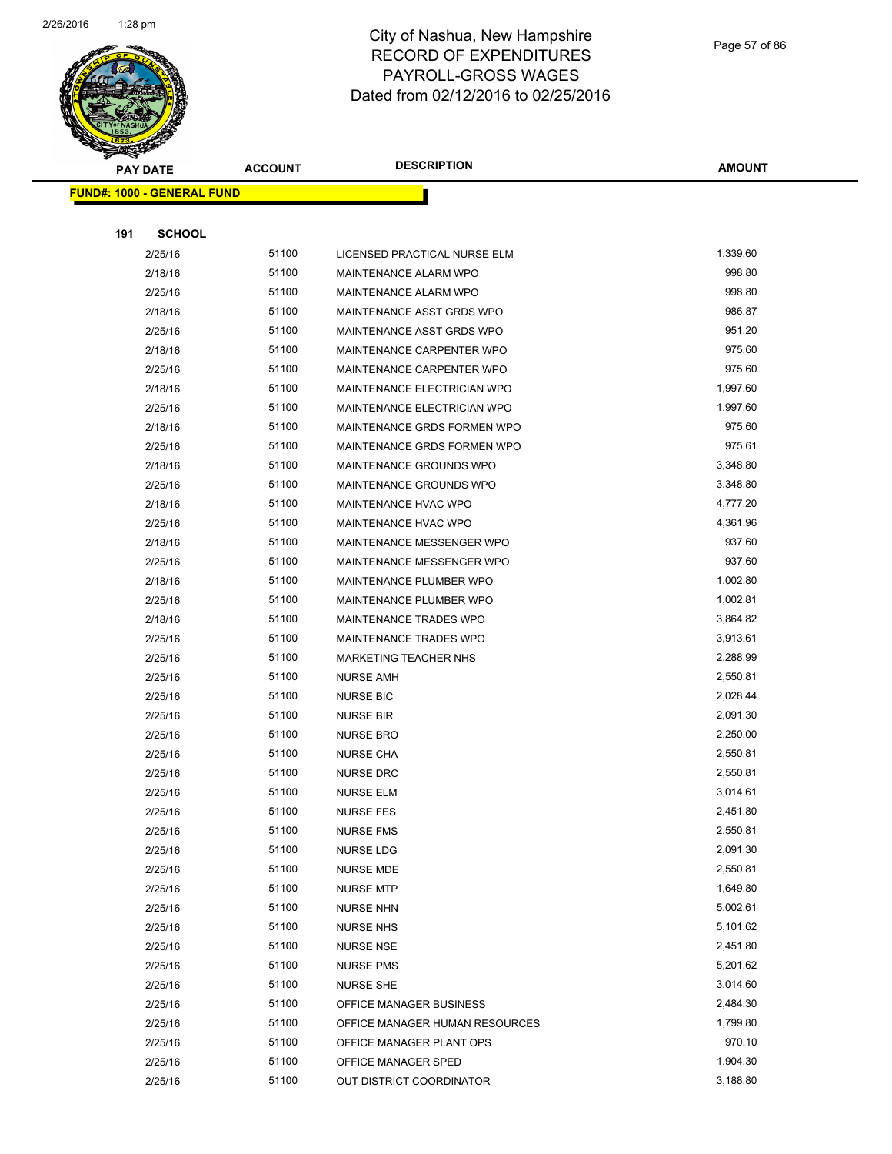

|     | <b>PAY DATE</b>                   | <b>ACCOUNT</b> | <b>DESCRIPTION</b>                              | <b>AMOUNT</b>        |
|-----|-----------------------------------|----------------|-------------------------------------------------|----------------------|
|     | <b>FUND#: 1000 - GENERAL FUND</b> |                |                                                 |                      |
|     |                                   |                |                                                 |                      |
| 191 | <b>SCHOOL</b>                     |                |                                                 |                      |
|     | 2/25/16                           | 51100          | LICENSED PRACTICAL NURSE ELM                    | 1,339.60             |
|     | 2/18/16                           | 51100          | MAINTENANCE ALARM WPO                           | 998.80               |
|     | 2/25/16                           | 51100          | MAINTENANCE ALARM WPO                           | 998.80               |
|     | 2/18/16                           | 51100          | MAINTENANCE ASST GRDS WPO                       | 986.87               |
|     | 2/25/16                           | 51100          | MAINTENANCE ASST GRDS WPO                       | 951.20               |
|     | 2/18/16                           | 51100          | MAINTENANCE CARPENTER WPO                       | 975.60               |
|     | 2/25/16                           | 51100          | MAINTENANCE CARPENTER WPO                       | 975.60               |
|     | 2/18/16                           | 51100          | MAINTENANCE ELECTRICIAN WPO                     | 1,997.60             |
|     | 2/25/16                           | 51100          | MAINTENANCE ELECTRICIAN WPO                     | 1,997.60             |
|     | 2/18/16                           | 51100          | MAINTENANCE GRDS FORMEN WPO                     | 975.60               |
|     | 2/25/16                           | 51100          | MAINTENANCE GRDS FORMEN WPO                     | 975.61               |
|     | 2/18/16                           | 51100          | MAINTENANCE GROUNDS WPO                         | 3,348.80             |
|     | 2/25/16                           | 51100          | MAINTENANCE GROUNDS WPO                         | 3,348.80             |
|     | 2/18/16                           | 51100          | MAINTENANCE HVAC WPO                            | 4,777.20             |
|     | 2/25/16                           | 51100          | MAINTENANCE HVAC WPO                            | 4,361.96             |
|     | 2/18/16                           | 51100          | MAINTENANCE MESSENGER WPO                       | 937.60               |
|     | 2/25/16                           | 51100          | MAINTENANCE MESSENGER WPO                       | 937.60               |
|     | 2/18/16                           | 51100          | MAINTENANCE PLUMBER WPO                         | 1,002.80             |
|     | 2/25/16                           | 51100          | MAINTENANCE PLUMBER WPO                         | 1,002.81             |
|     | 2/18/16                           | 51100          | <b>MAINTENANCE TRADES WPO</b>                   | 3,864.82             |
|     | 2/25/16                           | 51100          | MAINTENANCE TRADES WPO                          | 3,913.61             |
|     | 2/25/16                           | 51100          | <b>MARKETING TEACHER NHS</b>                    | 2,288.99             |
|     | 2/25/16                           | 51100          | <b>NURSE AMH</b>                                | 2,550.81             |
|     | 2/25/16                           | 51100          | <b>NURSE BIC</b>                                | 2,028.44             |
|     | 2/25/16                           | 51100          | <b>NURSE BIR</b>                                | 2,091.30             |
|     | 2/25/16                           | 51100          | <b>NURSE BRO</b>                                | 2,250.00             |
|     | 2/25/16                           | 51100          | <b>NURSE CHA</b>                                | 2,550.81             |
|     | 2/25/16                           | 51100          | <b>NURSE DRC</b>                                | 2,550.81             |
|     | 2/25/16                           | 51100          | <b>NURSE ELM</b>                                | 3,014.61             |
|     | 2/25/16                           | 51100          | <b>NURSE FES</b>                                | 2,451.80             |
|     | 2/25/16                           | 51100          | <b>NURSE FMS</b>                                | 2,550.81             |
|     | 2/25/16                           | 51100          | <b>NURSE LDG</b>                                | 2,091.30             |
|     | 2/25/16                           | 51100          | <b>NURSE MDE</b>                                | 2,550.81             |
|     | 2/25/16                           | 51100          | <b>NURSE MTP</b>                                | 1,649.80             |
|     | 2/25/16                           | 51100          | <b>NURSE NHN</b>                                | 5,002.61             |
|     | 2/25/16                           | 51100          | <b>NURSE NHS</b>                                | 5,101.62             |
|     | 2/25/16                           | 51100          | <b>NURSE NSE</b>                                | 2,451.80<br>5,201.62 |
|     | 2/25/16                           | 51100          | <b>NURSE PMS</b>                                | 3,014.60             |
|     | 2/25/16                           | 51100          | <b>NURSE SHE</b>                                |                      |
|     | 2/25/16                           | 51100<br>51100 | OFFICE MANAGER BUSINESS                         | 2,484.30<br>1,799.80 |
|     | 2/25/16                           | 51100          | OFFICE MANAGER HUMAN RESOURCES                  | 970.10               |
|     | 2/25/16<br>2/25/16                | 51100          | OFFICE MANAGER PLANT OPS<br>OFFICE MANAGER SPED | 1,904.30             |
|     | 2/25/16                           | 51100          | OUT DISTRICT COORDINATOR                        | 3,188.80             |
|     |                                   |                |                                                 |                      |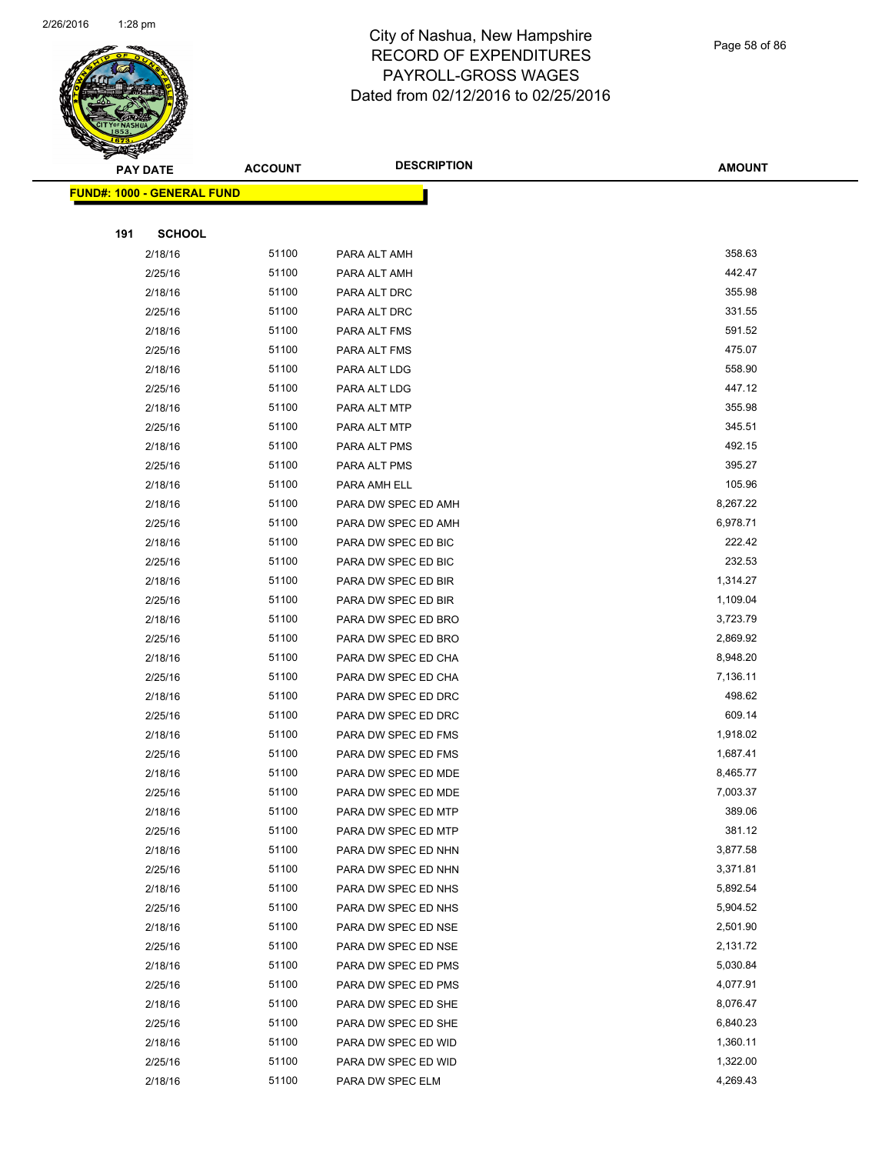

Page 58 of 86

|     | <b>PAY DATE</b>                   | <b>ACCOUNT</b> | <b>DESCRIPTION</b>                         | <b>AMOUNT</b>        |
|-----|-----------------------------------|----------------|--------------------------------------------|----------------------|
|     | <b>FUND#: 1000 - GENERAL FUND</b> |                |                                            |                      |
|     |                                   |                |                                            |                      |
| 191 | <b>SCHOOL</b>                     |                |                                            |                      |
|     | 2/18/16                           | 51100          | PARA ALT AMH                               | 358.63               |
|     | 2/25/16                           | 51100          | PARA ALT AMH                               | 442.47               |
|     | 2/18/16                           | 51100          | PARA ALT DRC                               | 355.98               |
|     | 2/25/16                           | 51100          | PARA ALT DRC                               | 331.55               |
|     | 2/18/16                           | 51100          | PARA ALT FMS                               | 591.52               |
|     | 2/25/16                           | 51100          | PARA ALT FMS                               | 475.07               |
|     | 2/18/16                           | 51100          | PARA ALT LDG                               | 558.90               |
|     | 2/25/16                           | 51100          | PARA ALT LDG                               | 447.12               |
|     | 2/18/16                           | 51100          | PARA ALT MTP                               | 355.98               |
|     | 2/25/16                           | 51100          | PARA ALT MTP                               | 345.51               |
|     | 2/18/16                           | 51100          | PARA ALT PMS                               | 492.15               |
|     | 2/25/16                           | 51100          | PARA ALT PMS                               | 395.27               |
|     | 2/18/16                           | 51100          | PARA AMH ELL                               | 105.96               |
|     | 2/18/16                           | 51100          | PARA DW SPEC ED AMH                        | 8,267.22             |
|     | 2/25/16                           | 51100          | PARA DW SPEC ED AMH                        | 6,978.71             |
|     | 2/18/16                           | 51100          | PARA DW SPEC ED BIC                        | 222.42               |
|     | 2/25/16                           | 51100          | PARA DW SPEC ED BIC                        | 232.53               |
|     | 2/18/16                           | 51100          | PARA DW SPEC ED BIR                        | 1,314.27             |
|     | 2/25/16                           | 51100          | PARA DW SPEC ED BIR                        | 1,109.04             |
|     | 2/18/16                           | 51100          | PARA DW SPEC ED BRO                        | 3,723.79             |
|     | 2/25/16                           | 51100          | PARA DW SPEC ED BRO                        | 2,869.92             |
|     | 2/18/16                           | 51100          | PARA DW SPEC ED CHA                        | 8,948.20             |
|     | 2/25/16                           | 51100          | PARA DW SPEC ED CHA                        | 7,136.11             |
|     | 2/18/16                           | 51100          | PARA DW SPEC ED DRC                        | 498.62               |
|     | 2/25/16                           | 51100          | PARA DW SPEC ED DRC                        | 609.14               |
|     | 2/18/16                           | 51100          | PARA DW SPEC ED FMS                        | 1,918.02             |
|     | 2/25/16                           | 51100          | PARA DW SPEC ED FMS                        | 1,687.41             |
|     | 2/18/16                           | 51100          | PARA DW SPEC ED MDE                        | 8,465.77             |
|     | 2/25/16                           | 51100          | PARA DW SPEC ED MDE                        | 7,003.37             |
|     | 2/18/16                           | 51100          | PARA DW SPEC ED MTP                        | 389.06               |
|     | 2/25/16                           | 51100          | PARA DW SPEC ED MTP                        | 381.12               |
|     | 2/18/16                           | 51100          | PARA DW SPEC ED NHN                        | 3,877.58             |
|     | 2/25/16                           | 51100          | PARA DW SPEC ED NHN                        | 3,371.81             |
|     | 2/18/16<br>2/25/16                | 51100<br>51100 | PARA DW SPEC ED NHS<br>PARA DW SPEC ED NHS | 5,892.54<br>5,904.52 |
|     | 2/18/16                           | 51100          | PARA DW SPEC ED NSE                        | 2,501.90             |
|     | 2/25/16                           | 51100          | PARA DW SPEC ED NSE                        | 2,131.72             |
|     | 2/18/16                           | 51100          | PARA DW SPEC ED PMS                        | 5,030.84             |
|     | 2/25/16                           | 51100          | PARA DW SPEC ED PMS                        | 4,077.91             |
|     | 2/18/16                           | 51100          | PARA DW SPEC ED SHE                        | 8,076.47             |
|     | 2/25/16                           | 51100          | PARA DW SPEC ED SHE                        | 6,840.23             |
|     | 2/18/16                           | 51100          | PARA DW SPEC ED WID                        | 1,360.11             |
|     | 2/25/16                           | 51100          | PARA DW SPEC ED WID                        | 1,322.00             |
|     | 2/18/16                           | 51100          | PARA DW SPEC ELM                           | 4,269.43             |
|     |                                   |                |                                            |                      |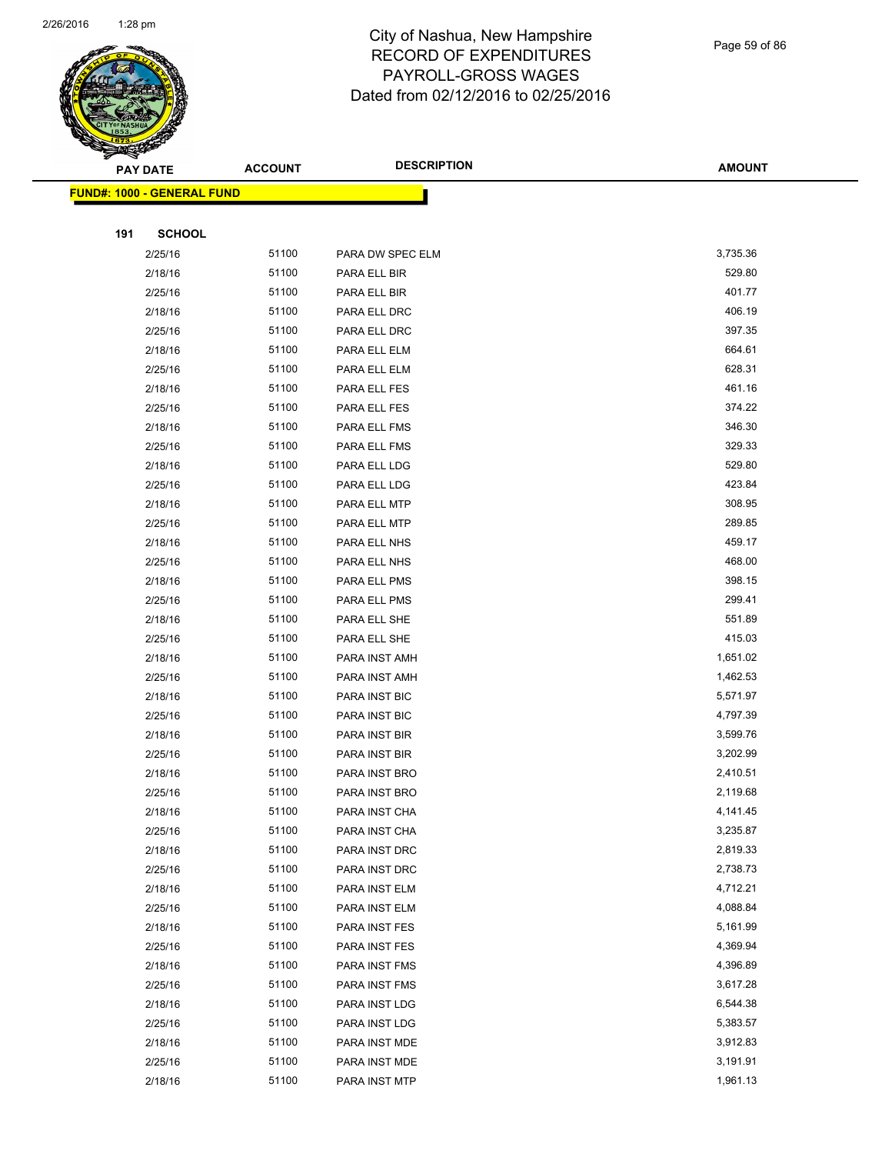

Page 59 of 86

|     | <b>PAY DATE</b>                   | <b>ACCOUNT</b> | <b>DESCRIPTION</b>   | <b>AMOUNT</b> |
|-----|-----------------------------------|----------------|----------------------|---------------|
|     | <b>FUND#: 1000 - GENERAL FUND</b> |                |                      |               |
|     |                                   |                |                      |               |
| 191 | <b>SCHOOL</b>                     |                |                      |               |
|     | 2/25/16                           | 51100          | PARA DW SPEC ELM     | 3,735.36      |
|     | 2/18/16                           | 51100          | PARA ELL BIR         | 529.80        |
|     | 2/25/16                           | 51100          | PARA ELL BIR         | 401.77        |
|     | 2/18/16                           | 51100          | PARA ELL DRC         | 406.19        |
|     | 2/25/16                           | 51100          | PARA ELL DRC         | 397.35        |
|     | 2/18/16                           | 51100          | PARA ELL ELM         | 664.61        |
|     | 2/25/16                           | 51100          | PARA ELL ELM         | 628.31        |
|     | 2/18/16                           | 51100          | PARA ELL FES         | 461.16        |
|     | 2/25/16                           | 51100          | PARA ELL FES         | 374.22        |
|     | 2/18/16                           | 51100          | PARA ELL FMS         | 346.30        |
|     | 2/25/16                           | 51100          | PARA ELL FMS         | 329.33        |
|     | 2/18/16                           | 51100          | PARA ELL LDG         | 529.80        |
|     | 2/25/16                           | 51100          | PARA ELL LDG         | 423.84        |
|     | 2/18/16                           | 51100          | PARA ELL MTP         | 308.95        |
|     | 2/25/16                           | 51100          | PARA ELL MTP         | 289.85        |
|     | 2/18/16                           | 51100          | PARA ELL NHS         | 459.17        |
|     | 2/25/16                           | 51100          | PARA ELL NHS         | 468.00        |
|     | 2/18/16                           | 51100          | PARA ELL PMS         | 398.15        |
|     | 2/25/16                           | 51100          | PARA ELL PMS         | 299.41        |
|     | 2/18/16                           | 51100          | PARA ELL SHE         | 551.89        |
|     | 2/25/16                           | 51100          | PARA ELL SHE         | 415.03        |
|     | 2/18/16                           | 51100          | PARA INST AMH        | 1,651.02      |
|     | 2/25/16                           | 51100          | PARA INST AMH        | 1,462.53      |
|     | 2/18/16                           | 51100          | PARA INST BIC        | 5,571.97      |
|     | 2/25/16                           | 51100          | PARA INST BIC        | 4,797.39      |
|     | 2/18/16                           | 51100          | PARA INST BIR        | 3,599.76      |
|     | 2/25/16                           | 51100          | PARA INST BIR        | 3,202.99      |
|     | 2/18/16                           | 51100          | PARA INST BRO        | 2,410.51      |
|     | 2/25/16                           | 51100          | PARA INST BRO        | 2,119.68      |
|     | 2/18/16                           | 51100          | <b>PARA INST CHA</b> | 4,141.45      |
|     | 2/25/16                           | 51100          | PARA INST CHA        | 3,235.87      |
|     | 2/18/16                           | 51100          | PARA INST DRC        | 2,819.33      |
|     | 2/25/16                           | 51100          | PARA INST DRC        | 2,738.73      |
|     | 2/18/16                           | 51100          | PARA INST ELM        | 4,712.21      |
|     | 2/25/16                           | 51100          | PARA INST ELM        | 4,088.84      |
|     | 2/18/16                           | 51100          | PARA INST FES        | 5,161.99      |
|     | 2/25/16                           | 51100          | PARA INST FES        | 4,369.94      |
|     | 2/18/16                           | 51100          | PARA INST FMS        | 4,396.89      |
|     | 2/25/16                           | 51100          | PARA INST FMS        | 3,617.28      |
|     | 2/18/16                           | 51100          | PARA INST LDG        | 6,544.38      |
|     | 2/25/16                           | 51100          | PARA INST LDG        | 5,383.57      |
|     | 2/18/16                           | 51100          | PARA INST MDE        | 3,912.83      |
|     | 2/25/16                           | 51100          | PARA INST MDE        | 3,191.91      |
|     | 2/18/16                           | 51100          | PARA INST MTP        | 1,961.13      |
|     |                                   |                |                      |               |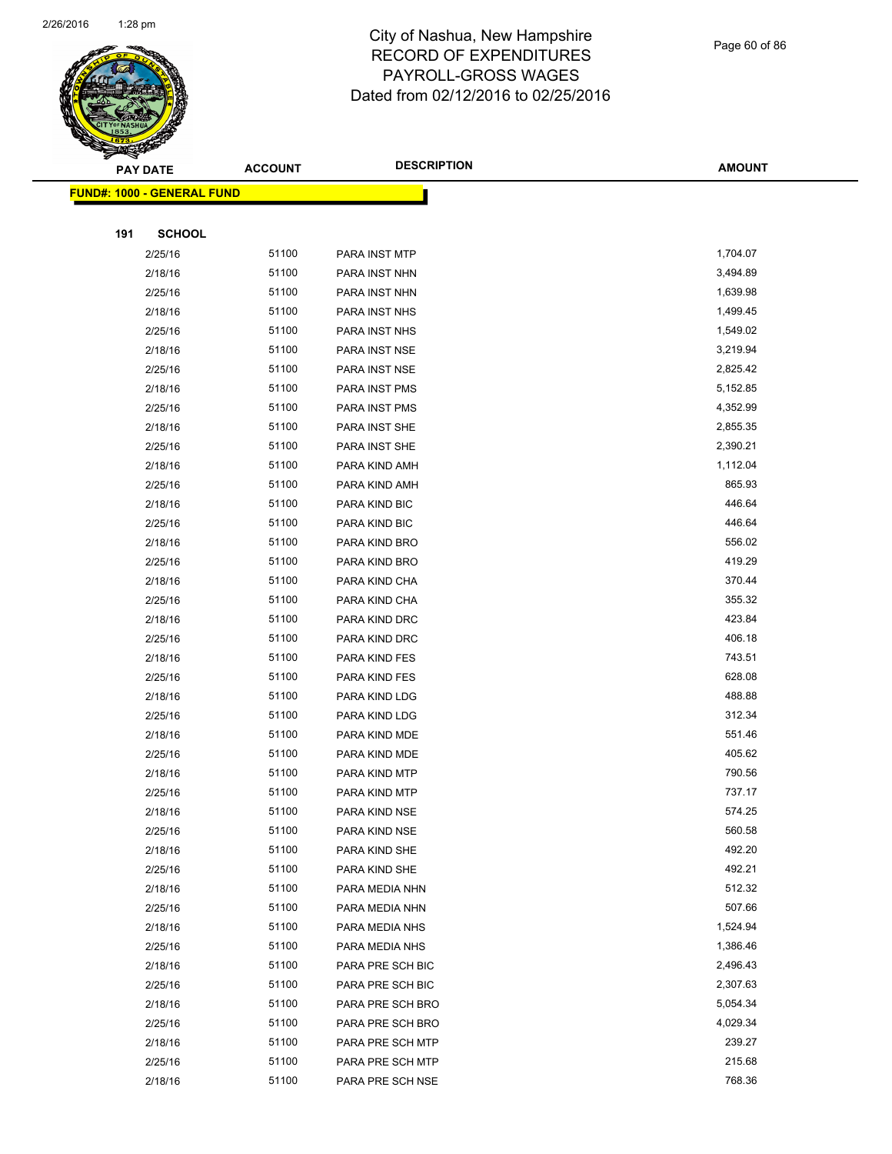

#### Page 60 of 86

| <b>PAY DATE</b> |                                    | <b>ACCOUNT</b> | <b>DESCRIPTION</b> | <b>AMOUNT</b> |
|-----------------|------------------------------------|----------------|--------------------|---------------|
|                 | <u> FUND#: 1000 - GENERAL FUND</u> |                |                    |               |
|                 |                                    |                |                    |               |
| 191             | <b>SCHOOL</b>                      |                |                    |               |
|                 | 2/25/16                            | 51100          | PARA INST MTP      | 1,704.07      |
|                 | 2/18/16                            | 51100          | PARA INST NHN      | 3,494.89      |
|                 | 2/25/16                            | 51100          | PARA INST NHN      | 1,639.98      |
|                 | 2/18/16                            | 51100          | PARA INST NHS      | 1,499.45      |
|                 | 2/25/16                            | 51100          | PARA INST NHS      | 1,549.02      |
|                 | 2/18/16                            | 51100          | PARA INST NSE      | 3,219.94      |
|                 | 2/25/16                            | 51100          | PARA INST NSE      | 2,825.42      |
|                 | 2/18/16                            | 51100          | PARA INST PMS      | 5,152.85      |
|                 | 2/25/16                            | 51100          | PARA INST PMS      | 4,352.99      |
|                 | 2/18/16                            | 51100          | PARA INST SHE      | 2,855.35      |
|                 | 2/25/16                            | 51100          | PARA INST SHE      | 2,390.21      |
|                 | 2/18/16                            | 51100          | PARA KIND AMH      | 1,112.04      |
|                 | 2/25/16                            | 51100          | PARA KIND AMH      | 865.93        |
|                 | 2/18/16                            | 51100          | PARA KIND BIC      | 446.64        |
|                 | 2/25/16                            | 51100          | PARA KIND BIC      | 446.64        |
|                 | 2/18/16                            | 51100          | PARA KIND BRO      | 556.02        |
|                 | 2/25/16                            | 51100          | PARA KIND BRO      | 419.29        |
|                 | 2/18/16                            | 51100          | PARA KIND CHA      | 370.44        |
|                 | 2/25/16                            | 51100          | PARA KIND CHA      | 355.32        |
|                 | 2/18/16                            | 51100          | PARA KIND DRC      | 423.84        |
|                 | 2/25/16                            | 51100          | PARA KIND DRC      | 406.18        |
|                 | 2/18/16                            | 51100          | PARA KIND FES      | 743.51        |
|                 | 2/25/16                            | 51100          | PARA KIND FES      | 628.08        |
|                 | 2/18/16                            | 51100          | PARA KIND LDG      | 488.88        |
|                 | 2/25/16                            | 51100          | PARA KIND LDG      | 312.34        |
|                 | 2/18/16                            | 51100          | PARA KIND MDE      | 551.46        |
|                 | 2/25/16                            | 51100          | PARA KIND MDE      | 405.62        |
|                 | 2/18/16                            | 51100          | PARA KIND MTP      | 790.56        |
|                 | 2/25/16                            | 51100          | PARA KIND MTP      | 737.17        |
|                 | 2/18/16                            | 51100          | PARA KIND NSE      | 574.25        |
|                 | 2/25/16                            | 51100          | PARA KIND NSE      | 560.58        |
|                 | 2/18/16                            | 51100          | PARA KIND SHE      | 492.20        |
|                 | 2/25/16                            | 51100          | PARA KIND SHE      | 492.21        |
|                 | 2/18/16                            | 51100          | PARA MEDIA NHN     | 512.32        |
|                 | 2/25/16                            | 51100          | PARA MEDIA NHN     | 507.66        |
|                 | 2/18/16                            | 51100          | PARA MEDIA NHS     | 1,524.94      |
|                 | 2/25/16                            | 51100          | PARA MEDIA NHS     | 1,386.46      |
|                 | 2/18/16                            | 51100          | PARA PRE SCH BIC   | 2,496.43      |
|                 | 2/25/16                            | 51100          | PARA PRE SCH BIC   | 2,307.63      |
|                 | 2/18/16                            | 51100          | PARA PRE SCH BRO   | 5,054.34      |
|                 | 2/25/16                            | 51100          | PARA PRE SCH BRO   | 4,029.34      |
|                 | 2/18/16                            | 51100          | PARA PRE SCH MTP   | 239.27        |
|                 | 2/25/16                            | 51100          | PARA PRE SCH MTP   | 215.68        |
|                 | 2/18/16                            | 51100          | PARA PRE SCH NSE   | 768.36        |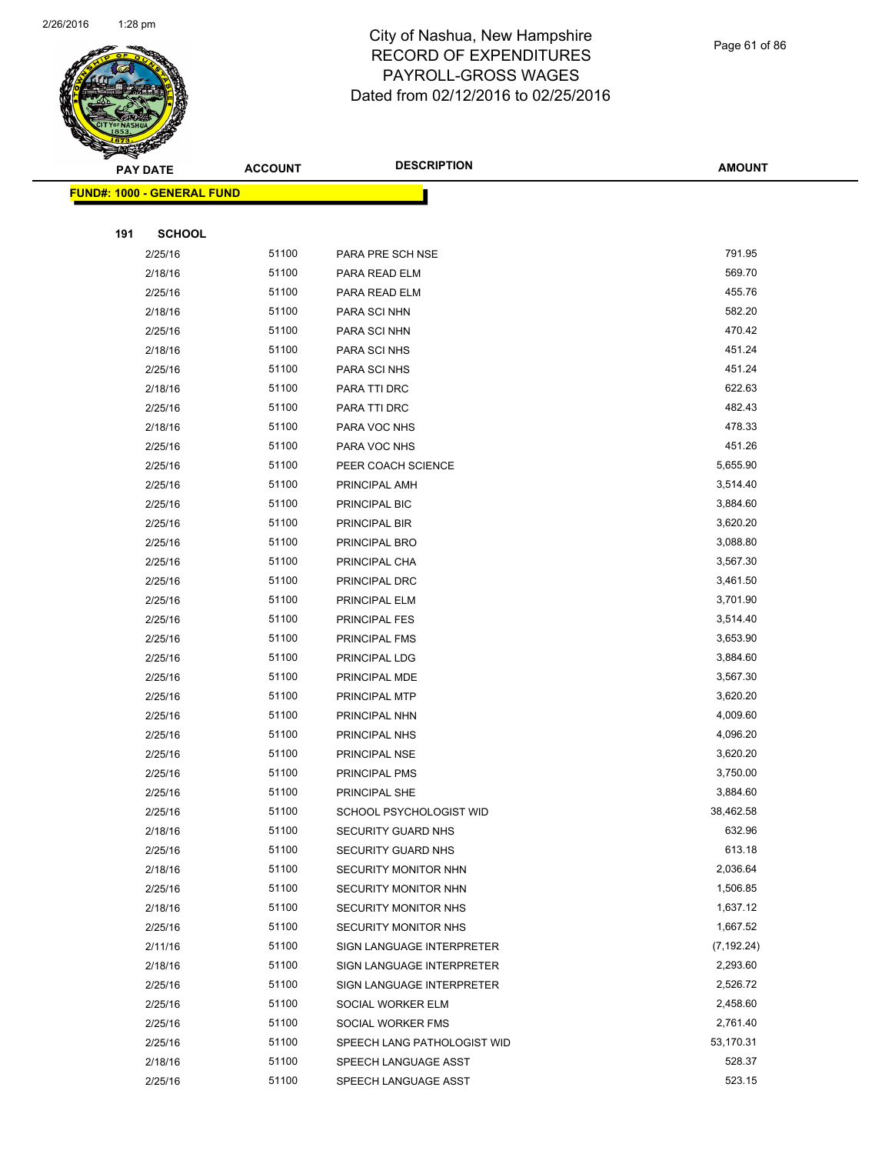

Page 61 of 86

| <b>PAY DATE</b>                   | <b>ACCOUNT</b> | <b>DESCRIPTION</b>                         | <b>AMOUNT</b>    |
|-----------------------------------|----------------|--------------------------------------------|------------------|
| <b>FUND#: 1000 - GENERAL FUND</b> |                |                                            |                  |
|                                   |                |                                            |                  |
| <b>SCHOOL</b><br>191              |                |                                            |                  |
| 2/25/16                           | 51100          | PARA PRE SCH NSE                           | 791.95           |
| 2/18/16                           | 51100          | PARA READ ELM                              | 569.70           |
| 2/25/16                           | 51100          | PARA READ ELM                              | 455.76           |
| 2/18/16                           | 51100          | PARA SCI NHN                               | 582.20           |
| 2/25/16                           | 51100          | PARA SCI NHN                               | 470.42           |
| 2/18/16                           | 51100          | PARA SCI NHS                               | 451.24           |
| 2/25/16                           | 51100          | PARA SCI NHS                               | 451.24           |
| 2/18/16                           | 51100          | PARA TTI DRC                               | 622.63           |
| 2/25/16                           | 51100          | PARA TTI DRC                               | 482.43           |
| 2/18/16                           | 51100          | PARA VOC NHS                               | 478.33           |
| 2/25/16                           | 51100          | PARA VOC NHS                               | 451.26           |
| 2/25/16                           | 51100          | PEER COACH SCIENCE                         | 5,655.90         |
| 2/25/16                           | 51100          | PRINCIPAL AMH                              | 3,514.40         |
| 2/25/16                           | 51100          | PRINCIPAL BIC                              | 3,884.60         |
| 2/25/16                           | 51100          | PRINCIPAL BIR                              | 3,620.20         |
| 2/25/16                           | 51100          | PRINCIPAL BRO                              | 3,088.80         |
| 2/25/16                           | 51100          | PRINCIPAL CHA                              | 3,567.30         |
| 2/25/16                           | 51100          | PRINCIPAL DRC                              | 3,461.50         |
| 2/25/16                           | 51100          | PRINCIPAL ELM                              | 3,701.90         |
| 2/25/16                           | 51100          | PRINCIPAL FES                              | 3,514.40         |
| 2/25/16                           | 51100          | PRINCIPAL FMS                              | 3,653.90         |
| 2/25/16                           | 51100          | PRINCIPAL LDG                              | 3,884.60         |
| 2/25/16                           | 51100          | PRINCIPAL MDE                              | 3,567.30         |
| 2/25/16                           | 51100          | PRINCIPAL MTP                              | 3,620.20         |
| 2/25/16                           | 51100          | PRINCIPAL NHN                              | 4,009.60         |
| 2/25/16                           | 51100          | PRINCIPAL NHS                              | 4,096.20         |
| 2/25/16                           | 51100          | PRINCIPAL NSE                              | 3,620.20         |
| 2/25/16                           | 51100          | PRINCIPAL PMS                              | 3,750.00         |
| 2/25/16                           | 51100          | PRINCIPAL SHE                              | 3,884.60         |
| 2/25/16                           | 51100          | SCHOOL PSYCHOLOGIST WID                    | 38,462.58        |
| 2/18/16                           | 51100<br>51100 | SECURITY GUARD NHS                         | 632.96<br>613.18 |
| 2/25/16<br>2/18/16                | 51100          | SECURITY GUARD NHS<br>SECURITY MONITOR NHN | 2,036.64         |
| 2/25/16                           | 51100          | SECURITY MONITOR NHN                       | 1,506.85         |
| 2/18/16                           | 51100          | SECURITY MONITOR NHS                       | 1,637.12         |
| 2/25/16                           | 51100          | SECURITY MONITOR NHS                       | 1,667.52         |
| 2/11/16                           | 51100          | SIGN LANGUAGE INTERPRETER                  | (7, 192.24)      |
| 2/18/16                           | 51100          | SIGN LANGUAGE INTERPRETER                  | 2,293.60         |
| 2/25/16                           | 51100          | SIGN LANGUAGE INTERPRETER                  | 2,526.72         |
| 2/25/16                           | 51100          | SOCIAL WORKER ELM                          | 2,458.60         |
| 2/25/16                           | 51100          | SOCIAL WORKER FMS                          | 2,761.40         |
| 2/25/16                           | 51100          | SPEECH LANG PATHOLOGIST WID                | 53,170.31        |
| 2/18/16                           | 51100          | SPEECH LANGUAGE ASST                       | 528.37           |
| 2/25/16                           | 51100          | SPEECH LANGUAGE ASST                       | 523.15           |
|                                   |                |                                            |                  |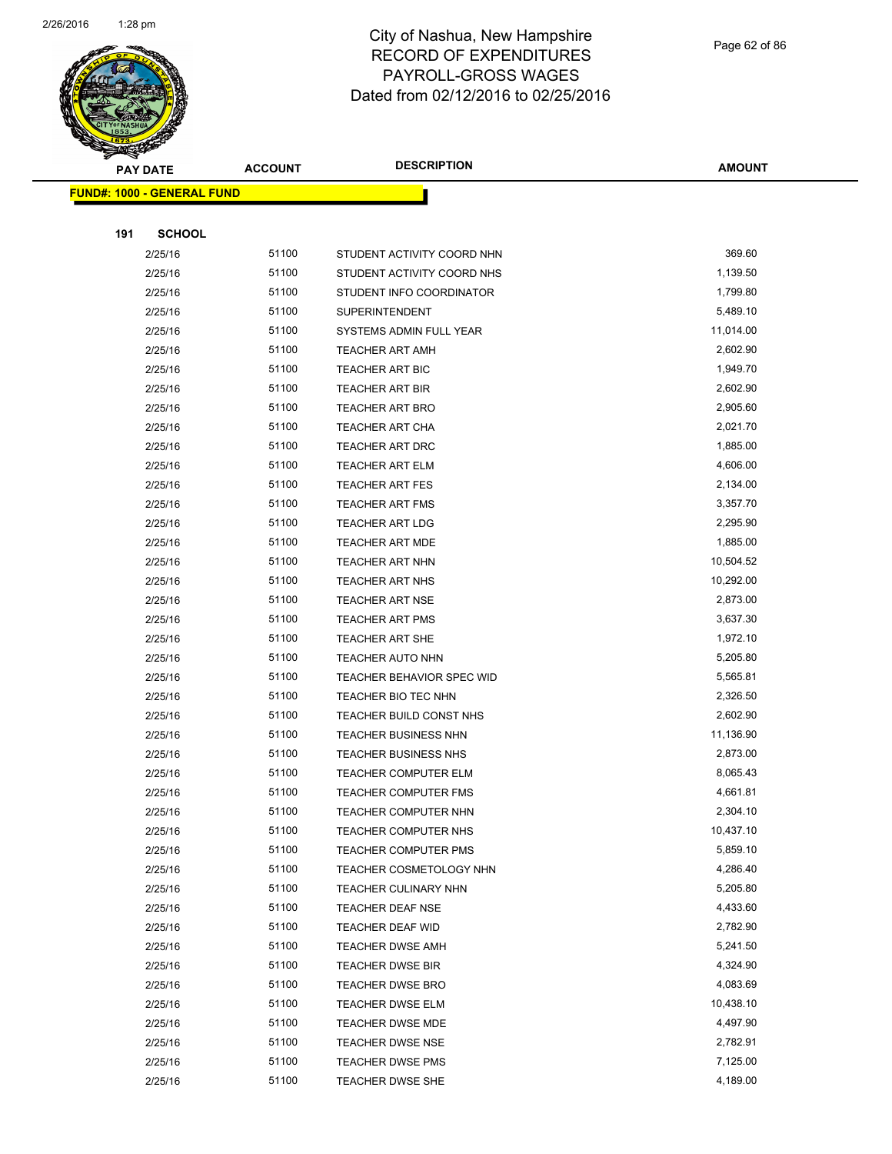

|     | <b>PAY DATE</b>                    | <b>ACCOUNT</b> | <b>DESCRIPTION</b>                                 | <b>AMOUNT</b>         |
|-----|------------------------------------|----------------|----------------------------------------------------|-----------------------|
|     | <u> FUND#: 1000 - GENERAL FUND</u> |                |                                                    |                       |
|     |                                    |                |                                                    |                       |
| 191 | <b>SCHOOL</b>                      |                |                                                    |                       |
|     | 2/25/16                            | 51100          | STUDENT ACTIVITY COORD NHN                         | 369.60                |
|     | 2/25/16                            | 51100          | STUDENT ACTIVITY COORD NHS                         | 1,139.50              |
|     | 2/25/16                            | 51100          | STUDENT INFO COORDINATOR                           | 1,799.80              |
|     | 2/25/16                            | 51100          | <b>SUPERINTENDENT</b>                              | 5,489.10              |
|     | 2/25/16                            | 51100          | SYSTEMS ADMIN FULL YEAR                            | 11,014.00             |
|     | 2/25/16                            | 51100          | <b>TEACHER ART AMH</b>                             | 2,602.90              |
|     | 2/25/16                            | 51100          | <b>TEACHER ART BIC</b>                             | 1,949.70              |
|     | 2/25/16                            | 51100          | <b>TEACHER ART BIR</b>                             | 2,602.90              |
|     | 2/25/16                            | 51100          | <b>TEACHER ART BRO</b>                             | 2,905.60              |
|     | 2/25/16                            | 51100          | <b>TEACHER ART CHA</b>                             | 2,021.70              |
|     | 2/25/16                            | 51100          | <b>TEACHER ART DRC</b>                             | 1,885.00              |
|     | 2/25/16                            | 51100          | <b>TEACHER ART ELM</b>                             | 4,606.00              |
|     | 2/25/16                            | 51100          | <b>TEACHER ART FES</b>                             | 2,134.00              |
|     | 2/25/16                            | 51100          | <b>TEACHER ART FMS</b>                             | 3,357.70              |
|     | 2/25/16                            | 51100          | <b>TEACHER ART LDG</b>                             | 2,295.90              |
|     | 2/25/16                            | 51100          | <b>TEACHER ART MDE</b>                             | 1,885.00              |
|     | 2/25/16                            | 51100          | <b>TEACHER ART NHN</b>                             | 10,504.52             |
|     | 2/25/16                            | 51100          | <b>TEACHER ART NHS</b>                             | 10,292.00             |
|     | 2/25/16                            | 51100          | <b>TEACHER ART NSE</b>                             | 2,873.00              |
|     | 2/25/16                            | 51100          | <b>TEACHER ART PMS</b>                             | 3,637.30              |
|     | 2/25/16                            | 51100          | TEACHER ART SHE                                    | 1,972.10              |
|     | 2/25/16                            | 51100          | <b>TEACHER AUTO NHN</b>                            | 5,205.80              |
|     | 2/25/16                            | 51100          | <b>TEACHER BEHAVIOR SPEC WID</b>                   | 5,565.81              |
|     | 2/25/16                            | 51100          | TEACHER BIO TEC NHN                                | 2,326.50              |
|     | 2/25/16                            | 51100          | TEACHER BUILD CONST NHS                            | 2,602.90              |
|     | 2/25/16                            | 51100          | <b>TEACHER BUSINESS NHN</b>                        | 11,136.90             |
|     | 2/25/16                            | 51100          | <b>TEACHER BUSINESS NHS</b>                        | 2,873.00              |
|     | 2/25/16                            | 51100          | <b>TEACHER COMPUTER ELM</b>                        | 8,065.43              |
|     | 2/25/16                            | 51100          | TEACHER COMPUTER FMS                               | 4,661.81              |
|     | 2/25/16                            | 51100          | TEACHER COMPUTER NHN                               | 2,304.10              |
|     | 2/25/16                            | 51100          | TEACHER COMPUTER NHS                               | 10,437.10             |
|     | 2/25/16                            | 51100          | TEACHER COMPUTER PMS                               | 5,859.10              |
|     | 2/25/16                            | 51100          | TEACHER COSMETOLOGY NHN                            | 4,286.40              |
|     | 2/25/16                            | 51100          | <b>TEACHER CULINARY NHN</b>                        | 5,205.80              |
|     | 2/25/16                            | 51100          | <b>TEACHER DEAF NSE</b>                            | 4,433.60              |
|     | 2/25/16                            | 51100          | <b>TEACHER DEAF WID</b>                            | 2,782.90              |
|     | 2/25/16                            | 51100          | <b>TEACHER DWSE AMH</b>                            | 5,241.50              |
|     | 2/25/16<br>2/25/16                 | 51100          | <b>TEACHER DWSE BIR</b>                            | 4,324.90              |
|     |                                    | 51100<br>51100 | <b>TEACHER DWSE BRO</b>                            | 4,083.69<br>10,438.10 |
|     | 2/25/16<br>2/25/16                 | 51100          | <b>TEACHER DWSE ELM</b><br><b>TEACHER DWSE MDE</b> | 4,497.90              |
|     | 2/25/16                            | 51100          | <b>TEACHER DWSE NSE</b>                            | 2,782.91              |
|     | 2/25/16                            | 51100          | <b>TEACHER DWSE PMS</b>                            | 7,125.00              |
|     | 2/25/16                            | 51100          | <b>TEACHER DWSE SHE</b>                            | 4,189.00              |
|     |                                    |                |                                                    |                       |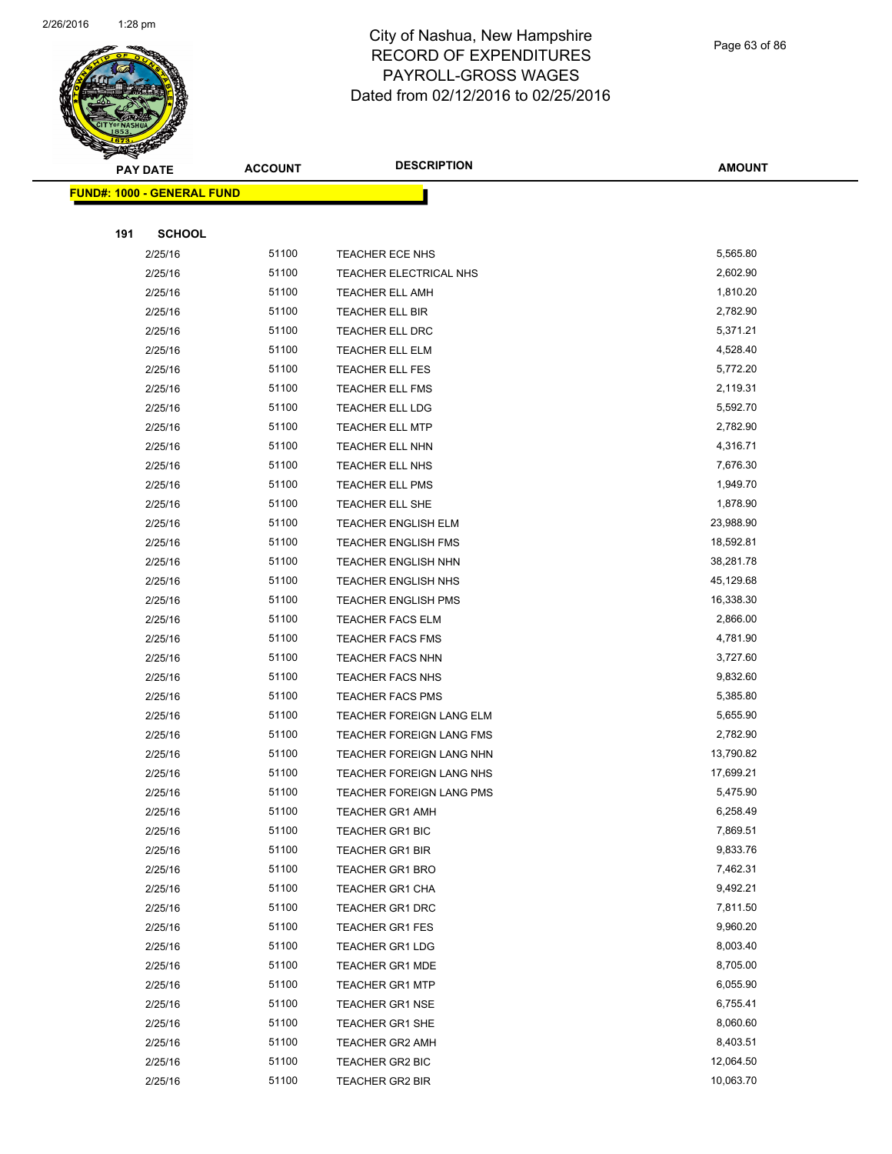

Page 63 of 86

| <b>PAY DATE</b>                   | <b>ACCOUNT</b> | <b>DESCRIPTION</b>                        | <b>AMOUNT</b>        |
|-----------------------------------|----------------|-------------------------------------------|----------------------|
| <b>FUND#: 1000 - GENERAL FUND</b> |                |                                           |                      |
|                                   |                |                                           |                      |
| 191<br><b>SCHOOL</b>              |                |                                           |                      |
| 2/25/16                           | 51100          | TEACHER ECE NHS                           | 5,565.80             |
| 2/25/16                           | 51100          | TEACHER ELECTRICAL NHS                    | 2,602.90             |
| 2/25/16                           | 51100          | <b>TEACHER ELL AMH</b>                    | 1,810.20             |
| 2/25/16                           | 51100          | TEACHER ELL BIR                           | 2,782.90             |
| 2/25/16                           | 51100          | TEACHER ELL DRC                           | 5,371.21             |
| 2/25/16                           | 51100          | TEACHER ELL ELM                           | 4,528.40             |
| 2/25/16                           | 51100          | <b>TEACHER ELL FES</b>                    | 5,772.20             |
| 2/25/16                           | 51100          | <b>TEACHER ELL FMS</b>                    | 2,119.31             |
| 2/25/16                           | 51100          | TEACHER ELL LDG                           | 5,592.70             |
| 2/25/16                           | 51100          | <b>TEACHER ELL MTP</b>                    | 2,782.90             |
| 2/25/16                           | 51100          | TEACHER ELL NHN                           | 4,316.71             |
| 2/25/16                           | 51100          | TEACHER ELL NHS                           | 7,676.30             |
| 2/25/16                           | 51100          | <b>TEACHER ELL PMS</b>                    | 1,949.70             |
| 2/25/16                           | 51100          | TEACHER ELL SHE                           | 1,878.90             |
| 2/25/16                           | 51100          | <b>TEACHER ENGLISH ELM</b>                | 23,988.90            |
| 2/25/16                           | 51100          | <b>TEACHER ENGLISH FMS</b>                | 18,592.81            |
| 2/25/16                           | 51100          | <b>TEACHER ENGLISH NHN</b>                | 38,281.78            |
| 2/25/16                           | 51100          | <b>TEACHER ENGLISH NHS</b>                | 45,129.68            |
| 2/25/16                           | 51100          | <b>TEACHER ENGLISH PMS</b>                | 16,338.30            |
| 2/25/16                           | 51100          | <b>TEACHER FACS ELM</b>                   | 2,866.00             |
| 2/25/16                           | 51100          | <b>TEACHER FACS FMS</b>                   | 4,781.90             |
| 2/25/16                           | 51100          | TEACHER FACS NHN                          | 3,727.60             |
| 2/25/16                           | 51100          | TEACHER FACS NHS                          | 9,832.60             |
| 2/25/16                           | 51100          | <b>TEACHER FACS PMS</b>                   | 5,385.80             |
| 2/25/16                           | 51100          | TEACHER FOREIGN LANG ELM                  | 5,655.90             |
| 2/25/16                           | 51100          | TEACHER FOREIGN LANG FMS                  | 2,782.90             |
| 2/25/16                           | 51100          | TEACHER FOREIGN LANG NHN                  | 13,790.82            |
| 2/25/16                           | 51100          | TEACHER FOREIGN LANG NHS                  | 17,699.21            |
| 2/25/16                           | 51100          | TEACHER FOREIGN LANG PMS                  | 5,475.90             |
| 2/25/16                           | 51100          | <b>TEACHER GR1 AMH</b>                    | 6,258.49             |
| 2/25/16                           | 51100          | <b>TEACHER GR1 BIC</b>                    | 7,869.51             |
| 2/25/16                           | 51100          | <b>TEACHER GR1 BIR</b>                    | 9,833.76             |
| 2/25/16                           | 51100          | <b>TEACHER GR1 BRO</b>                    | 7,462.31             |
| 2/25/16                           | 51100          | <b>TEACHER GR1 CHA</b>                    | 9,492.21             |
| 2/25/16                           | 51100<br>51100 | TEACHER GR1 DRC                           | 7,811.50             |
| 2/25/16                           |                | <b>TEACHER GR1 FES</b>                    | 9,960.20<br>8,003.40 |
| 2/25/16                           | 51100          | <b>TEACHER GR1 LDG</b>                    |                      |
| 2/25/16                           | 51100<br>51100 | <b>TEACHER GR1 MDE</b>                    | 8,705.00<br>6,055.90 |
| 2/25/16                           | 51100          | <b>TEACHER GR1 MTP</b>                    | 6,755.41             |
| 2/25/16                           | 51100          | <b>TEACHER GR1 NSE</b>                    | 8,060.60             |
| 2/25/16<br>2/25/16                | 51100          | TEACHER GR1 SHE<br><b>TEACHER GR2 AMH</b> | 8,403.51             |
| 2/25/16                           | 51100          | TEACHER GR2 BIC                           | 12,064.50            |
| 2/25/16                           | 51100          | TEACHER GR2 BIR                           | 10,063.70            |
|                                   |                |                                           |                      |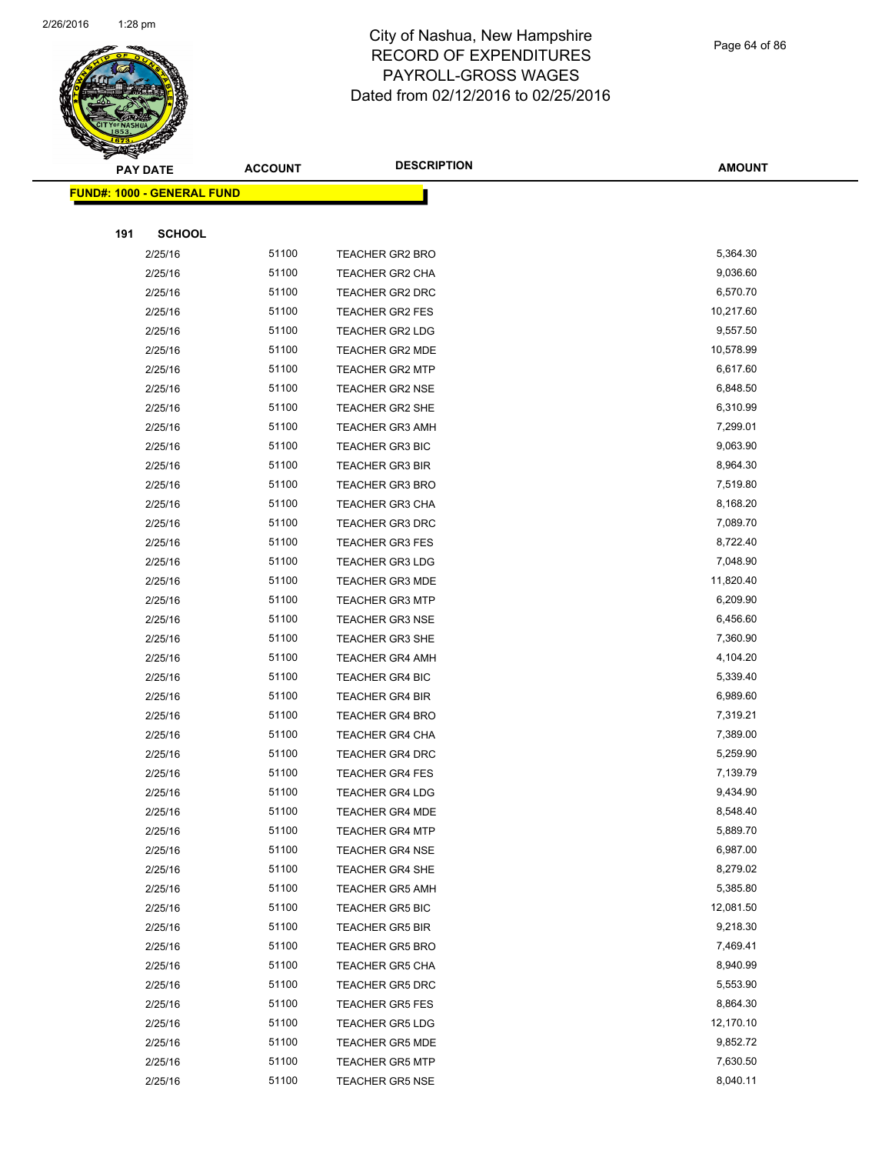

Page 64 of 86

|     | <b>PAY DATE</b>                   | <b>ACCOUNT</b> | <b>DESCRIPTION</b>     | <b>AMOUNT</b> |
|-----|-----------------------------------|----------------|------------------------|---------------|
|     | <b>FUND#: 1000 - GENERAL FUND</b> |                |                        |               |
|     |                                   |                |                        |               |
| 191 | <b>SCHOOL</b>                     |                |                        |               |
|     | 2/25/16                           | 51100          | <b>TEACHER GR2 BRO</b> | 5,364.30      |
|     | 2/25/16                           | 51100          | <b>TEACHER GR2 CHA</b> | 9,036.60      |
|     | 2/25/16                           | 51100          | <b>TEACHER GR2 DRC</b> | 6,570.70      |
|     | 2/25/16                           | 51100          | TEACHER GR2 FES        | 10,217.60     |
|     | 2/25/16                           | 51100          | <b>TEACHER GR2 LDG</b> | 9,557.50      |
|     | 2/25/16                           | 51100          | TEACHER GR2 MDE        | 10,578.99     |
|     | 2/25/16                           | 51100          | <b>TEACHER GR2 MTP</b> | 6,617.60      |
|     | 2/25/16                           | 51100          | <b>TEACHER GR2 NSE</b> | 6,848.50      |
|     | 2/25/16                           | 51100          | TEACHER GR2 SHE        | 6,310.99      |
|     | 2/25/16                           | 51100          | <b>TEACHER GR3 AMH</b> | 7,299.01      |
|     | 2/25/16                           | 51100          | <b>TEACHER GR3 BIC</b> | 9,063.90      |
|     | 2/25/16                           | 51100          | <b>TEACHER GR3 BIR</b> | 8,964.30      |
|     | 2/25/16                           | 51100          | <b>TEACHER GR3 BRO</b> | 7,519.80      |
|     | 2/25/16                           | 51100          | TEACHER GR3 CHA        | 8,168.20      |
|     | 2/25/16                           | 51100          | <b>TEACHER GR3 DRC</b> | 7,089.70      |
|     | 2/25/16                           | 51100          | <b>TEACHER GR3 FES</b> | 8,722.40      |
|     | 2/25/16                           | 51100          | <b>TEACHER GR3 LDG</b> | 7,048.90      |
|     | 2/25/16                           | 51100          | <b>TEACHER GR3 MDE</b> | 11,820.40     |
|     | 2/25/16                           | 51100          | <b>TEACHER GR3 MTP</b> | 6,209.90      |
|     | 2/25/16                           | 51100          | <b>TEACHER GR3 NSE</b> | 6,456.60      |
|     | 2/25/16                           | 51100          | TEACHER GR3 SHE        | 7,360.90      |
|     | 2/25/16                           | 51100          | <b>TEACHER GR4 AMH</b> | 4,104.20      |
|     | 2/25/16                           | 51100          | <b>TEACHER GR4 BIC</b> | 5,339.40      |
|     | 2/25/16                           | 51100          | <b>TEACHER GR4 BIR</b> | 6,989.60      |
|     | 2/25/16                           | 51100          | <b>TEACHER GR4 BRO</b> | 7,319.21      |
|     | 2/25/16                           | 51100          | <b>TEACHER GR4 CHA</b> | 7,389.00      |
|     | 2/25/16                           | 51100          | <b>TEACHER GR4 DRC</b> | 5,259.90      |
|     | 2/25/16                           | 51100          | <b>TEACHER GR4 FES</b> | 7,139.79      |
|     | 2/25/16                           | 51100          | <b>TEACHER GR4 LDG</b> | 9,434.90      |
|     | 2/25/16                           | 51100          | <b>TEACHER GR4 MDE</b> | 8,548.40      |
|     | 2/25/16                           | 51100          | <b>TEACHER GR4 MTP</b> | 5,889.70      |
|     | 2/25/16                           | 51100          | <b>TEACHER GR4 NSE</b> | 6,987.00      |
|     | 2/25/16                           | 51100          | <b>TEACHER GR4 SHE</b> | 8,279.02      |
|     | 2/25/16                           | 51100          | <b>TEACHER GR5 AMH</b> | 5,385.80      |
|     | 2/25/16                           | 51100          | <b>TEACHER GR5 BIC</b> | 12,081.50     |
|     | 2/25/16                           | 51100          | TEACHER GR5 BIR        | 9,218.30      |
|     | 2/25/16                           | 51100          | <b>TEACHER GR5 BRO</b> | 7,469.41      |
|     | 2/25/16                           | 51100          | <b>TEACHER GR5 CHA</b> | 8,940.99      |
|     | 2/25/16                           | 51100          | <b>TEACHER GR5 DRC</b> | 5,553.90      |
|     | 2/25/16                           | 51100          | <b>TEACHER GR5 FES</b> | 8,864.30      |
|     | 2/25/16                           | 51100          | TEACHER GR5 LDG        | 12,170.10     |
|     | 2/25/16                           | 51100          | <b>TEACHER GR5 MDE</b> | 9,852.72      |
|     | 2/25/16                           | 51100          | <b>TEACHER GR5 MTP</b> | 7,630.50      |
|     | 2/25/16                           | 51100          | <b>TEACHER GR5 NSE</b> | 8,040.11      |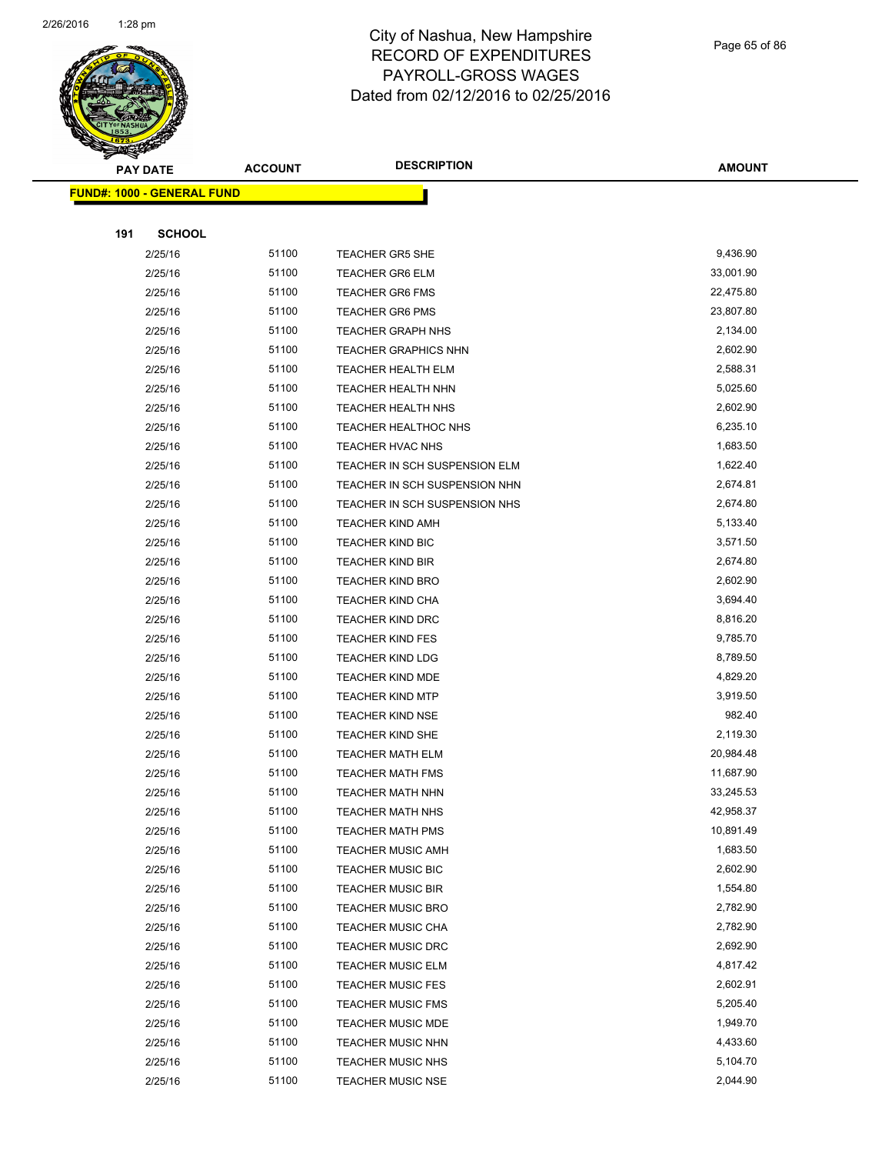

Page 65 of 86

| <b>PAY DATE</b>                   | <b>ACCOUNT</b> | <b>DESCRIPTION</b>                                   | <b>AMOUNT</b>        |
|-----------------------------------|----------------|------------------------------------------------------|----------------------|
| <b>FUND#: 1000 - GENERAL FUND</b> |                |                                                      |                      |
|                                   |                |                                                      |                      |
| 191<br><b>SCHOOL</b>              |                |                                                      |                      |
| 2/25/16                           | 51100          | <b>TEACHER GR5 SHE</b>                               | 9,436.90             |
| 2/25/16                           | 51100          | <b>TEACHER GR6 ELM</b>                               | 33,001.90            |
| 2/25/16                           | 51100          | <b>TEACHER GR6 FMS</b>                               | 22,475.80            |
| 2/25/16                           | 51100          | <b>TEACHER GR6 PMS</b>                               | 23,807.80            |
| 2/25/16                           | 51100          | <b>TEACHER GRAPH NHS</b>                             | 2,134.00             |
| 2/25/16                           | 51100          | <b>TEACHER GRAPHICS NHN</b>                          | 2,602.90             |
| 2/25/16                           | 51100          | <b>TEACHER HEALTH ELM</b>                            | 2,588.31             |
| 2/25/16                           | 51100          | TEACHER HEALTH NHN                                   | 5,025.60             |
| 2/25/16                           | 51100          | <b>TEACHER HEALTH NHS</b>                            | 2,602.90             |
| 2/25/16                           | 51100          | <b>TEACHER HEALTHOC NHS</b>                          | 6,235.10             |
| 2/25/16                           | 51100          | TEACHER HVAC NHS                                     | 1,683.50             |
| 2/25/16                           | 51100          | TEACHER IN SCH SUSPENSION ELM                        | 1,622.40             |
| 2/25/16                           | 51100          | TEACHER IN SCH SUSPENSION NHN                        | 2,674.81             |
| 2/25/16                           | 51100          | TEACHER IN SCH SUSPENSION NHS                        | 2,674.80             |
| 2/25/16                           | 51100          | <b>TEACHER KIND AMH</b>                              | 5,133.40             |
| 2/25/16                           | 51100          | <b>TEACHER KIND BIC</b>                              | 3,571.50             |
| 2/25/16                           | 51100          | <b>TEACHER KIND BIR</b>                              | 2,674.80             |
| 2/25/16                           | 51100          | <b>TEACHER KIND BRO</b>                              | 2,602.90             |
| 2/25/16                           | 51100          | <b>TEACHER KIND CHA</b>                              | 3,694.40             |
| 2/25/16                           | 51100          | <b>TEACHER KIND DRC</b>                              | 8,816.20             |
| 2/25/16                           | 51100          | <b>TEACHER KIND FES</b>                              | 9,785.70             |
| 2/25/16                           | 51100          | <b>TEACHER KIND LDG</b>                              | 8,789.50             |
| 2/25/16                           | 51100          | <b>TEACHER KIND MDE</b>                              | 4,829.20             |
| 2/25/16                           | 51100          | <b>TEACHER KIND MTP</b>                              | 3,919.50             |
| 2/25/16                           | 51100          | <b>TEACHER KIND NSE</b>                              | 982.40               |
| 2/25/16                           | 51100          | <b>TEACHER KIND SHE</b>                              | 2,119.30             |
| 2/25/16                           | 51100          | <b>TEACHER MATH ELM</b>                              | 20,984.48            |
| 2/25/16                           | 51100          | <b>TEACHER MATH FMS</b>                              | 11,687.90            |
| 2/25/16                           | 51100          | <b>TEACHER MATH NHN</b>                              | 33,245.53            |
| 2/25/16                           | 51100          | <b>TEACHER MATH NHS</b>                              | 42,958.37            |
| 2/25/16                           | 51100          | <b>TEACHER MATH PMS</b>                              | 10,891.49            |
| 2/25/16                           | 51100          | <b>TEACHER MUSIC AMH</b>                             | 1,683.50             |
| 2/25/16                           | 51100          | <b>TEACHER MUSIC BIC</b>                             | 2,602.90             |
| 2/25/16                           | 51100          | <b>TEACHER MUSIC BIR</b>                             | 1,554.80             |
| 2/25/16                           | 51100          | <b>TEACHER MUSIC BRO</b>                             | 2,782.90             |
| 2/25/16                           | 51100          | <b>TEACHER MUSIC CHA</b>                             | 2,782.90             |
| 2/25/16                           | 51100          | <b>TEACHER MUSIC DRC</b>                             | 2,692.90             |
| 2/25/16                           | 51100          | <b>TEACHER MUSIC ELM</b>                             | 4,817.42             |
| 2/25/16                           | 51100<br>51100 | <b>TEACHER MUSIC FES</b>                             | 2,602.91<br>5,205.40 |
| 2/25/16                           | 51100          | <b>TEACHER MUSIC FMS</b>                             | 1,949.70             |
| 2/25/16<br>2/25/16                | 51100          | <b>TEACHER MUSIC MDE</b><br><b>TEACHER MUSIC NHN</b> | 4,433.60             |
| 2/25/16                           | 51100          | <b>TEACHER MUSIC NHS</b>                             | 5,104.70             |
| 2/25/16                           | 51100          | <b>TEACHER MUSIC NSE</b>                             | 2,044.90             |
|                                   |                |                                                      |                      |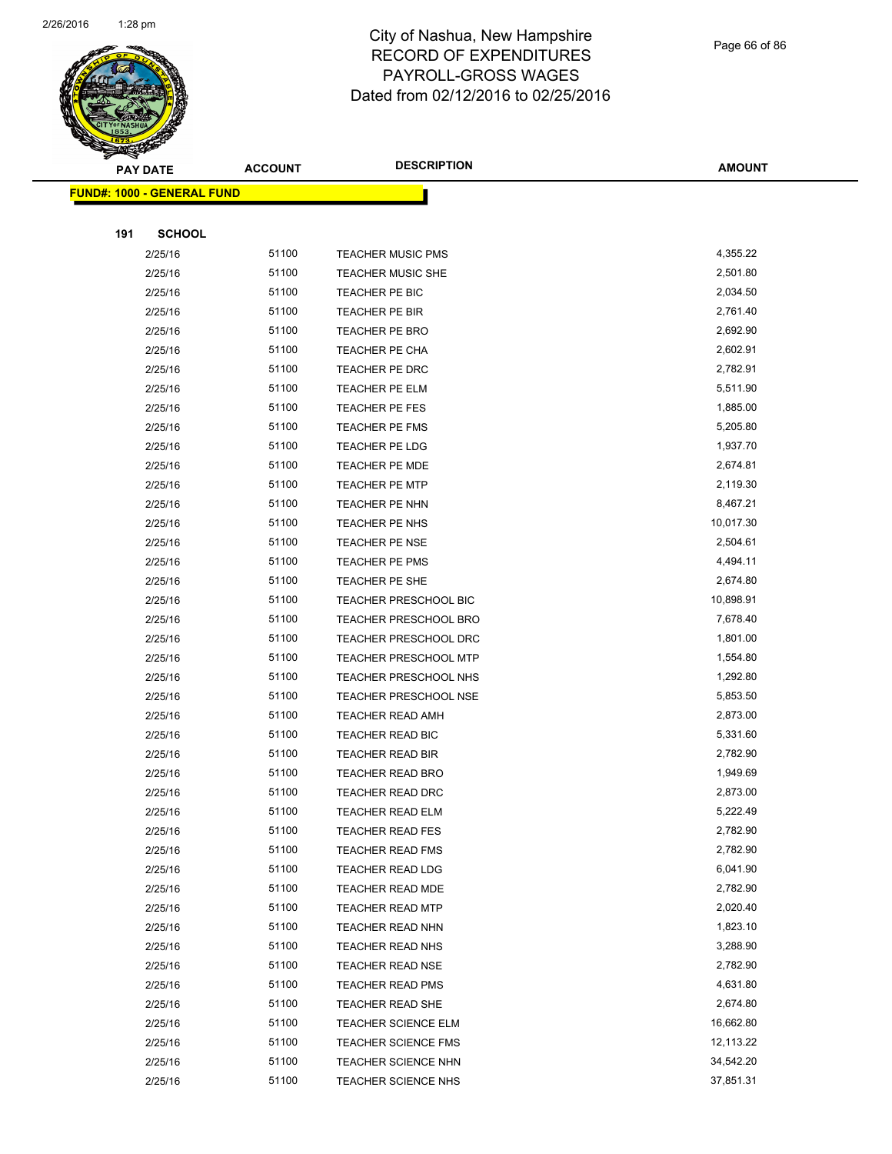

Page 66 of 86

|     | <b>PAY DATE</b>                   | <b>ACCOUNT</b> | <b>DESCRIPTION</b>           | <b>AMOUNT</b> |
|-----|-----------------------------------|----------------|------------------------------|---------------|
|     | <b>FUND#: 1000 - GENERAL FUND</b> |                |                              |               |
|     |                                   |                |                              |               |
| 191 | <b>SCHOOL</b>                     |                |                              |               |
|     | 2/25/16                           | 51100          | <b>TEACHER MUSIC PMS</b>     | 4,355.22      |
|     | 2/25/16                           | 51100          | <b>TEACHER MUSIC SHE</b>     | 2,501.80      |
|     | 2/25/16                           | 51100          | TEACHER PE BIC               | 2,034.50      |
|     | 2/25/16                           | 51100          | TEACHER PE BIR               | 2,761.40      |
|     | 2/25/16                           | 51100          | <b>TEACHER PE BRO</b>        | 2,692.90      |
|     | 2/25/16                           | 51100          | TEACHER PE CHA               | 2,602.91      |
|     | 2/25/16                           | 51100          | TEACHER PE DRC               | 2,782.91      |
|     | 2/25/16                           | 51100          | TEACHER PE ELM               | 5,511.90      |
|     | 2/25/16                           | 51100          | TEACHER PE FES               | 1,885.00      |
|     | 2/25/16                           | 51100          | TEACHER PE FMS               | 5,205.80      |
|     | 2/25/16                           | 51100          | TEACHER PE LDG               | 1,937.70      |
|     | 2/25/16                           | 51100          | <b>TEACHER PE MDE</b>        | 2,674.81      |
|     | 2/25/16                           | 51100          | <b>TEACHER PE MTP</b>        | 2,119.30      |
|     | 2/25/16                           | 51100          | TEACHER PE NHN               | 8,467.21      |
|     | 2/25/16                           | 51100          | TEACHER PE NHS               | 10,017.30     |
|     | 2/25/16                           | 51100          | <b>TEACHER PE NSE</b>        | 2,504.61      |
|     | 2/25/16                           | 51100          | TEACHER PE PMS               | 4,494.11      |
|     | 2/25/16                           | 51100          | TEACHER PE SHE               | 2,674.80      |
|     | 2/25/16                           | 51100          | <b>TEACHER PRESCHOOL BIC</b> | 10,898.91     |
|     | 2/25/16                           | 51100          | TEACHER PRESCHOOL BRO        | 7,678.40      |
|     | 2/25/16                           | 51100          | <b>TEACHER PRESCHOOL DRC</b> | 1,801.00      |
|     | 2/25/16                           | 51100          | TEACHER PRESCHOOL MTP        | 1,554.80      |
|     | 2/25/16                           | 51100          | <b>TEACHER PRESCHOOL NHS</b> | 1,292.80      |
|     | 2/25/16                           | 51100          | <b>TEACHER PRESCHOOL NSE</b> | 5,853.50      |
|     | 2/25/16                           | 51100          | <b>TEACHER READ AMH</b>      | 2,873.00      |
|     | 2/25/16                           | 51100          | TEACHER READ BIC             | 5,331.60      |
|     | 2/25/16                           | 51100          | <b>TEACHER READ BIR</b>      | 2,782.90      |
|     | 2/25/16                           | 51100          | <b>TEACHER READ BRO</b>      | 1,949.69      |
|     | 2/25/16                           | 51100          | <b>TEACHER READ DRC</b>      | 2,873.00      |
|     | 2/25/16                           | 51100          | <b>TEACHER READ ELM</b>      | 5,222.49      |
|     | 2/25/16                           | 51100          | <b>TEACHER READ FES</b>      | 2,782.90      |
|     | 2/25/16                           | 51100          | <b>TEACHER READ FMS</b>      | 2,782.90      |
|     | 2/25/16                           | 51100          | <b>TEACHER READ LDG</b>      | 6,041.90      |
|     | 2/25/16                           | 51100          | TEACHER READ MDE             | 2,782.90      |
|     | 2/25/16                           | 51100          | <b>TEACHER READ MTP</b>      | 2,020.40      |
|     | 2/25/16                           | 51100          | <b>TEACHER READ NHN</b>      | 1,823.10      |
|     | 2/25/16                           | 51100          | <b>TEACHER READ NHS</b>      | 3,288.90      |
|     | 2/25/16                           | 51100          | <b>TEACHER READ NSE</b>      | 2,782.90      |
|     | 2/25/16                           | 51100          | <b>TEACHER READ PMS</b>      | 4,631.80      |
|     | 2/25/16                           | 51100          | <b>TEACHER READ SHE</b>      | 2,674.80      |
|     | 2/25/16                           | 51100          | <b>TEACHER SCIENCE ELM</b>   | 16,662.80     |
|     | 2/25/16                           | 51100          | <b>TEACHER SCIENCE FMS</b>   | 12,113.22     |
|     | 2/25/16                           | 51100          | <b>TEACHER SCIENCE NHN</b>   | 34,542.20     |
|     | 2/25/16                           | 51100          | TEACHER SCIENCE NHS          | 37,851.31     |
|     |                                   |                |                              |               |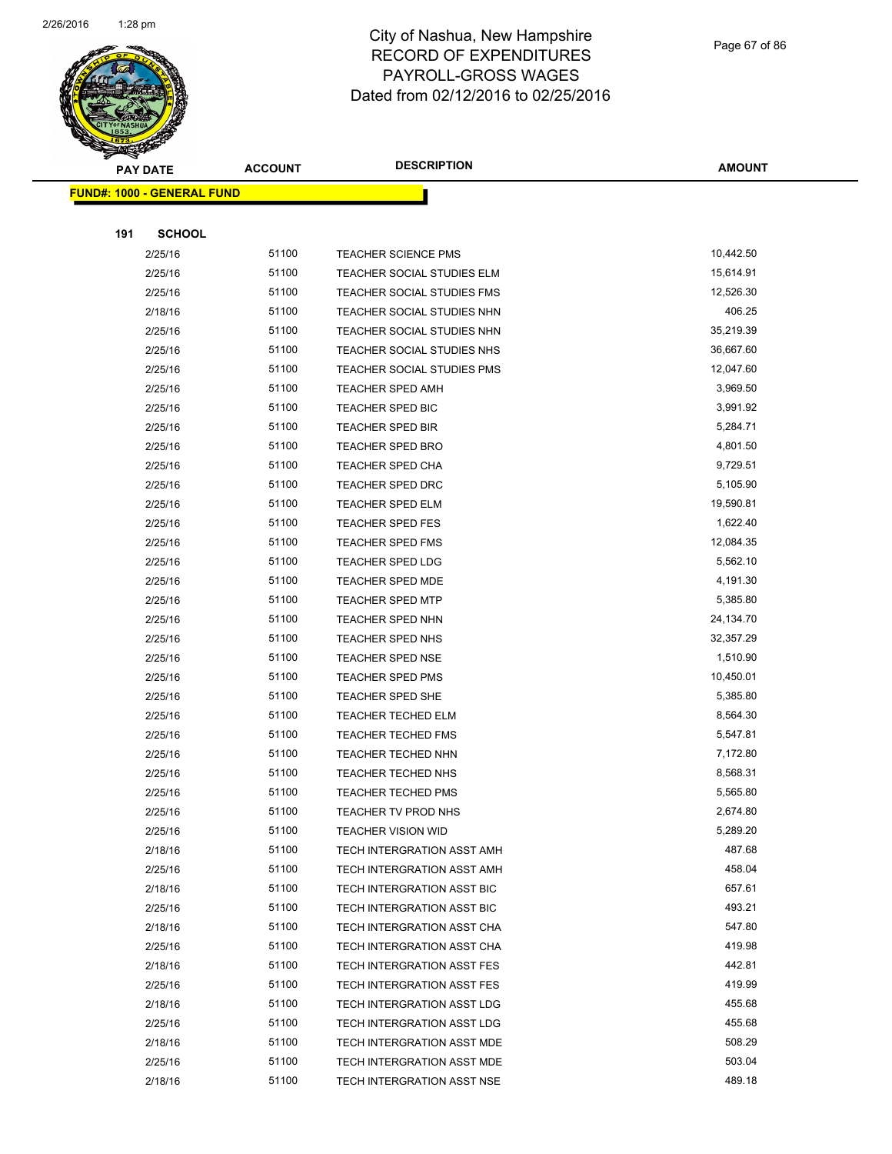

|     | <b>PAY DATE</b>                    | <b>ACCOUNT</b> | <b>DESCRIPTION</b>                | <b>AMOUNT</b> |
|-----|------------------------------------|----------------|-----------------------------------|---------------|
|     | <u> FUND#: 1000 - GENERAL FUND</u> |                |                                   |               |
|     |                                    |                |                                   |               |
| 191 | <b>SCHOOL</b>                      |                |                                   |               |
|     | 2/25/16                            | 51100          | <b>TEACHER SCIENCE PMS</b>        | 10,442.50     |
|     | 2/25/16                            | 51100          | TEACHER SOCIAL STUDIES ELM        | 15,614.91     |
|     | 2/25/16                            | 51100          | <b>TEACHER SOCIAL STUDIES FMS</b> | 12,526.30     |
|     | 2/18/16                            | 51100          | TEACHER SOCIAL STUDIES NHN        | 406.25        |
|     | 2/25/16                            | 51100          | TEACHER SOCIAL STUDIES NHN        | 35,219.39     |
|     | 2/25/16                            | 51100          | TEACHER SOCIAL STUDIES NHS        | 36,667.60     |
|     | 2/25/16                            | 51100          | TEACHER SOCIAL STUDIES PMS        | 12,047.60     |
|     | 2/25/16                            | 51100          | TEACHER SPED AMH                  | 3,969.50      |
|     | 2/25/16                            | 51100          | <b>TEACHER SPED BIC</b>           | 3,991.92      |
|     | 2/25/16                            | 51100          | <b>TEACHER SPED BIR</b>           | 5,284.71      |
|     | 2/25/16                            | 51100          | <b>TEACHER SPED BRO</b>           | 4,801.50      |
|     | 2/25/16                            | 51100          | <b>TEACHER SPED CHA</b>           | 9,729.51      |
|     | 2/25/16                            | 51100          | TEACHER SPED DRC                  | 5,105.90      |
|     | 2/25/16                            | 51100          | <b>TEACHER SPED ELM</b>           | 19,590.81     |
|     | 2/25/16                            | 51100          | <b>TEACHER SPED FES</b>           | 1,622.40      |
|     | 2/25/16                            | 51100          | <b>TEACHER SPED FMS</b>           | 12,084.35     |
|     | 2/25/16                            | 51100          | <b>TEACHER SPED LDG</b>           | 5,562.10      |
|     | 2/25/16                            | 51100          | TEACHER SPED MDE                  | 4,191.30      |
|     | 2/25/16                            | 51100          | <b>TEACHER SPED MTP</b>           | 5,385.80      |
|     | 2/25/16                            | 51100          | TEACHER SPED NHN                  | 24,134.70     |
|     | 2/25/16                            | 51100          | <b>TEACHER SPED NHS</b>           | 32,357.29     |
|     | 2/25/16                            | 51100          | <b>TEACHER SPED NSE</b>           | 1,510.90      |
|     | 2/25/16                            | 51100          | <b>TEACHER SPED PMS</b>           | 10,450.01     |
|     | 2/25/16                            | 51100          | <b>TEACHER SPED SHE</b>           | 5,385.80      |
|     | 2/25/16                            | 51100          | <b>TEACHER TECHED ELM</b>         | 8,564.30      |
|     | 2/25/16                            | 51100          | <b>TEACHER TECHED FMS</b>         | 5,547.81      |
|     | 2/25/16                            | 51100          | <b>TEACHER TECHED NHN</b>         | 7,172.80      |
|     | 2/25/16                            | 51100          | TEACHER TECHED NHS                | 8,568.31      |
|     | 2/25/16                            | 51100          | <b>TEACHER TECHED PMS</b>         | 5,565.80      |
|     | 2/25/16                            | 51100          | TEACHER TV PROD NHS               | 2,674.80      |
|     | 2/25/16                            | 51100          | <b>TEACHER VISION WID</b>         | 5,289.20      |
|     | 2/18/16                            | 51100          | TECH INTERGRATION ASST AMH        | 487.68        |
|     | 2/25/16                            | 51100          | TECH INTERGRATION ASST AMH        | 458.04        |
|     | 2/18/16                            | 51100          | TECH INTERGRATION ASST BIC        | 657.61        |
|     | 2/25/16                            | 51100          | TECH INTERGRATION ASST BIC        | 493.21        |
|     | 2/18/16                            | 51100          | TECH INTERGRATION ASST CHA        | 547.80        |
|     | 2/25/16                            | 51100          | TECH INTERGRATION ASST CHA        | 419.98        |
|     | 2/18/16                            | 51100          | TECH INTERGRATION ASST FES        | 442.81        |
|     | 2/25/16                            | 51100          | TECH INTERGRATION ASST FES        | 419.99        |
|     | 2/18/16                            | 51100          | TECH INTERGRATION ASST LDG        | 455.68        |
|     | 2/25/16                            | 51100          | TECH INTERGRATION ASST LDG        | 455.68        |
|     | 2/18/16                            | 51100          | TECH INTERGRATION ASST MDE        | 508.29        |
|     | 2/25/16                            | 51100          | TECH INTERGRATION ASST MDE        | 503.04        |
|     | 2/18/16                            | 51100          | TECH INTERGRATION ASST NSE        | 489.18        |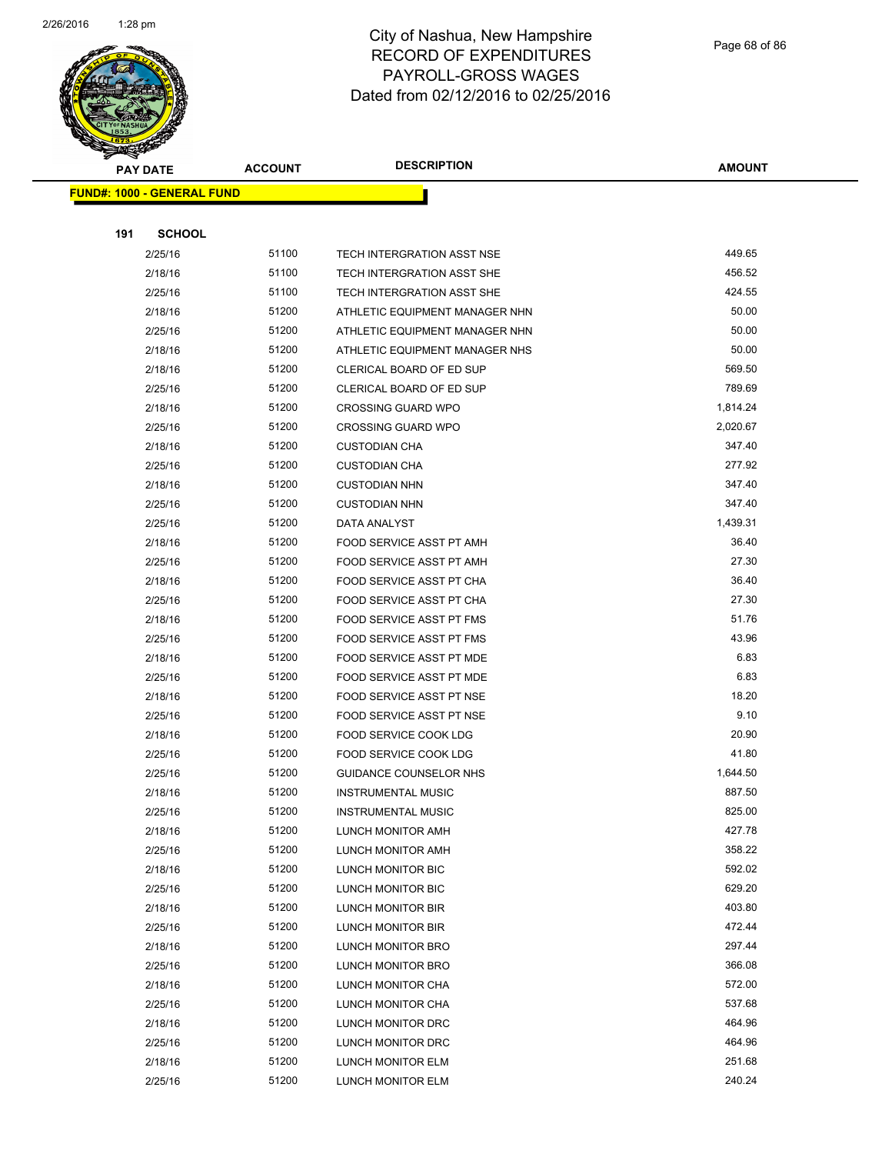

|     | <b>PAY DATE</b>                   | <b>ACCOUNT</b> | <b>DESCRIPTION</b>             | <b>AMOUNT</b>    |
|-----|-----------------------------------|----------------|--------------------------------|------------------|
|     | <b>FUND#: 1000 - GENERAL FUND</b> |                |                                |                  |
|     |                                   |                |                                |                  |
| 191 | <b>SCHOOL</b>                     |                |                                |                  |
|     | 2/25/16                           | 51100          | TECH INTERGRATION ASST NSE     | 449.65           |
|     | 2/18/16                           | 51100          | TECH INTERGRATION ASST SHE     | 456.52           |
|     | 2/25/16                           | 51100          | TECH INTERGRATION ASST SHE     | 424.55           |
|     | 2/18/16                           | 51200          | ATHLETIC EQUIPMENT MANAGER NHN | 50.00            |
|     | 2/25/16                           | 51200          | ATHLETIC EQUIPMENT MANAGER NHN | 50.00            |
|     | 2/18/16                           | 51200          | ATHLETIC EQUIPMENT MANAGER NHS | 50.00            |
|     | 2/18/16                           | 51200          | CLERICAL BOARD OF ED SUP       | 569.50           |
|     | 2/25/16                           | 51200          | CLERICAL BOARD OF ED SUP       | 789.69           |
|     | 2/18/16                           | 51200          | <b>CROSSING GUARD WPO</b>      | 1,814.24         |
|     | 2/25/16                           | 51200          | <b>CROSSING GUARD WPO</b>      | 2,020.67         |
|     | 2/18/16                           | 51200          | <b>CUSTODIAN CHA</b>           | 347.40           |
|     | 2/25/16                           | 51200          | <b>CUSTODIAN CHA</b>           | 277.92           |
|     | 2/18/16                           | 51200          | <b>CUSTODIAN NHN</b>           | 347.40           |
|     | 2/25/16                           | 51200          | <b>CUSTODIAN NHN</b>           | 347.40           |
|     | 2/25/16                           | 51200          | DATA ANALYST                   | 1,439.31         |
|     | 2/18/16                           | 51200          | FOOD SERVICE ASST PT AMH       | 36.40            |
|     | 2/25/16                           | 51200          | FOOD SERVICE ASST PT AMH       | 27.30            |
|     | 2/18/16                           | 51200          | FOOD SERVICE ASST PT CHA       | 36.40            |
|     | 2/25/16                           | 51200          | FOOD SERVICE ASST PT CHA       | 27.30            |
|     | 2/18/16                           | 51200          | FOOD SERVICE ASST PT FMS       | 51.76            |
|     | 2/25/16                           | 51200          | FOOD SERVICE ASST PT FMS       | 43.96            |
|     | 2/18/16                           | 51200          | FOOD SERVICE ASST PT MDE       | 6.83             |
|     | 2/25/16                           | 51200          | FOOD SERVICE ASST PT MDE       | 6.83             |
|     | 2/18/16                           | 51200          | FOOD SERVICE ASST PT NSE       | 18.20            |
|     | 2/25/16                           | 51200          | FOOD SERVICE ASST PT NSE       | 9.10             |
|     | 2/18/16                           | 51200          | <b>FOOD SERVICE COOK LDG</b>   | 20.90            |
|     | 2/25/16                           | 51200          | <b>FOOD SERVICE COOK LDG</b>   | 41.80            |
|     | 2/25/16                           | 51200          | GUIDANCE COUNSELOR NHS         | 1,644.50         |
|     | 2/18/16                           | 51200          | <b>INSTRUMENTAL MUSIC</b>      | 887.50           |
|     | 2/25/16                           | 51200          | <b>INSTRUMENTAL MUSIC</b>      | 825.00           |
|     | 2/18/16                           | 51200          | LUNCH MONITOR AMH              | 427.78           |
|     | 2/25/16                           | 51200          | LUNCH MONITOR AMH              | 358.22           |
|     | 2/18/16                           | 51200          | LUNCH MONITOR BIC              | 592.02           |
|     | 2/25/16                           | 51200          | LUNCH MONITOR BIC              | 629.20           |
|     | 2/18/16                           | 51200          | <b>LUNCH MONITOR BIR</b>       | 403.80           |
|     | 2/25/16                           | 51200          | LUNCH MONITOR BIR              | 472.44           |
|     | 2/18/16                           | 51200          | LUNCH MONITOR BRO              | 297.44           |
|     | 2/25/16                           | 51200          | LUNCH MONITOR BRO              | 366.08           |
|     | 2/18/16                           | 51200          | LUNCH MONITOR CHA              | 572.00           |
|     | 2/25/16                           | 51200          | LUNCH MONITOR CHA              | 537.68<br>464.96 |
|     | 2/18/16                           | 51200<br>51200 | LUNCH MONITOR DRC              | 464.96           |
|     | 2/25/16                           |                | LUNCH MONITOR DRC              | 251.68           |
|     | 2/18/16                           | 51200          | LUNCH MONITOR ELM              | 240.24           |
|     | 2/25/16                           | 51200          | LUNCH MONITOR ELM              |                  |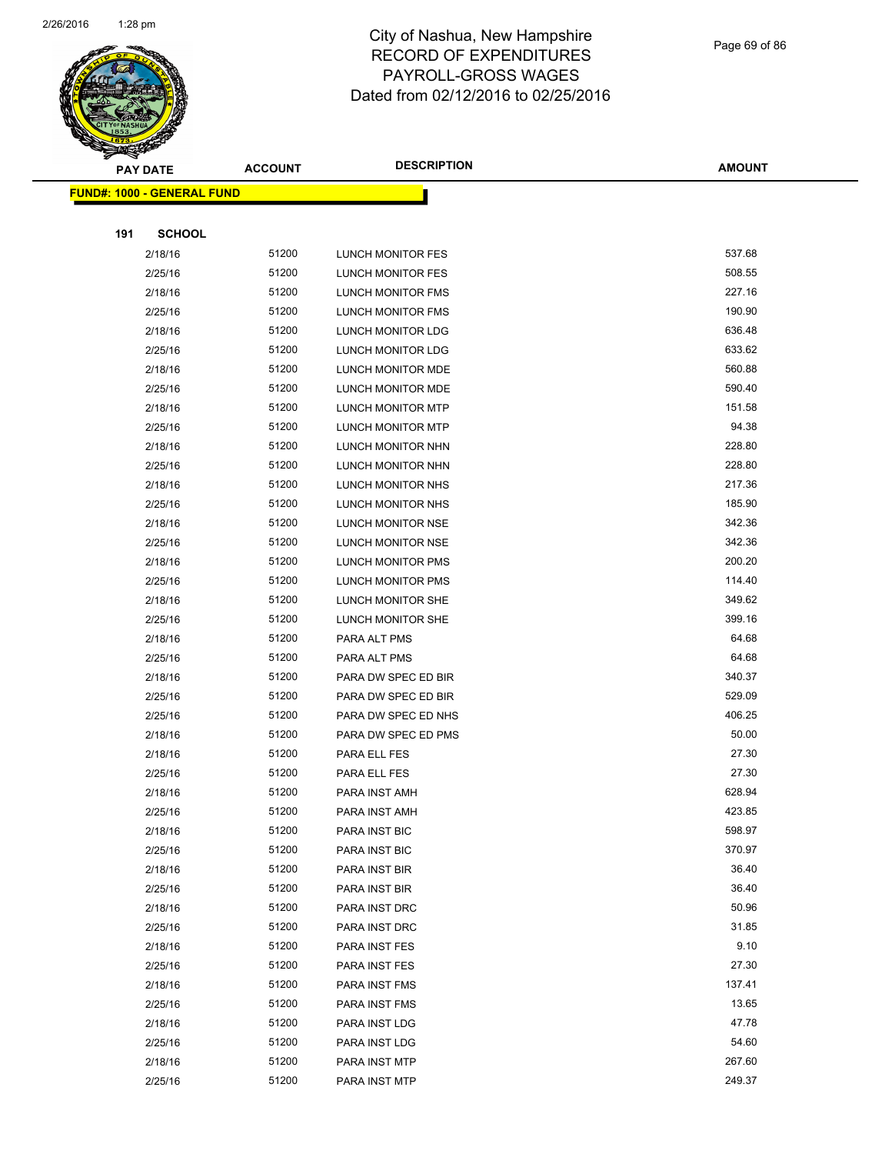

Page 69 of 86

|     | <b>PAY DATE</b>                   | <b>ACCOUNT</b> | <b>DESCRIPTION</b>             | <b>AMOUNT</b>  |
|-----|-----------------------------------|----------------|--------------------------------|----------------|
|     | <b>FUND#: 1000 - GENERAL FUND</b> |                |                                |                |
|     |                                   |                |                                |                |
| 191 | <b>SCHOOL</b>                     |                |                                |                |
|     | 2/18/16                           | 51200          | LUNCH MONITOR FES              | 537.68         |
|     | 2/25/16                           | 51200          | LUNCH MONITOR FES              | 508.55         |
|     | 2/18/16                           | 51200          | LUNCH MONITOR FMS              | 227.16         |
|     | 2/25/16                           | 51200          | LUNCH MONITOR FMS              | 190.90         |
|     | 2/18/16                           | 51200          | LUNCH MONITOR LDG              | 636.48         |
|     | 2/25/16                           | 51200          | LUNCH MONITOR LDG              | 633.62         |
|     | 2/18/16                           | 51200          | LUNCH MONITOR MDE              | 560.88         |
|     | 2/25/16                           | 51200          | LUNCH MONITOR MDE              | 590.40         |
|     | 2/18/16                           | 51200          | LUNCH MONITOR MTP              | 151.58         |
|     | 2/25/16                           | 51200          | LUNCH MONITOR MTP              | 94.38          |
|     | 2/18/16                           | 51200          | LUNCH MONITOR NHN              | 228.80         |
|     | 2/25/16                           | 51200          | LUNCH MONITOR NHN              | 228.80         |
|     | 2/18/16                           | 51200          | LUNCH MONITOR NHS              | 217.36         |
|     | 2/25/16                           | 51200          | LUNCH MONITOR NHS              | 185.90         |
|     | 2/18/16                           | 51200          | LUNCH MONITOR NSE              | 342.36         |
|     | 2/25/16                           | 51200          | LUNCH MONITOR NSE              | 342.36         |
|     | 2/18/16                           | 51200          | <b>LUNCH MONITOR PMS</b>       | 200.20         |
|     | 2/25/16                           | 51200          | LUNCH MONITOR PMS              | 114.40         |
|     | 2/18/16                           | 51200          | LUNCH MONITOR SHE              | 349.62         |
|     | 2/25/16                           | 51200          | LUNCH MONITOR SHE              | 399.16         |
|     | 2/18/16                           | 51200          | PARA ALT PMS                   | 64.68          |
|     | 2/25/16                           | 51200          | PARA ALT PMS                   | 64.68          |
|     | 2/18/16                           | 51200          | PARA DW SPEC ED BIR            | 340.37         |
|     | 2/25/16                           | 51200          | PARA DW SPEC ED BIR            | 529.09         |
|     | 2/25/16                           | 51200          | PARA DW SPEC ED NHS            | 406.25         |
|     | 2/18/16                           | 51200          | PARA DW SPEC ED PMS            | 50.00          |
|     | 2/18/16                           | 51200          | PARA ELL FES                   | 27.30          |
|     | 2/25/16                           | 51200          | PARA ELL FES                   | 27.30          |
|     | 2/18/16                           | 51200          | PARA INST AMH                  | 628.94         |
|     | 2/25/16                           | 51200          | PARA INST AMH                  | 423.85         |
|     | 2/18/16                           | 51200          | PARA INST BIC                  | 598.97         |
|     | 2/25/16                           | 51200          | PARA INST BIC                  | 370.97         |
|     | 2/18/16                           | 51200          | PARA INST BIR                  | 36.40          |
|     | 2/25/16                           | 51200          | PARA INST BIR                  | 36.40<br>50.96 |
|     | 2/18/16<br>2/25/16                | 51200<br>51200 | PARA INST DRC                  | 31.85          |
|     | 2/18/16                           | 51200          | PARA INST DRC<br>PARA INST FES | 9.10           |
|     | 2/25/16                           | 51200          | PARA INST FES                  | 27.30          |
|     | 2/18/16                           | 51200          | PARA INST FMS                  | 137.41         |
|     | 2/25/16                           | 51200          | PARA INST FMS                  | 13.65          |
|     | 2/18/16                           | 51200          | PARA INST LDG                  | 47.78          |
|     | 2/25/16                           | 51200          | PARA INST LDG                  | 54.60          |
|     | 2/18/16                           | 51200          | PARA INST MTP                  | 267.60         |
|     | 2/25/16                           | 51200          | PARA INST MTP                  | 249.37         |
|     |                                   |                |                                |                |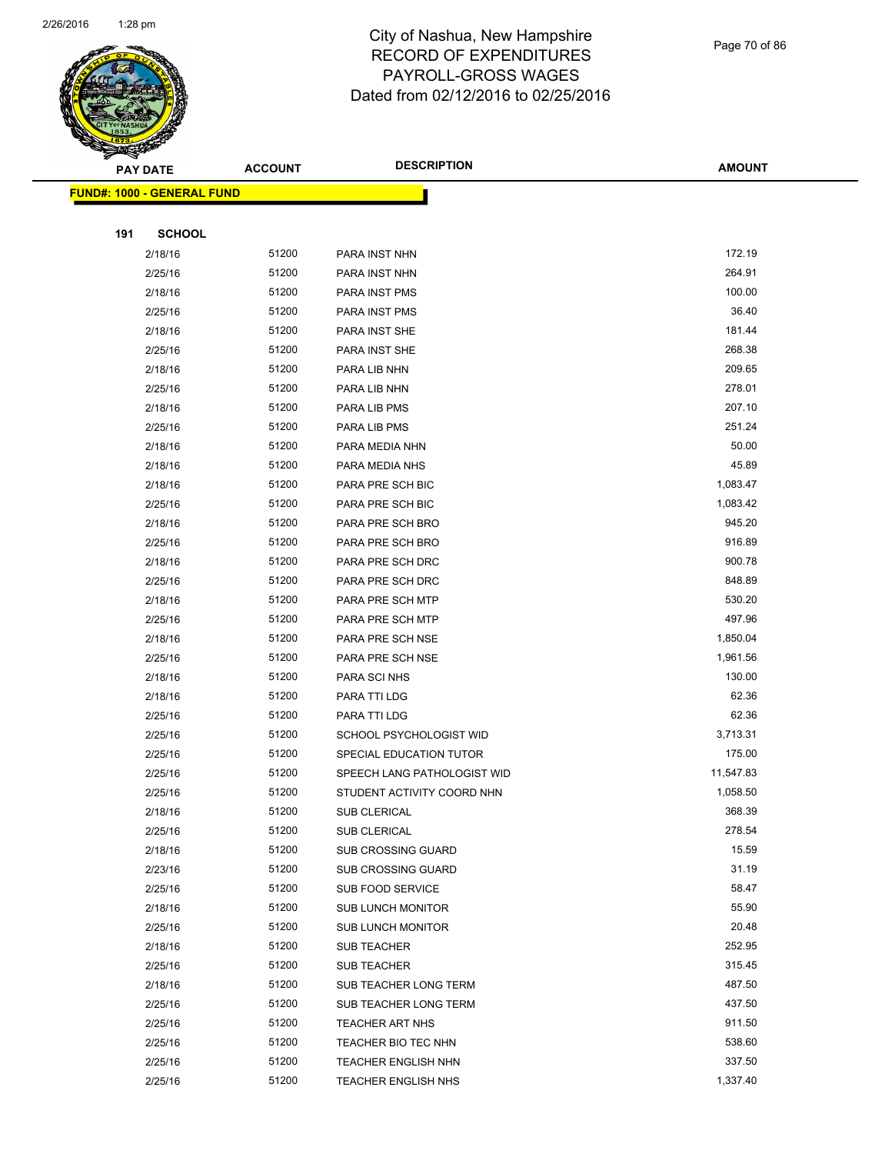

Page 70 of 86

| <b>PAY DATE</b>                   | <b>ACCOUNT</b> | <b>DESCRIPTION</b>                              | <b>AMOUNT</b>  |
|-----------------------------------|----------------|-------------------------------------------------|----------------|
| <b>FUND#: 1000 - GENERAL FUND</b> |                |                                                 |                |
|                                   |                |                                                 |                |
| 191<br><b>SCHOOL</b>              |                |                                                 |                |
| 2/18/16                           | 51200          | PARA INST NHN                                   | 172.19         |
| 2/25/16                           | 51200          | PARA INST NHN                                   | 264.91         |
| 2/18/16                           | 51200          | PARA INST PMS                                   | 100.00         |
| 2/25/16                           | 51200          | PARA INST PMS                                   | 36.40          |
| 2/18/16                           | 51200          | PARA INST SHE                                   | 181.44         |
| 2/25/16                           | 51200          | PARA INST SHE                                   | 268.38         |
| 2/18/16                           | 51200          | PARA LIB NHN                                    | 209.65         |
| 2/25/16                           | 51200          | PARA LIB NHN                                    | 278.01         |
| 2/18/16                           | 51200          | PARA LIB PMS                                    | 207.10         |
| 2/25/16                           | 51200          | PARA LIB PMS                                    | 251.24         |
| 2/18/16                           | 51200          | PARA MEDIA NHN                                  | 50.00          |
| 2/18/16                           | 51200          | PARA MEDIA NHS                                  | 45.89          |
| 2/18/16                           | 51200          | PARA PRE SCH BIC                                | 1,083.47       |
| 2/25/16                           | 51200          | PARA PRE SCH BIC                                | 1,083.42       |
| 2/18/16                           | 51200          | PARA PRE SCH BRO                                | 945.20         |
| 2/25/16                           | 51200          | PARA PRE SCH BRO                                | 916.89         |
| 2/18/16                           | 51200          | PARA PRE SCH DRC                                | 900.78         |
| 2/25/16                           | 51200          | PARA PRE SCH DRC                                | 848.89         |
| 2/18/16                           | 51200          | PARA PRE SCH MTP                                | 530.20         |
| 2/25/16                           | 51200          | PARA PRE SCH MTP                                | 497.96         |
| 2/18/16                           | 51200          | PARA PRE SCH NSE                                | 1,850.04       |
| 2/25/16                           | 51200          | PARA PRE SCH NSE                                | 1,961.56       |
| 2/18/16                           | 51200          | PARA SCI NHS                                    | 130.00         |
| 2/18/16                           | 51200          | PARA TTI LDG                                    | 62.36          |
| 2/25/16                           | 51200          | PARA TTI LDG                                    | 62.36          |
| 2/25/16                           | 51200          | SCHOOL PSYCHOLOGIST WID                         | 3,713.31       |
| 2/25/16                           | 51200          | SPECIAL EDUCATION TUTOR                         | 175.00         |
| 2/25/16                           | 51200          | SPEECH LANG PATHOLOGIST WID                     | 11,547.83      |
| 2/25/16                           | 51200          | STUDENT ACTIVITY COORD NHN                      | 1,058.50       |
| 2/18/16                           | 51200          | SUB CLERICAL                                    | 368.39         |
| 2/25/16                           | 51200          | SUB CLERICAL                                    | 278.54         |
| 2/18/16                           | 51200          | <b>SUB CROSSING GUARD</b>                       | 15.59          |
| 2/23/16                           | 51200          | <b>SUB CROSSING GUARD</b>                       | 31.19          |
| 2/25/16                           | 51200          | <b>SUB FOOD SERVICE</b>                         | 58.47          |
| 2/18/16                           | 51200          | <b>SUB LUNCH MONITOR</b>                        | 55.90<br>20.48 |
| 2/25/16                           | 51200<br>51200 | <b>SUB LUNCH MONITOR</b>                        | 252.95         |
| 2/18/16                           |                | <b>SUB TEACHER</b>                              | 315.45         |
| 2/25/16<br>2/18/16                | 51200<br>51200 | SUB TEACHER<br>SUB TEACHER LONG TERM            | 487.50         |
| 2/25/16                           | 51200          |                                                 | 437.50         |
| 2/25/16                           | 51200          | SUB TEACHER LONG TERM<br><b>TEACHER ART NHS</b> | 911.50         |
| 2/25/16                           | 51200          | TEACHER BIO TEC NHN                             | 538.60         |
| 2/25/16                           | 51200          | <b>TEACHER ENGLISH NHN</b>                      | 337.50         |
| 2/25/16                           | 51200          | <b>TEACHER ENGLISH NHS</b>                      | 1,337.40       |
|                                   |                |                                                 |                |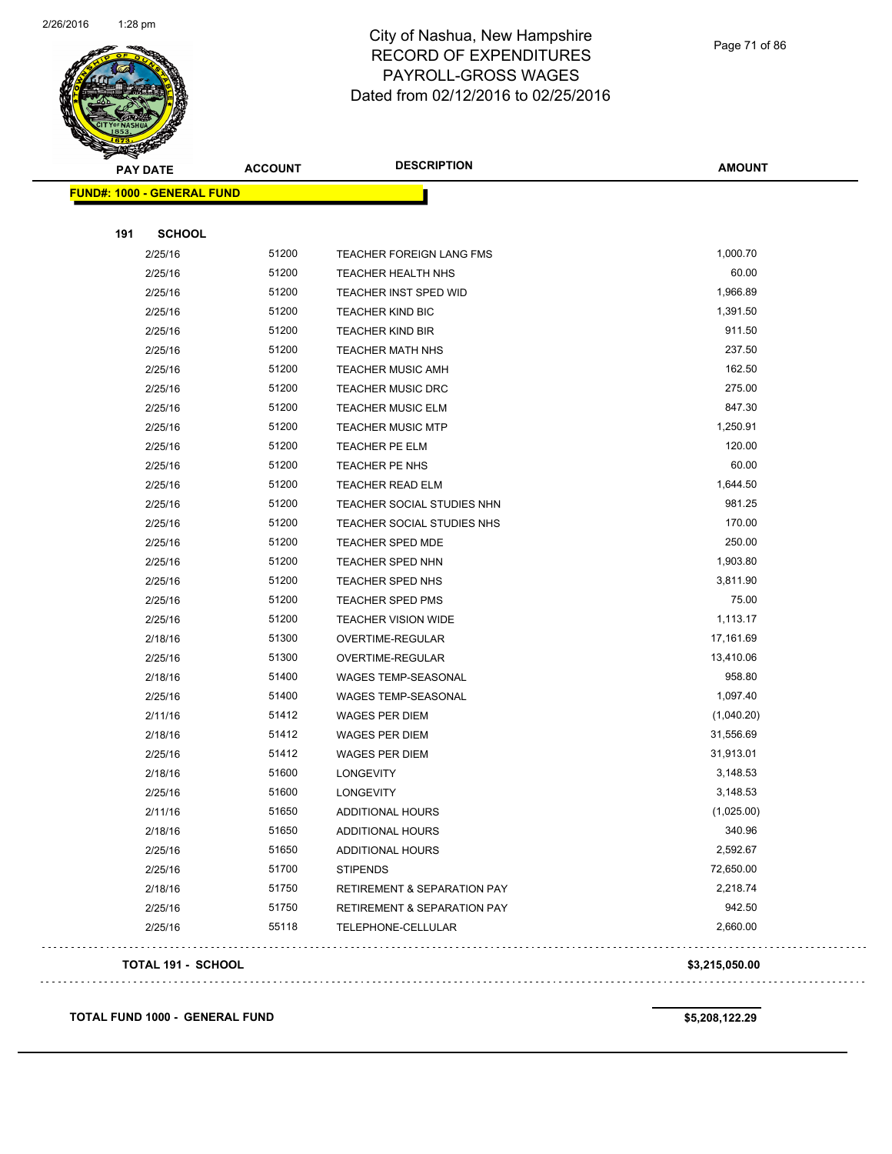

Page 71 of 86

| <b>PAY DATE</b>                   | <b>ACCOUNT</b> | <b>DESCRIPTION</b>                     | <b>AMOUNT</b>  |  |
|-----------------------------------|----------------|----------------------------------------|----------------|--|
| <b>FUND#: 1000 - GENERAL FUND</b> |                |                                        |                |  |
|                                   |                |                                        |                |  |
| 191<br><b>SCHOOL</b>              |                |                                        |                |  |
| 2/25/16                           | 51200          | TEACHER FOREIGN LANG FMS               | 1,000.70       |  |
| 2/25/16                           | 51200          | TEACHER HEALTH NHS                     | 60.00          |  |
| 2/25/16                           | 51200          | <b>TEACHER INST SPED WID</b>           | 1,966.89       |  |
| 2/25/16                           | 51200          | <b>TEACHER KIND BIC</b>                | 1,391.50       |  |
| 2/25/16                           | 51200          | <b>TEACHER KIND BIR</b>                | 911.50         |  |
| 2/25/16                           | 51200          | TEACHER MATH NHS                       | 237.50         |  |
| 2/25/16                           | 51200          | <b>TEACHER MUSIC AMH</b>               | 162.50         |  |
| 2/25/16                           | 51200          | <b>TEACHER MUSIC DRC</b>               | 275.00         |  |
| 2/25/16                           | 51200          | <b>TEACHER MUSIC ELM</b>               | 847.30         |  |
| 2/25/16                           | 51200          | <b>TEACHER MUSIC MTP</b>               | 1,250.91       |  |
| 2/25/16                           | 51200          | TEACHER PE ELM                         | 120.00         |  |
| 2/25/16                           | 51200          | TEACHER PE NHS                         | 60.00          |  |
| 2/25/16                           | 51200          | <b>TEACHER READ ELM</b>                | 1,644.50       |  |
| 2/25/16                           | 51200          | TEACHER SOCIAL STUDIES NHN             | 981.25         |  |
| 2/25/16                           | 51200          | TEACHER SOCIAL STUDIES NHS             | 170.00         |  |
| 2/25/16                           | 51200          | TEACHER SPED MDE                       | 250.00         |  |
| 2/25/16                           | 51200          | TEACHER SPED NHN                       | 1,903.80       |  |
| 2/25/16                           | 51200          | <b>TEACHER SPED NHS</b>                | 3,811.90       |  |
| 2/25/16                           | 51200          | <b>TEACHER SPED PMS</b>                | 75.00          |  |
| 2/25/16                           | 51200          | <b>TEACHER VISION WIDE</b>             | 1,113.17       |  |
| 2/18/16                           | 51300          | OVERTIME-REGULAR                       | 17,161.69      |  |
| 2/25/16                           | 51300          | OVERTIME-REGULAR                       | 13,410.06      |  |
| 2/18/16                           | 51400          | WAGES TEMP-SEASONAL                    | 958.80         |  |
| 2/25/16                           | 51400          | WAGES TEMP-SEASONAL                    | 1,097.40       |  |
| 2/11/16                           | 51412          | WAGES PER DIEM                         | (1,040.20)     |  |
| 2/18/16                           | 51412          | <b>WAGES PER DIEM</b>                  | 31,556.69      |  |
| 2/25/16                           | 51412          | <b>WAGES PER DIEM</b>                  | 31,913.01      |  |
| 2/18/16                           | 51600          | <b>LONGEVITY</b>                       | 3,148.53       |  |
| 2/25/16                           | 51600          | <b>LONGEVITY</b>                       | 3,148.53       |  |
| 2/11/16                           | 51650          | <b>ADDITIONAL HOURS</b>                | (1,025.00)     |  |
| 2/18/16                           | 51650          | ADDITIONAL HOURS                       | 340.96         |  |
| 2/25/16                           | 51650          | ADDITIONAL HOURS                       | 2,592.67       |  |
| 2/25/16                           | 51700          | <b>STIPENDS</b>                        | 72,650.00      |  |
| 2/18/16                           | 51750          | <b>RETIREMENT &amp; SEPARATION PAY</b> | 2,218.74       |  |
| 2/25/16                           | 51750          | <b>RETIREMENT &amp; SEPARATION PAY</b> | 942.50         |  |
| 2/25/16                           | 55118          | TELEPHONE-CELLULAR                     | 2,660.00       |  |
|                                   |                |                                        |                |  |
| TOTAL 191 - SCHOOL                |                |                                        | \$3,215,050.00 |  |

**TOTAL FUND 1000 - GENERAL FUND \$5,208,122.29**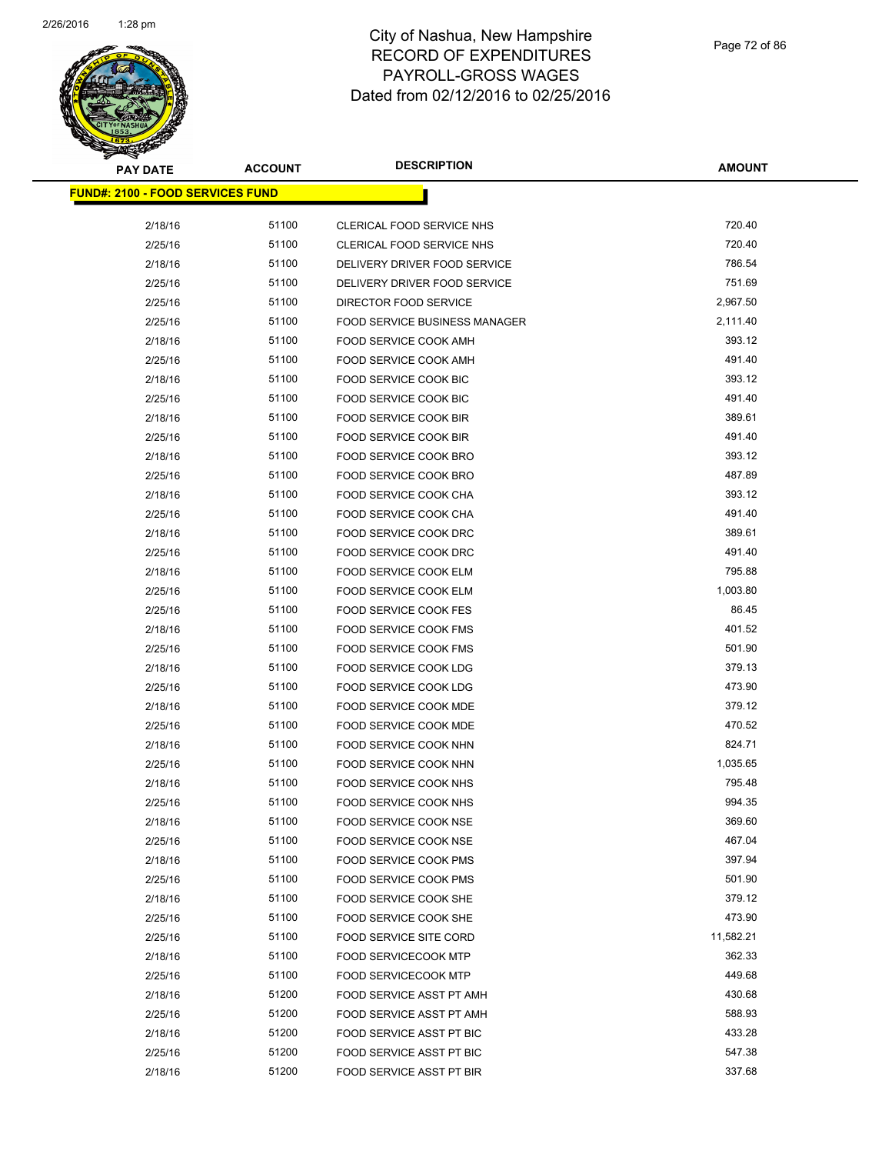

| <b>PAY DATE</b>                          | <b>ACCOUNT</b> | <b>DESCRIPTION</b>                   | <b>AMOUNT</b> |
|------------------------------------------|----------------|--------------------------------------|---------------|
| <u> FUND#: 2100 - FOOD SERVICES FUND</u> |                |                                      |               |
|                                          |                |                                      |               |
| 2/18/16                                  | 51100          | CLERICAL FOOD SERVICE NHS            | 720.40        |
| 2/25/16                                  | 51100          | <b>CLERICAL FOOD SERVICE NHS</b>     | 720.40        |
| 2/18/16                                  | 51100          | DELIVERY DRIVER FOOD SERVICE         | 786.54        |
| 2/25/16                                  | 51100          | DELIVERY DRIVER FOOD SERVICE         | 751.69        |
| 2/25/16                                  | 51100          | DIRECTOR FOOD SERVICE                | 2,967.50      |
| 2/25/16                                  | 51100          | <b>FOOD SERVICE BUSINESS MANAGER</b> | 2,111.40      |
| 2/18/16                                  | 51100          | FOOD SERVICE COOK AMH                | 393.12        |
| 2/25/16                                  | 51100          | FOOD SERVICE COOK AMH                | 491.40        |
| 2/18/16                                  | 51100          | FOOD SERVICE COOK BIC                | 393.12        |
| 2/25/16                                  | 51100          | FOOD SERVICE COOK BIC                | 491.40        |
| 2/18/16                                  | 51100          | FOOD SERVICE COOK BIR                | 389.61        |
| 2/25/16                                  | 51100          | FOOD SERVICE COOK BIR                | 491.40        |
| 2/18/16                                  | 51100          | FOOD SERVICE COOK BRO                | 393.12        |
| 2/25/16                                  | 51100          | FOOD SERVICE COOK BRO                | 487.89        |
| 2/18/16                                  | 51100          | FOOD SERVICE COOK CHA                | 393.12        |
| 2/25/16                                  | 51100          | FOOD SERVICE COOK CHA                | 491.40        |
| 2/18/16                                  | 51100          | FOOD SERVICE COOK DRC                | 389.61        |
| 2/25/16                                  | 51100          | <b>FOOD SERVICE COOK DRC</b>         | 491.40        |
| 2/18/16                                  | 51100          | FOOD SERVICE COOK ELM                | 795.88        |
| 2/25/16                                  | 51100          | FOOD SERVICE COOK ELM                | 1,003.80      |
| 2/25/16                                  | 51100          | FOOD SERVICE COOK FES                | 86.45         |
| 2/18/16                                  | 51100          | <b>FOOD SERVICE COOK FMS</b>         | 401.52        |
| 2/25/16                                  | 51100          | <b>FOOD SERVICE COOK FMS</b>         | 501.90        |
| 2/18/16                                  | 51100          | FOOD SERVICE COOK LDG                | 379.13        |
| 2/25/16                                  | 51100          | FOOD SERVICE COOK LDG                | 473.90        |
| 2/18/16                                  | 51100          | FOOD SERVICE COOK MDE                | 379.12        |
| 2/25/16                                  | 51100          | FOOD SERVICE COOK MDE                | 470.52        |
| 2/18/16                                  | 51100          | FOOD SERVICE COOK NHN                | 824.71        |
| 2/25/16                                  | 51100          | FOOD SERVICE COOK NHN                | 1,035.65      |
| 2/18/16                                  | 51100          | FOOD SERVICE COOK NHS                | 795.48        |
| 2/25/16                                  | 51100          | <b>FOOD SERVICE COOK NHS</b>         | 994.35        |
| 2/18/16                                  | 51100          | FOOD SERVICE COOK NSE                | 369.60        |
| 2/25/16                                  | 51100          | FOOD SERVICE COOK NSE                | 467.04        |
| 2/18/16                                  | 51100          | <b>FOOD SERVICE COOK PMS</b>         | 397.94        |
| 2/25/16                                  | 51100          | <b>FOOD SERVICE COOK PMS</b>         | 501.90        |
| 2/18/16                                  | 51100          | FOOD SERVICE COOK SHE                | 379.12        |
| 2/25/16                                  | 51100          | FOOD SERVICE COOK SHE                | 473.90        |
| 2/25/16                                  | 51100          | FOOD SERVICE SITE CORD               | 11,582.21     |
| 2/18/16                                  | 51100          | <b>FOOD SERVICECOOK MTP</b>          | 362.33        |
| 2/25/16                                  | 51100          | FOOD SERVICECOOK MTP                 | 449.68        |
| 2/18/16                                  | 51200          | FOOD SERVICE ASST PT AMH             | 430.68        |
| 2/25/16                                  | 51200          | FOOD SERVICE ASST PT AMH             | 588.93        |
| 2/18/16                                  | 51200          | FOOD SERVICE ASST PT BIC             | 433.28        |
| 2/25/16                                  | 51200          | FOOD SERVICE ASST PT BIC             | 547.38        |
| 2/18/16                                  | 51200          | FOOD SERVICE ASST PT BIR             | 337.68        |
|                                          |                |                                      |               |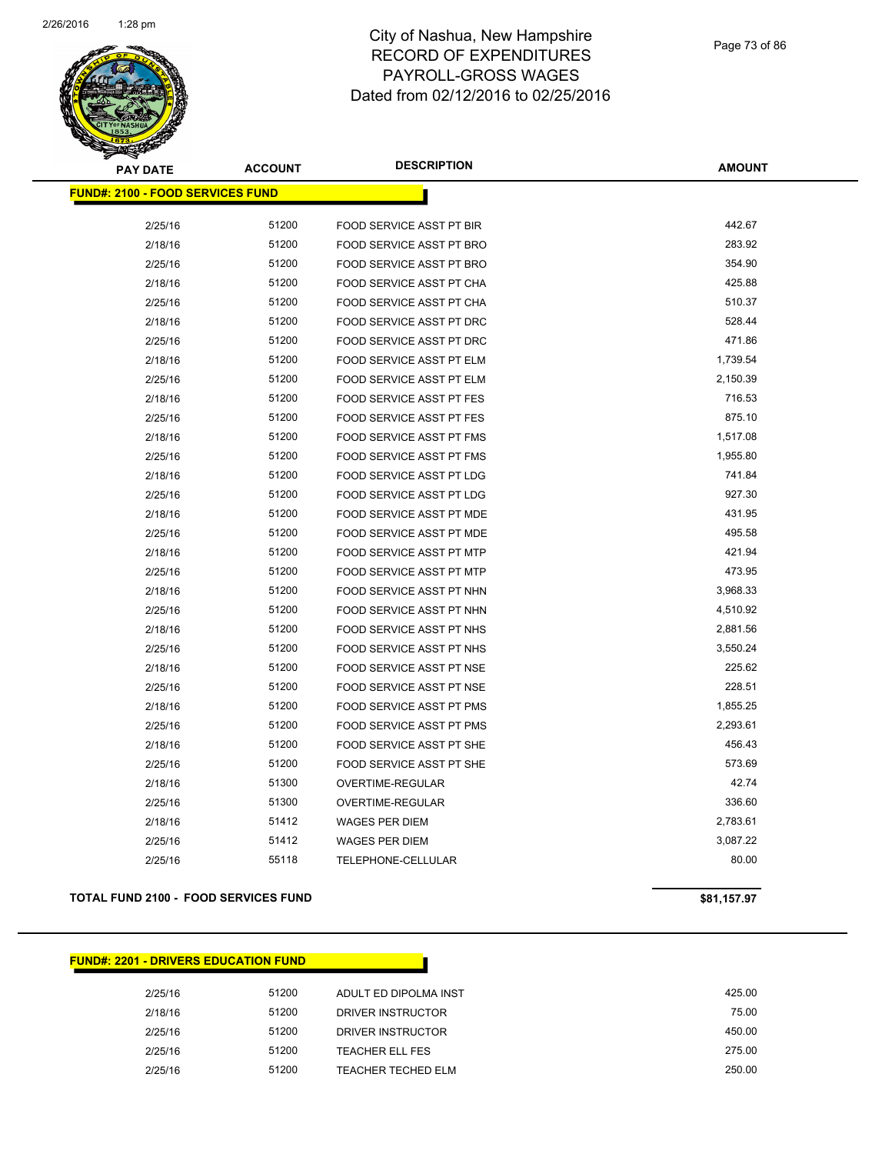

| <b>PAY DATE</b>                         | <b>ACCOUNT</b> | <b>DESCRIPTION</b>              | <b>AMOUNT</b> |
|-----------------------------------------|----------------|---------------------------------|---------------|
| <b>FUND#: 2100 - FOOD SERVICES FUND</b> |                |                                 |               |
|                                         |                |                                 |               |
| 2/25/16                                 | 51200          | FOOD SERVICE ASST PT BIR        | 442.67        |
| 2/18/16                                 | 51200          | FOOD SERVICE ASST PT BRO        | 283.92        |
| 2/25/16                                 | 51200          | FOOD SERVICE ASST PT BRO        | 354.90        |
| 2/18/16                                 | 51200          | FOOD SERVICE ASST PT CHA        | 425.88        |
| 2/25/16                                 | 51200          | FOOD SERVICE ASST PT CHA        | 510.37        |
| 2/18/16                                 | 51200          | FOOD SERVICE ASST PT DRC        | 528.44        |
| 2/25/16                                 | 51200          | FOOD SERVICE ASST PT DRC        | 471.86        |
| 2/18/16                                 | 51200          | <b>FOOD SERVICE ASST PT ELM</b> | 1,739.54      |
| 2/25/16                                 | 51200          | FOOD SERVICE ASST PT ELM        | 2,150.39      |
| 2/18/16                                 | 51200          | <b>FOOD SERVICE ASST PT FES</b> | 716.53        |
| 2/25/16                                 | 51200          | <b>FOOD SERVICE ASST PT FES</b> | 875.10        |
| 2/18/16                                 | 51200          | <b>FOOD SERVICE ASST PT FMS</b> | 1,517.08      |
| 2/25/16                                 | 51200          | <b>FOOD SERVICE ASST PT FMS</b> | 1,955.80      |
| 2/18/16                                 | 51200          | <b>FOOD SERVICE ASST PT LDG</b> | 741.84        |
| 2/25/16                                 | 51200          | <b>FOOD SERVICE ASST PT LDG</b> | 927.30        |
| 2/18/16                                 | 51200          | FOOD SERVICE ASST PT MDE        | 431.95        |
| 2/25/16                                 | 51200          | FOOD SERVICE ASST PT MDE        | 495.58        |
| 2/18/16                                 | 51200          | <b>FOOD SERVICE ASST PT MTP</b> | 421.94        |
| 2/25/16                                 | 51200          | <b>FOOD SERVICE ASST PT MTP</b> | 473.95        |
| 2/18/16                                 | 51200          | <b>FOOD SERVICE ASST PT NHN</b> | 3,968.33      |
| 2/25/16                                 | 51200          | FOOD SERVICE ASST PT NHN        | 4,510.92      |
| 2/18/16                                 | 51200          | FOOD SERVICE ASST PT NHS        | 2,881.56      |
| 2/25/16                                 | 51200          | FOOD SERVICE ASST PT NHS        | 3,550.24      |
| 2/18/16                                 | 51200          | FOOD SERVICE ASST PT NSE        | 225.62        |
| 2/25/16                                 | 51200          | FOOD SERVICE ASST PT NSE        | 228.51        |
| 2/18/16                                 | 51200          | FOOD SERVICE ASST PT PMS        | 1,855.25      |
| 2/25/16                                 | 51200          | FOOD SERVICE ASST PT PMS        | 2,293.61      |
| 2/18/16                                 | 51200          | <b>FOOD SERVICE ASST PT SHE</b> | 456.43        |
| 2/25/16                                 | 51200          | <b>FOOD SERVICE ASST PT SHE</b> | 573.69        |
| 2/18/16                                 | 51300          | OVERTIME-REGULAR                | 42.74         |
| 2/25/16                                 | 51300          | OVERTIME-REGULAR                | 336.60        |
| 2/18/16                                 | 51412          | <b>WAGES PER DIEM</b>           | 2,783.61      |
| 2/25/16                                 | 51412          | <b>WAGES PER DIEM</b>           | 3,087.22      |
| 2/25/16                                 | 55118          | TELEPHONE-CELLULAR              | 80.00         |
|                                         |                |                                 |               |

#### **TOTAL FUND 2100 - FOOD SERVICES FUND \$81,157.97**

#### **FUND#: 2201 - DRIVERS EDUCATION FUND**

2/25/16 51200 ADULT ED DIPOLMA INST 425.00 2/18/16 51200 DRIVER INSTRUCTOR 75.00 2/25/16 51200 DRIVER INSTRUCTOR 450.00 2/25/16 51200 TEACHER ELL FES 275.00 2/25/16 51200 TEACHER TECHED ELM 250.00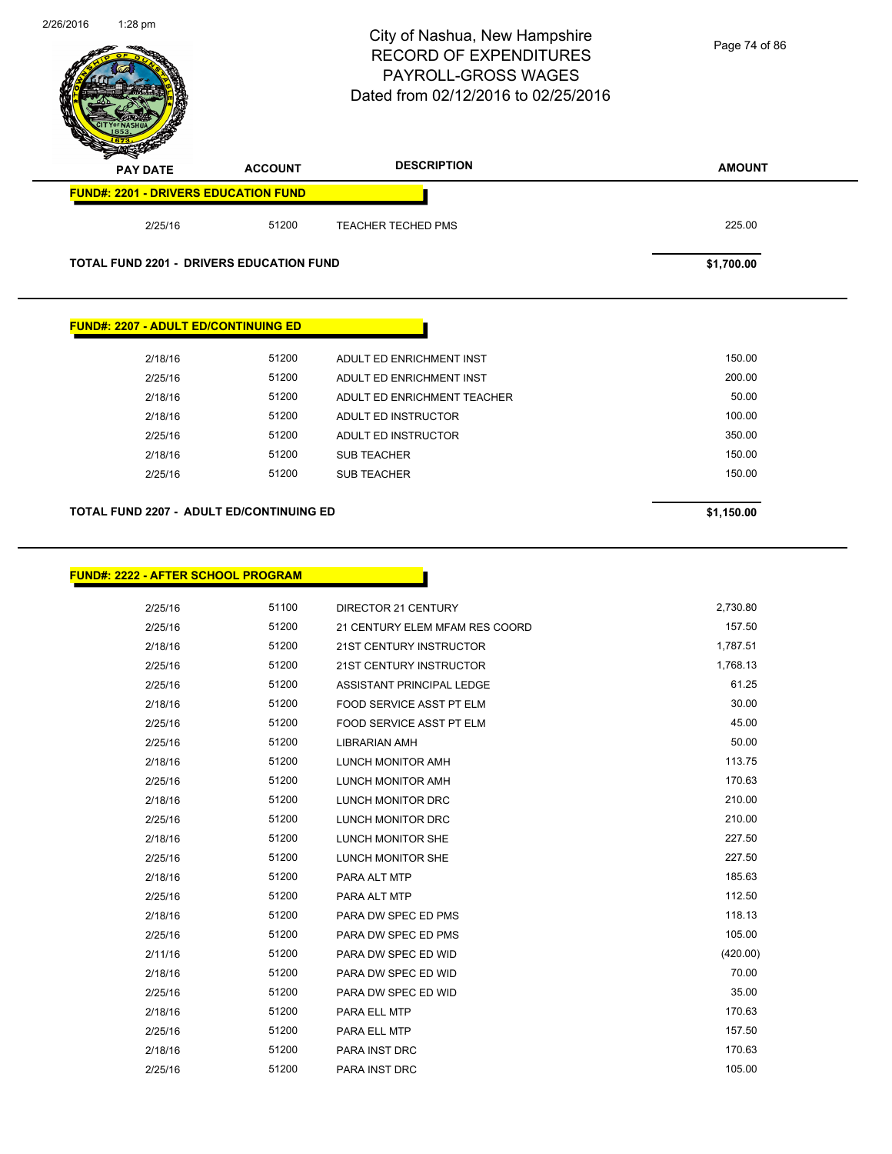| 2/26/2016 | $1:28$ pm                                   |                                                 | City of Nashua, New Hampshire<br><b>RECORD OF EXPENDITURES</b><br>PAYROLL-GROSS WAGES<br>Dated from 02/12/2016 to 02/25/2016 | Page 74 of 86 |
|-----------|---------------------------------------------|-------------------------------------------------|------------------------------------------------------------------------------------------------------------------------------|---------------|
|           | <b>PAY DATE</b>                             | <b>ACCOUNT</b>                                  | <b>DESCRIPTION</b>                                                                                                           | <b>AMOUNT</b> |
|           |                                             | <b>FUND#: 2201 - DRIVERS EDUCATION FUND</b>     |                                                                                                                              |               |
|           | 2/25/16                                     | 51200                                           | <b>TEACHER TECHED PMS</b>                                                                                                    | 225.00        |
|           |                                             | <b>TOTAL FUND 2201 - DRIVERS EDUCATION FUND</b> |                                                                                                                              | \$1,700.00    |
|           | <b>FUND#: 2207 - ADULT ED/CONTINUING ED</b> |                                                 |                                                                                                                              |               |
|           | 2/18/16                                     | 51200                                           | ADULT ED ENRICHMENT INST                                                                                                     | 150.00        |
|           | 2/25/16                                     | 51200                                           | ADULT ED ENRICHMENT INST                                                                                                     | 200.00        |
|           | 2/18/16                                     | 51200                                           | ADULT ED ENRICHMENT TEACHER                                                                                                  | 50.00         |
|           | 2/18/16                                     | 51200                                           | ADULT ED INSTRUCTOR                                                                                                          | 100.00        |
|           | 2/25/16                                     | 51200                                           | ADULT ED INSTRUCTOR                                                                                                          | 350.00        |
|           | 2/18/16                                     | 51200                                           | <b>SUB TEACHER</b>                                                                                                           | 150.00        |
|           | 2/25/16                                     | 51200                                           | <b>SUB TEACHER</b>                                                                                                           | 150.00        |
|           |                                             | TOTAL FUND 2207 - ADULT ED/CONTINUING ED        |                                                                                                                              | \$1,150.00    |
|           | 2/25/16                                     | 51100                                           | DIRECTOR 21 CENTURY                                                                                                          | 2.730.80      |
|           | 2/25/16                                     | 51200                                           | 21 CENTURY ELEM MFAM RES COORD                                                                                               | 157.50        |
|           | 2/18/16                                     | 51200                                           | 21ST CENTURY INSTRUCTOR                                                                                                      |               |
|           | 2/25/16                                     | 51200                                           |                                                                                                                              | 1,787.51      |
|           | 2/25/16                                     |                                                 |                                                                                                                              | 1,768.13      |
|           | 2/18/16                                     | 51200                                           | 21ST CENTURY INSTRUCTOR<br>ASSISTANT PRINCIPAL LEDGE                                                                         | 61.25         |
|           |                                             | 51200                                           | FOOD SERVICE ASST PT ELM                                                                                                     | 30.00         |
|           | 2/25/16                                     | 51200                                           | FOOD SERVICE ASST PT ELM                                                                                                     | 45.00         |
|           | 2/25/16                                     | 51200                                           | <b>LIBRARIAN AMH</b>                                                                                                         | 50.00         |
|           | 2/18/16                                     | 51200                                           | LUNCH MONITOR AMH                                                                                                            | 113.75        |
|           | 2/25/16                                     | 51200                                           | LUNCH MONITOR AMH                                                                                                            | 170.63        |
|           | 2/18/16                                     | 51200                                           | LUNCH MONITOR DRC                                                                                                            | 210.00        |
|           | 2/25/16                                     | 51200                                           | LUNCH MONITOR DRC                                                                                                            | 210.00        |
|           | 2/18/16                                     | 51200                                           | LUNCH MONITOR SHE                                                                                                            | 227.50        |
|           | 2/25/16                                     | 51200                                           | LUNCH MONITOR SHE                                                                                                            | 227.50        |
|           | 2/18/16                                     | 51200                                           | PARA ALT MTP                                                                                                                 | 185.63        |
|           | 2/25/16                                     | 51200                                           | PARA ALT MTP                                                                                                                 | 112.50        |
|           | 2/18/16                                     | 51200                                           | PARA DW SPEC ED PMS                                                                                                          | 118.13        |
|           | 2/25/16                                     | 51200                                           | PARA DW SPEC ED PMS                                                                                                          | 105.00        |
|           | 2/11/16                                     | 51200                                           | PARA DW SPEC ED WID                                                                                                          | (420.00)      |
|           | 2/18/16                                     | 51200                                           | PARA DW SPEC ED WID                                                                                                          | 70.00         |
|           | 2/25/16                                     | 51200                                           | PARA DW SPEC ED WID                                                                                                          | 35.00         |
|           | 2/18/16                                     | 51200                                           | PARA ELL MTP                                                                                                                 | 170.63        |
|           | 2/25/16                                     | 51200                                           | PARA ELL MTP                                                                                                                 | 157.50        |
|           | 2/18/16                                     | 51200                                           | PARA INST DRC                                                                                                                | 170.63        |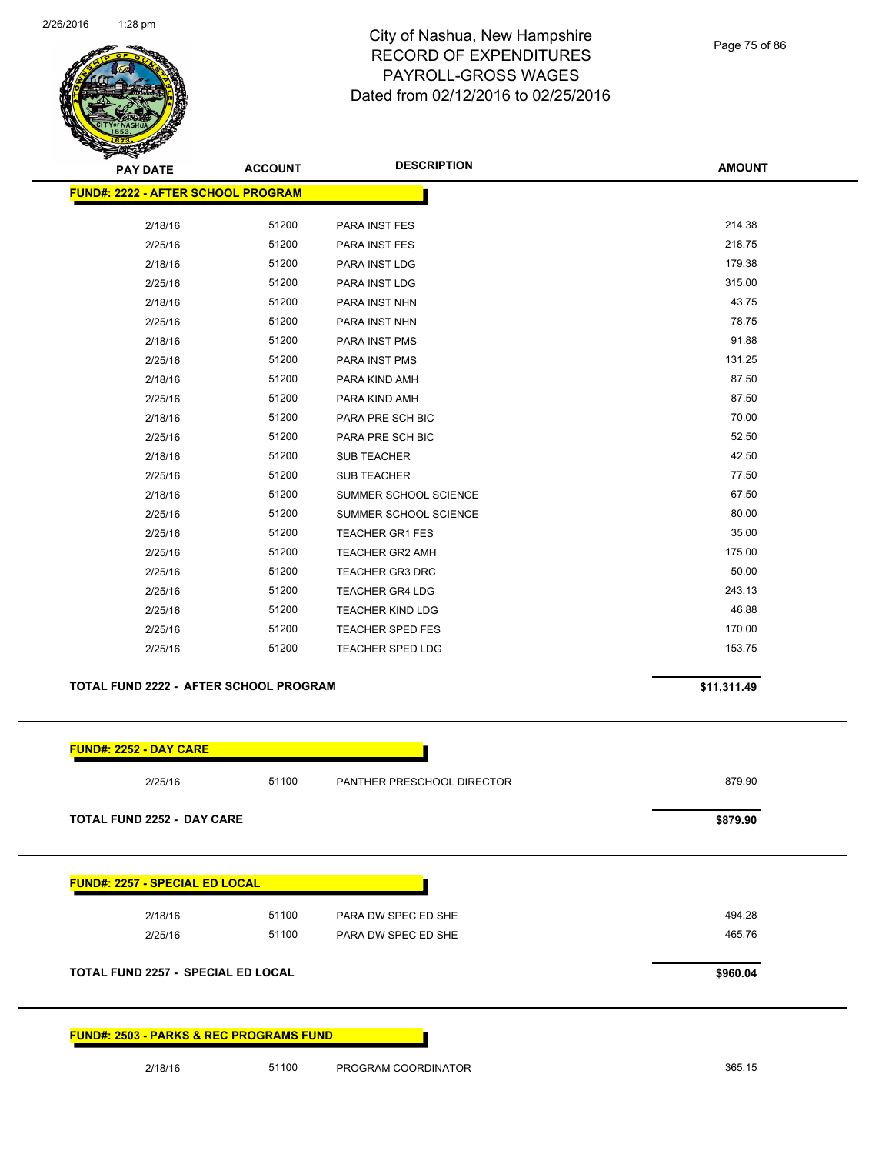

Page 75 of 86

| <b>PAY DATE</b>                           | <b>ACCOUNT</b> | <b>DESCRIPTION</b>         | <b>AMOUNT</b> |
|-------------------------------------------|----------------|----------------------------|---------------|
| <b>FUND#: 2222 - AFTER SCHOOL PROGRAM</b> |                |                            |               |
| 2/18/16                                   | 51200          | PARA INST FES              | 214.38        |
| 2/25/16                                   | 51200          | <b>PARA INST FES</b>       | 218.75        |
| 2/18/16                                   | 51200          | PARA INST LDG              | 179.38        |
| 2/25/16                                   | 51200          | PARA INST LDG              | 315.00        |
| 2/18/16                                   | 51200          | PARA INST NHN              | 43.75         |
| 2/25/16                                   | 51200          | PARA INST NHN              | 78.75         |
| 2/18/16                                   | 51200          | PARA INST PMS              | 91.88         |
| 2/25/16                                   | 51200          | PARA INST PMS              | 131.25        |
| 2/18/16                                   | 51200          | PARA KIND AMH              | 87.50         |
| 2/25/16                                   | 51200          | PARA KIND AMH              | 87.50         |
| 2/18/16                                   | 51200          | PARA PRE SCH BIC           | 70.00         |
| 2/25/16                                   | 51200          | PARA PRE SCH BIC           | 52.50         |
| 2/18/16                                   | 51200          | <b>SUB TEACHER</b>         | 42.50         |
| 2/25/16                                   | 51200          | <b>SUB TEACHER</b>         | 77.50         |
| 2/18/16                                   | 51200          | SUMMER SCHOOL SCIENCE      | 67.50         |
| 2/25/16                                   | 51200          | SUMMER SCHOOL SCIENCE      | 80.00         |
| 2/25/16                                   | 51200          | <b>TEACHER GR1 FES</b>     | 35.00         |
| 2/25/16                                   | 51200          | <b>TEACHER GR2 AMH</b>     | 175.00        |
| 2/25/16                                   | 51200          | <b>TEACHER GR3 DRC</b>     | 50.00         |
| 2/25/16                                   | 51200          | <b>TEACHER GR4 LDG</b>     | 243.13        |
| 2/25/16                                   | 51200          | <b>TEACHER KIND LDG</b>    | 46.88         |
| 2/25/16                                   | 51200          | <b>TEACHER SPED FES</b>    | 170.00        |
| 2/25/16                                   | 51200          | <b>TEACHER SPED LDG</b>    | 153.75        |
| TOTAL FUND 2222 - AFTER SCHOOL PROGRAM    |                |                            | \$11,311.49   |
| <b>FUND#: 2252 - DAY CARE</b>             |                |                            |               |
| 2/25/16                                   | 51100          | PANTHER PRESCHOOL DIRECTOR | 879.90        |

**TOTAL FUND 2252 - DAY CARE \$879.90** 

**FUND#: 2257 - SPECIAL ED LOCAL**

| 2/18/16 |  |
|---------|--|
| 2/25/16 |  |

2/18/16 51100 PARA DW SPEC ED SHE 494.28 2/25/16 51100 PARA DW SPEC ED SHE 2002 2003 12:30 2004 10:30 2004 165.76

**TOTAL FUND 2257 - SPECIAL ED LOCAL \$960.04** 

**FUND#: 2503 - PARKS & REC PROGRAMS FUND**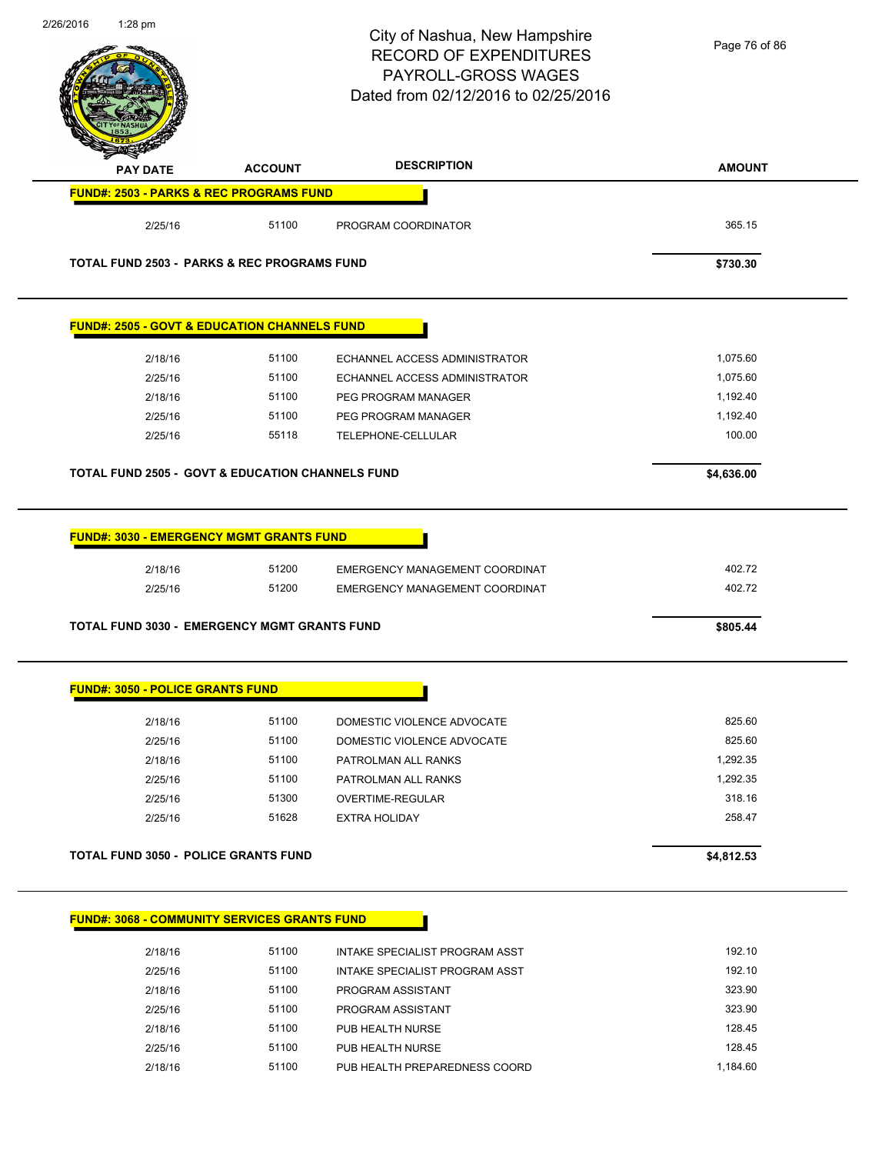| 2/20/2010 | 1∶∠o prn                                |                                                              | City of Nashua, New Hampshire<br><b>RECORD OF EXPENDITURES</b><br>PAYROLL-GROSS WAGES<br>Dated from 02/12/2016 to 02/25/2016 | Page 76 of 86      |
|-----------|-----------------------------------------|--------------------------------------------------------------|------------------------------------------------------------------------------------------------------------------------------|--------------------|
|           | <b>PAY DATE</b>                         | <b>ACCOUNT</b>                                               | <b>DESCRIPTION</b>                                                                                                           | <b>AMOUNT</b>      |
|           |                                         | <b>FUND#: 2503 - PARKS &amp; REC PROGRAMS FUND</b>           |                                                                                                                              |                    |
|           | 2/25/16                                 | 51100                                                        | PROGRAM COORDINATOR                                                                                                          | 365.15             |
|           |                                         | <b>TOTAL FUND 2503 - PARKS &amp; REC PROGRAMS FUND</b>       |                                                                                                                              | \$730.30           |
|           |                                         | <b>FUND#: 2505 - GOVT &amp; EDUCATION CHANNELS FUND</b>      |                                                                                                                              |                    |
|           | 2/18/16                                 | 51100                                                        | ECHANNEL ACCESS ADMINISTRATOR                                                                                                | 1,075.60           |
|           | 2/25/16                                 | 51100                                                        | ECHANNEL ACCESS ADMINISTRATOR                                                                                                | 1,075.60           |
|           | 2/18/16                                 | 51100                                                        | PEG PROGRAM MANAGER                                                                                                          | 1,192.40           |
|           | 2/25/16                                 | 51100                                                        | PEG PROGRAM MANAGER                                                                                                          | 1,192.40           |
|           | 2/25/16                                 | 55118                                                        | TELEPHONE-CELLULAR                                                                                                           | 100.00             |
|           |                                         | <b>TOTAL FUND 2505 - GOVT &amp; EDUCATION CHANNELS FUND</b>  |                                                                                                                              | \$4,636.00         |
|           | 2/25/16                                 | 51200<br><b>TOTAL FUND 3030 - EMERGENCY MGMT GRANTS FUND</b> | EMERGENCY MANAGEMENT COORDINAT                                                                                               | 402.72<br>\$805.44 |
|           | <b>FUND#: 3050 - POLICE GRANTS FUND</b> |                                                              |                                                                                                                              |                    |
|           | 2/18/16                                 | 51100                                                        | DOMESTIC VIOLENCE ADVOCATE                                                                                                   | 825.60             |
|           | 2/25/16                                 | 51100                                                        | DOMESTIC VIOLENCE ADVOCATE                                                                                                   | 825.60             |
|           | 2/18/16                                 | 51100                                                        | PATROLMAN ALL RANKS                                                                                                          | 1,292.35           |
|           | 2/25/16                                 | 51100                                                        | PATROLMAN ALL RANKS                                                                                                          | 1,292.35           |
|           | 2/25/16                                 | 51300                                                        | OVERTIME-REGULAR                                                                                                             | 318.16             |
|           | 2/25/16                                 | 51628                                                        | <b>EXTRA HOLIDAY</b>                                                                                                         | 258.47             |
|           |                                         | <b>TOTAL FUND 3050 - POLICE GRANTS FUND</b>                  |                                                                                                                              | \$4,812.53         |
|           |                                         | <b>FUND#: 3068 - COMMUNITY SERVICES GRANTS FUND</b>          |                                                                                                                              |                    |
|           | 2/18/16                                 | 51100                                                        | INTAKE SPECIALIST PROGRAM ASST                                                                                               | 192.10             |
|           | 2/25/16                                 | 51100                                                        | INTAKE SPECIALIST PROGRAM ASST                                                                                               | 192.10             |
|           | 2/18/16                                 | 51100                                                        | PROGRAM ASSISTANT                                                                                                            | 323.90             |
|           | 2/25/16                                 | 51100                                                        | PROGRAM ASSISTANT                                                                                                            | 323.90             |
|           | 2/18/16                                 | 51100                                                        | PUB HEALTH NURSE                                                                                                             | 128.45             |
|           | 2/25/16                                 | 51100                                                        | PUB HEALTH NURSE                                                                                                             | 128.45             |
|           | 2/18/16                                 | 51100                                                        | PUB HEALTH PREPAREDNESS COORD                                                                                                | 1,184.60           |

2/26/2016 1:28 pm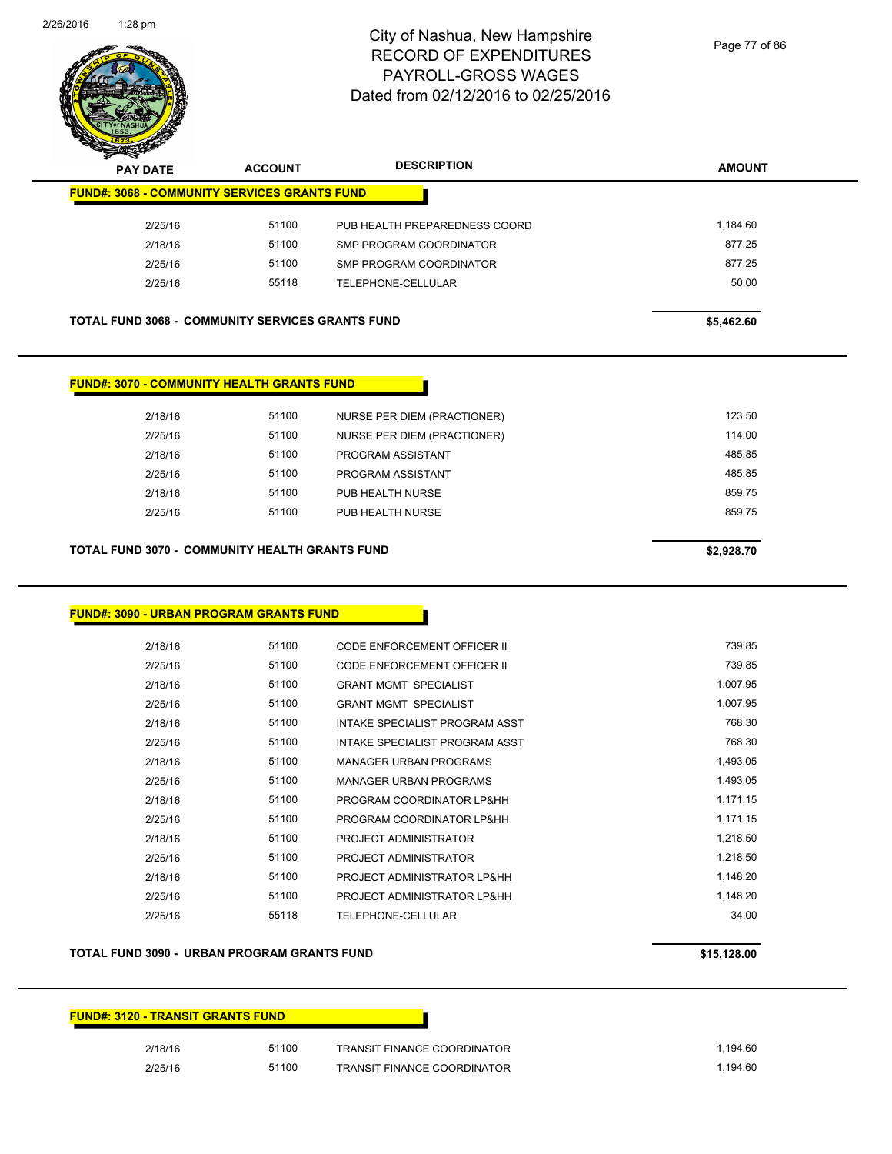

| <b>PAY DATE</b>                                         | <b>ACCOUNT</b> | <b>DESCRIPTION</b>            | <b>AMOUNT</b> |
|---------------------------------------------------------|----------------|-------------------------------|---------------|
| <b>FUND#: 3068 - COMMUNITY SERVICES GRANTS FUND</b>     |                |                               |               |
| 2/25/16                                                 | 51100          | PUB HEALTH PREPAREDNESS COORD | 1,184.60      |
| 2/18/16                                                 | 51100          | SMP PROGRAM COORDINATOR       | 877.25        |
| 2/25/16                                                 | 51100          | SMP PROGRAM COORDINATOR       | 877.25        |
| 2/25/16                                                 | 55118          | TELEPHONE-CELLULAR            | 50.00         |
|                                                         |                |                               |               |
| <b>TOTAL FUND 3068 - COMMUNITY SERVICES GRANTS FUND</b> |                |                               | \$5,462.60    |

| 2/18/16 | 51100 | NURSE PER DIEM (PRACTIONER) | 123.50 |
|---------|-------|-----------------------------|--------|
| 2/25/16 | 51100 | NURSE PER DIEM (PRACTIONER) | 114.00 |
| 2/18/16 | 51100 | PROGRAM ASSISTANT           | 485.85 |
| 2/25/16 | 51100 | PROGRAM ASSISTANT           | 485.85 |
| 2/18/16 | 51100 | PUB HEALTH NURSE            | 859.75 |
| 2/25/16 | 51100 | PUB HEALTH NURSE            | 859.75 |
|         |       |                             |        |
|         |       |                             |        |

#### **TOTAL FUND 3070 - COMMUNITY HEALTH GRANTS FUND \$2,928.70**

| 2/18/16 | 51100 | CODE ENFORCEMENT OFFICER II    | 739.85   |
|---------|-------|--------------------------------|----------|
| 2/25/16 | 51100 | CODE ENFORCEMENT OFFICER II    | 739.85   |
| 2/18/16 | 51100 | <b>GRANT MGMT SPECIALIST</b>   | 1,007.95 |
| 2/25/16 | 51100 | <b>GRANT MGMT SPECIALIST</b>   | 1,007.95 |
| 2/18/16 | 51100 | INTAKE SPECIALIST PROGRAM ASST | 768.30   |
| 2/25/16 | 51100 | INTAKE SPECIALIST PROGRAM ASST | 768.30   |
| 2/18/16 | 51100 | <b>MANAGER URBAN PROGRAMS</b>  | 1,493.05 |
| 2/25/16 | 51100 | <b>MANAGER URBAN PROGRAMS</b>  | 1,493.05 |
| 2/18/16 | 51100 | PROGRAM COORDINATOR LP&HH      | 1,171.15 |
| 2/25/16 | 51100 | PROGRAM COORDINATOR LP&HH      | 1,171.15 |
| 2/18/16 | 51100 | PROJECT ADMINISTRATOR          | 1,218.50 |
| 2/25/16 | 51100 | PROJECT ADMINISTRATOR          | 1.218.50 |
| 2/18/16 | 51100 | PROJECT ADMINISTRATOR LP&HH    | 1,148.20 |
| 2/25/16 | 51100 | PROJECT ADMINISTRATOR LP&HH    | 1,148.20 |
| 2/25/16 | 55118 | TELEPHONE-CELLULAR             | 34.00    |
|         |       |                                |          |

#### **TOTAL FUND 3090 - URBAN PROGRAM GRANTS FUND \$15,128.00**

# **FUND#: 3120 - TRANSIT GRANTS FUND** 2/18/16 51100 TRANSIT FINANCE COORDINATOR 1,194.60 2/25/16 51100 TRANSIT FINANCE COORDINATOR 1,194.60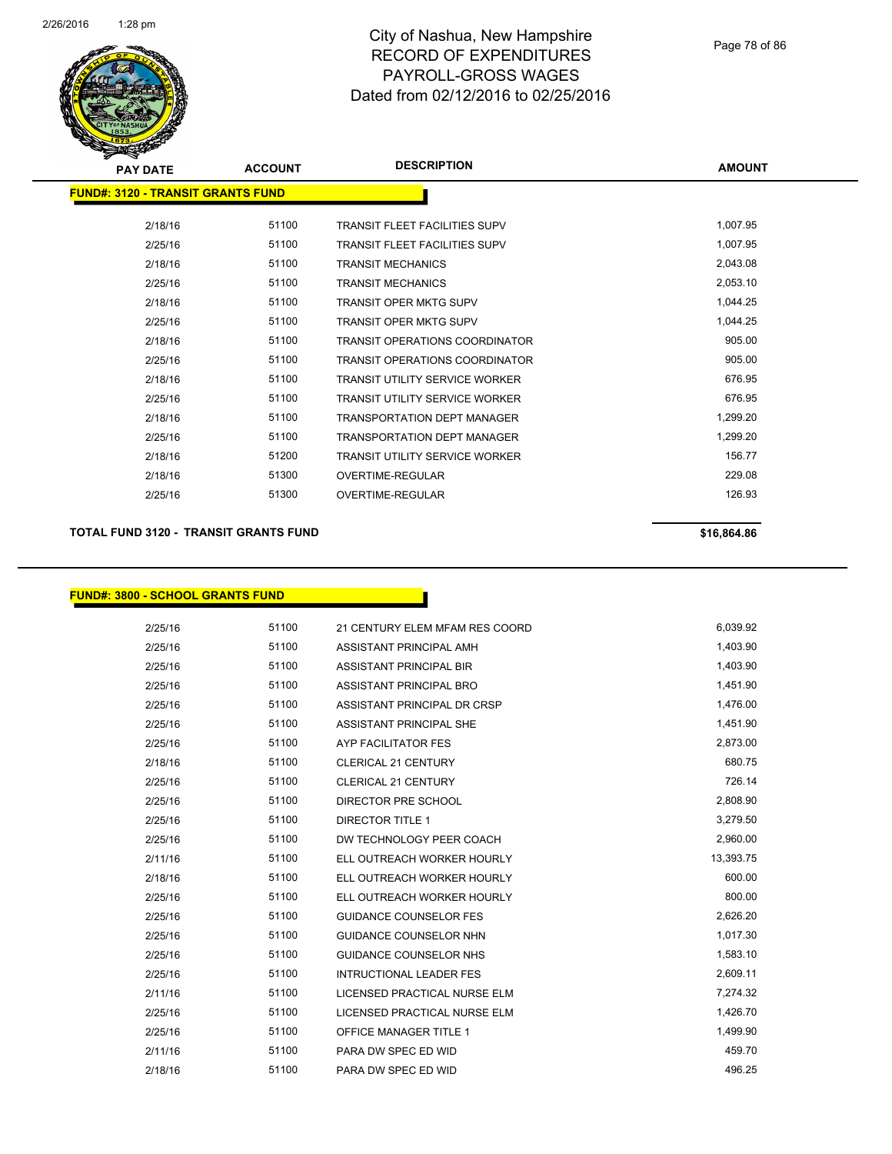

| <b>PAY DATE</b>                          | <b>ACCOUNT</b> | <b>DESCRIPTION</b>                    | <b>AMOUNT</b> |
|------------------------------------------|----------------|---------------------------------------|---------------|
| <b>FUND#: 3120 - TRANSIT GRANTS FUND</b> |                |                                       |               |
| 2/18/16                                  | 51100          | <b>TRANSIT FLEET FACILITIES SUPV</b>  | 1,007.95      |
| 2/25/16                                  | 51100          | <b>TRANSIT FLEET FACILITIES SUPV</b>  | 1,007.95      |
| 2/18/16                                  | 51100          | <b>TRANSIT MECHANICS</b>              | 2,043.08      |
| 2/25/16                                  | 51100          | <b>TRANSIT MECHANICS</b>              | 2,053.10      |
| 2/18/16                                  | 51100          | <b>TRANSIT OPER MKTG SUPV</b>         | 1,044.25      |
| 2/25/16                                  | 51100          | <b>TRANSIT OPER MKTG SUPV</b>         | 1,044.25      |
| 2/18/16                                  | 51100          | <b>TRANSIT OPERATIONS COORDINATOR</b> | 905.00        |
| 2/25/16                                  | 51100          | <b>TRANSIT OPERATIONS COORDINATOR</b> | 905.00        |
| 2/18/16                                  | 51100          | <b>TRANSIT UTILITY SERVICE WORKER</b> | 676.95        |
| 2/25/16                                  | 51100          | <b>TRANSIT UTILITY SERVICE WORKER</b> | 676.95        |
| 2/18/16                                  | 51100          | <b>TRANSPORTATION DEPT MANAGER</b>    | 1,299.20      |
| 2/25/16                                  | 51100          | <b>TRANSPORTATION DEPT MANAGER</b>    | 1,299.20      |
| 2/18/16                                  | 51200          | <b>TRANSIT UTILITY SERVICE WORKER</b> | 156.77        |
| 2/18/16                                  | 51300          | OVERTIME-REGULAR                      | 229.08        |
| 2/25/16                                  | 51300          | OVERTIME-REGULAR                      | 126.93        |
|                                          |                |                                       |               |

## **TOTAL FUND 3120 - TRANSIT GRANTS FUND \$16,864.86 \$16,864.86**

## **FUND#: 3800 - SCHOOL GRANTS FUND**

| 51100<br>2/25/16<br>21 CENTURY ELEM MFAM RES COORD | 6.039.92  |
|----------------------------------------------------|-----------|
| 51100<br>2/25/16<br>ASSISTANT PRINCIPAL AMH        | 1,403.90  |
| 51100<br>2/25/16<br>ASSISTANT PRINCIPAL BIR        | 1,403.90  |
| 51100<br>2/25/16<br>ASSISTANT PRINCIPAL BRO        | 1,451.90  |
| 51100<br>2/25/16<br>ASSISTANT PRINCIPAL DR CRSP    | 1,476.00  |
| 2/25/16<br>51100<br>ASSISTANT PRINCIPAL SHE        | 1,451.90  |
| 51100<br>2/25/16<br><b>AYP FACILITATOR FES</b>     | 2,873.00  |
| 51100<br>2/18/16<br><b>CLERICAL 21 CENTURY</b>     | 680.75    |
| 51100<br>2/25/16<br><b>CLERICAL 21 CENTURY</b>     | 726.14    |
| 51100<br>2/25/16<br>DIRECTOR PRE SCHOOL            | 2,808.90  |
| 51100<br>2/25/16<br><b>DIRECTOR TITLE 1</b>        | 3,279.50  |
| 51100<br>2/25/16<br>DW TECHNOLOGY PEER COACH       | 2,960.00  |
| 51100<br>2/11/16<br>ELL OUTREACH WORKER HOURLY     | 13,393.75 |
| 51100<br>2/18/16<br>ELL OUTREACH WORKER HOURLY     | 600.00    |
| 51100<br>2/25/16<br>ELL OUTREACH WORKER HOURLY     | 800.00    |
| 51100<br>2/25/16<br><b>GUIDANCE COUNSELOR FES</b>  | 2,626.20  |
| 51100<br>2/25/16<br><b>GUIDANCE COUNSELOR NHN</b>  | 1,017.30  |
| 51100<br>2/25/16<br><b>GUIDANCE COUNSELOR NHS</b>  | 1,583.10  |
| 51100<br><b>INTRUCTIONAL LEADER FES</b><br>2/25/16 | 2,609.11  |
| 51100<br>2/11/16<br>LICENSED PRACTICAL NURSE ELM   | 7,274.32  |
| 51100<br>2/25/16<br>LICENSED PRACTICAL NURSE ELM   | 1,426.70  |
| 51100<br>2/25/16<br><b>OFFICE MANAGER TITLE 1</b>  | 1,499.90  |
| 51100<br>2/11/16<br>PARA DW SPEC ED WID            | 459.70    |
| 51100<br>2/18/16<br>PARA DW SPEC ED WID            | 496.25    |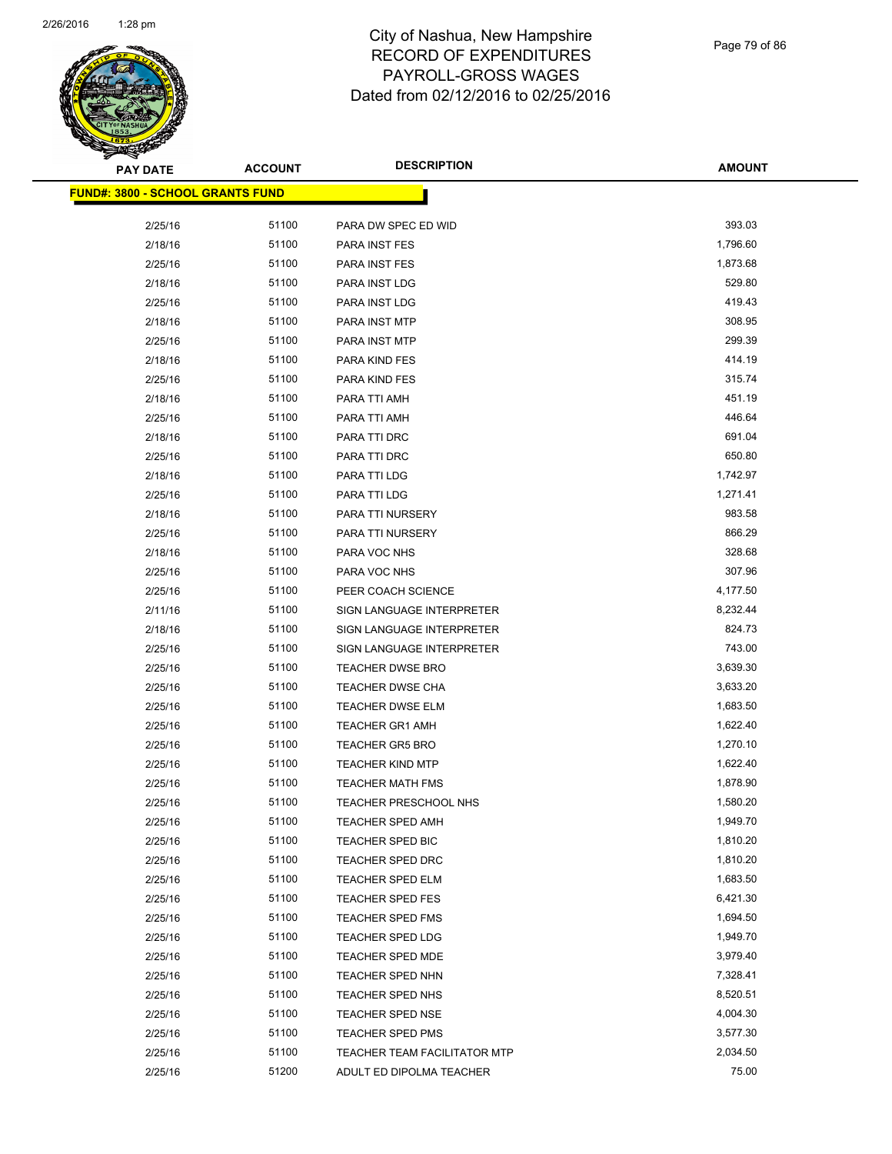

Page 79 of 86

| <b>PAY DATE</b> | <b>ACCOUNT</b>                           | <b>DESCRIPTION</b>           | <b>AMOUNT</b> |
|-----------------|------------------------------------------|------------------------------|---------------|
|                 | <u> FUND#: 3800 - SCHOOL GRANTS FUND</u> |                              |               |
|                 |                                          |                              |               |
| 2/25/16         | 51100                                    | PARA DW SPEC ED WID          | 393.03        |
| 2/18/16         | 51100                                    | PARA INST FES                | 1,796.60      |
| 2/25/16         | 51100                                    | PARA INST FES                | 1,873.68      |
| 2/18/16         | 51100                                    | PARA INST LDG                | 529.80        |
| 2/25/16         | 51100                                    | PARA INST LDG                | 419.43        |
| 2/18/16         | 51100                                    | PARA INST MTP                | 308.95        |
| 2/25/16         | 51100                                    | PARA INST MTP                | 299.39        |
| 2/18/16         | 51100                                    | PARA KIND FES                | 414.19        |
| 2/25/16         | 51100                                    | PARA KIND FES                | 315.74        |
| 2/18/16         | 51100                                    | PARA TTI AMH                 | 451.19        |
| 2/25/16         | 51100                                    | PARA TTI AMH                 | 446.64        |
| 2/18/16         | 51100                                    | PARA TTI DRC                 | 691.04        |
| 2/25/16         | 51100                                    | PARA TTI DRC                 | 650.80        |
| 2/18/16         | 51100                                    | PARA TTI LDG                 | 1,742.97      |
| 2/25/16         | 51100                                    | PARA TTI LDG                 | 1,271.41      |
| 2/18/16         | 51100                                    | PARA TTI NURSERY             | 983.58        |
| 2/25/16         | 51100                                    | PARA TTI NURSERY             | 866.29        |
| 2/18/16         | 51100                                    | PARA VOC NHS                 | 328.68        |
| 2/25/16         | 51100                                    | PARA VOC NHS                 | 307.96        |
| 2/25/16         | 51100                                    | PEER COACH SCIENCE           | 4,177.50      |
| 2/11/16         | 51100                                    | SIGN LANGUAGE INTERPRETER    | 8,232.44      |
| 2/18/16         | 51100                                    | SIGN LANGUAGE INTERPRETER    | 824.73        |
| 2/25/16         | 51100                                    | SIGN LANGUAGE INTERPRETER    | 743.00        |
| 2/25/16         | 51100                                    | <b>TEACHER DWSE BRO</b>      | 3,639.30      |
| 2/25/16         | 51100                                    | <b>TEACHER DWSE CHA</b>      | 3,633.20      |
| 2/25/16         | 51100                                    | TEACHER DWSE ELM             | 1,683.50      |
| 2/25/16         | 51100                                    | <b>TEACHER GR1 AMH</b>       | 1,622.40      |
| 2/25/16         | 51100                                    | <b>TEACHER GR5 BRO</b>       | 1,270.10      |
| 2/25/16         | 51100                                    | <b>TEACHER KIND MTP</b>      | 1,622.40      |
| 2/25/16         | 51100                                    | <b>TEACHER MATH FMS</b>      | 1,878.90      |
| 2/25/16         | 51100                                    | TEACHER PRESCHOOL NHS        | 1,580.20      |
| 2/25/16         | 51100                                    | TEACHER SPED AMH             | 1,949.70      |
| 2/25/16         | 51100                                    | <b>TEACHER SPED BIC</b>      | 1,810.20      |
| 2/25/16         | 51100                                    | <b>TEACHER SPED DRC</b>      | 1,810.20      |
| 2/25/16         | 51100                                    | <b>TEACHER SPED ELM</b>      | 1,683.50      |
| 2/25/16         | 51100                                    | <b>TEACHER SPED FES</b>      | 6,421.30      |
| 2/25/16         | 51100                                    | <b>TEACHER SPED FMS</b>      | 1,694.50      |
| 2/25/16         | 51100                                    | TEACHER SPED LDG             | 1,949.70      |
| 2/25/16         | 51100                                    | <b>TEACHER SPED MDE</b>      | 3,979.40      |
| 2/25/16         | 51100                                    | <b>TEACHER SPED NHN</b>      | 7,328.41      |
| 2/25/16         | 51100                                    | TEACHER SPED NHS             | 8,520.51      |
| 2/25/16         | 51100                                    | <b>TEACHER SPED NSE</b>      | 4,004.30      |
| 2/25/16         | 51100                                    | TEACHER SPED PMS             | 3,577.30      |
| 2/25/16         | 51100                                    | TEACHER TEAM FACILITATOR MTP | 2,034.50      |
| 2/25/16         | 51200                                    | ADULT ED DIPOLMA TEACHER     | 75.00         |
|                 |                                          |                              |               |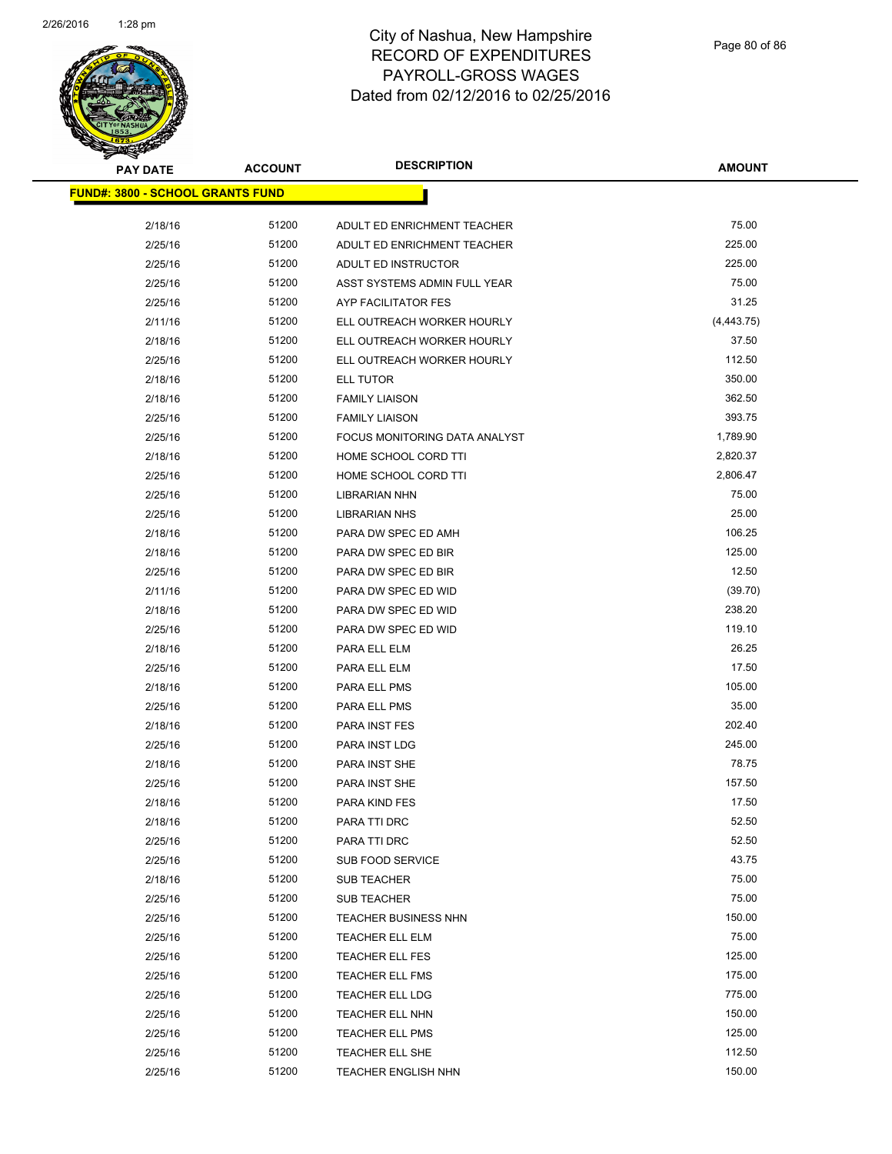

| <b>PAY DATE</b>                         | <b>ACCOUNT</b> | <b>DESCRIPTION</b>            | <b>AMOUNT</b> |
|-----------------------------------------|----------------|-------------------------------|---------------|
| <b>FUND#: 3800 - SCHOOL GRANTS FUND</b> |                |                               |               |
| 2/18/16                                 | 51200          | ADULT ED ENRICHMENT TEACHER   | 75.00         |
| 2/25/16                                 | 51200          | ADULT ED ENRICHMENT TEACHER   | 225.00        |
| 2/25/16                                 | 51200          | ADULT ED INSTRUCTOR           | 225.00        |
| 2/25/16                                 | 51200          | ASST SYSTEMS ADMIN FULL YEAR  | 75.00         |
| 2/25/16                                 | 51200          | AYP FACILITATOR FES           | 31.25         |
| 2/11/16                                 | 51200          | ELL OUTREACH WORKER HOURLY    | (4, 443.75)   |
| 2/18/16                                 | 51200          | ELL OUTREACH WORKER HOURLY    | 37.50         |
| 2/25/16                                 | 51200          | ELL OUTREACH WORKER HOURLY    | 112.50        |
| 2/18/16                                 | 51200          | ELL TUTOR                     | 350.00        |
| 2/18/16                                 | 51200          | <b>FAMILY LIAISON</b>         | 362.50        |
| 2/25/16                                 | 51200          | <b>FAMILY LIAISON</b>         | 393.75        |
| 2/25/16                                 | 51200          | FOCUS MONITORING DATA ANALYST | 1,789.90      |
| 2/18/16                                 | 51200          | HOME SCHOOL CORD TTI          | 2,820.37      |
| 2/25/16                                 | 51200          | HOME SCHOOL CORD TTI          | 2,806.47      |
| 2/25/16                                 | 51200          | <b>LIBRARIAN NHN</b>          | 75.00         |
| 2/25/16                                 | 51200          | <b>LIBRARIAN NHS</b>          | 25.00         |
| 2/18/16                                 | 51200          | PARA DW SPEC ED AMH           | 106.25        |
| 2/18/16                                 | 51200          | PARA DW SPEC ED BIR           | 125.00        |
| 2/25/16                                 | 51200          | PARA DW SPEC ED BIR           | 12.50         |
| 2/11/16                                 | 51200          | PARA DW SPEC ED WID           | (39.70)       |
| 2/18/16                                 | 51200          | PARA DW SPEC ED WID           | 238.20        |
| 2/25/16                                 | 51200          | PARA DW SPEC ED WID           | 119.10        |
| 2/18/16                                 | 51200          | PARA ELL ELM                  | 26.25         |
| 2/25/16                                 | 51200          | PARA ELL ELM                  | 17.50         |
| 2/18/16                                 | 51200          | PARA ELL PMS                  | 105.00        |
| 2/25/16                                 | 51200          | PARA ELL PMS                  | 35.00         |
| 2/18/16                                 | 51200          | <b>PARA INST FES</b>          | 202.40        |
| 2/25/16                                 | 51200          | PARA INST LDG                 | 245.00        |
| 2/18/16                                 | 51200          | PARA INST SHE                 | 78.75         |
| 2/25/16                                 | 51200          | PARA INST SHE                 | 157.50        |
| 2/18/16                                 | 51200          | PARA KIND FES                 | 17.50         |
| 2/18/16                                 | 51200          | PARA TTI DRC                  | 52.50         |
| 2/25/16                                 | 51200          | PARA TTI DRC                  | 52.50         |
| 2/25/16                                 | 51200          | SUB FOOD SERVICE              | 43.75         |
| 2/18/16                                 | 51200          | <b>SUB TEACHER</b>            | 75.00         |
| 2/25/16                                 | 51200          | <b>SUB TEACHER</b>            | 75.00         |
| 2/25/16                                 | 51200          | <b>TEACHER BUSINESS NHN</b>   | 150.00        |
| 2/25/16                                 | 51200          | TEACHER ELL ELM               | 75.00         |
| 2/25/16                                 | 51200          | TEACHER ELL FES               | 125.00        |
| 2/25/16                                 | 51200          | <b>TEACHER ELL FMS</b>        | 175.00        |
| 2/25/16                                 | 51200          | TEACHER ELL LDG               | 775.00        |
| 2/25/16                                 | 51200          | TEACHER ELL NHN               | 150.00        |
| 2/25/16                                 | 51200          | <b>TEACHER ELL PMS</b>        | 125.00        |
| 2/25/16                                 | 51200          | TEACHER ELL SHE               | 112.50        |
| 2/25/16                                 | 51200          | <b>TEACHER ENGLISH NHN</b>    | 150.00        |
|                                         |                |                               |               |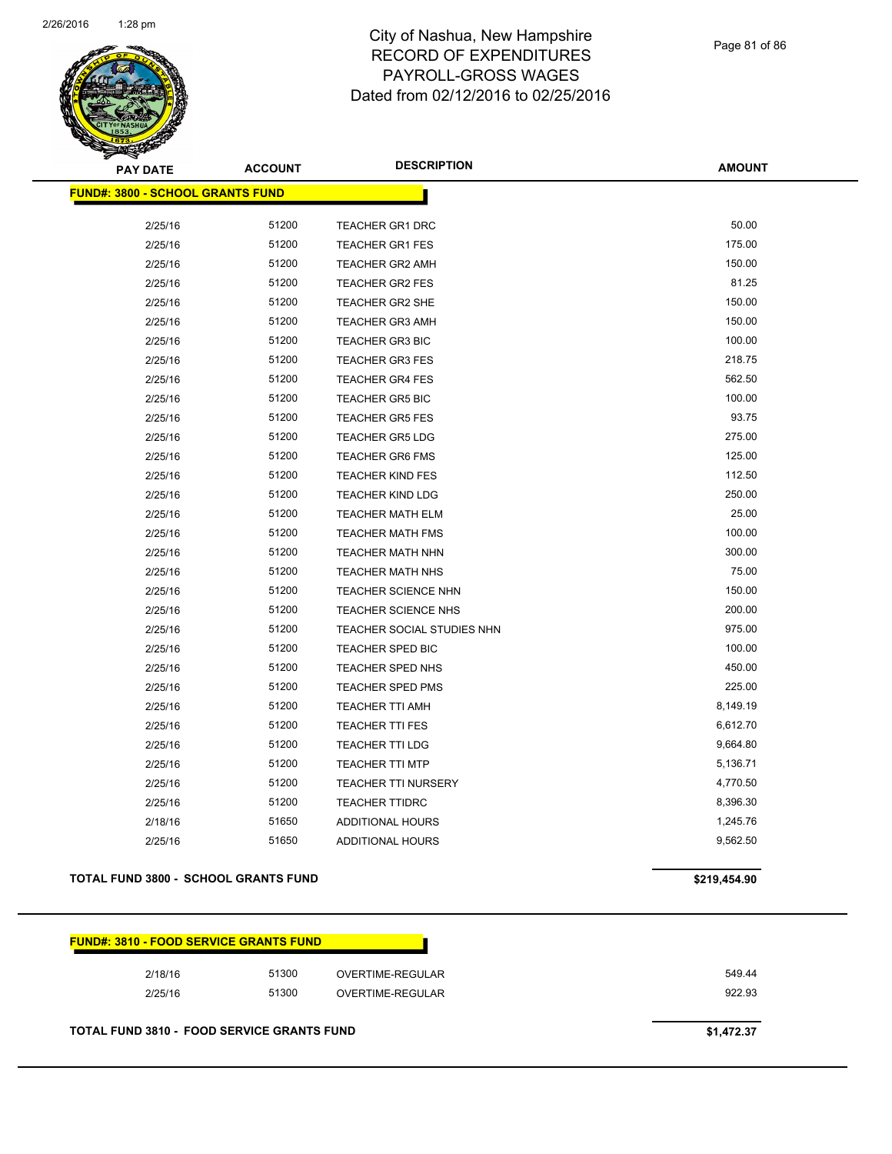

Page 81 of 86

**AMOUNT**

| <b>FUND#: 3800 - SCHOOL GRANTS FUND</b> |       |                            |          |
|-----------------------------------------|-------|----------------------------|----------|
|                                         |       |                            |          |
| 2/25/16                                 | 51200 | <b>TEACHER GR1 DRC</b>     | 50.00    |
| 2/25/16                                 | 51200 | <b>TEACHER GR1 FES</b>     | 175.00   |
| 2/25/16                                 | 51200 | <b>TEACHER GR2 AMH</b>     | 150.00   |
| 2/25/16                                 | 51200 | <b>TEACHER GR2 FES</b>     | 81.25    |
| 2/25/16                                 | 51200 | <b>TEACHER GR2 SHE</b>     | 150.00   |
| 2/25/16                                 | 51200 | <b>TEACHER GR3 AMH</b>     | 150.00   |
| 2/25/16                                 | 51200 | <b>TEACHER GR3 BIC</b>     | 100.00   |
| 2/25/16                                 | 51200 | <b>TEACHER GR3 FES</b>     | 218.75   |
| 2/25/16                                 | 51200 | <b>TEACHER GR4 FES</b>     | 562.50   |
| 2/25/16                                 | 51200 | <b>TEACHER GR5 BIC</b>     | 100.00   |
| 2/25/16                                 | 51200 | <b>TEACHER GR5 FES</b>     | 93.75    |
| 2/25/16                                 | 51200 | <b>TEACHER GR5 LDG</b>     | 275.00   |
| 2/25/16                                 | 51200 | <b>TEACHER GR6 FMS</b>     | 125.00   |
| 2/25/16                                 | 51200 | <b>TEACHER KIND FES</b>    | 112.50   |
| 2/25/16                                 | 51200 | <b>TEACHER KIND LDG</b>    | 250.00   |
| 2/25/16                                 | 51200 | <b>TEACHER MATH ELM</b>    | 25.00    |
| 2/25/16                                 | 51200 | TEACHER MATH FMS           | 100.00   |
| 2/25/16                                 | 51200 | <b>TEACHER MATH NHN</b>    | 300.00   |
| 2/25/16                                 | 51200 | TEACHER MATH NHS           | 75.00    |
| 2/25/16                                 | 51200 | TEACHER SCIENCE NHN        | 150.00   |
| 2/25/16                                 | 51200 | TEACHER SCIENCE NHS        | 200.00   |
| 2/25/16                                 | 51200 | TEACHER SOCIAL STUDIES NHN | 975.00   |
| 2/25/16                                 | 51200 | <b>TEACHER SPED BIC</b>    | 100.00   |
| 2/25/16                                 | 51200 | TEACHER SPED NHS           | 450.00   |
| 2/25/16                                 | 51200 | <b>TEACHER SPED PMS</b>    | 225.00   |
| 2/25/16                                 | 51200 | <b>TEACHER TTI AMH</b>     | 8,149.19 |
| 2/25/16                                 | 51200 | <b>TEACHER TTI FES</b>     | 6,612.70 |
| 2/25/16                                 | 51200 | <b>TEACHER TTI LDG</b>     | 9,664.80 |
| 2/25/16                                 | 51200 | <b>TEACHER TTI MTP</b>     | 5,136.71 |
| 2/25/16                                 | 51200 | <b>TEACHER TTI NURSERY</b> | 4,770.50 |
| 2/25/16                                 | 51200 | <b>TEACHER TTIDRC</b>      | 8,396.30 |
| 2/18/16                                 | 51650 | <b>ADDITIONAL HOURS</b>    | 1,245.76 |
| 2/25/16                                 | 51650 | <b>ADDITIONAL HOURS</b>    | 9,562.50 |

#### **TOTAL FUND 3800 - SCHOOL GRANTS FUND \$219,454.90**

| <b>FUND#: 3810 - FOOD SERVICE GRANTS FUND</b> |
|-----------------------------------------------|
|-----------------------------------------------|

| 2/18/16 | 51300 | OVERTIME-REGULAR | 549.44 |
|---------|-------|------------------|--------|
| 2/25/16 | 51300 | OVERTIME-REGULAR | 922.93 |

**TOTAL FUND 3810 - FOOD SERVICE GRANTS FUND \$1,472.37**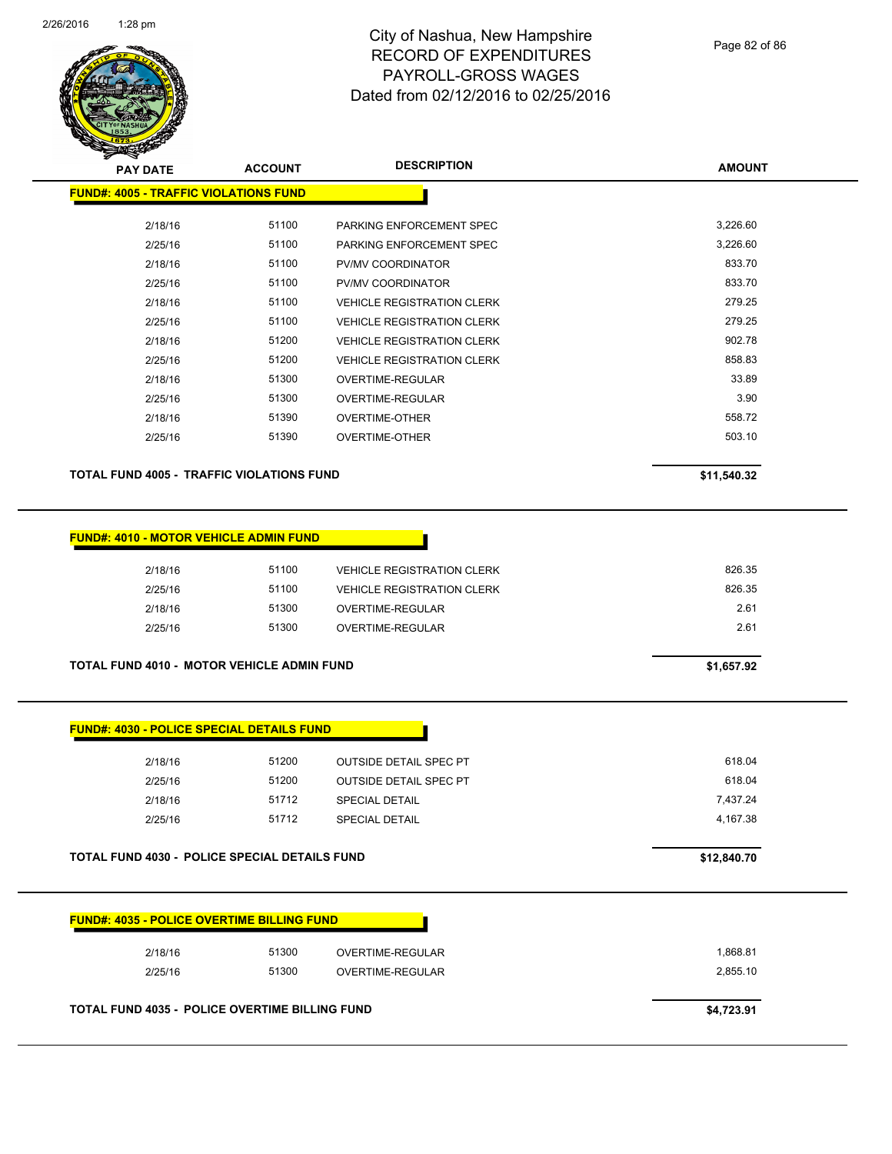

| <b>PAY DATE</b>                              | <b>ACCOUNT</b> | <b>DESCRIPTION</b>                | <b>AMOUNT</b> |
|----------------------------------------------|----------------|-----------------------------------|---------------|
| <b>FUND#: 4005 - TRAFFIC VIOLATIONS FUND</b> |                |                                   |               |
| 2/18/16                                      | 51100          | PARKING ENFORCEMENT SPEC          | 3,226.60      |
|                                              |                |                                   |               |
| 2/25/16                                      | 51100          | PARKING ENFORCEMENT SPEC          | 3,226.60      |
| 2/18/16                                      | 51100          | PV/MV COORDINATOR                 | 833.70        |
| 2/25/16                                      | 51100          | PV/MV COORDINATOR                 | 833.70        |
| 2/18/16                                      | 51100          | <b>VEHICLE REGISTRATION CLERK</b> | 279.25        |
| 2/25/16                                      | 51100          | <b>VEHICLE REGISTRATION CLERK</b> | 279.25        |
| 2/18/16                                      | 51200          | <b>VEHICLE REGISTRATION CLERK</b> | 902.78        |
| 2/25/16                                      | 51200          | <b>VEHICLE REGISTRATION CLERK</b> | 858.83        |
| 2/18/16                                      | 51300          | <b>OVERTIME-REGULAR</b>           | 33.89         |
| 2/25/16                                      | 51300          | OVERTIME-REGULAR                  | 3.90          |
| 2/18/16                                      | 51390          | <b>OVERTIME-OTHER</b>             | 558.72        |
| 2/25/16                                      | 51390          | <b>OVERTIME-OTHER</b>             | 503.10        |
|                                              |                |                                   |               |

TOTAL FUND 4005 - TRAFFIC VIOLATIONS FUND<br>
\$11,540.32

| <b>FUND#: 4010 - MOTOR VEHICLE ADMIN FUND</b> |  |  |  |  |  |  |  |
|-----------------------------------------------|--|--|--|--|--|--|--|
|-----------------------------------------------|--|--|--|--|--|--|--|

| 2/18/16 | 51100 | <b>VEHICLE REGISTRATION CLERK</b> | 826.35 |
|---------|-------|-----------------------------------|--------|
| 2/25/16 | 51100 | <b>VEHICLE REGISTRATION CLERK</b> | 826.35 |
| 2/18/16 | 51300 | OVERTIME-REGULAR                  | 2.61   |
| 2/25/16 | 51300 | OVERTIME-REGULAR                  | 2.61   |
|         |       |                                   |        |

**TOTAL FUND 4010 - MOTOR VEHICLE ADMIN FUND** \$1,657.92

| 2/18/16 | 51200 | <b>OUTSIDE DETAIL SPEC PT</b> | 618.04   |
|---------|-------|-------------------------------|----------|
| 2/25/16 | 51200 | <b>OUTSIDE DETAIL SPEC PT</b> | 618.04   |
| 2/18/16 | 51712 | <b>SPECIAL DETAIL</b>         | 7.437.24 |
| 2/25/16 | 51712 | <b>SPECIAL DETAIL</b>         | 4.167.38 |
|         |       |                               |          |

**TOTAL FUND 4030 - POLICE SPECIAL DETAILS FUND 612,840.70** 

| 2/18/16 | 51300 | OVERTIME-REGULAR | 1,868.81 |
|---------|-------|------------------|----------|
| 2/25/16 | 51300 | OVERTIME-REGULAR | 2,855.10 |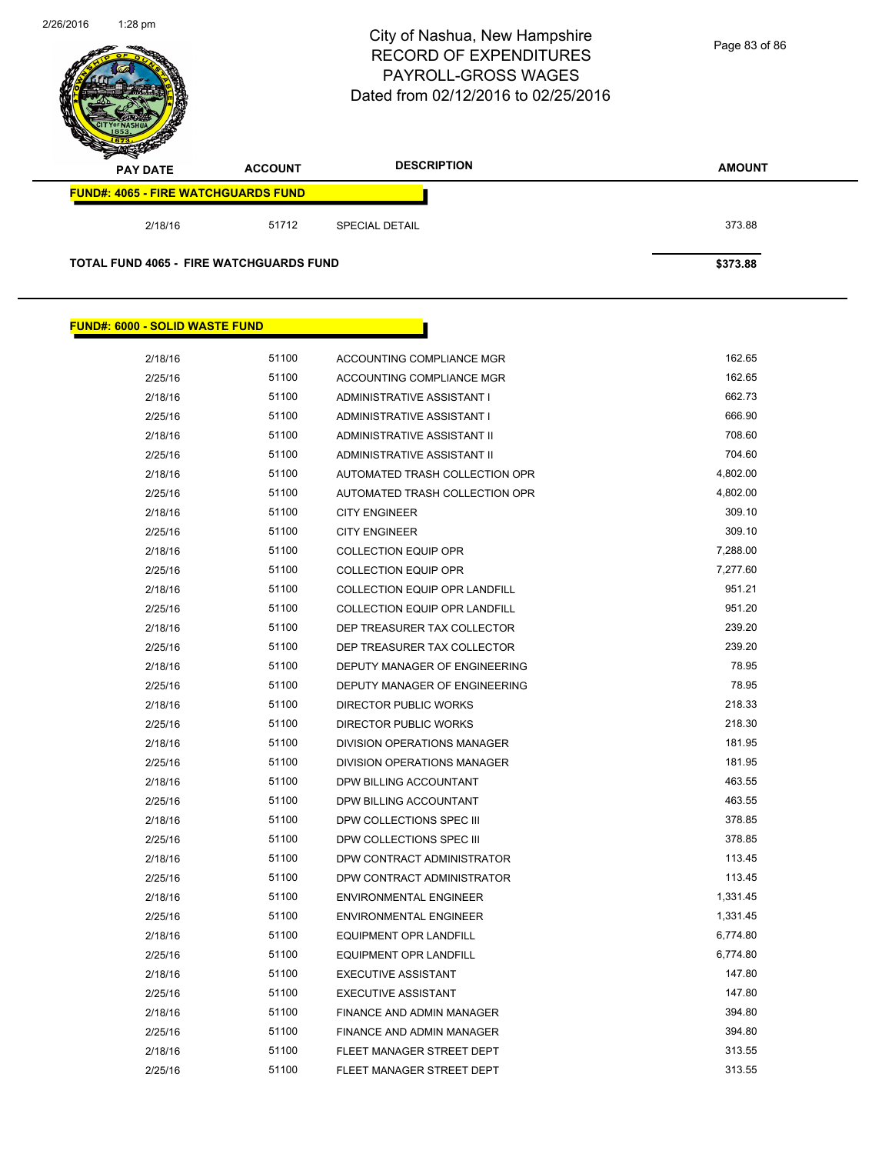

| 2/18/16 | 51100 | ACCOUNTING COMPLIANCE MGR            | 162.65   |  |
|---------|-------|--------------------------------------|----------|--|
| 2/25/16 | 51100 | ACCOUNTING COMPLIANCE MGR            | 162.65   |  |
| 2/18/16 | 51100 | ADMINISTRATIVE ASSISTANT I           | 662.73   |  |
| 2/25/16 | 51100 | ADMINISTRATIVE ASSISTANT I           | 666.90   |  |
| 2/18/16 | 51100 | ADMINISTRATIVE ASSISTANT II          | 708.60   |  |
| 2/25/16 | 51100 | ADMINISTRATIVE ASSISTANT II          | 704.60   |  |
| 2/18/16 | 51100 | AUTOMATED TRASH COLLECTION OPR       | 4,802.00 |  |
| 2/25/16 | 51100 | AUTOMATED TRASH COLLECTION OPR       | 4,802.00 |  |
| 2/18/16 | 51100 | <b>CITY ENGINEER</b>                 | 309.10   |  |
| 2/25/16 | 51100 | <b>CITY ENGINEER</b>                 | 309.10   |  |
| 2/18/16 | 51100 | <b>COLLECTION EQUIP OPR</b>          | 7,288.00 |  |
| 2/25/16 | 51100 | <b>COLLECTION EQUIP OPR</b>          | 7,277.60 |  |
| 2/18/16 | 51100 | <b>COLLECTION EQUIP OPR LANDFILL</b> | 951.21   |  |
| 2/25/16 | 51100 | <b>COLLECTION EQUIP OPR LANDFILL</b> | 951.20   |  |
| 2/18/16 | 51100 | DEP TREASURER TAX COLLECTOR          | 239.20   |  |
| 2/25/16 | 51100 | DEP TREASURER TAX COLLECTOR          | 239.20   |  |
| 2/18/16 | 51100 | DEPUTY MANAGER OF ENGINEERING        | 78.95    |  |
| 2/25/16 | 51100 | DEPUTY MANAGER OF ENGINEERING        | 78.95    |  |
| 2/18/16 | 51100 | <b>DIRECTOR PUBLIC WORKS</b>         | 218.33   |  |
| 2/25/16 | 51100 | <b>DIRECTOR PUBLIC WORKS</b>         | 218.30   |  |
| 2/18/16 | 51100 | <b>DIVISION OPERATIONS MANAGER</b>   | 181.95   |  |
| 2/25/16 | 51100 | DIVISION OPERATIONS MANAGER          | 181.95   |  |
| 2/18/16 | 51100 | DPW BILLING ACCOUNTANT               | 463.55   |  |
| 2/25/16 | 51100 | DPW BILLING ACCOUNTANT               | 463.55   |  |
| 2/18/16 | 51100 | DPW COLLECTIONS SPEC III             | 378.85   |  |
| 2/25/16 | 51100 | DPW COLLECTIONS SPEC III             | 378.85   |  |
| 2/18/16 | 51100 | DPW CONTRACT ADMINISTRATOR           | 113.45   |  |
| 2/25/16 | 51100 | DPW CONTRACT ADMINISTRATOR           | 113.45   |  |
| 2/18/16 | 51100 | <b>ENVIRONMENTAL ENGINEER</b>        | 1,331.45 |  |
| 2/25/16 | 51100 | <b>ENVIRONMENTAL ENGINEER</b>        | 1,331.45 |  |
| 2/18/16 | 51100 | <b>EQUIPMENT OPR LANDFILL</b>        | 6,774.80 |  |
| 2/25/16 | 51100 | <b>EQUIPMENT OPR LANDFILL</b>        | 6,774.80 |  |
| 2/18/16 | 51100 | <b>EXECUTIVE ASSISTANT</b>           | 147.80   |  |
| 2/25/16 | 51100 | <b>EXECUTIVE ASSISTANT</b>           | 147.80   |  |
| 2/18/16 | 51100 | FINANCE AND ADMIN MANAGER            | 394.80   |  |
| 2/25/16 | 51100 | FINANCE AND ADMIN MANAGER            | 394.80   |  |
| 2/18/16 | 51100 | FLEET MANAGER STREET DEPT            | 313.55   |  |
| 2/25/16 | 51100 | FLEET MANAGER STREET DEPT            | 313.55   |  |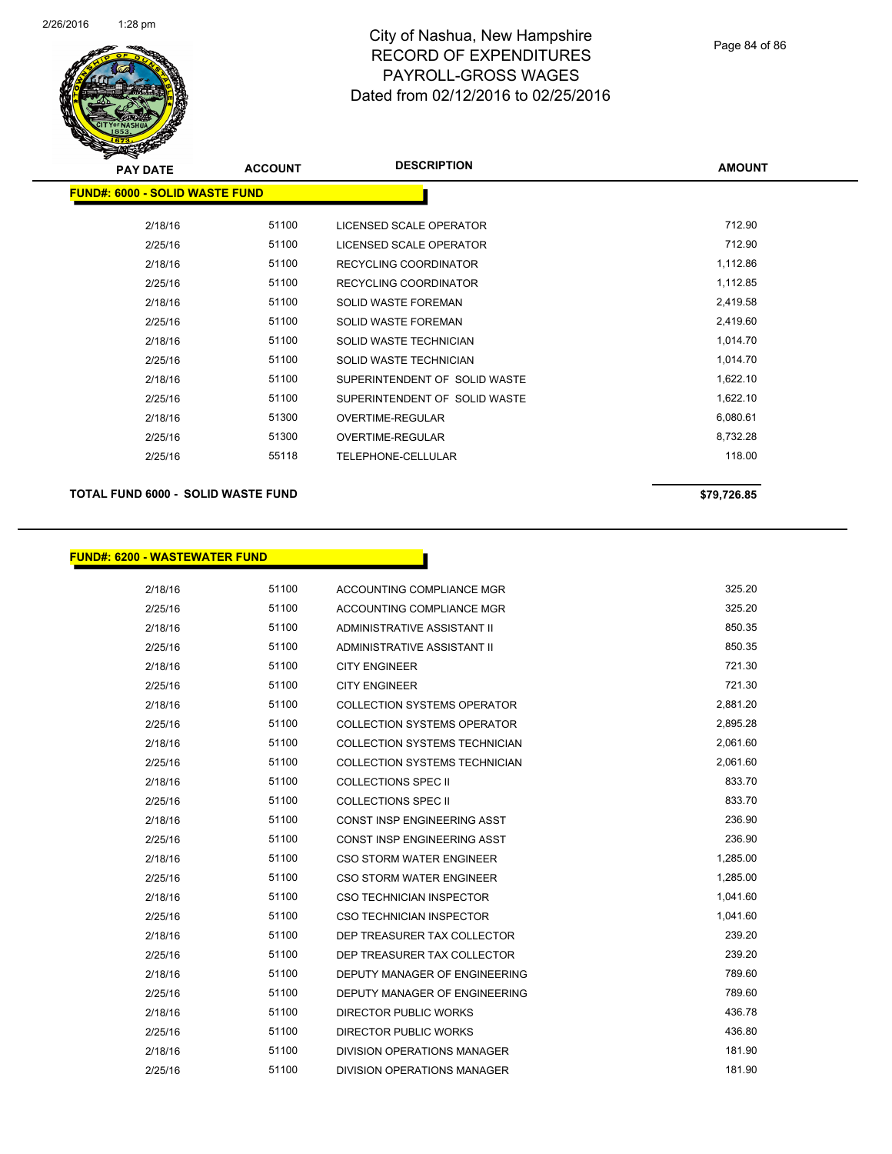

| <b>PAY DATE</b>                        | <b>ACCOUNT</b> | <b>DESCRIPTION</b>            | <b>AMOUNT</b> |
|----------------------------------------|----------------|-------------------------------|---------------|
| <u> FUND#: 6000 - SOLID WASTE FUND</u> |                |                               |               |
| 2/18/16                                | 51100          | LICENSED SCALE OPERATOR       | 712.90        |
| 2/25/16                                | 51100          | LICENSED SCALE OPERATOR       | 712.90        |
| 2/18/16                                | 51100          | <b>RECYCLING COORDINATOR</b>  | 1,112.86      |
| 2/25/16                                | 51100          | RECYCLING COORDINATOR         | 1,112.85      |
| 2/18/16                                | 51100          | <b>SOLID WASTE FOREMAN</b>    | 2,419.58      |
| 2/25/16                                | 51100          | <b>SOLID WASTE FOREMAN</b>    | 2,419.60      |
| 2/18/16                                | 51100          | SOLID WASTE TECHNICIAN        | 1,014.70      |
| 2/25/16                                | 51100          | SOLID WASTE TECHNICIAN        | 1,014.70      |
| 2/18/16                                | 51100          | SUPERINTENDENT OF SOLID WASTE | 1,622.10      |
| 2/25/16                                | 51100          | SUPERINTENDENT OF SOLID WASTE | 1,622.10      |
| 2/18/16                                | 51300          | <b>OVERTIME-REGULAR</b>       | 6,080.61      |
| 2/25/16                                | 51300          | OVERTIME-REGULAR              | 8,732.28      |
| 2/25/16                                | 55118          | TELEPHONE-CELLULAR            | 118.00        |
|                                        |                |                               |               |

#### **TOTAL FUND 6000 - SOLID WASTE FUND \$79,726.85**

#### **FUND#: 6200 - WASTEWATER FUND**

| 2/18/16 | 51100 | ACCOUNTING COMPLIANCE MGR            | 325.20   |
|---------|-------|--------------------------------------|----------|
| 2/25/16 | 51100 | ACCOUNTING COMPLIANCE MGR            | 325.20   |
| 2/18/16 | 51100 | ADMINISTRATIVE ASSISTANT II          | 850.35   |
| 2/25/16 | 51100 | ADMINISTRATIVE ASSISTANT II          | 850.35   |
| 2/18/16 | 51100 | <b>CITY ENGINEER</b>                 | 721.30   |
| 2/25/16 | 51100 | <b>CITY ENGINEER</b>                 | 721.30   |
| 2/18/16 | 51100 | COLLECTION SYSTEMS OPERATOR          | 2.881.20 |
| 2/25/16 | 51100 | <b>COLLECTION SYSTEMS OPERATOR</b>   | 2,895.28 |
| 2/18/16 | 51100 | COLLECTION SYSTEMS TECHNICIAN        | 2,061.60 |
| 2/25/16 | 51100 | <b>COLLECTION SYSTEMS TECHNICIAN</b> | 2,061.60 |
| 2/18/16 | 51100 | <b>COLLECTIONS SPEC II</b>           | 833.70   |
| 2/25/16 | 51100 | <b>COLLECTIONS SPEC II</b>           | 833.70   |
| 2/18/16 | 51100 | CONST INSP ENGINEERING ASST          | 236.90   |
| 2/25/16 | 51100 | <b>CONST INSP ENGINEERING ASST</b>   | 236.90   |
| 2/18/16 | 51100 | CSO STORM WATER ENGINEER             | 1,285.00 |
| 2/25/16 | 51100 | CSO STORM WATER ENGINEER             | 1,285.00 |
| 2/18/16 | 51100 | <b>CSO TECHNICIAN INSPECTOR</b>      | 1,041.60 |
| 2/25/16 | 51100 | <b>CSO TECHNICIAN INSPECTOR</b>      | 1,041.60 |
| 2/18/16 | 51100 | DEP TREASURER TAX COLLECTOR          | 239.20   |
| 2/25/16 | 51100 | DEP TREASURER TAX COLLECTOR          | 239.20   |
| 2/18/16 | 51100 | DEPUTY MANAGER OF ENGINEERING        | 789.60   |
| 2/25/16 | 51100 | DEPUTY MANAGER OF ENGINEERING        | 789.60   |
| 2/18/16 | 51100 | <b>DIRECTOR PUBLIC WORKS</b>         | 436.78   |
| 2/25/16 | 51100 | <b>DIRECTOR PUBLIC WORKS</b>         | 436.80   |
| 2/18/16 | 51100 | DIVISION OPERATIONS MANAGER          | 181.90   |
| 2/25/16 | 51100 | <b>DIVISION OPERATIONS MANAGER</b>   | 181.90   |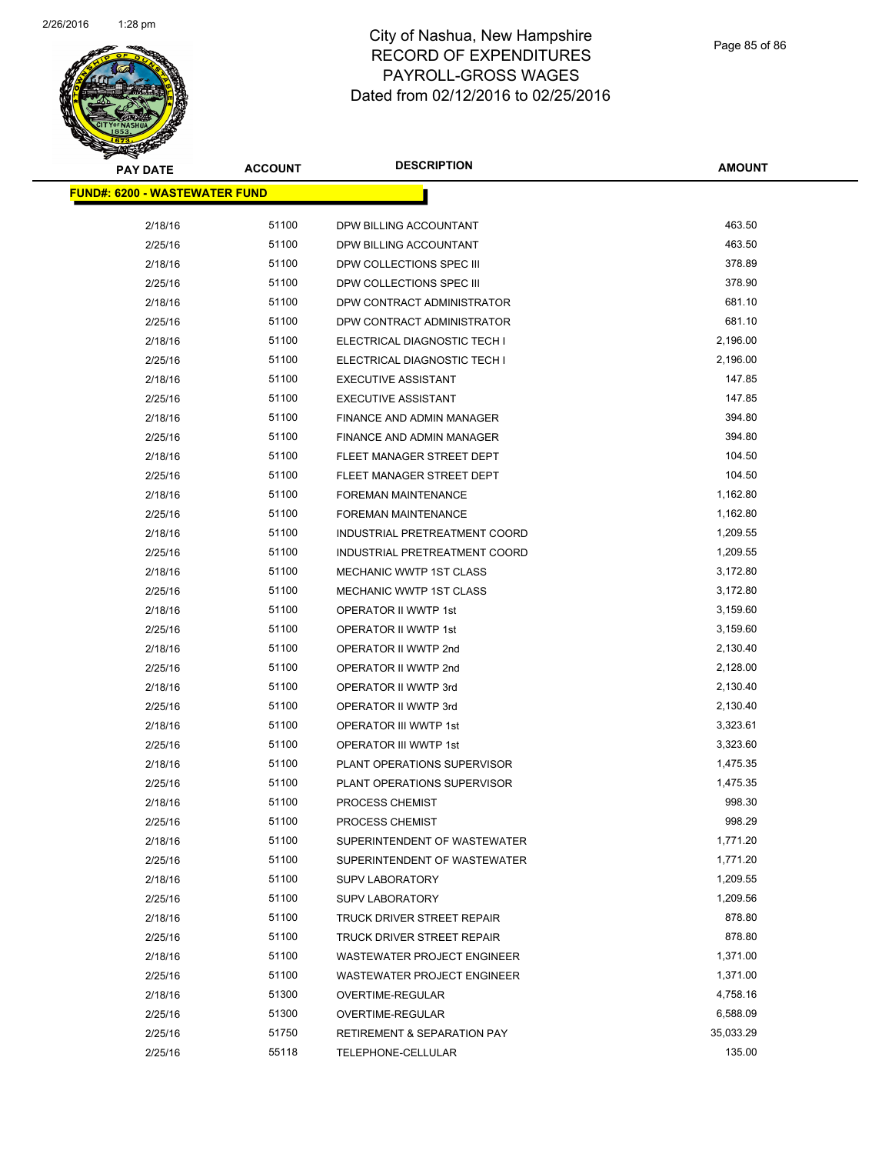

| <b>PAY DATE</b>                       | <b>ACCOUNT</b> | <b>DESCRIPTION</b>                     | <b>AMOUNT</b>      |
|---------------------------------------|----------------|----------------------------------------|--------------------|
| <u> FUND#: 6200 - WASTEWATER FUND</u> |                |                                        |                    |
| 2/18/16                               | 51100          | DPW BILLING ACCOUNTANT                 | 463.50             |
| 2/25/16                               | 51100          | DPW BILLING ACCOUNTANT                 | 463.50             |
| 2/18/16                               | 51100          | DPW COLLECTIONS SPEC III               | 378.89             |
| 2/25/16                               | 51100          | DPW COLLECTIONS SPEC III               | 378.90             |
| 2/18/16                               | 51100          | DPW CONTRACT ADMINISTRATOR             | 681.10             |
| 2/25/16                               | 51100          | DPW CONTRACT ADMINISTRATOR             | 681.10             |
| 2/18/16                               | 51100          | ELECTRICAL DIAGNOSTIC TECH I           | 2,196.00           |
| 2/25/16                               | 51100          | ELECTRICAL DIAGNOSTIC TECH I           | 2,196.00           |
| 2/18/16                               | 51100          | <b>EXECUTIVE ASSISTANT</b>             | 147.85             |
| 2/25/16                               | 51100          | <b>EXECUTIVE ASSISTANT</b>             | 147.85             |
| 2/18/16                               | 51100          | FINANCE AND ADMIN MANAGER              | 394.80             |
| 2/25/16                               | 51100          | FINANCE AND ADMIN MANAGER              | 394.80             |
| 2/18/16                               | 51100          | FLEET MANAGER STREET DEPT              | 104.50             |
| 2/25/16                               | 51100          | FLEET MANAGER STREET DEPT              | 104.50             |
| 2/18/16                               | 51100          | <b>FOREMAN MAINTENANCE</b>             | 1,162.80           |
| 2/25/16                               | 51100          | FOREMAN MAINTENANCE                    | 1,162.80           |
| 2/18/16                               | 51100          | INDUSTRIAL PRETREATMENT COORD          | 1,209.55           |
| 2/25/16                               | 51100          | INDUSTRIAL PRETREATMENT COORD          | 1,209.55           |
| 2/18/16                               | 51100          | MECHANIC WWTP 1ST CLASS                | 3,172.80           |
| 2/25/16                               | 51100          | MECHANIC WWTP 1ST CLASS                | 3,172.80           |
| 2/18/16                               | 51100          | OPERATOR II WWTP 1st                   | 3,159.60           |
| 2/25/16                               | 51100          | OPERATOR II WWTP 1st                   | 3,159.60           |
| 2/18/16                               | 51100          | OPERATOR II WWTP 2nd                   | 2,130.40           |
| 2/25/16                               | 51100          | OPERATOR II WWTP 2nd                   | 2,128.00           |
| 2/18/16                               | 51100          | OPERATOR II WWTP 3rd                   | 2,130.40           |
| 2/25/16                               | 51100          | OPERATOR II WWTP 3rd                   | 2,130.40           |
| 2/18/16                               | 51100          | <b>OPERATOR III WWTP 1st</b>           | 3,323.61           |
| 2/25/16                               | 51100          | OPERATOR III WWTP 1st                  | 3,323.60           |
| 2/18/16                               | 51100          | PLANT OPERATIONS SUPERVISOR            | 1,475.35           |
| 2/25/16                               | 51100          | PLANT OPERATIONS SUPERVISOR            | 1,475.35           |
| 2/18/16                               | 51100          | PROCESS CHEMIST                        | 998.30             |
| 2/25/16                               | 51100          | PROCESS CHEMIST                        | 998.29             |
| 2/18/16                               | 51100          | SUPERINTENDENT OF WASTEWATER           | 1,771.20           |
| 2/25/16                               | 51100          | SUPERINTENDENT OF WASTEWATER           | 1,771.20           |
| 2/18/16                               | 51100          | <b>SUPV LABORATORY</b>                 | 1,209.55           |
| 2/25/16                               | 51100          | <b>SUPV LABORATORY</b>                 | 1,209.56           |
| 2/18/16                               | 51100          | TRUCK DRIVER STREET REPAIR             | 878.80             |
| 2/25/16                               | 51100          | <b>TRUCK DRIVER STREET REPAIR</b>      | 878.80<br>1,371.00 |
| 2/18/16<br>2/25/16                    | 51100<br>51100 | <b>WASTEWATER PROJECT ENGINEER</b>     | 1,371.00           |
| 2/18/16                               | 51300          | WASTEWATER PROJECT ENGINEER            | 4,758.16           |
| 2/25/16                               | 51300          | OVERTIME-REGULAR<br>OVERTIME-REGULAR   | 6,588.09           |
|                                       | 51750          |                                        | 35,033.29          |
| 2/25/16                               | 55118          | <b>RETIREMENT &amp; SEPARATION PAY</b> | 135.00             |
| 2/25/16                               |                | TELEPHONE-CELLULAR                     |                    |